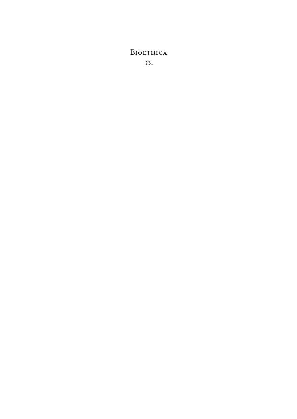# **BIOETHICA** 33.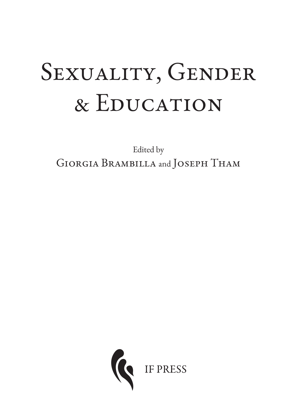# SEXUALITY, GENDER & Education

Edited by Giorgia Brambilla and Joseph Tham

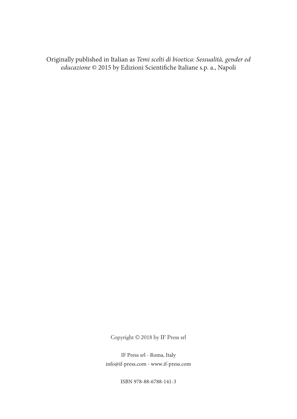Originally published in Italian as Temi scelti di bioetica: Sessualità, gender ed educazione © 2015 by Edizioni Scientifiche Italiane s.p. a., Napoli

Copyright © 2018 by IF Press srl

IF Press srl - Roma, Italy info@if-press.com - www.if-press.com

ISBN 978-88-6788-141-3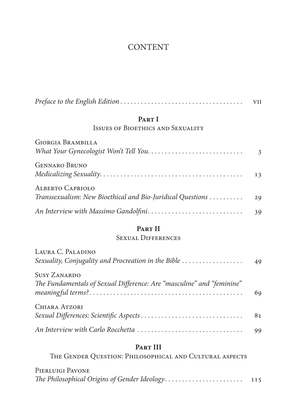# CONTENT

|                                                                                              | <b>VII</b> |
|----------------------------------------------------------------------------------------------|------------|
| PART I                                                                                       |            |
| <b>ISSUES OF BIOETHICS AND SEXUALITY</b>                                                     |            |
| GIORGIA BRAMBILLA                                                                            | 3          |
| <b>GENNARO BRUNO</b>                                                                         | 13         |
| <b>ALBERTO CAPRIOLO</b><br>Transsexualism: New Bioethical and Bio-Juridical Questions        | 29         |
|                                                                                              | 39         |
| PART II                                                                                      |            |
| <b>SEXUAL DIFFERENCES</b>                                                                    |            |
| LAURA C. PALADINO<br>Sexuality, Conjugality and Procreation in the Bible                     | 49         |
| <b>SUSY ZANARDO</b><br>The Fundamentals of Sexual Difference: Are "masculine" and "feminine" |            |

| CHIARA ATZORI |  |
|---------------|--|
|               |  |
|               |  |

# **Part III** The Gender Question: Philosophical and Cultural aspects

| PIERLUIGI PAVONE |  |
|------------------|--|
|                  |  |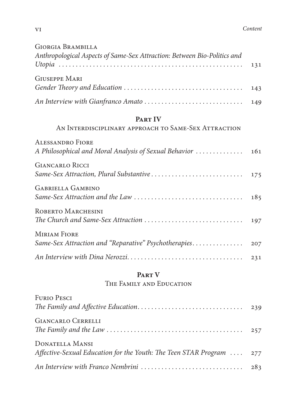| <b>GIORGIA BRAMBILLA</b>                                                 |  |
|--------------------------------------------------------------------------|--|
| Anthropological Aspects of Same-Sex Attraction: Between Bio-Politics and |  |
|                                                                          |  |
| <b>GIUSEPPE MARI</b>                                                     |  |
|                                                                          |  |
|                                                                          |  |

# **Part IV**

# An Interdisciplinary approach to Same-Sex Attraction

| <b>ALESSANDRO FIORE</b>                                                                                                              |  |
|--------------------------------------------------------------------------------------------------------------------------------------|--|
| <b>GIANCARLO RICCI</b>                                                                                                               |  |
| <b>GABRIELLA GAMBINO</b>                                                                                                             |  |
| ROBERTO MARCHESINI<br>The Church and Same-Sex Attraction $\ldots \ldots \ldots \ldots \ldots \ldots \ldots \ldots \ldots \ldots$ 197 |  |
| <b>MIRIAM FIORE</b>                                                                                                                  |  |
|                                                                                                                                      |  |

# **Part V**

# The Family and Education

| <b>FURIO PESCI</b>                                                                             |  |
|------------------------------------------------------------------------------------------------|--|
|                                                                                                |  |
| <b>GIANCARLO CERRELLI</b>                                                                      |  |
| <b>DONATELLA MANSI</b><br>Affective-Sexual Education for the Youth: The Teen STAR Program  277 |  |
|                                                                                                |  |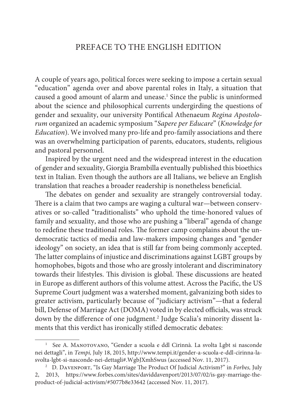## PREFACE TO THE ENGLISH EDITION

A couple of years ago, political forces were seeking to impose a certain sexual "education" agenda over and above parental roles in Italy, a situation that caused a good amount of alarm and unease.<sup>1</sup> Since the public is uninformed about the science and philosophical currents undergirding the questions of gender and sexuality, our university Pontifical Athenaeum Regina Apostolorum organized an academic symposium "Sapere per Educare" (Knowledge for Education). We involved many pro-life and pro-family associations and there was an overwhelming participation of parents, educators, students, religious and pastoral personnel.

Inspired by the urgent need and the widespread interest in the education of gender and sexuality, Giorgia Brambilla eventually published this bioethics text in Italian. Even though the authors are all Italians, we believe an English translation that reaches a broader readership is nonetheless beneficial.

The debates on gender and sexuality are strangely controversial today. There is a claim that two camps are waging a cultural war—between conservatives or so-called "traditionalists" who uphold the time-honored values of family and sexuality, and those who are pushing a "liberal" agenda of change to redefine these traditional roles. The former camp complains about the undemocratic tactics of media and law-makers imposing changes and "gender ideology" on society, an idea that is still far from being commonly accepted. The latter complains of injustice and discriminations against LGBT groups by homophobes, bigots and those who are grossly intolerant and discriminatory towards their lifestyles. This division is global. These discussions are heated in Europe as different authors of this volume attest. Across the Pacific, the US Supreme Court judgment was a watershed moment, galvanizing both sides to greater activism, particularly because of "judiciary activism"—that a federal bill, Defense of Marriage Act (DOMA) voted in by elected officials, was struck down by the difference of one judgment.<sup>2</sup> Judge Scalia's minority dissent laments that this verdict has ironically stifled democratic debates:

See A. MANOTOVANO, "Gender a scuola e ddl Cirinnà. La svolta Lgbt si nasconde nei dettagli", in Tempi, July 18, 2015, http://www.tempi.it/gender-a-scuola-e-ddl-cirinna-lasvolta-lgbt-si-nasconde-nei-dettagli#.WgbJXmhSwus (accessed Nov. 11, 2017).

<sup>&</sup>lt;sup>2</sup> D. DAVENPORT, "Is Gay Marriage The Product Of Judicial Activism?" in Forbes, July 2, 2013, https://www.forbes.com/sites/daviddavenport/2013/07/02/is-gay-marriage-theproduct-of-judicial-activism/#5077b8e33642 (accessed Nov. 11, 2017).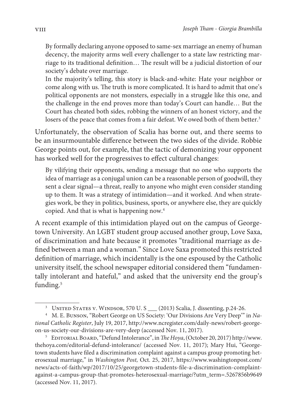By formally declaring anyone opposed to same-sex marriage an enemy of human decency, the majority arms well every challenger to a state law restricting marriage to its traditional definition… The result will be a judicial distortion of our society's debate over marriage.

In the majority's telling, this story is black-and-white: Hate your neighbor or come along with us. The truth is more complicated. It is hard to admit that one's political opponents are not monsters, especially in a struggle like this one, and the challenge in the end proves more than today's Court can handle… But the Court has cheated both sides, robbing the winners of an honest victory, and the losers of the peace that comes from a fair defeat. We owed both of them better.<sup>3</sup>

Unfortunately, the observation of Scalia has borne out, and there seems to be an insurmountable difference between the two sides of the divide. Robbie George points out, for example, that the tactic of demonizing your opponent has worked well for the progressives to effect cultural changes:

By vilifying their opponents, sending a message that no one who supports the idea of marriage as a conjugal union can be a reasonable person of goodwill, they sent a clear signal—a threat, really to anyone who might even consider standing up to them. It was a strategy of intimidation—and it worked. And when strategies work, be they in politics, business, sports, or anywhere else, they are quickly copied. And that is what is happening now.<sup>4</sup>

A recent example of this intimidation played out on the campus of Georgetown University. An LGBT student group accused another group, Love Saxa, of discrimination and hate because it promotes "traditional marriage as defined between a man and a woman." Since Love Saxa promoted this restricted definition of marriage, which incidentally is the one espoused by the Catholic university itself, the school newspaper editorial considered them "fundamentally intolerant and hateful," and asked that the university end the group's funding.<sup>5</sup>

<sup>5</sup> EDITORIAL BOARD, "Defund Intolerance", in *The Hoya*, (October 20, 2017) http://www. thehoya.com/editorial-defund-intolerance/ (accessed Nov. 11, 2017); Mary Hui, "Georgetown students have filed a discrimination complaint against a campus group promoting heterosexual marriage," in Washington Post, Oct. 25, 2017, https://www.washingtonpost.com/ news/acts-of-faith/wp/2017/10/25/georgetown-students-file-a-discrimination-complaintagainst-a-campus-group-that-promotes-heterosexual-marriage/?utm\_term=.5267856b9649 (accessed Nov. 11, 2017).

<sup>&</sup>lt;sup>3</sup> UNITED STATES V. WINDSOR, 570 U. S \_\_\_ (2013) Scalia, J. dissenting, p.24-26.

<sup>&</sup>lt;sup>4</sup> M. E. Bunson, "Robert George on US Society: 'Our Divisions Are Very Deep'" in National Catholic Register, July 19, 2017, http://www.ncregister.com/daily-news/robert-georgeon-us-society-our-divisions-are-very-deep (accessed Nov. 11, 2017).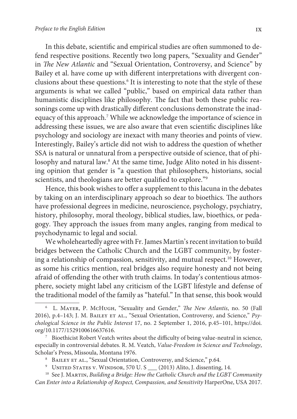In this debate, scientific and empirical studies are often summoned to defend respective positions. Recently two long papers, "Sexuality and Gender" in The New Atlantic and "Sexual Orientation, Controversy, and Science" by Bailey et al. have come up with different interpretations with divergent conclusions about these questions.<sup>6</sup> It is interesting to note that the style of these arguments is what we called "public," based on empirical data rather than humanistic disciplines like philosophy. The fact that both these public reasonings come up with drastically different conclusions demonstrate the inadequacy of this approach.<sup>7</sup> While we acknowledge the importance of science in addressing these issues, we are also aware that even scientific disciplines like psychology and sociology are inexact with many theories and points of view. Interestingly, Bailey's article did not wish to address the question of whether SSA is natural or unnatural from a perspective outside of science, that of philosophy and natural law.<sup>8</sup> At the same time, Judge Alito noted in his dissenting opinion that gender is "a question that philosophers, historians, social scientists, and theologians are better qualified to explore."<sup>9</sup>

Hence, this book wishes to offer a supplement to this lacuna in the debates by taking on an interdisciplinary approach so dear to bioethics. The authors have professional degrees in medicine, neuroscience, psychology, psychiatry, history, philosophy, moral theology, biblical studies, law, bioethics, or pedagogy. They approach the issues from many angles, ranging from medical to psychodynamic to legal and social.

We wholeheartedly agree with Fr. James Martin's recent invitation to build bridges between the Catholic Church and the LGBT community, by fostering a relationship of compassion, sensitivity, and mutual respect.<sup>10</sup> However, as some his critics mention, real bridges also require honesty and not being afraid of offending the other with truth claims. In today's contentious atmosphere, society might label any criticism of the LGBT lifestyle and defense of the traditional model of the family as "hateful." In that sense, this book would

<sup>6</sup> L. Mayer, P. McHugh, "Sexuality and Gender," The New Atlantis, no. 50 (Fall 2016), p.4-143; J. M. BAILEY ET AL., "Sexual Orientation, Controversy, and Science," Psychological Science in the Public Interest 17, no. 2 September 1, 2016, p.45–101, https://doi. org/10.1177/1529100616637616.

<sup>&</sup>lt;sup>7</sup> Bioethicist Robert Veatch writes about the difficulty of being value-neutral in science, especially in controversial debates. R. M. Veatch, Value-Freedom in Science and Technology, Scholar's Press, Missoula, Montana 1976.

<sup>&</sup>lt;sup>8</sup> BAILEY ET AL., "Sexual Orientation, Controversy, and Science," p.64.

<sup>&</sup>lt;sup>9</sup> UNITED STATES V. WINDSOR, 570 U.S \_\_\_ (2013) Alito, J. dissenting, 14.

 $10$  See J. MARTIN, Building a Bridge: How the Catholic Church and the LGBT Community Can Enter into a Relationship of Respect, Compassion, and Sensitivity HarperOne, USA 2017.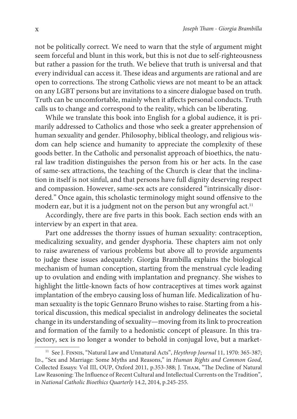not be politically correct. We need to warn that the style of argument might seem forceful and blunt in this work, but this is not due to self-righteousness but rather a passion for the truth. We believe that truth is universal and that every individual can access it. These ideas and arguments are rational and are open to corrections. The strong Catholic views are not meant to be an attack on any LGBT persons but are invitations to a sincere dialogue based on truth. Truth can be uncomfortable, mainly when it affects personal conducts. Truth calls us to change and correspond to the reality, which can be liberating.

While we translate this book into English for a global audience, it is primarily addressed to Catholics and those who seek a greater apprehension of human sexuality and gender. Philosophy, biblical theology, and religious wisdom can help science and humanity to appreciate the complexity of these goods better. In the Catholic and personalist approach of bioethics, the natural law tradition distinguishes the person from his or her acts. In the case of same-sex attractions, the teaching of the Church is clear that the inclination in itself is not sinful, and that persons have full dignity deserving respect and compassion. However, same-sex acts are considered "intrinsically disordered." Once again, this scholastic terminology might sound offensive to the modern ear, but it is a judgment not on the person but any wrongful act.<sup>11</sup>

Accordingly, there are five parts in this book. Each section ends with an interview by an expert in that area.

 Part one addresses the thorny issues of human sexuality: contraception, medicalizing sexuality, and gender dysphoria. These chapters aim not only to raise awareness of various problems but above all to provide arguments to judge these issues adequately. Giorgia Brambilla explains the biological mechanism of human conception, starting from the menstrual cycle leading up to ovulation and ending with implantation and pregnancy. She wishes to highlight the little-known facts of how contraceptives at times work against implantation of the embryo causing loss of human life. Medicalization of human sexuality is the topic Gennaro Bruno wishes to raise. Starting from a historical discussion, this medical specialist in andrology delineates the societal change in its understanding of sexuality—moving from its link to procreation and formation of the family to a hedonistic concept of pleasure. In this trajectory, sex is no longer a wonder to behold in conjugal love, but a market-

 $11$  See J. FINNIS, "Natural Law and Unnatural Acts", Heythrop Journal 11, 1970: 365-387; ID., "Sex and Marriage: Some Myths and Reasons," in Human Rights and Common Good, Collected Essays: Vol III, OUP, Oxford 2011, p.353-388; J. Tham, "The Decline of Natural Law Reasoning: The Influence of Recent Cultural and Intellectual Currents on the Tradition", in National Catholic Bioethics Quarterly 14.2, 2014, p.245-255.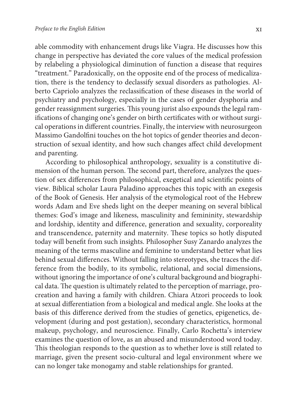able commodity with enhancement drugs like Viagra. He discusses how this change in perspective has deviated the core values of the medical profession by relabeling a physiological diminution of function a disease that requires "treatment." Paradoxically, on the opposite end of the process of medicalization, there is the tendency to declassify sexual disorders as pathologies. Alberto Capriolo analyzes the reclassification of these diseases in the world of psychiatry and psychology, especially in the cases of gender dysphoria and gender reassignment surgeries. This young jurist also expounds the legal ramifications of changing one's gender on birth certificates with or without surgical operations in different countries. Finally, the interview with neurosurgeon Massimo Gandolfini touches on the hot topics of gender theories and deconstruction of sexual identity, and how such changes affect child development and parenting.

According to philosophical anthropology, sexuality is a constitutive dimension of the human person. The second part, therefore, analyzes the question of sex differences from philosophical, exegetical and scientific points of view. Biblical scholar Laura Paladino approaches this topic with an exegesis of the Book of Genesis. Her analysis of the etymological root of the Hebrew words Adam and Eve sheds light on the deeper meaning on several biblical themes: God's image and likeness, masculinity and femininity, stewardship and lordship, identity and difference, generation and sexuality, corporeality and transcendence, paternity and maternity. These topics so hotly disputed today will benefit from such insights. Philosopher Susy Zanardo analyzes the meaning of the terms masculine and feminine to understand better what lies behind sexual differences. Without falling into stereotypes, she traces the difference from the bodily, to its symbolic, relational, and social dimensions, without ignoring the importance of one's cultural background and biographical data. The question is ultimately related to the perception of marriage, procreation and having a family with children. Chiara Atzori proceeds to look at sexual differentiation from a biological and medical angle. She looks at the basis of this difference derived from the studies of genetics, epigenetics, development (during and post gestation), secondary characteristics, hormonal makeup, psychology, and neuroscience. Finally, Carlo Rochetta's interview examines the question of love, as an abused and misunderstood word today. This theologian responds to the question as to whether love is still related to marriage, given the present socio-cultural and legal environment where we can no longer take monogamy and stable relationships for granted.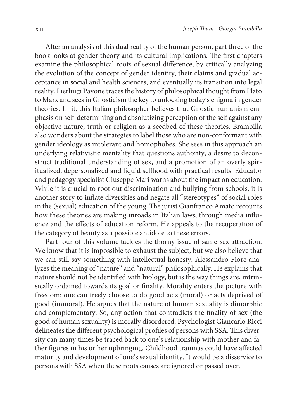After an analysis of this dual reality of the human person, part three of the book looks at gender theory and its cultural implications. The first chapters examine the philosophical roots of sexual difference, by critically analyzing the evolution of the concept of gender identity, their claims and gradual acceptance in social and health sciences, and eventually its transition into legal reality. Pierluigi Pavone traces the history of philosophical thought from Plato to Marx and sees in Gnosticism the key to unlocking today's enigma in gender theories. In it, this Italian philosopher believes that Gnostic humanism emphasis on self-determining and absolutizing perception of the self against any objective nature, truth or religion as a seedbed of these theories. Brambilla also wonders about the strategies to label those who are non-conformant with gender ideology as intolerant and homophobes. She sees in this approach an underlying relativistic mentality that questions authority, a desire to deconstruct traditional understanding of sex, and a promotion of an overly spiritualized, depersonalized and liquid selfhood with practical results. Educator and pedagogy specialist Giuseppe Mari warns about the impact on education. While it is crucial to root out discrimination and bullying from schools, it is another story to inflate diversities and negate all "stereotypes" of social roles in the (sexual) education of the young. The jurist Gianfranco Amato recounts how these theories are making inroads in Italian laws, through media influence and the effects of education reform. He appeals to the recuperation of the category of beauty as a possible antidote to these errors.

Part four of this volume tackles the thorny issue of same-sex attraction. We know that it is impossible to exhaust the subject, but we also believe that we can still say something with intellectual honesty. Alessandro Fiore analyzes the meaning of "nature" and "natural" philosophically. He explains that nature should not be identified with biology, but is the way things are, intrinsically ordained towards its goal or finality. Morality enters the picture with freedom: one can freely choose to do good acts (moral) or acts deprived of good (immoral). He argues that the nature of human sexuality is dimorphic and complementary. So, any action that contradicts the finality of sex (the good of human sexuality) is morally disordered. Psychologist Giancarlo Ricci delineates the different psychological profiles of persons with SSA. This diversity can many times be traced back to one's relationship with mother and father figures in his or her upbringing. Childhood traumas could have affected maturity and development of one's sexual identity. It would be a disservice to persons with SSA when these roots causes are ignored or passed over.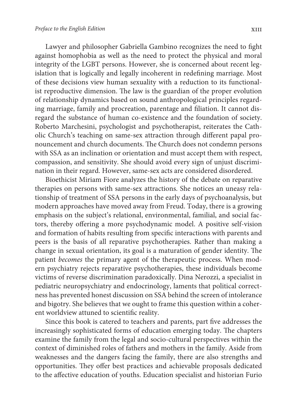Lawyer and philosopher Gabriella Gambino recognizes the need to fight against homophobia as well as the need to protect the physical and moral integrity of the LGBT persons. However, she is concerned about recent legislation that is logically and legally incoherent in redefining marriage. Most of these decisions view human sexuality with a reduction to its functionalist reproductive dimension. The law is the guardian of the proper evolution of relationship dynamics based on sound anthropological principles regarding marriage, family and procreation, parentage and filiation. It cannot disregard the substance of human co-existence and the foundation of society. Roberto Marchesini, psychologist and psychotherapist, reiterates the Catholic Church's teaching on same-sex attraction through different papal pronouncement and church documents. The Church does not condemn persons with SSA as an inclination or orientation and must accept them with respect, compassion, and sensitivity. She should avoid every sign of unjust discrimination in their regard. However, same-sex acts are considered disordered.

Bioethicist Miriam Fiore analyzes the history of the debate on reparative therapies on persons with same-sex attractions. She notices an uneasy relationship of treatment of SSA persons in the early days of psychoanalysis, but modern approaches have moved away from Freud. Today, there is a growing emphasis on the subject's relational, environmental, familial, and social factors, thereby offering a more psychodynamic model. A positive self-vision and formation of habits resulting from specific interactions with parents and peers is the basis of all reparative psychotherapies. Rather than making a change in sexual orientation, its goal is a maturation of gender identity. The patient becomes the primary agent of the therapeutic process. When modern psychiatry rejects reparative psychotherapies, these individuals become victims of reverse discrimination paradoxically. Dina Nerozzi, a specialist in pediatric neuropsychiatry and endocrinology, laments that political correctness has prevented honest discussion on SSA behind the screen of intolerance and bigotry. She believes that we ought to frame this question within a coherent worldview attuned to scientific reality.

Since this book is catered to teachers and parents, part five addresses the increasingly sophisticated forms of education emerging today. The chapters examine the family from the legal and socio-cultural perspectives within the context of diminished roles of fathers and mothers in the family. Aside from weaknesses and the dangers facing the family, there are also strengths and opportunities. They offer best practices and achievable proposals dedicated to the affective education of youths. Education specialist and historian Furio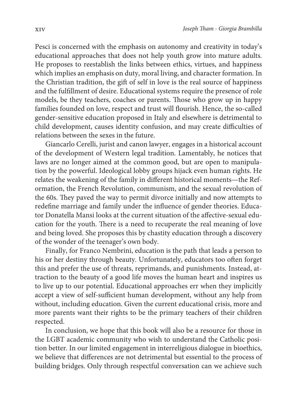Pesci is concerned with the emphasis on autonomy and creativity in today's educational approaches that does not help youth grow into mature adults. He proposes to reestablish the links between ethics, virtues, and happiness which implies an emphasis on duty, moral living, and character formation. In the Christian tradition, the gift of self in love is the real source of happiness and the fulfillment of desire. Educational systems require the presence of role models, be they teachers, coaches or parents. Those who grow up in happy families founded on love, respect and trust will flourish. Hence, the so-called gender-sensitive education proposed in Italy and elsewhere is detrimental to child development, causes identity confusion, and may create difficulties of relations between the sexes in the future.

Giancarlo Cerelli, jurist and canon lawyer, engages in a historical account of the development of Western legal tradition. Lamentably, he notices that laws are no longer aimed at the common good, but are open to manipulation by the powerful. Ideological lobby groups hijack even human rights. He relates the weakening of the family in different historical moments—the Reformation, the French Revolution, communism, and the sexual revolution of the 60s. They paved the way to permit divorce initially and now attempts to redefine marriage and family under the influence of gender theories. Educator Donatella Mansi looks at the current situation of the affective-sexual education for the youth. There is a need to recuperate the real meaning of love and being loved. She proposes this by chastity education through a discovery of the wonder of the teenager's own body.

Finally, for Franco Nembrini, education is the path that leads a person to his or her destiny through beauty. Unfortunately, educators too often forget this and prefer the use of threats, reprimands, and punishments. Instead, attraction to the beauty of a good life moves the human heart and inspires us to live up to our potential. Educational approaches err when they implicitly accept a view of self-sufficient human development, without any help from without, including education. Given the current educational crisis, more and more parents want their rights to be the primary teachers of their children respected.

In conclusion, we hope that this book will also be a resource for those in the LGBT academic community who wish to understand the Catholic position better. In our limited engagement in interreligious dialogue in bioethics, we believe that differences are not detrimental but essential to the process of building bridges. Only through respectful conversation can we achieve such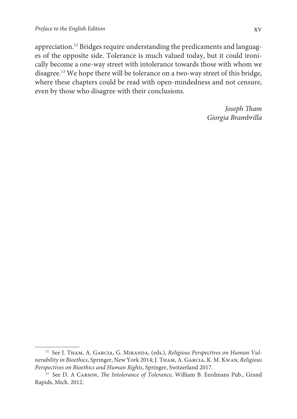appreciation.12 Bridges require understanding the predicaments and languages of the opposite side. Tolerance is much valued today, but it could ironically become a one-way street with intolerance towards those with whom we disagree.<sup>13</sup> We hope there will be tolerance on a two-way street of this bridge, where these chapters could be read with open-mindedness and not censure, even by those who disagree with their conclusions.

> Joseph Tham Giorgia Brambrilla

<sup>&</sup>lt;sup>12</sup> See J. THAM, A. GARCIA, G. MIRANDA, (eds.), Religious Perspectives on Human Vulnerability in Bioethics, Springer, New York 2014; J. Tham, A. Garcia, K. M. Kwan, Religious Perspectives on Bioethics and Human Rights, Springer, Switzerland 2017.

<sup>&</sup>lt;sup>13</sup> See D. A CARSON, *The Intolerance of Tolerance*, William B. Eerdmans Pub., Grand Rapids, Mich. 2012.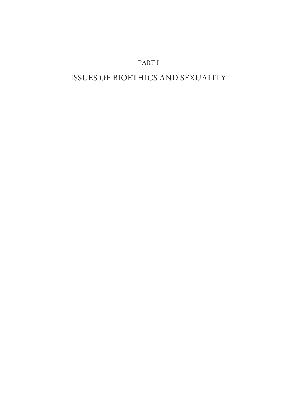# PART I

# ISSUES OF BIOETHICS AND SEXUALITY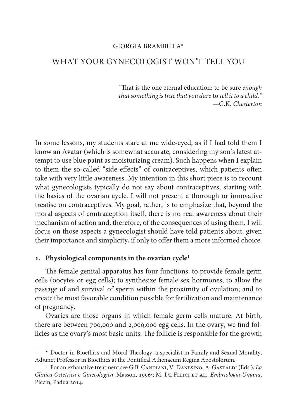### GIORGIA BRAMBILLA\*

## WHAT YOUR GYNECOLOGIST WON'T TELL YOU

"That is the one eternal education: to be sure enough that something is true that you dare to tell it to a child." —G.K. Chesterton

In some lessons, my students stare at me wide-eyed, as if I had told them I know an Avatar (which is somewhat accurate, considering my son's latest attempt to use blue paint as moisturizing cream). Such happens when I explain to them the so-called "side effects" of contraceptives, which patients often take with very little awareness. My intention in this short piece is to recount what gynecologists typically do not say about contraceptives, starting with the basics of the ovarian cycle. I will not present a thorough or innovative treatise on contraceptives. My goal, rather, is to emphasize that, beyond the moral aspects of contraception itself, there is no real awareness about their mechanism of action and, therefore, of the consequences of using them. I will focus on those aspects a gynecologist should have told patients about, given their importance and simplicity, if only to offer them a more informed choice.

#### **. Physiological components in the ovarian cycle<sup>1</sup>**

The female genital apparatus has four functions: to provide female germ cells (oocytes or egg cells); to synthesize female sex hormones; to allow the passage of and survival of sperm within the proximity of ovulation; and to create the most favorable condition possible for fertilization and maintenance of pregnancy.

Ovaries are those organs in which female germ cells mature. At birth, there are between 700,000 and 2,000,000 egg cells. In the ovary, we find follicles as the ovary's most basic units. The follicle is responsible for the growth

<sup>\*</sup> Doctor in Bioethics and Moral Theology, a specialist in Family and Sexual Morality, Adjunct Professor in Bioethics at the Pontifical Athenaeum Regina Apostolorum.

<sup>&</sup>lt;sup>1</sup> For an exhaustive treatment see G.B. CANDIANI, V. DANESINO, A. GASTALDI (Eds.), La Clinica Ostetrica e Ginecologica, Masson, 1996<sup>2</sup>; M. DE FELICI ET AL., Embriologia Umana, Piccin, Padua 2014.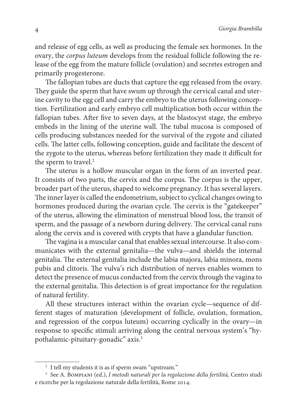and release of egg cells, as well as producing the female sex hormones. In the ovary, the corpus luteum develops from the residual follicle following the release of the egg from the mature follicle (ovulation) and secretes estrogen and primarily progesterone.

The fallopian tubes are ducts that capture the egg released from the ovary. They guide the sperm that have swum up through the cervical canal and uterine cavity to the egg cell and carry the embryo to the uterus following conception. Fertilization and early embryo cell multiplication both occur within the fallopian tubes. After five to seven days, at the blastocyst stage, the embryo embeds in the lining of the uterine wall. The tubal mucosa is composed of cells producing substances needed for the survival of the zygote and ciliated cells. The latter cells, following conception, guide and facilitate the descent of the zygote to the uterus, whereas before fertilization they made it difficult for the sperm to travel.<sup>2</sup>

The uterus is a hollow muscular organ in the form of an inverted pear. It consists of two parts, the cervix and the corpus. The corpus is the upper, broader part of the uterus, shaped to welcome pregnancy. It has several layers. The inner layer is called the endometrium, subject to cyclical changes owing to hormones produced during the ovarian cycle. The cervix is the "gatekeeper" of the uterus, allowing the elimination of menstrual blood loss, the transit of sperm, and the passage of a newborn during delivery. The cervical canal runs along the cervix and is covered with crypts that have a glandular function.

The vagina is a muscular canal that enables sexual intercourse. It also communicates with the external genitalia—the vulva—and shields the internal genitalia. The external genitalia include the labia majora, labia minora, mons pubis and clitoris. The vulva's rich distribution of nerves enables women to detect the presence of mucus conducted from the cervix through the vagina to the external genitalia. This detection is of great importance for the regulation of natural fertility.

All these structures interact within the ovarian cycle—sequence of different stages of maturation (development of follicle, ovulation, formation, and regression of the corpus luteum) occurring cyclically in the ovary—in response to specific stimuli arriving along the central nervous system's "hypothalamic-pituitary-gonadic" axis.<sup>3</sup>

<sup>2</sup> I tell my students it is as if sperm swam "upstream."

<sup>3</sup> See A. Bompiani (ed.), I metodi naturali per la regolazione della fertilità, Centro studi e ricerche per la regolazione naturale della fertilità, Rome 2014.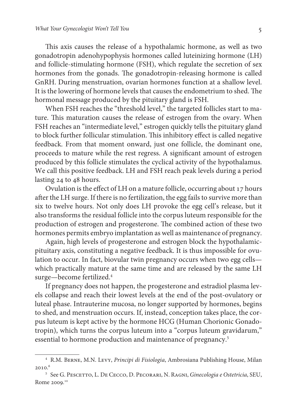This axis causes the release of a hypothalamic hormone, as well as two gonadotropin adenohypophysis hormones called luteinizing hormone (LH) and follicle-stimulating hormone (FSH), which regulate the secretion of sex hormones from the gonads. The gonadotropin-releasing hormone is called GnRH. During menstruation, ovarian hormones function at a shallow level. It is the lowering of hormone levels that causes the endometrium to shed. The hormonal message produced by the pituitary gland is FSH.

When FSH reaches the "threshold level," the targeted follicles start to mature. This maturation causes the release of estrogen from the ovary. When FSH reaches an "intermediate level," estrogen quickly tells the pituitary gland to block further follicular stimulation. This inhibitory effect is called negative feedback. From that moment onward, just one follicle, the dominant one, proceeds to mature while the rest regress. A significant amount of estrogen produced by this follicle stimulates the cyclical activity of the hypothalamus. We call this positive feedback. LH and FSH reach peak levels during a period lasting 24 to 48 hours.

Ovulation is the effect of LH on a mature follicle, occurring about 17 hours after the LH surge. If there is no fertilization, the egg fails to survive more than six to twelve hours. Not only does LH provoke the egg cell's release, but it also transforms the residual follicle into the corpus luteum responsible for the production of estrogen and progesterone. The combined action of these two hormones permits embryo implantation as well as maintenance of pregnancy.

Again, high levels of progesterone and estrogen block the hypothalamicpituitary axis, constituting a negative feedback. It is thus impossible for ovulation to occur. In fact, biovular twin pregnancy occurs when two egg cells which practically mature at the same time and are released by the same LH surge—become fertilized.<sup>4</sup>

If pregnancy does not happen, the progesterone and estradiol plasma levels collapse and reach their lowest levels at the end of the post-ovulatory or luteal phase. Intrauterine mucosa, no longer supported by hormones, begins to shed, and menstruation occurs. If, instead, conception takes place, the corpus luteum is kept active by the hormone HCG (Human Chorionic Gonadotropin), which turns the corpus luteum into a "corpus luteum gravidarum," essential to hormone production and maintenance of pregnancy.<sup>5</sup>

<sup>&</sup>lt;sup>4</sup> R.M. BERNE, M.N. LEVY, Principi di Fisiologia, Ambrosiana Publishing House, Milan 2010.<sup>6</sup>

<sup>&</sup>lt;sup>5</sup> See G. PESCETTO, L. DE CECCO, D. PECORARI, N. RAGNI, Ginecologia e Ostetricia, SEU, Rome 2009.10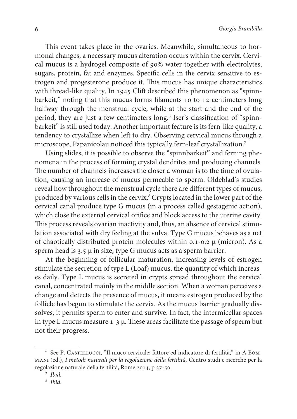This event takes place in the ovaries. Meanwhile, simultaneous to hormonal changes, a necessary mucus alteration occurs within the cervix. Cervical mucus is a hydrogel composite of 90% water together with electrolytes, sugars, protein, fat and enzymes. Specific cells in the cervix sensitive to estrogen and progesterone produce it. This mucus has unique characteristics with thread-like quality. In 1945 Clift described this phenomenon as "spinnbarkeit," noting that this mucus forms filaments 10 to 12 centimeters long halfway through the menstrual cycle, while at the start and the end of the period, they are just a few centimeters long.<sup>6</sup> Iser's classification of "spinnbarkeit" is still used today. Another important feature is its fern-like quality, a tendency to crystallize when left to dry. Observing cervical mucus through a microscope, Papanicolau noticed this typically fern-leaf crystallization.<sup>7</sup>

Using slides, it is possible to observe the "spinnbarkeit" and ferning phenomena in the process of forming crystal dendrites and producing channels. The number of channels increases the closer a woman is to the time of ovulation, causing an increase of mucus permeable to sperm. Oldeblad's studies reveal how throughout the menstrual cycle there are different types of mucus, produced by various cells in the cervix.<sup>8</sup> Crypts located in the lower part of the cervical canal produce type G mucus (in a process called gestagenic action), which close the external cervical orifice and block access to the uterine cavity. This process reveals ovarian inactivity and, thus, an absence of cervical stimulation associated with dry feeling at the vulva. Type G mucus behaves as a net of chaotically distributed protein molecules within 0.1-0.2 μ (micron). As a sperm head is  $3.5 \mu$  in size, type G mucus acts as a sperm barrier.

At the beginning of follicular maturation, increasing levels of estrogen stimulate the secretion of type L (Loaf) mucus, the quantity of which increases daily. Type L mucus is secreted in crypts spread throughout the cervical canal, concentrated mainly in the middle section. When a woman perceives a change and detects the presence of mucus, it means estrogen produced by the follicle has begun to stimulate the cervix. As the mucus barrier gradually dissolves, it permits sperm to enter and survive. In fact, the intermicellar spaces in type L mucus measure 1-3 μ. These areas facilitate the passage of sperm but not their progress.

<sup>&</sup>lt;sup>6</sup> See P. CASTELLUCCI, "Il muco cervicale: fattore ed indicatore di fertilità," in А Вомpiani (ed.), I metodi naturali per la regolazione della fertilità, Centro studi e ricerche per la regolazione naturale della fertilità, Rome 2014, p.37-50.

<sup>7</sup> Ibid.

<sup>8</sup> Ibid.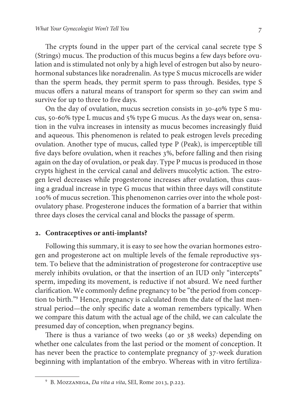The crypts found in the upper part of the cervical canal secrete type S (Strings) mucus. The production of this mucus begins a few days before ovulation and is stimulated not only by a high level of estrogen but also by neurohormonal substances like noradrenalin. As type S mucus microcells are wider than the sperm heads, they permit sperm to pass through. Besides, type S mucus offers a natural means of transport for sperm so they can swim and survive for up to three to five days.

On the day of ovulation, mucus secretion consists in 30-40% type S mucus, 50-60% type L mucus and 5% type G mucus. As the days wear on, sensation in the vulva increases in intensity as mucus becomes increasingly fluid and aqueous. This phenomenon is related to peak estrogen levels preceding ovulation. Another type of mucus, called type P (Peak), is imperceptible till five days before ovulation, when it reaches 3%, before falling and then rising again on the day of ovulation, or peak day. Type P mucus is produced in those crypts highest in the cervical canal and delivers mucolytic action. The estrogen level decreases while progesterone increases after ovulation, thus causing a gradual increase in type G mucus that within three days will constitute 100% of mucus secretion. This phenomenon carries over into the whole postovulatory phase. Progesterone induces the formation of a barrier that within three days closes the cervical canal and blocks the passage of sperm.

## **. Contraceptives or anti-implants?**

Following this summary, it is easy to see how the ovarian hormones estrogen and progesterone act on multiple levels of the female reproductive system. To believe that the administration of progesterone for contraceptive use merely inhibits ovulation, or that the insertion of an IUD only "intercepts" sperm, impeding its movement, is reductive if not absurd. We need further clarification. We commonly define pregnancy to be "the period from conception to birth."<sup>9</sup> Hence, pregnancy is calculated from the date of the last menstrual period—the only specific date a woman remembers typically. When we compare this datum with the actual age of the child, we can calculate the presumed day of conception, when pregnancy begins.

There is thus a variance of two weeks (40 or 38 weeks) depending on whether one calculates from the last period or the moment of conception. It has never been the practice to contemplate pregnancy of 37-week duration beginning with implantation of the embryo. Whereas with in vitro fertiliza-

<sup>&</sup>lt;sup>9</sup> B. MOZZANEGA, *Da vita a vita*, SEI, Rome 2013, p.223.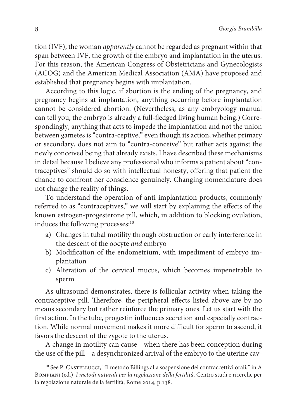tion (IVF), the woman apparently cannot be regarded as pregnant within that span between IVF, the growth of the embryo and implantation in the uterus. For this reason, the American Congress of Obstetricians and Gynecologists (ACOG) and the American Medical Association (AMA) have proposed and established that pregnancy begins with implantation.

According to this logic, if abortion is the ending of the pregnancy, and pregnancy begins at implantation, anything occurring before implantation cannot be considered abortion. (Nevertheless, as any embryology manual can tell you, the embryo is already a full-fledged living human being.) Correspondingly, anything that acts to impede the implantation and not the union between gametes is "contra-ceptive," even though its action, whether primary or secondary, does not aim to "contra-conceive" but rather acts against the newly conceived being that already exists. I have described these mechanisms in detail because I believe any professional who informs a patient about "contraceptives" should do so with intellectual honesty, offering that patient the chance to confront her conscience genuinely. Changing nomenclature does not change the reality of things.

To understand the operation of anti-implantation products, commonly referred to as "contraceptives," we will start by explaining the effects of the known estrogen-progesterone pill, which, in addition to blocking ovulation, induces the following processes:<sup>10</sup>

- a) Changes in tubal motility through obstruction or early interference in the descent of the oocyte and embryo
- b) Modification of the endometrium, with impediment of embryo implantation
- c) Alteration of the cervical mucus, which becomes impenetrable to sperm

As ultrasound demonstrates, there is follicular activity when taking the contraceptive pill. Therefore, the peripheral effects listed above are by no means secondary but rather reinforce the primary ones. Let us start with the first action. In the tube, progestin influences secretion and especially contraction. While normal movement makes it more difficult for sperm to ascend, it favors the descent of the zygote to the uterus.

A change in motility can cause—when there has been conception during the use of the pill—a desynchronized arrival of the embryo to the uterine cav-

<sup>&</sup>lt;sup>10</sup> See P. Castellucci, "Il metodo Billings alla sospensione dei contraccettivi orali," in A Bompiani (ed.), I metodi naturali per la regolazione della fertilità, Centro studi e ricerche per la regolazione naturale della fertilità, Rome 2014, p.138.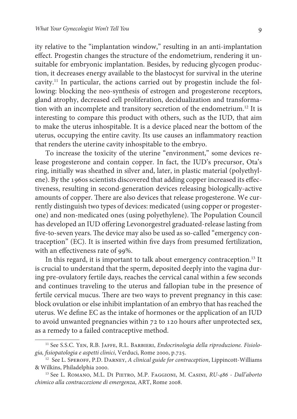ity relative to the "implantation window," resulting in an anti-implantation effect. Progestin changes the structure of the endometrium, rendering it unsuitable for embryonic implantation. Besides, by reducing glycogen production, it decreases energy available to the blastocyst for survival in the uterine cavity.11 In particular, the actions carried out by progestin include the following: blocking the neo-synthesis of estrogen and progesterone receptors, gland atrophy, decreased cell proliferation, decidualization and transformation with an incomplete and transitory secretion of the endometrium.<sup>12</sup> It is interesting to compare this product with others, such as the IUD, that aim to make the uterus inhospitable. It is a device placed near the bottom of the uterus, occupying the entire cavity. Its use causes an inflammatory reaction that renders the uterine cavity inhospitable to the embryo.

To increase the toxicity of the uterine "environment," some devices release progesterone and contain copper. In fact, the IUD's precursor, Ota's ring, initially was sheathed in silver and, later, in plastic material (polyethylene). By the 1960s scientists discovered that adding copper increased its effectiveness, resulting in second-generation devices releasing biologically-active amounts of copper. There are also devices that release progesterone. We currently distinguish two types of devices: medicated (using copper or progesterone) and non-medicated ones (using polyethylene). The Population Council has developed an IUD offering Levonorgestrel graduated-release lasting from five-to-seven years. The device may also be used as so-called "emergency contraception" (EC). It is inserted within five days from presumed fertilization, with an effectiveness rate of 99%.

In this regard, it is important to talk about emergency contraception.<sup>13</sup> It is crucial to understand that the sperm, deposited deeply into the vagina during pre-ovulatory fertile days, reaches the cervical canal within a few seconds and continues traveling to the uterus and fallopian tube in the presence of fertile cervical mucus. There are two ways to prevent pregnancy in this case: block ovulation or else inhibit implantation of an embryo that has reached the uterus. We define EC as the intake of hormones or the application of an IUD to avoid unwanted pregnancies within 72 to 120 hours after unprotected sex, as a remedy to a failed contraceptive method.

<sup>&</sup>lt;sup>11</sup> See S.S.C. YEN, R.B. JAFFE, R.L. BARBIERI, *Endocrinologia della riproduzione. Fisiolo*gia, fisiopatologia e aspetti clinici, Verduci, Rome 2000, p.725.

 $12$  See L. Speroff, P.D. DARNEY, A clinical guide for contraception, Lippincott-Williams & Wilkins, Philadelphia 2000.

<sup>13</sup> See L. Romano, M.L. Di Pietro, M.P. Faggioni, M. Casini, RU-486 - Dall'aborto chimico alla contraccezione di emergenza, ART, Rome 2008.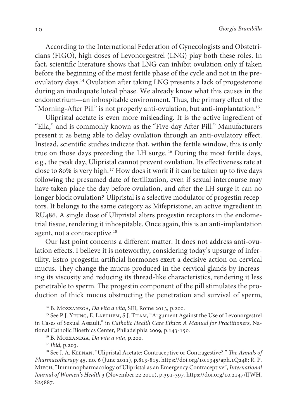According to the International Federation of Gynecologists and Obstetricians (FIGO), high doses of Levonorgestrel (LNG) play both these roles. In fact, scientific literature shows that LNG can inhibit ovulation only if taken before the beginning of the most fertile phase of the cycle and not in the preovulatory days.<sup>14</sup> Ovulation after taking LNG presents a lack of progesterone during an inadequate luteal phase. We already know what this causes in the endometrium—an inhospitable environment. Thus, the primary effect of the "Morning-After Pill" is not properly anti-ovulation, but anti-implantation.<sup>15</sup>

Ulipristal acetate is even more misleading. It is the active ingredient of "Ella," and is commonly known as the "Five-day After Pill." Manufacturers present it as being able to delay ovulation through an anti-ovulatory effect. Instead, scientific studies indicate that, within the fertile window, this is only true on those days preceding the LH surge.<sup>16</sup> During the most fertile days, e.g., the peak day, Ulipristal cannot prevent ovulation. Its effectiveness rate at close to 80% is very high.<sup>17</sup> How does it work if it can be taken up to five days following the presumed date of fertilization, even if sexual intercourse may have taken place the day before ovulation, and after the LH surge it can no longer block ovulation? Ulipristal is a selective modulator of progestin receptors. It belongs to the same category as Mifepristone, an active ingredient in RU486. A single dose of Ulipristal alters progestin receptors in the endometrial tissue, rendering it inhospitable. Once again, this is an anti-implantation agent, not a contraceptive.<sup>18</sup>

Our last point concerns a different matter. It does not address anti-ovulation effects. I believe it is noteworthy, considering today's upsurge of infertility. Estro-progestin artificial hormones exert a decisive action on cervical mucus. They change the mucus produced in the cervical glands by increasing its viscosity and reducing its thread-like characteristics, rendering it less penetrable to sperm. The progestin component of the pill stimulates the production of thick mucus obstructing the penetration and survival of sperm,

 $17$  *Ibid*, p.203.

<sup>&</sup>lt;sup>14</sup> B. MOZZANEGA, *Da vita a vita*, SEI, Rome 2013, p.200.

<sup>&</sup>lt;sup>15</sup> See P.J. YEUNG, E. LAETHEM, S.J. THAM, "Argument Against the Use of Levonorgestrel in Cases of Sexual Assault," in Catholic Health Care Ethics: A Manual for Practitioners, National Catholic Bioethics Center, Philadelphia 2009, p.143-150.

<sup>&</sup>lt;sup>16</sup> B. MOZZANEGA, Da vita a vita, p.200.

<sup>&</sup>lt;sup>18</sup> See J. A. KEENAN, "Ulipristal Acetate: Contraceptive or Contragestive?," The Annals of Pharmacotherapy 45, no. 6 (June 2011), p.813-815, https://doi.org/10.1345/aph.1Q248; R. P. Miech, "Immunopharmacology of Ulipristal as an Emergency Contraceptive", International Journal of Women's Health 3 (November 22 2011), p.391-397, https://doi.org/10.2147/IJWH. S25887.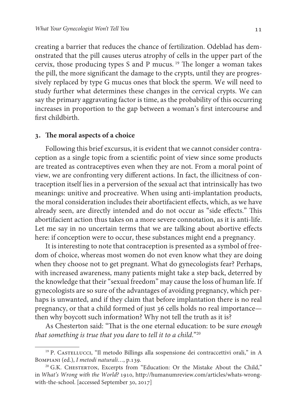creating a barrier that reduces the chance of fertilization. Odeblad has demonstrated that the pill causes uterus atrophy of cells in the upper part of the cervix, those producing types S and P mucus.<sup>19</sup> The longer a woman takes the pill, the more significant the damage to the crypts, until they are progressively replaced by type G mucus ones that block the sperm. We will need to study further what determines these changes in the cervical crypts. We can say the primary aggravating factor is time, as the probability of this occurring increases in proportion to the gap between a woman's first intercourse and first childbirth.

#### **. The moral aspects of a choice**

Following this brief excursus, it is evident that we cannot consider contraception as a single topic from a scientific point of view since some products are treated as contraceptives even when they are not. From a moral point of view, we are confronting very different actions. In fact, the illicitness of contraception itself lies in a perversion of the sexual act that intrinsically has two meanings: unitive and procreative. When using anti-implantation products, the moral consideration includes their abortifacient effects, which, as we have already seen, are directly intended and do not occur as "side effects." This abortifacient action thus takes on a more severe connotation, as it is anti-life. Let me say in no uncertain terms that we are talking about abortive effects here: if conception were to occur, these substances might end a pregnancy.

It is interesting to note that contraception is presented as a symbol of freedom of choice, whereas most women do not even know what they are doing when they choose not to get pregnant. What do gynecologists fear? Perhaps, with increased awareness, many patients might take a step back, deterred by the knowledge that their "sexual freedom" may cause the loss of human life. If gynecologists are so sure of the advantages of avoiding pregnancy, which perhaps is unwanted, and if they claim that before implantation there is no real pregnancy, or that a child formed of just 36 cells holds no real importance then why boycott such information? Why not tell the truth as it is?

As Chesterton said: "That is the one eternal education: to be sure enough that something is true that you dare to tell it to a child." $20$ 

<sup>19</sup> P. Castellucci, "Il metodo Billings alla sospensione dei contraccettivi orali," in A BOMPIANI (ed.), I metodi naturali..., p.139.

<sup>&</sup>lt;sup>20</sup> G.K. CHESTERTON, Excerpts from "Education: Or the Mistake About the Child," in What's Wrong with the World? 1910, http://humanumreview.com/articles/whats-wrongwith-the-school. [accessed September 30, 2017]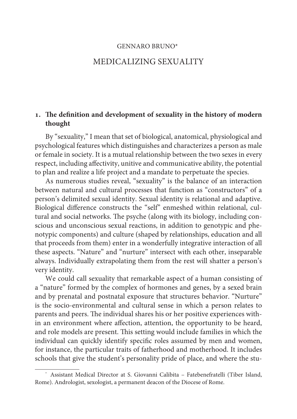#### GENNARO BRUNO\*<sup>1</sup>

## MEDICALIZING SEXUALITY

# **. The definition and development of sexuality in the history of modern thought**

By "sexuality," I mean that set of biological, anatomical, physiological and psychological features which distinguishes and characterizes a person as male or female in society. It is a mutual relationship between the two sexes in every respect, including affectivity, unitive and communicative ability, the potential to plan and realize a life project and a mandate to perpetuate the species.

As numerous studies reveal, "sexuality" is the balance of an interaction between natural and cultural processes that function as "constructors" of a person's delimited sexual identity. Sexual identity is relational and adaptive. Biological difference constructs the "self" enmeshed within relational, cultural and social networks. The psyche (along with its biology, including conscious and unconscious sexual reactions, in addition to genotypic and phenotypic components) and culture (shaped by relationships, education and all that proceeds from them) enter in a wonderfully integrative interaction of all these aspects. "Nature" and "nurture" intersect with each other, inseparable always. Individually extrapolating them from the rest will shatter a person's very identity.

We could call sexuality that remarkable aspect of a human consisting of a "nature" formed by the complex of hormones and genes, by a sexed brain and by prenatal and postnatal exposure that structures behavior. "Nurture" is the socio-environmental and cultural sense in which a person relates to parents and peers. The individual shares his or her positive experiences within an environment where affection, attention, the opportunity to be heard, and role models are present. This setting would include families in which the individual can quickly identify specific roles assumed by men and women, for instance, the particular traits of fatherhood and motherhood. It includes schools that give the student's personality pride of place, and where the stu-

<sup>\*</sup> Assistant Medical Director at S. Giovanni Calibita – Fatebenefratelli (Tiber Island, Rome). Andrologist, sexologist, a permanent deacon of the Diocese of Rome.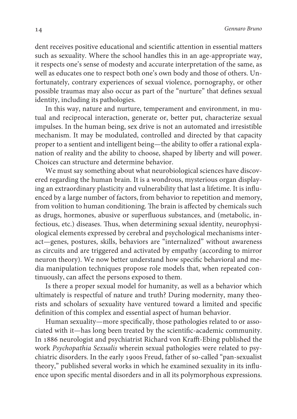dent receives positive educational and scientific attention in essential matters such as sexuality. Where the school handles this in an age-appropriate way, it respects one's sense of modesty and accurate interpretation of the same, as well as educates one to respect both one's own body and those of others. Unfortunately, contrary experiences of sexual violence, pornography, or other possible traumas may also occur as part of the "nurture" that defines sexual identity, including its pathologies.

In this way, nature and nurture, temperament and environment, in mutual and reciprocal interaction, generate or, better put, characterize sexual impulses. In the human being, sex drive is not an automated and irresistible mechanism. It may be modulated, controlled and directed by that capacity proper to a sentient and intelligent being—the ability to offer a rational explanation of reality and the ability to choose, shaped by liberty and will power. Choices can structure and determine behavior.

We must say something about what neurobiological sciences have discovered regarding the human brain. It is a wondrous, mysterious organ displaying an extraordinary plasticity and vulnerability that last a lifetime. It is influenced by a large number of factors, from behavior to repetition and memory, from volition to human conditioning. The brain is affected by chemicals such as drugs, hormones, abusive or superfluous substances, and (metabolic, infectious, etc.) diseases. Thus, when determining sexual identity, neurophysiological elements expressed by cerebral and psychological mechanisms interact—genes, postures, skills, behaviors are "internalized" without awareness as circuits and are triggered and activated by empathy (according to mirror neuron theory). We now better understand how specific behavioral and media manipulation techniques propose role models that, when repeated continuously, can affect the persons exposed to them.

Is there a proper sexual model for humanity, as well as a behavior which ultimately is respectful of nature and truth? During modernity, many theorists and scholars of sexuality have ventured toward a limited and specific definition of this complex and essential aspect of human behavior.

Human sexuality—more specifically, those pathologies related to or associated with it—has long been treated by the scientific-academic community. In 1886 neurologist and psychiatrist Richard von Krafft-Ebing published the work Psychopathia Sexualis wherein sexual pathologies were related to psychiatric disorders. In the early 1900s Freud, father of so-called "pan-sexualist theory," published several works in which he examined sexuality in its influence upon specific mental disorders and in all its polymorphous expressions.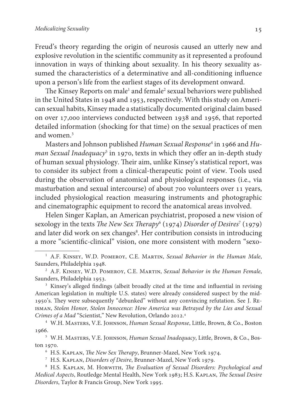Freud's theory regarding the origin of neurosis caused an utterly new and explosive revolution in the scientific community as it represented a profound innovation in ways of thinking about sexuality. In his theory sexuality assumed the characteristics of a determinative and all-conditioning influence upon a person's life from the earliest stages of its development onward.

The Kinsey Reports on male<sup>1</sup> and female<sup>2</sup> sexual behaviors were published in the United States in 1948 and 1953, respectively. With this study on American sexual habits, Kinsey made a statistically documented original claim based on over 17,000 interviews conducted between 1938 and 1956, that reported detailed information (shocking for that time) on the sexual practices of men and women.<sup>3</sup>

Masters and Johnson published *Human Sexual Response*<sup>4</sup> in 1966 and *Hu*man Sexual Inadequacy<sup>5</sup> in 1970, texts in which they offer an in-depth study of human sexual physiology. Their aim, unlike Kinsey's statistical report, was to consider its subject from a clinical-therapeutic point of view. Tools used during the observation of anatomical and physiological responses (i.e., via masturbation and sexual intercourse) of about 700 volunteers over 11 years, included physiological reaction measuring instruments and photographic and cinematographic equipment to record the anatomical areas involved.

Helen Singer Kaplan, an American psychiatrist, proposed a new vision of sexology in the texts *The New Sex Therapy<sup>6</sup>* (1974) Disorder of Desires<sup>7</sup> (1979) and later did work on sex changes<sup>8</sup>. Her contribution consists in introducing a more "scientific-clinical" vision, one more consistent with modern "sexo-

<sup>3</sup> Kinsey's alleged findings (albeit broadly cited at the time and influential in revising American legislation in multiple U.S. states) were already considered suspect by the mid-1950's. They were subsequently "debunked" without any convincing refutation. See J. Reisman, Stolen Honor, Stolen Innocence: How America was Betrayed by the Lies and Sexual Crimes of a Mad "Scientist," New Revolution, Orlando 2012.<sup>4</sup>

4 W.H. Masters, V.E. Johnson, Human Sexual Response, Little, Brown, & Co., Boston 1966.

<sup>5</sup> W.H. MASTERS, V.E. JOHNSON, Human Sexual Inadequacy, Little, Brown, & Co., Boston 1970.

6 H.S. Kaplan, The New Sex Therapy, Brunner-Mazel, New York 1974.

7 H.S. Kaplan, Disorders of Desire, Brunner-Mazel, New York 1979.

<sup>8</sup> H.S. KAPLAN, M. HORWITH, *The Evaluation of Sexual Disorders: Psychological and* Medical Aspects, Routledge Mental Health, New York 1983; H.S. Kaplan, The Sexual Desire Disorders, Taylor & Francis Group, New York 1995.

<sup>&</sup>lt;sup>1</sup> A.F. KINSEY, W.D. POMEROY, C.E. MARTIN, Sexual Behavior in the Human Male, Saunders, Philadelphia 1948.

<sup>&</sup>lt;sup>2</sup> A.F. KINSEY, W.D. POMEROY, C.E. MARTIN, Sexual Behavior in the Human Female, Saunders, Philadelphia 1953.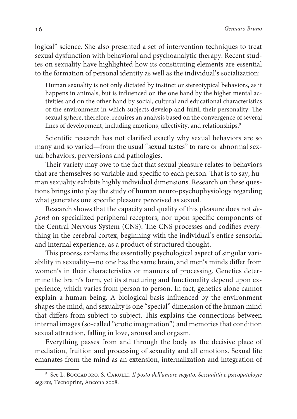logical" science. She also presented a set of intervention techniques to treat sexual dysfunction with behavioral and psychoanalytic therapy. Recent studies on sexuality have highlighted how its constituting elements are essential to the formation of personal identity as well as the individual's socialization:

Human sexuality is not only dictated by instinct or stereotypical behaviors, as it happens in animals, but is influenced on the one hand by the higher mental activities and on the other hand by social, cultural and educational characteristics of the environment in which subjects develop and fulfill their personality. The sexual sphere, therefore, requires an analysis based on the convergence of several lines of development, including emotions, affectivity, and relationships.<sup>9</sup>

Scientific research has not clarified exactly why sexual behaviors are so many and so varied—from the usual "sexual tastes" to rare or abnormal sexual behaviors, perversions and pathologies.

Their variety may owe to the fact that sexual pleasure relates to behaviors that are themselves so variable and specific to each person. That is to say, human sexuality exhibits highly individual dimensions. Research on these questions brings into play the study of human neuro-psychophysiology regarding what generates one specific pleasure perceived as sexual.

Research shows that the capacity and quality of this pleasure does not depend on specialized peripheral receptors, nor upon specific components of the Central Nervous System (CNS). The CNS processes and codifies everything in the cerebral cortex, beginning with the individual's entire sensorial and internal experience, as a product of structured thought.

This process explains the essentially psychological aspect of singular variability in sexuality—no one has the same brain, and men's minds differ from women's in their characteristics or manners of processing. Genetics determine the brain's form, yet its structuring and functionality depend upon experience, which varies from person to person. In fact, genetics alone cannot explain a human being. A biological basis influenced by the environment shapes the mind, and sexuality is one "special" dimension of the human mind that differs from subject to subject. This explains the connections between internal images (so-called "erotic imagination") and memories that condition sexual attraction, falling in love, arousal and orgasm.

Everything passes from and through the body as the decisive place of mediation, fruition and processing of sexuality and all emotions. Sexual life emanates from the mind as an extension, internalization and integration of

<sup>&</sup>lt;sup>9</sup> See L. Boccadoro, S. Carulli, Il posto dell'amore negato. Sessualità e psicopatologie segrete, Tecnoprint, Ancona 2008.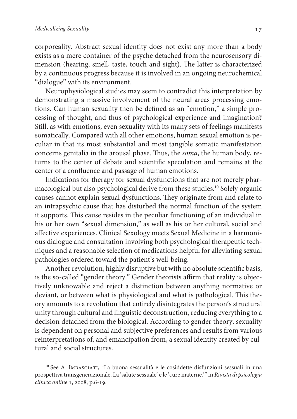corporeality. Abstract sexual identity does not exist any more than a body exists as a mere container of the psyche detached from the neurosensory dimension (hearing, smell, taste, touch and sight). The latter is characterized by a continuous progress because it is involved in an ongoing neurochemical "dialogue" with its environment.

Neurophysiological studies may seem to contradict this interpretation by demonstrating a massive involvement of the neural areas processing emotions. Can human sexuality then be defined as an "emotion," a simple processing of thought, and thus of psychological experience and imagination? Still, as with emotions, even sexuality with its many sets of feelings manifests somatically. Compared with all other emotions, human sexual emotion is peculiar in that its most substantial and most tangible somatic manifestation concerns genitalia in the arousal phase. Thus, the soma, the human body, returns to the center of debate and scientific speculation and remains at the center of a confluence and passage of human emotions.

Indications for therapy for sexual dysfunctions that are not merely pharmacological but also psychological derive from these studies.<sup>10</sup> Solely organic causes cannot explain sexual dysfunctions. They originate from and relate to an intrapsychic cause that has disturbed the normal function of the system it supports. This cause resides in the peculiar functioning of an individual in his or her own "sexual dimension," as well as his or her cultural, social and affective experiences. Clinical Sexology meets Sexual Medicine in a harmonious dialogue and consultation involving both psychological therapeutic techniques and a reasonable selection of medications helpful for alleviating sexual pathologies ordered toward the patient's well-being.

Another revolution, highly disruptive but with no absolute scientific basis, is the so-called "gender theory." Gender theorists affirm that reality is objectively unknowable and reject a distinction between anything normative or deviant, or between what is physiological and what is pathological. This theory amounts to a revolution that entirely disintegrates the person's structural unity through cultural and linguistic deconstruction, reducing everything to a decision detached from the biological. According to gender theory, sexuality is dependent on personal and subjective preferences and results from various reinterpretations of, and emancipation from, a sexual identity created by cultural and social structures.

<sup>&</sup>lt;sup>10</sup> See A. IMBASCIATI, "La buona sessualità e le cosiddette disfunzioni sessuali in una prospettiva transgenerazionale. La 'salute sessuale' e le 'cure materne,'" in Rivista di psicologia clinica online 1, 2008, p.6-19.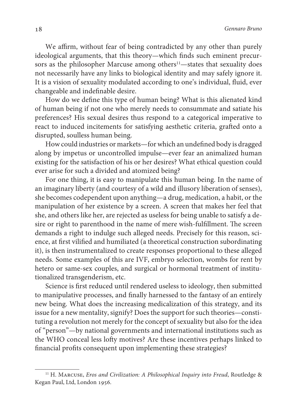We affirm, without fear of being contradicted by any other than purely ideological arguments, that this theory—which finds such eminent precursors as the philosopher Marcuse among others<sup>11</sup>—states that sexuality does not necessarily have any links to biological identity and may safely ignore it. It is a vision of sexuality modulated according to one's individual, fluid, ever changeable and indefinable desire.

How do we define this type of human being? What is this alienated kind of human being if not one who merely needs to consummate and satiate his preferences? His sexual desires thus respond to a categorical imperative to react to induced incitements for satisfying aesthetic criteria, grafted onto a disrupted, soulless human being.

How could industries or markets—for which an undefined body is dragged along by impetus or uncontrolled impulse—ever fear an animalized human existing for the satisfaction of his or her desires? What ethical question could ever arise for such a divided and atomized being?

For one thing, it is easy to manipulate this human being. In the name of an imaginary liberty (and courtesy of a wild and illusory liberation of senses), she becomes codependent upon anything—a drug, medication, a habit, or the manipulation of her existence by a screen. A screen that makes her feel that she, and others like her, are rejected as useless for being unable to satisfy a desire or right to parenthood in the name of mere wish-fulfillment. The screen demands a right to indulge such alleged needs. Precisely for this reason, science, at first vilified and humiliated (a theoretical construction subordinating it), is then instrumentalized to create responses proportional to these alleged needs. Some examples of this are IVF, embryo selection, wombs for rent by hetero or same-sex couples, and surgical or hormonal treatment of institutionalized transgenderism, etc.

Science is first reduced until rendered useless to ideology, then submitted to manipulative processes, and finally harnessed to the fantasy of an entirely new being. What does the increasing medicalization of this strategy, and its issue for a new mentality, signify? Does the support for such theories—constituting a revolution not merely for the concept of sexuality but also for the idea of "person"—by national governments and international institutions such as the WHO conceal less lofty motives? Are these incentives perhaps linked to financial profits consequent upon implementing these strategies?

 $11$  H. Marcuse, *Eros and Civilization: A Philosophical Inquiry into Freud*, Routledge & Kegan Paul, Ltd, London 1956.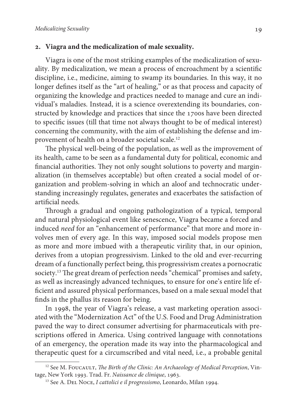## **. Viagra and the medicalization of male sexuality.**

Viagra is one of the most striking examples of the medicalization of sexuality. By medicalization, we mean a process of encroachment by a scientific discipline, i.e., medicine, aiming to swamp its boundaries. In this way, it no longer defines itself as the "art of healing," or as that process and capacity of organizing the knowledge and practices needed to manage and cure an individual's maladies. Instead, it is a science overextending its boundaries, constructed by knowledge and practices that since the 1700s have been directed to specific issues (till that time not always thought to be of medical interest) concerning the community, with the aim of establishing the defense and improvement of health on a broader societal scale.<sup>12</sup>

The physical well-being of the population, as well as the improvement of its health, came to be seen as a fundamental duty for political, economic and financial authorities. They not only sought solutions to poverty and marginalization (in themselves acceptable) but often created a social model of organization and problem-solving in which an aloof and technocratic understanding increasingly regulates, generates and exacerbates the satisfaction of artificial needs.

Through a gradual and ongoing pathologization of a typical, temporal and natural physiological event like senescence, Viagra became a forced and induced need for an "enhancement of performance" that more and more involves men of every age. In this way, imposed social models propose men as more and more imbued with a therapeutic virility that, in our opinion, derives from a utopian progressivism. Linked to the old and ever-recurring dream of a functionally perfect being, this progressivism creates a pornocratic society.<sup>13</sup> The great dream of perfection needs "chemical" promises and safety, as well as increasingly advanced techniques, to ensure for one's entire life efficient and assured physical performances, based on a male sexual model that finds in the phallus its reason for being.

In 1998, the year of Viagra's release, a vast marketing operation associated with the "Modernization Act" of the U.S. Food and Drug Administration paved the way to direct consumer advertising for pharmaceuticals with prescriptions offered in America. Using contrived language with connotations of an emergency, the operation made its way into the pharmacological and therapeutic quest for a circumscribed and vital need, i.e., a probable genital

 $12$  See M. FOUCAULT, The Birth of the Clinic: An Archaeology of Medical Perception, Vintage, New York 1993. Trad. Fr. Naissance de clinique, 1963.

<sup>&</sup>lt;sup>13</sup> See A. DEL NOCE, I cattolici e il progressismo, Leonardo, Milan 1994.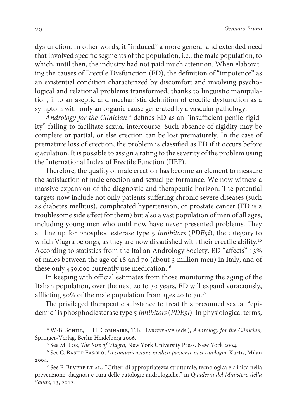dysfunction. In other words, it "induced" a more general and extended need that involved specific segments of the population, i.e., the male population, to which, until then, the industry had not paid much attention. When elaborating the causes of Erectile Dysfunction (ED), the definition of "impotence" as an existential condition characterized by discomfort and involving psychological and relational problems transformed, thanks to linguistic manipulation, into an aseptic and mechanistic definition of erectile dysfunction as a symptom with only an organic cause generated by a vascular pathology.

Andrology for the Clinician<sup>14</sup> defines ED as an "insufficient penile rigidity" failing to facilitate sexual intercourse. Such absence of rigidity may be complete or partial, or else erection can be lost prematurely. In the case of premature loss of erection, the problem is classified as ED if it occurs before ejaculation. It is possible to assign a rating to the severity of the problem using the International Index of Erectile Function (IIEF).

Therefore, the quality of male erection has become an element to measure the satisfaction of male erection and sexual performance. We now witness a massive expansion of the diagnostic and therapeutic horizon. The potential targets now include not only patients suffering chronic severe diseases (such as diabetes mellitus), complicated hypertension, or prostate cancer (ED is a troublesome side effect for them) but also a vast population of men of all ages, including young men who until now have never presented problems. They all line up for phosphodiesterase type  $5$  *inhibitors (PDE5i)*, the category to which Viagra belongs, as they are now dissatisfied with their erectile ability.<sup>15</sup> According to statistics from the Italian Andrology Society, ED "affects" 13% of males between the age of 18 and 70 (about 3 million men) in Italy, and of these only 450,000 currently use medication.<sup>16</sup>

In keeping with official estimates from those monitoring the aging of the Italian population, over the next 20 to 30 years, ED will expand voraciously, afflicting 50% of the male population from ages 40 to  $70$ .<sup>17</sup>

The privileged therapeutic substance to treat this presumed sexual "epidemic" is phosphodiesterase type 5 inhibitors (PDE5i). In physiological terms,

<sup>&</sup>lt;sup>14</sup> W-B. SCHILL, F. H. COMHAIRE, T.B. HARGREAVE (eds.), Andrology for the Clinician, Springer-Verlag, Berlin Heidelberg 2006.

<sup>&</sup>lt;sup>15</sup> See M. LOE, *The Rise of Viagra*, New York University Press, New York 2004.

<sup>&</sup>lt;sup>16</sup> See C. Basile Fasolo, La comunicazione medico-paziente in sessuologia, Kurtis, Milan 2004.

 $17$  See F. Bevere ET AL., "Criteri di appropriatezza strutturale, tecnologica e clinica nella prevenzione, diagnosi e cura delle patologie andrologiche," in Quaderni del Ministero della Salute, 13, 2012.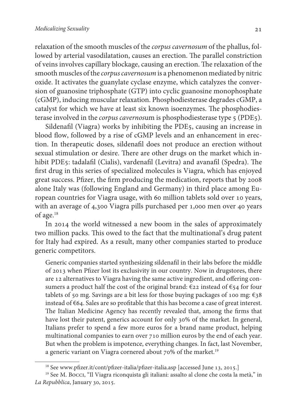relaxation of the smooth muscles of the corpus cavernosum of the phallus, followed by arterial vasodilatation, causes an erection. The parallel constriction of veins involves capillary blockage, causing an erection. The relaxation of the smooth muscles of the corpus cavernosum is a phenomenon mediated by nitric oxide. It activates the guanylate cyclase enzyme, which catalyzes the conversion of guanosine triphosphate (GTP) into cyclic guanosine monophosphate (cGMP), inducing muscular relaxation. Phosphodiesterase degrades cGMP, a catalyst for which we have at least six known isoenzymes. The phosphodiesterase involved in the *corpus cavernos*um is phosphodiesterase type 5 (PDE5).

Sildenafil (Viagra) works by inhibiting the PDE5, causing an increase in blood flow, followed by a rise of cGMP levels and an enhancement in erection. In therapeutic doses, sildenafil does not produce an erection without sexual stimulation or desire. There are other drugs on the market which inhibit PDE5: tadalafil (Cialis), vardenafil (Levitra) and avanafil (Spedra). The first drug in this series of specialized molecules is Viagra, which has enjoyed great success. Pfizer, the firm producing the medication, reports that by 2008 alone Italy was (following England and Germany) in third place among European countries for Viagra usage, with 60 million tablets sold over 10 years, with an average of 4,300 Viagra pills purchased per 1,000 men over 40 years of age.<sup>18</sup>

In 2014 the world witnessed a new boom in the sales of approximately two million packs. This owed to the fact that the multinational's drug patent for Italy had expired. As a result, many other companies started to produce generic competitors.

Generic companies started synthesizing sildenafil in their labs before the middle of 2013 when Pfizer lost its exclusivity in our country. Now in drugstores, there are 12 alternatives to Viagra having the same active ingredient, and offering consumers a product half the cost of the original brand:  $\epsilon$ 22 instead of  $\epsilon$ 54 for four tablets of 50 mg. Savings are a bit less for those buying packages of 100 mg:  $\epsilon_3$ 8 instead of €64. Sales are so profitable that this has become a case of great interest. The Italian Medicine Agency has recently revealed that, among the firms that have lost their patent, generics account for only 30% of the market. In general, Italians prefer to spend a few more euros for a brand name product, helping multinational companies to earn over 710 million euros by the end of each year. But when the problem is impotence, everything changes. In fact, last November, a generic variant on Viagra cornered about 70% of the market.<sup>19</sup>

<sup>&</sup>lt;sup>18</sup> See www.pfizer.it/cont/pfizer-italia/pfizer-italia.asp [accessed June 13, 2015.]

<sup>&</sup>lt;sup>19</sup> See M. Bocci, "Il Viagra riconquista gli italiani: assalto al clone che costa la metà," in La Repubblica, January 30, 2015.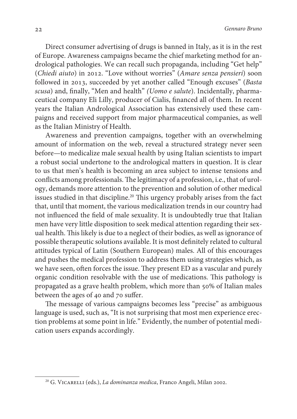Direct consumer advertising of drugs is banned in Italy, as it is in the rest of Europe. Awareness campaigns became the chief marketing method for andrological pathologies. We can recall such propaganda, including "Get help" (Chiedi aiuto) in 2012. "Love without worries" (Amare senza pensieri) soon followed in 2013, succeeded by yet another called "Enough excuses" (Basta scusa) and, finally, "Men and health" (Uomo e salute). Incidentally, pharmaceutical company Eli Lilly, producer of Cialis, financed all of them. In recent years the Italian Andrological Association has extensively used these campaigns and received support from major pharmaceutical companies, as well as the Italian Ministry of Health.

Awareness and prevention campaigns, together with an overwhelming amount of information on the web, reveal a structured strategy never seen before—to medicalize male sexual health by using Italian scientists to impart a robust social undertone to the andrological matters in question. It is clear to us that men's health is becoming an area subject to intense tensions and conflicts among professionals. The legitimacy of a profession, i.e., that of urology, demands more attention to the prevention and solution of other medical issues studied in that discipline.<sup>20</sup> This urgency probably arises from the fact that, until that moment, the various medicalization trends in our country had not influenced the field of male sexuality. It is undoubtedly true that Italian men have very little disposition to seek medical attention regarding their sexual health. This likely is due to a neglect of their bodies, as well as ignorance of possible therapeutic solutions available. It is most definitely related to cultural attitudes typical of Latin (Southern European) males. All of this encourages and pushes the medical profession to address them using strategies which, as we have seen, often forces the issue. They present ED as a vascular and purely organic condition resolvable with the use of medications. This pathology is propagated as a grave health problem, which more than 50% of Italian males between the ages of 40 and 70 suffer.

The message of various campaigns becomes less "precise" as ambiguous language is used, such as, "It is not surprising that most men experience erection problems at some point in life." Evidently, the number of potential medication users expands accordingly.

<sup>&</sup>lt;sup>20</sup> G. VICARELLI (eds.), *La dominanza medica*, Franco Angeli, Milan 2002.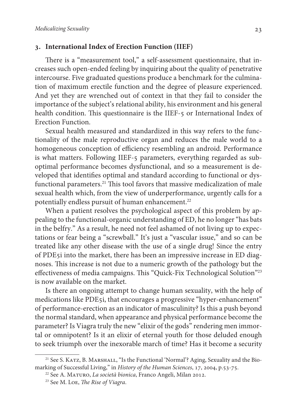## **. International Index of Erection Function (IIEF)**

 There is a "measurement tool," a self-assessment questionnaire, that increases such open-ended feeling by inquiring about the quality of penetrative intercourse. Five graduated questions produce a benchmark for the culmination of maximum erectile function and the degree of pleasure experienced. And yet they are wrenched out of context in that they fail to consider the importance of the subject's relational ability, his environment and his general health condition. This questionnaire is the IIEF-5 or International Index of Erection Function.

Sexual health measured and standardized in this way refers to the functionality of the male reproductive organ and reduces the male world to a homogeneous conception of efficiency resembling an android. Performance is what matters. Following IIEF-5 parameters, everything regarded as suboptimal performance becomes dysfunctional, and so a measurement is developed that identifies optimal and standard according to functional or dysfunctional parameters.<sup>21</sup> This tool favors that massive medicalization of male sexual health which, from the view of underperformance, urgently calls for a potentially endless pursuit of human enhancement.<sup>22</sup>

When a patient resolves the psychological aspect of this problem by appealing to the functional-organic understanding of ED, he no longer "has bats in the belfry." As a result, he need not feel ashamed of not living up to expectations or fear being a "screwball." It's just a "vascular issue," and so can be treated like any other disease with the use of a single drug! Since the entry of PDE5i into the market, there has been an impressive increase in ED diagnoses. This increase is not due to a numeric growth of the pathology but the effectiveness of media campaigns. This "Quick-Fix Technological Solution"<sup>23</sup> is now available on the market.

Is there an ongoing attempt to change human sexuality, with the help of medications like PDE5i, that encourages a progressive "hyper-enhancement" of performance-erection as an indicator of masculinity? Is this a push beyond the normal standard, when appearance and physical performance become the parameter? Is Viagra truly the new "elixir of the gods" rendering men immortal or omnipotent? Is it an elixir of eternal youth for those deluded enough to seek triumph over the inexorable march of time? Has it become a security

<sup>&</sup>lt;sup>21</sup> See S. KATZ, B. MARSHALL, "Is the Functional 'Normal'? Aging, Sexuality and the Biomarking of Successful Living," in History of the Human Sciences, 17, 2004, p.53-75.

<sup>&</sup>lt;sup>22</sup> See A. MATURO, La società bionica, Franco Angeli, Milan 2012.

<sup>23</sup> See M. Loe, The Rise of Viagra.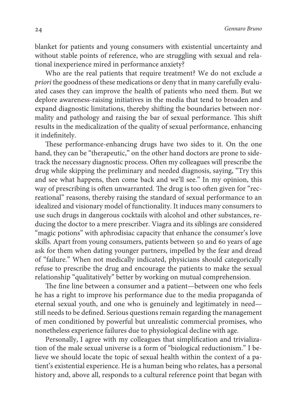blanket for patients and young consumers with existential uncertainty and without stable points of reference, who are struggling with sexual and relational inexperience mired in performance anxiety?

Who are the real patients that require treatment? We do not exclude a priori the goodness of these medications or deny that in many carefully evaluated cases they can improve the health of patients who need them. But we deplore awareness-raising initiatives in the media that tend to broaden and expand diagnostic limitations, thereby shifting the boundaries between normality and pathology and raising the bar of sexual performance. This shift results in the medicalization of the quality of sexual performance, enhancing it indefinitely.

These performance-enhancing drugs have two sides to it. On the one hand, they can be "therapeutic," on the other hand doctors are prone to sidetrack the necessary diagnostic process. Often my colleagues will prescribe the drug while skipping the preliminary and needed diagnosis, saying, "Try this and see what happens, then come back and we'll see." In my opinion, this way of prescribing is often unwarranted. The drug is too often given for "recreational" reasons, thereby raising the standard of sexual performance to an idealized and visionary model of functionality. It induces many consumers to use such drugs in dangerous cocktails with alcohol and other substances, reducing the doctor to a mere prescriber. Viagra and its siblings are considered "magic potions" with aphrodisiac capacity that enhance the consumer's love skills. Apart from young consumers, patients between 50 and 60 years of age ask for them when dating younger partners, impelled by the fear and dread of "failure." When not medically indicated, physicians should categorically refuse to prescribe the drug and encourage the patients to make the sexual relationship "qualitatively" better by working on mutual comprehension.

The fine line between a consumer and a patient—between one who feels he has a right to improve his performance due to the media propaganda of eternal sexual youth, and one who is genuinely and legitimately in need still needs to be defined. Serious questions remain regarding the management of men conditioned by powerful but unrealistic commercial promises, who nonetheless experience failures due to physiological decline with age.

Personally, I agree with my colleagues that simplification and trivialization of the male sexual universe is a form of "biological reductionism." I believe we should locate the topic of sexual health within the context of a patient's existential experience. He is a human being who relates, has a personal history and, above all, responds to a cultural reference point that began with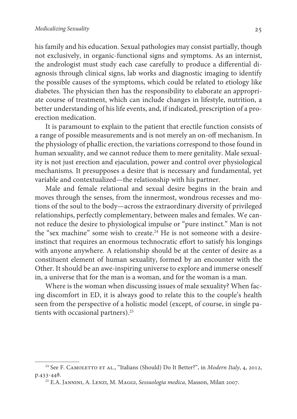his family and his education. Sexual pathologies may consist partially, though not exclusively, in organic-functional signs and symptoms. As an internist, the andrologist must study each case carefully to produce a differential diagnosis through clinical signs, lab works and diagnostic imaging to identify the possible causes of the symptoms, which could be related to etiology like diabetes. The physician then has the responsibility to elaborate an appropriate course of treatment, which can include changes in lifestyle, nutrition, a better understanding of his life events, and, if indicated, prescription of a proerection medication.

It is paramount to explain to the patient that erectile function consists of a range of possible measurements and is not merely an on-off mechanism. In the physiology of phallic erection, the variations correspond to those found in human sexuality, and we cannot reduce them to mere genitality. Male sexuality is not just erection and ejaculation, power and control over physiological mechanisms. It presupposes a desire that is necessary and fundamental, yet variable and contextualized—the relationship with his partner.

Male and female relational and sexual desire begins in the brain and moves through the senses, from the innermost, wondrous recesses and motions of the soul to the body—across the extraordinary diversity of privileged relationships, perfectly complementary, between males and females. We cannot reduce the desire to physiological impulse or "pure instinct." Man is not the "sex machine" some wish to create.<sup>24</sup> He is not someone with a desireinstinct that requires an enormous technocratic effort to satisfy his longings with anyone anywhere. A relationship should be at the center of desire as a constituent element of human sexuality, formed by an encounter with the Other. It should be an awe-inspiring universe to explore and immerse oneself in, a universe that for the man is a woman, and for the woman is a man.

Where is the woman when discussing issues of male sexuality? When facing discomfort in ED, it is always good to relate this to the couple's health seen from the perspective of a holistic model (except, of course, in single patients with occasional partners).<sup>25</sup>

<sup>&</sup>lt;sup>24</sup> See F. CAMOLETTO ET AL., "Italians (Should) Do It Better?", in *Modern Italy*, 4, 2012, p.433-448.

<sup>&</sup>lt;sup>25</sup> E.A. JANNINI, A. LENZI, M. MAGGI, Sessuologia medica, Masson, Milan 2007.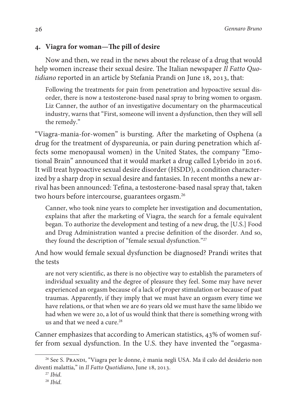# **. Viagra for woman—The pill of desire**

Now and then, we read in the news about the release of a drug that would help women increase their sexual desire. The Italian newspaper Il Fatto Ouotidiano reported in an article by Stefania Prandi on June 18, 2013, that:

Following the treatments for pain from penetration and hypoactive sexual disorder, there is now a testosterone-based nasal spray to bring women to orgasm. Liz Canner, the author of an investigative documentary on the pharmaceutical industry, warns that "First, someone will invent a dysfunction, then they will sell the remedy."

"Viagra-mania-for-women" is bursting. After the marketing of Osphena (a drug for the treatment of dyspareunia, or pain during penetration which affects some menopausal women) in the United States, the company "Emotional Brain" announced that it would market a drug called Lybrido in 2016. It will treat hypoactive sexual desire disorder (HSDD), a condition characterized by a sharp drop in sexual desire and fantasies. In recent months a new arrival has been announced: Tefina, a testosterone-based nasal spray that, taken two hours before intercourse, guarantees orgasm.<sup>26</sup>

Canner, who took nine years to complete her investigation and documentation, explains that after the marketing of Viagra, the search for a female equivalent began. To authorize the development and testing of a new drug, the [U.S.] Food and Drug Administration wanted a precise definition of the disorder. And so, they found the description of "female sexual dysfunction."<sup>27</sup>

And how would female sexual dysfunction be diagnosed? Prandi writes that the tests

are not very scientific, as there is no objective way to establish the parameters of individual sexuality and the degree of pleasure they feel. Some may have never experienced an orgasm because of a lack of proper stimulation or because of past traumas. Apparently, if they imply that we must have an orgasm every time we have relations, or that when we are 60 years old we must have the same libido we had when we were 20, a lot of us would think that there is something wrong with us and that we need a cure. $^{28}$ 

Canner emphasizes that according to American statistics, 43% of women suffer from sexual dysfunction. In the U.S. they have invented the "orgasma-

<sup>&</sup>lt;sup>26</sup> See S. PRANDI, "Viagra per le donne, è mania negli USA. Ma il calo del desiderio non diventi malattia," in Il Fatto Quotidiano, June 18, 2013.

 $27$  Ihid.

 $28$  Ibid.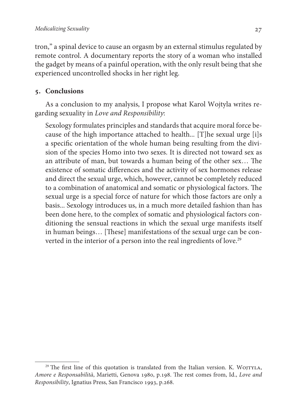tron," a spinal device to cause an orgasm by an external stimulus regulated by remote control. A documentary reports the story of a woman who installed the gadget by means of a painful operation, with the only result being that she experienced uncontrolled shocks in her right leg.

## **. Conclusions**

As a conclusion to my analysis, I propose what Karol Wojtyla writes regarding sexuality in Love and Responsibility:

Sexology formulates principles and standards that acquire moral force because of the high importance attached to health... [T]he sexual urge [i]s a specific orientation of the whole human being resulting from the division of the species Homo into two sexes. It is directed not toward sex as an attribute of man, but towards a human being of the other sex… The existence of somatic differences and the activity of sex hormones release and direct the sexual urge, which, however, cannot be completely reduced to a combination of anatomical and somatic or physiological factors. The sexual urge is a special force of nature for which those factors are only a basis... Sexology introduces us, in a much more detailed fashion than has been done here, to the complex of somatic and physiological factors conditioning the sensual reactions in which the sexual urge manifests itself in human beings… [These] manifestations of the sexual urge can be converted in the interior of a person into the real ingredients of love.<sup>29</sup>

 $29$  The first line of this quotation is translated from the Italian version. K. WOJTYLA, Amore e Responsabilità, Marietti, Genova 1980, p.198. The rest comes from, Id., Love and Responsibility, Ignatius Press, San Francisco 1993, p.268.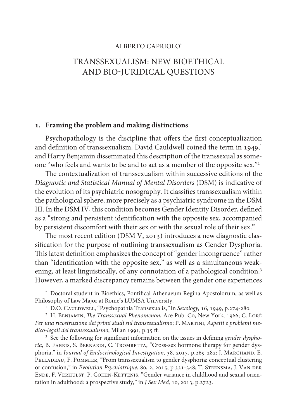#### ALBERTO CAPRIOLO\*

# TRANSSEXUALISM: NEW BIOETHICAL AND BIO-JURIDICAL QUESTIONS

#### **. Framing the problem and making distinctions**

Psychopathology is the discipline that offers the first conceptualization and definition of transsexualism. David Cauldwell coined the term in  $1949<sup>1</sup>$ and Harry Benjamin disseminated this description of the transsexual as someone "who feels and wants to be and to act as a member of the opposite sex."<sup>2</sup>

The contextualization of transsexualism within successive editions of the Diagnostic and Statistical Manual of Mental Disorders (DSM) is indicative of the evolution of its psychiatric nosography. It classifies transsexualism within the pathological sphere, more precisely as a psychiatric syndrome in the DSM III. In the DSM IV, this condition becomes Gender Identity Disorder, defined as a "strong and persistent identification with the opposite sex, accompanied by persistent discomfort with their sex or with the sexual role of their sex."

 The most recent edition (DSM V, 2013) introduces a new diagnostic classification for the purpose of outlining transsexualism as Gender Dysphoria. This latest definition emphasizes the concept of "gender incongruence" rather than "identification with the opposite sex," as well as a simultaneous weakening, at least linguistically, of any connotation of a pathological condition.<sup>3</sup> However, a marked discrepancy remains between the gender one experiences

<sup>\*</sup> Doctoral student in Bioethics, Pontifical Athenaeum Regina Apostolorum, as well as Philosophy of Law Major at Rome's LUMSA University.

<sup>&</sup>lt;sup>1</sup> D.O. CAULDWELL, "Psychopathia Transexualis," in Sexology, 16, 1949, p.274-280.

 $^2$  H. Benjamin, *The Transsexual Phenomenon*, Ace Pub. Co, New York, 1966; C. Lorè Per una ricostruzione dei primi studi sul transessualismo; P. MARTINI, Aspetti e problemi medico-legali del transessualismo, Milan 1991, p.35 ff.

<sup>&</sup>lt;sup>3</sup> See the following for significant information on the issues in defining gender dysphoria, B. FABRIS, S. BERNARDI, C. TROMBETTA, "Cross-sex hormone therapy for gender dysphoria," in Journal of Endocrinological Investigation, 38, 2015, p.269-282; J. MARCHAND, E. Pelladeau, F. Pommier, "From transsexualism to gender dysphoria: conceptual clustering or confusion," in Evolution Psychiatrique, 80, 2, 2015, p.331-348; T. Steensma, J. Van der Ende, F. Verhulst, P. Cohen-Kettenis, "Gender variance in childhood and sexual orientation in adulthood: a prospective study," in J Sex Med, 10, 2013, p.2723.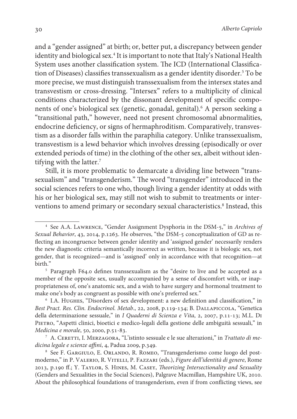and a "gender assigned" at birth; or, better put, a discrepancy between gender identity and biological sex.<sup>4</sup> It is important to note that Italy's National Health System uses another classification system. The ICD (International Classification of Diseases) classifies transsexualism as a gender identity disorder.<sup>5</sup> To be more precise, we must distinguish transsexualism from the intersex states and transvestism or cross-dressing. "Intersex" refers to a multiplicity of clinical conditions characterized by the dissonant development of specific components of one's biological sex (genetic, gonadal, genital).<sup>6</sup> A person seeking a "transitional path," however, need not present chromosomal abnormalities, endocrine deficiency, or signs of hermaphroditism. Comparatively, transvestism as a disorder falls within the paraphilia category. Unlike transsexualism, transvestism is a lewd behavior which involves dressing (episodically or over extended periods of time) in the clothing of the other sex, albeit without identifying with the latter.<sup>7</sup>

Still, it is more problematic to demarcate a dividing line between "transsexualism" and "transgenderism." The word "transgender" introduced in the social sciences refers to one who, though living a gender identity at odds with his or her biological sex, may still not wish to submit to treatments or interventions to amend primary or secondary sexual characteristics.<sup>8</sup> Instead, this

<sup>4</sup> See A.A. Lawrence, "Gender Assignment Dysphoria in the DSM-5," in Archives of Sexual Behavior, 43, 2014, p.1263. He observes, "the DSM-5 conceptualization of GD as reflecting an incongruence between gender identity and 'assigned gender' necessarily renders the new diagnostic criteria semantically incorrect as written, because it is biologic sex, not gender, that is recognized—and is 'assigned' only in accordance with that recognition—at hirth"

<sup>&</sup>lt;sup>5</sup> Paragraph F64.0 defines transsexualism as the "desire to live and be accepted as a member of the opposite sex, usually accompanied by a sense of discomfort with, or inappropriateness of, one's anatomic sex, and a wish to have surgery and hormonal treatment to make one's body as congruent as possible with one's preferred sex."

<sup>6</sup> I.A. Hughes, "Disorders of sex development: a new definition and classification," in Best Pract. Res. Clin. Endocrinol. Metab., 22, 2008, p.119-134; B. DALLAPICCOLA, "Genetica della determinazione sessuale," in I Quaderni di Scienza e Vita, 2, 2007, p.11-13; M.L. Di PIETRO, "Aspetti clinici, bioetici e medico-legali della gestione delle ambiguità sessuali," in Medicina e morale, 50, 2000, p.51-83.

 $^7\,$  A. Ceretti, I. Merzagora, "L'istinto sessuale e le sue alterazioni," in Trattato di medicina legale e scienze affini, 4, Padua 2009, p.349.

<sup>&</sup>lt;sup>8</sup> See F. GARGIULO, E. ORLANDO, R. ROMEO, "Transgenderismo come luogo del postmoderno," in P. Valerio, R. Vitelli, P. Fazzari (eds.), Figure dell'identità di genere, Rome 2013, p.190 ff.; Y. Taylor, S. Hines, M. Casey, Theorizing Intersectionality and Sexuality (Genders and Sexualities in the Social Sciences), Palgrave Macmillan, Hampshire UK, 2010. About the philosophical foundations of transgenderism, even if from conflicting views, see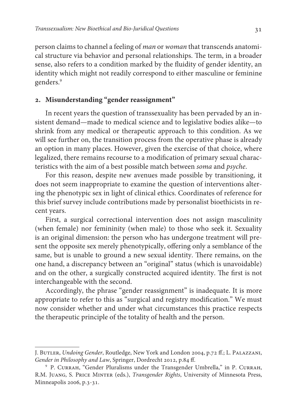person claims to channel a feeling of man or woman that transcends anatomical structure via behavior and personal relationships. The term, in a broader sense, also refers to a condition marked by the fluidity of gender identity, an identity which might not readily correspond to either masculine or feminine genders.<sup>9</sup>

## **. Misunderstanding "gender reassignment"**

In recent years the question of transsexuality has been pervaded by an insistent demand—made to medical science and to legislative bodies alike—to shrink from any medical or therapeutic approach to this condition. As we will see further on, the transition process from the operative phase is already an option in many places. However, given the exercise of that choice, where legalized, there remains recourse to a modification of primary sexual characteristics with the aim of a best possible match between soma and psyche.

For this reason, despite new avenues made possible by transitioning, it does not seem inappropriate to examine the question of interventions altering the phenotypic sex in light of clinical ethics. Coordinates of reference for this brief survey include contributions made by personalist bioethicists in recent years.

First, a surgical correctional intervention does not assign masculinity (when female) nor femininity (when male) to those who seek it. Sexuality is an original dimension: the person who has undergone treatment will present the opposite sex merely phenotypically, offering only a semblance of the same, but is unable to ground a new sexual identity. There remains, on the one hand, a discrepancy between an "original" status (which is unavoidable) and on the other, a surgically constructed acquired identity. The first is not interchangeable with the second.

Accordingly, the phrase "gender reassignment" is inadequate. It is more appropriate to refer to this as "surgical and registry modification." We must now consider whether and under what circumstances this practice respects the therapeutic principle of the totality of health and the person.

J. Butler, Undoing Gender, Routledge, New York and London 2004, p.72 ff.; L. Palazzani, Gender in Philosophy and Law, Springer, Dordrecht 2012, p.84 ff.

<sup>9</sup> P. Currah, "Gender Pluralisms under the Transgender Umbrella," in P. Currah, R.M. Juang, S. Price Minter (eds.), Transgender Rights, University of Minnesota Press, Minneapolis 2006, p.3-31.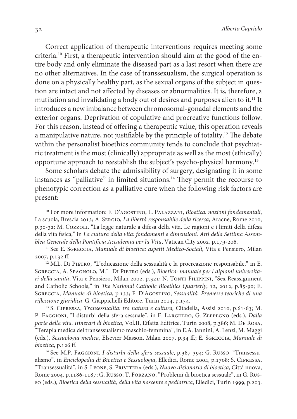Correct application of therapeutic interventions requires meeting some criteria.10 First, a therapeutic intervention should aim at the good of the entire body and only eliminate the diseased part as a last resort when there are no other alternatives. In the case of transsexualism, the surgical operation is done on a physically healthy part, as the sexual organs of the subject in question are intact and not affected by diseases or abnormalities. It is, therefore, a mutilation and invalidating a body out of desires and purposes alien to it.<sup>11</sup> It introduces a new imbalance between chromosomal-gonadal elements and the exterior organs. Deprivation of copulative and procreative functions follow. For this reason, instead of offering a therapeutic value, this operation reveals a manipulative nature, not justifiable by the principle of totality.<sup>12</sup> The debate within the personalist bioethics community tends to conclude that psychiatric treatment is the most (clinically) appropriate as well as the most (ethically) opportune approach to reestablish the subject's psycho-physical harmony.<sup>13</sup>

Some scholars debate the admissibility of surgery, designating it in some instances as "palliative" in limited situations.<sup>14</sup> They permit the recourse to phenotypic correction as a palliative cure when the following risk factors are present:

<sup>12</sup> M.L. DI PIETRO, "L'educazione della sessualità e la procreazione responsabile," in E. SGRECCIA, A. SPAGNOLO, M.L. DI PIETRO (eds.), Bioetica: manuale per i diplomi universitari della sanità, Vita e Pensiero, Milan 2002, p.321; N. TONTI-FILIPPINI, "Sex Reassignment and Catholic Schools," in The National Catholic Bioethics Quarterly, 12, 2012, p.85-90; E. Sgreccia, Manuale di bioetica, p.133; F. D'Agostino, Sessualità. Premesse teoriche di una riflessione giuridica, G. Giappichelli Editore, Turin 2014, p.154.

<sup>13</sup> S. Cipressa, Transessualità: tra natura e cultura, Citadella, Assisi 2010, p.61-63; M. P. FAGGIONI, "I disturbi della sfera sessuale", in E. LARGHERO, G. ZEPPEGNO (eds.), Dalla parte della vita. Itinerari di bioetica, Vol.II, Effatta Editrice, Turin 2008, p.386; M. De Rosa, "Terapia medica del transessualismo maschio-femmina", in E.A. Jannini, A. Lenzi, M. Maggi (eds.), Sessuologia medica, Elsevier Masson, Milan 2007, p.94 ff.; E. Sgreccia, Manuale di bioetica, p.126 ff.

<sup>14</sup> See M.P. FAGGIONI, I disturbi della sfera sessuale, p.387-394; G. Russo, "Transessualismo", in Enciclopedia di Bioetica e Sessuologia, Elledici, Rome 2004, p.1708; S. Cipressa, "Transessualità", in S. LEONE, S. PRIVITERA (eds.), Nuovo dizionario di bioetica, Città nuova, Rome 2004, p.1186-1187; G. Russo, T. Forzano, "Problemi di bioetica sessuale", in G. Russo (eds.), Bioetica della sessualità, della vita nascente e pediatrica, Elledici, Turin 1999, p.203.

<sup>&</sup>lt;sup>10</sup> For more information: F. D'AGOSTINO, L. PALAZZANI, Bioetica: nozioni fondamentali, La scuola, Brescia 2013; A. Sergio, La libertà responsabile della ricerca, Aracne, Rome 2010, p.30-32; M. Cozzoli, "La legge naturale a difesa della vita. Le ragioni e i limiti della difesa della vita fisica," in La cultura della vita: fondamenti e dimensioni. Atti della Settima Assemblea Generale della Pontificia Accademia per la Vita, Vatican City 2002, p.179-206.

<sup>&</sup>lt;sup>11</sup> See E. SGRECCIA, Manuale di bioetica: aspetti Medico-Sociali, Vita e Pensiero, Milan 2007, p.132 ff.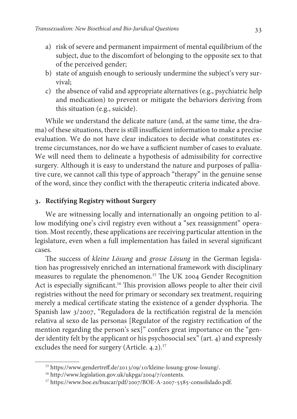- a) risk of severe and permanent impairment of mental equilibrium of the subject, due to the discomfort of belonging to the opposite sex to that of the perceived gender;
- b) state of anguish enough to seriously undermine the subject's very survival;
- c) the absence of valid and appropriate alternatives (e.g., psychiatric help and medication) to prevent or mitigate the behaviors deriving from this situation (e.g., suicide).

While we understand the delicate nature (and, at the same time, the drama) of these situations, there is still insufficient information to make a precise evaluation. We do not have clear indicators to decide what constitutes extreme circumstances, nor do we have a sufficient number of cases to evaluate. We will need them to delineate a hypothesis of admissibility for corrective surgery. Although it is easy to understand the nature and purposes of palliative cure, we cannot call this type of approach "therapy" in the genuine sense of the word, since they conflict with the therapeutic criteria indicated above.

## **. Rectifying Registry without Surgery**

We are witnessing locally and internationally an ongoing petition to allow modifying one's civil registry even without a "sex reassignment" operation. Most recently, these applications are receiving particular attention in the legislature, even when a full implementation has failed in several significant cases.

The success of kleine Lösung and grosse Lösung in the German legislation has progressively enriched an international framework with disciplinary measures to regulate the phenomenon.<sup>15</sup> The UK 2004 Gender Recognition Act is especially significant.<sup>16</sup> This provision allows people to alter their civil registries without the need for primary or secondary sex treatment, requiring merely a medical certificate stating the existence of a gender dysphoria. The Spanish law 3/2007, "Reguladora de la rectificatión registral de la mención relativa al sexo de las personas [Regulator of the registry rectification of the mention regarding the person's sex]" confers great importance on the "gender identity felt by the applicant or his psychosocial sex" (art. 4) and expressly excludes the need for surgery (Article. 4.2).<sup>17</sup>

<sup>15</sup> https://www.gendertreff.de/2013/09/10/kleine-losung-grose-losung/.

<sup>16</sup> http://www.legislation.gov.uk/ukpga/2004/7/contents.

<sup>&</sup>lt;sup>17</sup> https://www.boe.es/buscar/pdf/2007/BOE-A-2007-5585-consolidado.pdf.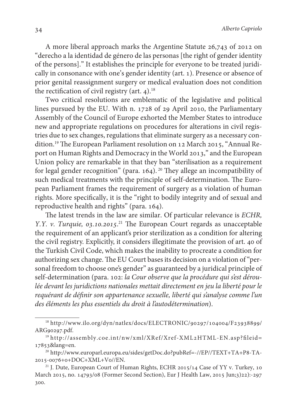A more liberal approach marks the Argentine Statute 26,743 of 2012 on "derecho a la identidad de género de las personas [the right of gender identity of the persons]." It establishes the principle for everyone to be treated juridically in consonance with one's gender identity (art. 1). Presence or absence of prior genital reassignment surgery or medical evaluation does not condition the rectification of civil registry (art. 4).<sup>18</sup>

Two critical resolutions are emblematic of the legislative and political lines pursued by the EU. With n. 1728 of 29 April 2010, the Parliamentary Assembly of the Council of Europe exhorted the Member States to introduce new and appropriate regulations on procedures for alterations in civil registries due to sex changes, regulations that eliminate surgery as a necessary condition.19 The European Parliament resolution on 12 March 2015, "Annual Report on Human Rights and Democracy in the World 2013," and the European Union policy are remarkable in that they ban "sterilisation as a requirement for legal gender recognition" (para. 164).<sup>20</sup> They allege an incompatibility of such medical treatments with the principle of self-determination. The European Parliament frames the requirement of surgery as a violation of human rights. More specifically, it is the "right to bodily integrity and of sexual and reproductive health and rights" (para. 164).

The latest trends in the law are similar. Of particular relevance is ECHR, Y.Y. v. Turquie, 03.10.2015.<sup>21</sup> The European Court regards as unacceptable the requirement of an applicant's prior sterilization as a condition for altering the civil registry. Explicitly, it considers illegitimate the provision of art. 40 of the Turkish Civil Code, which makes the inability to procreate a condition for authorizing sex change. The EU Court bases its decision on a violation of "personal freedom to choose one's gender" as guaranteed by a juridical principle of self-determination (para. 102: la Cour observe que la procédure qui s'est déroulée devant les juridictions nationales mettait directement en jeu la liberté pour le requérant de définir son appartenance sexuelle, liberté qui s'analyse comme l'un des éléments les plus essentiels du droit à l'autodétermination).

<sup>18</sup> http://www.ilo.org/dyn/natlex/docs/ELECTRONIC/90297/104004/F23938899/ ARG90297.pdf.

<sup>19</sup> http://assembly.coe.int/nw/xml/XRef/Xref-XML2HTML-EN.asp?fileid= 17853&lang=en.

<sup>20</sup> http://www.europarl.europa.eu/sides/getDoc.do?pubRef=-//EP//TEXT+TA+P8-TA-2015-0076+0+DOC+XML+V0//EN.

<sup>&</sup>lt;sup>21</sup> J. Dute, European Court of Human Rights, ECHR 2015/14 Case of YY v. Turkey, 10 March 2015, no. 14793/08 (Former Second Section), Eur J Health Law, 2015 Jun;3)22):-297 300.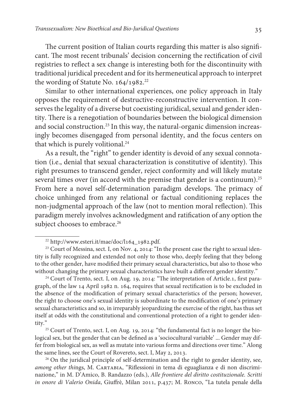The current position of Italian courts regarding this matter is also significant. The most recent tribunals' decision concerning the rectification of civil registries to reflect a sex change is interesting both for the discontinuity with traditional juridical precedent and for its hermeneutical approach to interpret the wording of Statute No. 164/1982.<sup>22</sup>

Similar to other international experiences, one policy approach in Italy opposes the requirement of destructive-reconstructive intervention. It conserves the legality of a diverse but coexisting juridical, sexual and gender identity. There is a renegotiation of boundaries between the biological dimension and social construction.<sup>23</sup> In this way, the natural-organic dimension increasingly becomes disengaged from personal identity, and the focus centers on that which is purely volitional.<sup>24</sup>

As a result, the "right" to gender identity is devoid of any sexual connotation (i.e., denial that sexual characterization is constitutive of identity). This right presumes to transcend gender, reject conformity and will likely mutate several times over (in accord with the premise that gender is a continuum).<sup>25</sup> From here a novel self-determination paradigm develops. The primacy of choice unhinged from any relational or factual conditioning replaces the non-judgmental approach of the law (not to mention moral reflection). This paradigm merely involves acknowledgment and ratification of any option the subject chooses to embrace.<sup>26</sup>

<sup>24</sup> Court of Trento, sect. I, on Aug. 19, 2014: "The interpretation of Article.1, first paragraph, of the law 14 April 1982 n. 164, requires that sexual rectification is to be excluded in the absence of the modification of primary sexual characteristics of the person; however, the right to choose one's sexual identity is subordinate to the modification of one's primary sexual characteristics and so, in irreparably jeopardizing the exercise of the right, has thus set itself at odds with the constitutional and conventional protection of a right to gender identity."

<sup>25</sup> Court of Trento, sect. I, on Aug. 19, 2014: "the fundamental fact is no longer the biological sex, but the gender that can be defined as a 'sociocultural variable' ... Gender may differ from biological sex, as well as mutate into various forms and directions over time." Along the same lines, see the Court of Rovereto, sect. I, May 2, 2013.

<sup>26</sup> On the juridical principle of self-determination and the right to gender identity, see, among other things, M. CARTABIA, "Riflessioni in tema di eguaglianza e di non discriminazione," in M. D'Amico, B. Randazzo (eds.), Alle frontiere del diritto costituzionale. Scritti in onore di Valerio Onida, Giuffrè, Milan 2011, p.437; M. Ronco, "La tutela penale della

<sup>22</sup> http://www.esteri.it/mae/doc/l164\_1982.pdf.

<sup>&</sup>lt;sup>23</sup> Court of Messina, sect. I, on Nov. 4, 2014: "In the present case the right to sexual identity is fully recognized and extended not only to those who, deeply feeling that they belong to the other gender, have modified their primary sexual characteristics, but also to those who without changing the primary sexual characteristics have built a different gender identity."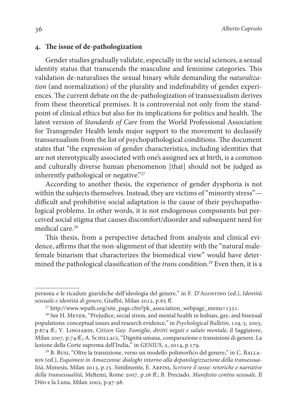#### **. The issue of de-pathologization**

Gender studies gradually validate, especially in the social sciences, a sexual identity status that transcends the masculine and feminine categories. This validation de-naturalizes the sexual binary while demanding the naturalization (and normalization) of the plurality and indefinability of gender experiences. The current debate on the de-pathologization of transsexualism derives from these theoretical premises. It is controversial not only from the standpoint of clinical ethics but also for its implications for politics and health. The latest version of Standards of Care from the World Professional Association for Transgender Health lends major support to the movement to declassify transsexualism from the list of psychopathological conditions. The document states that "the expression of gender characteristics, including identities that are not stereotypically associated with one's assigned sex at birth, is a common and culturally diverse human phenomenon [that] should not be judged as inherently pathological or negative."<sup>27</sup>

According to another thesis, the experience of gender dysphoria is not within the subjects themselves. Instead, they are victims of "minority stress" difficult and prohibitive social adaptation is the cause of their psychopathological problems. In other words, it is not endogenous components but perceived social stigma that causes discomfort/disorder and subsequent need for medical care.<sup>28</sup>

This thesis, from a perspective detached from analysis and clinical evidence, affirms that the non-alignment of that identity with the "natural malefemale binarism that characterizes the biomedical view" would have determined the pathological classification of the *trans* condition.<sup>29</sup> Even then, it is a

persona e le ricadute giuridiche dell'ideologia del genere," in F. D'Agostino (ed.), Identità sessuale e identità di genere, Giuffrè, Milan 2012, p.65 ff.

<sup>&</sup>lt;sup>27</sup> http://www.wpath.org/site\_page.cfm?pk\_association\_webpage\_menu=1351.

<sup>28</sup> See H. Meyer, "Prejudice, social stress, and mental health in lesbian, gay, and bisexual populations: conceptual issues and research evidence," in Psychological Bulletin, 129, 5, 2003, p.674 ff.; V. Lingiardi, Citizen Gay. Famiglie, diritti negati e salute mentale, il Saggiatore, Milan 2007, p.74 ff.; A. Schillaci, "Dignità umana, comparazione e transizioni di genere. La lezione della Corte suprema dell'India," in GENIUS, 2, 2014, p.179.

<sup>29</sup> B. Busi, "Oltre la transizione, verso un modello polimorfico del genere," in C. Ballarin (ed.), Esquimesi in Amazzonia: dialoghi intorno alla depatologizzazione della transessualità, Mimesis, Milan 2013, p.25. Similmente, E. Arfini, Scrivere il sesso: retoriche e narrative della transessualità, Meltemi, Rome 2007, p.26 ff.; B. Preciado, Manifesto contra-sessuale, Il Dito e la Luna, Milan 2002, p.97-98.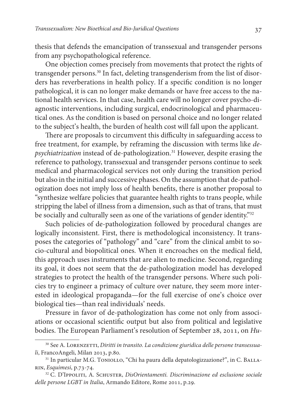thesis that defends the emancipation of transsexual and transgender persons from any psychopathological reference.

One objection comes precisely from movements that protect the rights of transgender persons.30 In fact, deleting transgenderism from the list of disorders has reverberations in health policy. If a specific condition is no longer pathological, it is can no longer make demands or have free access to the national health services. In that case, health care will no longer cover psycho-diagnostic interventions, including surgical, endocrinological and pharmaceutical ones. As the condition is based on personal choice and no longer related to the subject's health, the burden of health cost will fall upon the applicant.

There are proposals to circumvent this difficulty in safeguarding access to free treatment, for example, by reframing the discussion with terms like depsychiatrization instead of de-pathologization.<sup>31</sup> However, despite erasing the reference to pathology, transsexual and transgender persons continue to seek medical and pharmacological services not only during the transition period but also in the initial and successive phases. On the assumption that de-pathologization does not imply loss of health benefits, there is another proposal to "synthesize welfare policies that guarantee health rights to trans people, while stripping the label of illness from a dimension, such as that of trans, that must be socially and culturally seen as one of the variations of gender identity."<sup>32</sup>

Such policies of de-pathologization followed by procedural changes are logically inconsistent. First, there is methodological inconsistency. It transposes the categories of "pathology" and "care" from the clinical ambit to socio-cultural and biopolitical ones. When it encroaches on the medical field, this approach uses instruments that are alien to medicine. Second, regarding its goal, it does not seem that the de-pathologization model has developed strategies to protect the health of the transgender persons. Where such policies try to engineer a primacy of culture over nature, they seem more interested in ideological propaganda—for the full exercise of one's choice over biological ties—than real individuals' needs.

Pressure in favor of de-pathologization has come not only from associations or occasional scientific output but also from political and legislative bodies. The European Parliament's resolution of September 28, 2011, on Hu-

<sup>&</sup>lt;sup>30</sup> See A. LORENZETTI, Diritti in transito. La condizione giuridica delle persone transessuali, FrancoAngeli, Milan 2013, p.80.

<sup>&</sup>lt;sup>31</sup> In particular M.G. TONIOLLO, "Chi ha paura della depatologizzazione?", in C. BALLArin, Esquimesi, p.73-74.

<sup>&</sup>lt;sup>32</sup> C. D'Ippoliti, A. Schuster, DisOrientamenti. Discriminazione ed esclusione sociale delle persone LGBT in Italia, Armando Editore, Rome 2011, p.29.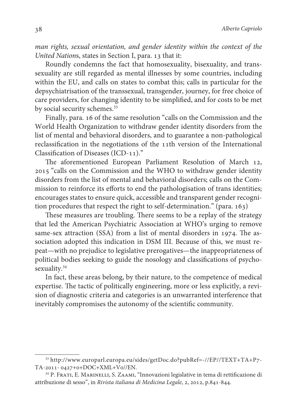man rights, sexual orientation, and gender identity within the context of the United Nations, states in Section I, para. 13 that it:

Roundly condemns the fact that homosexuality, bisexuality, and transsexuality are still regarded as mental illnesses by some countries, including within the EU, and calls on states to combat this; calls in particular for the depsychiatrisation of the transsexual, transgender, journey, for free choice of care providers, for changing identity to be simplified, and for costs to be met by social security schemes.<sup>33</sup>

Finally, para. 16 of the same resolution "calls on the Commission and the World Health Organization to withdraw gender identity disorders from the list of mental and behavioral disorders, and to guarantee a non-pathological reclassification in the negotiations of the 11th version of the International Classification of Diseases (ICD-11)."

The aforementioned European Parliament Resolution of March 12, 2015 "calls on the Commission and the WHO to withdraw gender identity disorders from the list of mental and behavioral disorders; calls on the Commission to reinforce its efforts to end the pathologisation of trans identities; encourages states to ensure quick, accessible and transparent gender recognition procedures that respect the right to self-determination." (para. 163)

These measures are troubling. There seems to be a replay of the strategy that led the American Psychiatric Association at WHO's urging to remove same-sex attraction (SSA) from a list of mental disorders in 1974. The association adopted this indication in DSM III. Because of this, we must repeat—with no prejudice to legislative prerogatives—the inappropriateness of political bodies seeking to guide the nosology and classifications of psychosexuality.<sup>34</sup>

In fact, these areas belong, by their nature, to the competence of medical expertise. The tactic of politically engineering, more or less explicitly, a revision of diagnostic criteria and categories is an unwarranted interference that inevitably compromises the autonomy of the scientific community.

<sup>33</sup> http://www.europarl.europa.eu/sides/getDoc.do?pubRef=-//EP//TEXT+TA+P7- TA-2011- 0427+0+DOC+XML+V0//EN.

<sup>&</sup>lt;sup>34</sup> P. FRATI, E. MARINELLI, S. ZAAMI, "Innovazioni legislative in tema di rettificazione di attribuzione di sesso", in Rivista italiana di Medicina Legale, 2, 2012, p.841-844.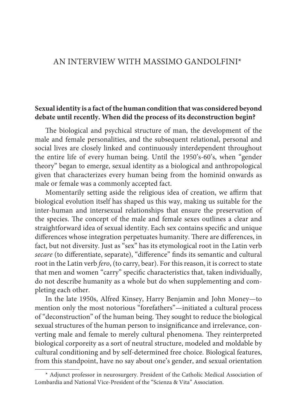# AN INTERVIEW WITH MASSIMO GANDOLFINI\*

### **Sexual identity is a fact of the human condition that was considered beyond debate until recently. When did the process of its deconstruction begin?**

The biological and psychical structure of man, the development of the male and female personalities, and the subsequent relational, personal and social lives are closely linked and continuously interdependent throughout the entire life of every human being. Until the 1950's-60's, when "gender theory" began to emerge, sexual identity as a biological and anthropological given that characterizes every human being from the hominid onwards as male or female was a commonly accepted fact.

Momentarily setting aside the religious idea of creation, we affirm that biological evolution itself has shaped us this way, making us suitable for the inter-human and intersexual relationships that ensure the preservation of the species. The concept of the male and female sexes outlines a clear and straightforward idea of sexual identity. Each sex contains specific and unique differences whose integration perpetuates humanity. There are differences, in fact, but not diversity. Just as "sex" has its etymological root in the Latin verb secare (to differentiate, separate), "difference" finds its semantic and cultural root in the Latin verb fero, (to carry, bear). For this reason, it is correct to state that men and women "carry" specific characteristics that, taken individually, do not describe humanity as a whole but do when supplementing and completing each other.

In the late 1950s, Alfred Kinsey, Harry Benjamin and John Money—to mention only the most notorious "forefathers"—initiated a cultural process of "deconstruction" of the human being. They sought to reduce the biological sexual structures of the human person to insignificance and irrelevance, converting male and female to merely cultural phenomena. They reinterpreted biological corporeity as a sort of neutral structure, modeled and moldable by cultural conditioning and by self-determined free choice. Biological features, from this standpoint, have no say about one's gender, and sexual orientation

<sup>\*</sup> Adjunct professor in neurosurgery. President of the Catholic Medical Association of Lombardia and National Vice-President of the "Scienza & Vita" Association.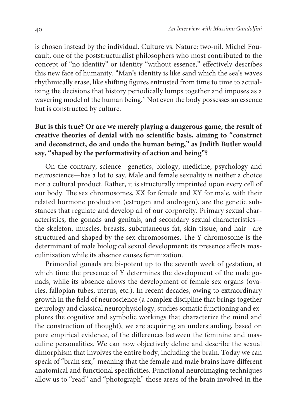is chosen instead by the individual. Culture vs. Nature: two-nil. Michel Foucault, one of the poststructuralist philosophers who most contributed to the concept of "no identity" or identity "without essence," effectively describes this new face of humanity. "Man's identity is like sand which the sea's waves rhythmically erase, like shifting figures entrusted from time to time to actualizing the decisions that history periodically lumps together and imposes as a wavering model of the human being." Not even the body possesses an essence but is constructed by culture.

# **But is this true? Or are we merely playing a dangerous game, the result of creative theories of denial with no scientific basis, aiming to "construct and deconstruct, do and undo the human being," as Judith Butler would say, "shaped by the performativity of action and being"?**

On the contrary, science—genetics, biology, medicine, psychology and neuroscience—has a lot to say. Male and female sexuality is neither a choice nor a cultural product. Rather, it is structurally imprinted upon every cell of our body. The sex chromosomes, XX for female and XY for male, with their related hormone production (estrogen and androgen), are the genetic substances that regulate and develop all of our corporeity. Primary sexual characteristics, the gonads and genitals, and secondary sexual characteristics the skeleton, muscles, breasts, subcutaneous fat, skin tissue, and hair—are structured and shaped by the sex chromosomes. The Y chromosome is the determinant of male biological sexual development; its presence affects masculinization while its absence causes feminization.

Primordial gonads are bi-potent up to the seventh week of gestation, at which time the presence of Y determines the development of the male gonads, while its absence allows the development of female sex organs (ovaries, fallopian tubes, uterus, etc.). In recent decades, owing to extraordinary growth in the field of neuroscience (a complex discipline that brings together neurology and classical neurophysiology, studies somatic functioning and explores the cognitive and symbolic workings that characterize the mind and the construction of thought), we are acquiring an understanding, based on pure empirical evidence, of the differences between the feminine and masculine personalities. We can now objectively define and describe the sexual dimorphism that involves the entire body, including the brain. Today we can speak of "brain sex," meaning that the female and male brains have different anatomical and functional specificities. Functional neuroimaging techniques allow us to "read" and "photograph" those areas of the brain involved in the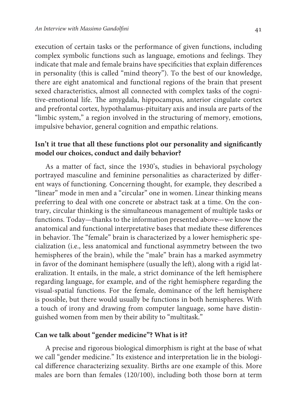execution of certain tasks or the performance of given functions, including complex symbolic functions such as language, emotions and feelings. They indicate that male and female brains have specificities that explain differences in personality (this is called "mind theory"). To the best of our knowledge, there are eight anatomical and functional regions of the brain that present sexed characteristics, almost all connected with complex tasks of the cognitive-emotional life. The amygdala, hippocampus, anterior cingulate cortex and prefrontal cortex, hypothalamus-pituitary axis and insula are parts of the "limbic system," a region involved in the structuring of memory, emotions, impulsive behavior, general cognition and empathic relations.

## **Isn't it true that all these functions plot our personality and significantly model our choices, conduct and daily behavior?**

As a matter of fact, since the 1930's, studies in behavioral psychology portrayed masculine and feminine personalities as characterized by different ways of functioning. Concerning thought, for example, they described a "linear" mode in men and a "circular" one in women. Linear thinking means preferring to deal with one concrete or abstract task at a time. On the contrary, circular thinking is the simultaneous management of multiple tasks or functions. Today—thanks to the information presented above—we know the anatomical and functional interpretative bases that mediate these differences in behavior. The "female" brain is characterized by a lower hemispheric specialization (i.e., less anatomical and functional asymmetry between the two hemispheres of the brain), while the "male" brain has a marked asymmetry in favor of the dominant hemisphere (usually the left), along with a rigid lateralization. It entails, in the male, a strict dominance of the left hemisphere regarding language, for example, and of the right hemisphere regarding the visual-spatial functions. For the female, dominance of the left hemisphere is possible, but there would usually be functions in both hemispheres. With a touch of irony and drawing from computer language, some have distinguished women from men by their ability to "multitask."

## **Can we talk about "gender medicine"? What is it?**

A precise and rigorous biological dimorphism is right at the base of what we call "gender medicine." Its existence and interpretation lie in the biological difference characterizing sexuality. Births are one example of this. More males are born than females (120/100), including both those born at term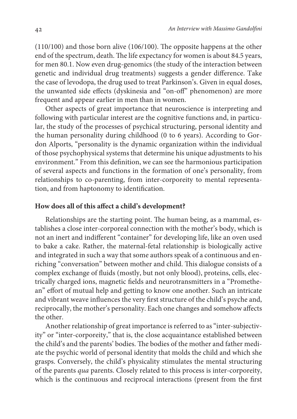(110/100) and those born alive (106/100). The opposite happens at the other end of the spectrum, death. The life expectancy for women is about 84.5 years, for men 80.1. Now even drug-genomics (the study of the interaction between genetic and individual drug treatments) suggests a gender difference. Take the case of levodopa, the drug used to treat Parkinson's. Given in equal doses, the unwanted side effects (dyskinesia and "on-off" phenomenon) are more frequent and appear earlier in men than in women.

Other aspects of great importance that neuroscience is interpreting and following with particular interest are the cognitive functions and, in particular, the study of the processes of psychical structuring, personal identity and the human personality during childhood (0 to 6 years). According to Gordon Alports, "personality is the dynamic organization within the individual of those psychophysical systems that determine his unique adjustments to his environment." From this definition, we can see the harmonious participation of several aspects and functions in the formation of one's personality, from relationships to co-parenting, from inter-corporeity to mental representation, and from haptonomy to identification.

#### **How does all of this affect a child's development?**

Relationships are the starting point. The human being, as a mammal, establishes a close inter-corporeal connection with the mother's body, which is not an inert and indifferent "container" for developing life, like an oven used to bake a cake. Rather, the maternal-fetal relationship is biologically active and integrated in such a way that some authors speak of a continuous and enriching "conversation" between mother and child. This dialogue consists of a complex exchange of fluids (mostly, but not only blood), proteins, cells, electrically charged ions, magnetic fields and neurotransmitters in a "Promethean" effort of mutual help and getting to know one another. Such an intricate and vibrant weave influences the very first structure of the child's psyche and, reciprocally, the mother's personality. Each one changes and somehow affects the other.

Another relationship of great importance is referred to as "inter-subjectivity" or "inter-corporeity," that is, the close acquaintance established between the child's and the parents' bodies. The bodies of the mother and father mediate the psychic world of personal identity that molds the child and which she grasps. Conversely, the child's physicality stimulates the mental structuring of the parents qua parents. Closely related to this process is inter-corporeity, which is the continuous and reciprocal interactions (present from the first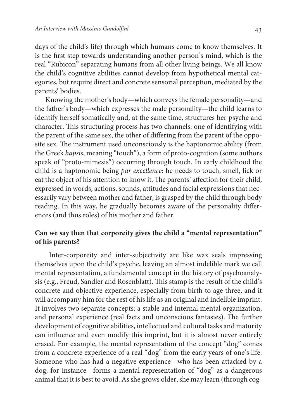days of the child's life) through which humans come to know themselves. It is the first step towards understanding another person's mind, which is the real "Rubicon" separating humans from all other living beings. We all know the child's cognitive abilities cannot develop from hypothetical mental categories, but require direct and concrete sensorial perception, mediated by the parents' bodies.

Knowing the mother's body—which conveys the female personality—and the father's body—which expresses the male personality—the child learns to identify herself somatically and, at the same time, structures her psyche and character. This structuring process has two channels: one of identifying with the parent of the same sex, the other of differing from the parent of the opposite sex. The instrument used unconsciously is the haptonomic ability (from the Greek hapsis, meaning "touch"), a form of proto-cognition (some authors speak of "proto-mimesis") occurring through touch. In early childhood the child is a haptonomic being par excellence: he needs to touch, smell, lick or eat the object of his attention to know it. The parents' affection for their child, expressed in words, actions, sounds, attitudes and facial expressions that necessarily vary between mother and father, is grasped by the child through body reading. In this way, he gradually becomes aware of the personality differences (and thus roles) of his mother and father.

# **Can we say then that corporeity gives the child a "mental representation" of his parents?**

 Inter-corporeity and inter-subjectivity are like wax seals impressing themselves upon the child's psyche, leaving an almost indelible mark we call mental representation, a fundamental concept in the history of psychoanalysis (e.g., Freud, Sandler and Rosenblatt). This stamp is the result of the child's concrete and objective experience, especially from birth to age three, and it will accompany him for the rest of his life as an original and indelible imprint. It involves two separate concepts: a stable and internal mental organization, and personal experience (real facts and unconscious fantasies). The further development of cognitive abilities, intellectual and cultural tasks and maturity can influence and even modify this imprint, but it is almost never entirely erased. For example, the mental representation of the concept "dog" comes from a concrete experience of a real "dog" from the early years of one's life. Someone who has had a negative experience—who has been attacked by a dog, for instance—forms a mental representation of "dog" as a dangerous animal that it is best to avoid. As she grows older, she may learn (through cog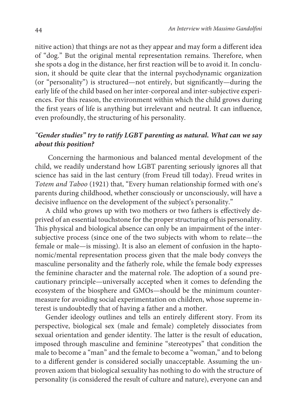nitive action) that things are not as they appear and may form a different idea of "dog." But the original mental representation remains. Therefore, when she spots a dog in the distance, her first reaction will be to avoid it. In conclusion, it should be quite clear that the internal psychodynamic organization (or "personality") is structured—not entirely, but significantly—during the early life of the child based on her inter-corporeal and inter-subjective experiences. For this reason, the environment within which the child grows during the first years of life is anything but irrelevant and neutral. It can influence, even profoundly, the structuring of his personality.

## "**Gender studies" try to ratify LGBT parenting as natural. What can we say about this position?**

 Concerning the harmonious and balanced mental development of the child, we readily understand how LGBT parenting seriously ignores all that science has said in the last century (from Freud till today). Freud writes in Totem and Taboo (1921) that, "Every human relationship formed with one's parents during childhood, whether consciously or unconsciously, will have a decisive influence on the development of the subject's personality."

A child who grows up with two mothers or two fathers is effectively deprived of an essential touchstone for the proper structuring of his personality. This physical and biological absence can only be an impairment of the intersubjective process (since one of the two subjects with whom to relate—the female or male—is missing). It is also an element of confusion in the haptonomic/mental representation process given that the male body conveys the masculine personality and the fatherly role, while the female body expresses the feminine character and the maternal role. The adoption of a sound precautionary principle—universally accepted when it comes to defending the ecosystem of the biosphere and GMOs—should be the minimum countermeasure for avoiding social experimentation on children, whose supreme interest is undoubtedly that of having a father and a mother.

Gender ideology outlines and tells an entirely different story. From its perspective, biological sex (male and female) completely dissociates from sexual orientation and gender identity. The latter is the result of education, imposed through masculine and feminine "stereotypes" that condition the male to become a "man" and the female to become a "woman," and to belong to a different gender is considered socially unacceptable. Assuming the unproven axiom that biological sexuality has nothing to do with the structure of personality (is considered the result of culture and nature), everyone can and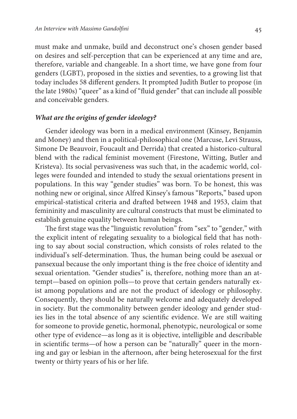must make and unmake, build and deconstruct one's chosen gender based on desires and self-perception that can be experienced at any time and are, therefore, variable and changeable. In a short time, we have gone from four genders (LGBT), proposed in the sixties and seventies, to a growing list that today includes 58 different genders. It prompted Judith Butler to propose (in the late 1980s) "queer" as a kind of "fluid gender" that can include all possible and conceivable genders.

#### **What are the origins of gender ideology?**

Gender ideology was born in a medical environment (Kinsey, Benjamin and Money) and then in a political-philosophical one (Marcuse, Levi Strauss, Simone De Beauvoir, Foucault and Derrida) that created a historico-cultural blend with the radical feminist movement (Firestone, Witting, Butler and Kristeva). Its social pervasiveness was such that, in the academic world, colleges were founded and intended to study the sexual orientations present in populations. In this way "gender studies" was born. To be honest, this was nothing new or original, since Alfred Kinsey's famous "Reports," based upon empirical-statistical criteria and drafted between 1948 and 1953, claim that femininity and masculinity are cultural constructs that must be eliminated to establish genuine equality between human beings.

The first stage was the "linguistic revolution" from "sex" to "gender," with the explicit intent of relegating sexuality to a biological field that has nothing to say about social construction, which consists of roles related to the individual's self-determination. Thus, the human being could be asexual or pansexual because the only important thing is the free choice of identity and sexual orientation. "Gender studies" is, therefore, nothing more than an attempt—based on opinion polls—to prove that certain genders naturally exist among populations and are not the product of ideology or philosophy. Consequently, they should be naturally welcome and adequately developed in society. But the commonality between gender ideology and gender studies lies in the total absence of any scientific evidence. We are still waiting for someone to provide genetic, hormonal, phenotypic, neurological or some other type of evidence—as long as it is objective, intelligible and describable in scientific terms—of how a person can be "naturally" queer in the morning and gay or lesbian in the afternoon, after being heterosexual for the first twenty or thirty years of his or her life.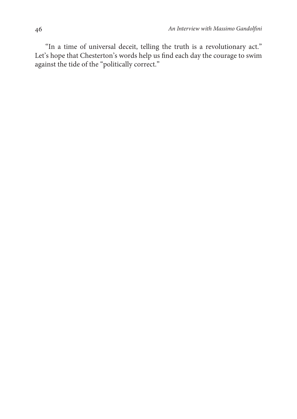"In a time of universal deceit, telling the truth is a revolutionary act." Let's hope that Chesterton's words help us find each day the courage to swim against the tide of the "politically correct."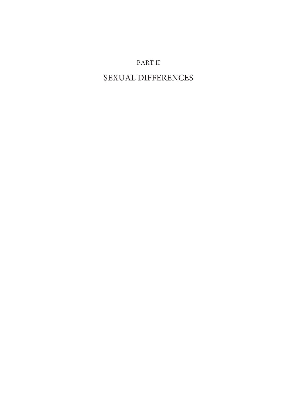# PART II

# SEXUAL DIFFERENCES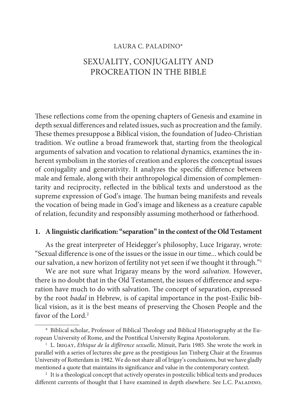#### LAURA C. PALADINO\*

# SEXUALITY, CONJUGALITY AND PROCREATION IN THE BIBLE

These reflections come from the opening chapters of Genesis and examine in depth sexual differences and related issues, such as procreation and the family. These themes presuppose a Biblical vision, the foundation of Judeo-Christian tradition. We outline a broad framework that, starting from the theological arguments of salvation and vocation to relational dynamics, examines the inherent symbolism in the stories of creation and explores the conceptual issues of conjugality and generativity. It analyzes the specific difference between male and female, along with their anthropological dimension of complementarity and reciprocity, reflected in the biblical texts and understood as the supreme expression of God's image. The human being manifests and reveals the vocation of being made in God's image and likeness as a creature capable of relation, fecundity and responsibly assuming motherhood or fatherhood.

## **1. A linguistic clarification: "separation" in the context of the Old Testament**

As the great interpreter of Heidegger's philosophy, Luce Irigaray, wrote: "Sexual difference is one of the issues or the issue in our time... which could be our salvation, a new horizon of fertility not yet seen if we thought it through."<sup>1</sup>

We are not sure what Irigaray means by the word salvation. However, there is no doubt that in the Old Testament, the issues of difference and separation have much to do with salvation. The concept of separation, expressed by the root badal in Hebrew, is of capital importance in the post-Exilic biblical vision, as it is the best means of preserving the Chosen People and the favor of the Lord<sup>2</sup>

<sup>\*</sup> Biblical scholar, Professor of Biblical Theology and Biblical Historiography at the European University of Rome, and the Pontifical University Regina Apostolorum.

<sup>&</sup>lt;sup>1</sup> L. Irigay, Ethique de la différence sexuelle, Minuit, Paris 1985. She wrote the work in parallel with a series of lectures she gave as the prestigious Jan Tinberg Chair at the Erasmus University of Rotterdam in 1982. We do not share all of Irigay's conclusions, but we have gladly mentioned a quote that maintains its significance and value in the contemporary context.

<sup>&</sup>lt;sup>2</sup> It is a theological concept that actively operates in postexilic biblical texts and produces different currents of thought that I have examined in depth elsewhere. See L.C. PALADINO,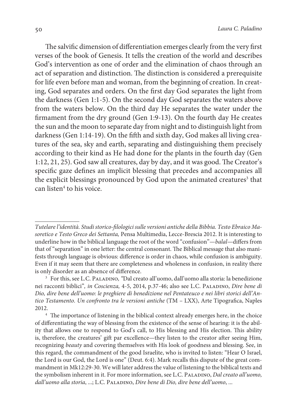The salvific dimension of differentiation emerges clearly from the very first verses of the book of Genesis. It tells the creation of the world and describes God's intervention as one of order and the elimination of chaos through an act of separation and distinction. The distinction is considered a prerequisite for life even before man and woman, from the beginning of creation. In creating, God separates and orders. On the first day God separates the light from the darkness (Gen 1:1-5). On the second day God separates the waters above from the waters below. On the third day He separates the water under the firmament from the dry ground (Gen 1:9-13). On the fourth day He creates the sun and the moon to separate day from night and to distinguish light from darkness (Gen 1:14-19). On the fifth and sixth day, God makes all living creatures of the sea, sky and earth, separating and distinguishing them precisely according to their kind as He had done for the plants in the fourth day (Gen 1:12, 21, 25). God saw all creatures, day by day, and it was good. The Creator's specific gaze defines an implicit blessing that precedes and accompanies all the explicit blessings pronounced by God upon the animated creatures<sup>3</sup> that can listen<sup>4</sup> to his voice.

Tutelare l'identità. Studi storico-filologici sulle versioni antiche della Bibbia. Testo Ebraico Masoretico e Testo Greco dei Settanta, Pensa Multimedia, Lecce-Brescia 2012. It is interesting to underline how in the biblical language the root of the word "confusion"—balal—differs from that of "separation" in one letter: the central consonant. The Biblical message that also manifests through language is obvious: difference is order in chaos, while confusion is ambiguity. Even if it may seem that there are completeness and wholeness in confusion, in reality there is only disorder as an absence of difference.

<sup>&</sup>lt;sup>3</sup> For this, see L.C. PALADINO, "Dal creato all'uomo, dall'uomo alla storia: la benedizione nei racconti biblici", in Coscienza, 4-5, 2014, p.37-46; also see L.C. Paladino, Dire bene di Dio, dire bene dell'uomo: le preghiere di benedizione nel Pentateuco e nei libri storici dell'Antico Testamento. Un confronto tra le versioni antiche (TM – LXX), Arte Tipografica, Naples 2012.

<sup>&</sup>lt;sup>4</sup> The importance of listening in the biblical context already emerges here, in the choice of differentiating the way of blessing from the existence of the sense of hearing: it is the ability that allows one to respond to God's call, to His blessing and His election. This ability is, therefore, the creatures' gift par excellence—they listen to the creator after seeing Him, recognizing beauty and covering themselves with His look of goodness and blessing. See, in this regard, the commandment of the good Israelite, who is invited to listen: "Hear O Israel, the Lord is our God, the Lord is one" (Deut. 6:4). Mark recalls this dispute of the great commandment in Mk12:29-30. We will later address the value of listening to the biblical texts and the symbolism inherent in it. For more information, see L.C. PALADINO, Dal creato all'uomo, dall'uomo alla storia, ...; L.C. PALADINO, Dire bene di Dio, dire bene dell'uomo, ...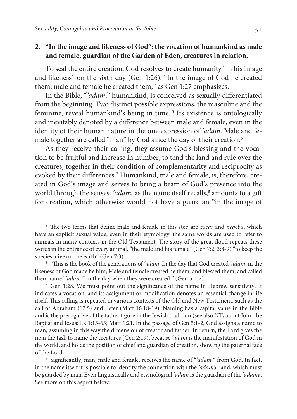## **2. "In the image and likeness of God": the vocation of humankind as male and female, guardian of the Garden of Eden, creatures in relation.**

To seal the entire creation, God resolves to create humanity "in his image and likeness" on the sixth day (Gen 1:26). "In the image of God he created them; male and female he created them," as Gen 1:27 emphasizes.

In the Bible, "'adam," humankind, is conceived as sexually differentiated from the beginning. Two distinct possible expressions, the masculine and the feminine, reveal humankind's being in time.<sup>5</sup> Its existence is ontologically and inevitably denoted by a difference between male and female, even in the identity of their human nature in the one expression of 'adam. Male and female together are called "man" by God since the day of their creation.<sup>6</sup>

As they receive their calling, they assume God's blessing and the vocation to be fruitful and increase in number, to tend the land and rule over the creatures, together in their condition of complementarity and reciprocity as evoked by their differences.<sup>7</sup> Humankind, male and female, is, therefore, created in God's image and serves to bring a beam of God's presence into the world through the senses. 'adam, as the name itself recalls,<sup>8</sup> amounts to a gift for creation, which otherwise would not have a guardian "in the image of

<sup>&</sup>lt;sup>5</sup> The two terms that define male and female in this step are *zacar* and *neqebâ*, which have an explicit sexual value, even in their etymology: the same words are used to refer to animals in many contexts in the Old Testament. The story of the great flood repeats these words in the entrance of every animal, "the male and his female" (Gen 7:2, 3:8-9) "to keep the species alive on the earth" (Gen 7:3).

<sup>&</sup>lt;sup>6</sup> "This is the book of the generations of 'adam. In the day that God created 'adam, in the likeness of God made he him; Male and female created he them; and blessed them, and called their name "'*adam*," in the day when they were created." (Gen 5:1-2).

<sup>7</sup> Gen 1:28. We must point out the significance of the name in Hebrew sensitivity. It indicates a vocation, and its assignment or modification denotes an essential change in life itself. This calling is repeated in various contexts of the Old and New Testament, such as the call of Abraham (17:5) and Peter (Matt 16:18-19). Naming has a capital value in the Bible and is the prerogative of the father figure in the Jewish tradition (see also NT, about John the Baptist and Jesus: Lk 1:13-63; Matt 1:21. In the passage of Gen 5:1-2, God assigns a name to man, assuming in this way the dimension of creator and father. In return, the Lord gives the man the task to name the creatures (Gen 2:19), because 'adam is the manifestation of God in the world, and holds the position of chief and guardian of creation, showing the paternal face of the Lord.

<sup>&</sup>lt;sup>8</sup> Significantly, man, male and female, receives the name of "adam " from God. In fact, in the name itself it is possible to identify the connection with the 'adamâ, land, which must be guarded by man. Even linguistically and etymological 'adam is the guardian of the 'adamâ. See more on this aspect below.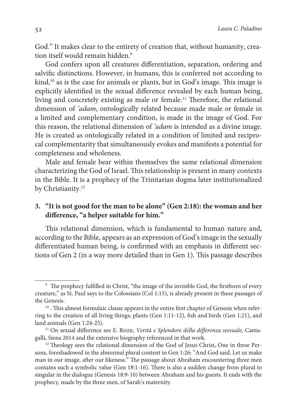God." It makes clear to the entirety of creation that, without humanity, creation itself would remain hidden.<sup>9</sup>

God confers upon all creatures differentiation, separation, ordering and salvific distinctions. However, in humans, this is conferred not according to kind,<sup>10</sup> as is the case for animals or plants, but in God's image. This image is explicitly identified in the sexual difference revealed by each human being, living and concretely existing as male or female.<sup>11</sup> Therefore, the relational dimension of 'adam, ontologically related because made male or female in a limited and complementary condition, is made in the image of God. For this reason, the relational dimension of 'adam is intended as a divine image. He is created as ontologically related in a condition of limited and reciprocal complementarity that simultaneously evokes and manifests a potential for completeness and wholeness.

Male and female bear within themselves the same relational dimension characterizing the God of Israel. This relationship is present in many contexts in the Bible. It is a prophecy of the Trinitarian dogma later institutionalized by Christianity.<sup>12</sup>

# **3. "It is not good for the man to be alone" (Gen 2:18): the woman and her difference, "a helper suitable for him."**

This relational dimension, which is fundamental to human nature and, according to the Bible, appears as an expression of God's image in the sexually differentiated human being, is confirmed with an emphasis in different sections of Gen 2 (in a way more detailed than in Gen 1). This passage describes

<sup>9</sup> The prophecy fulfilled in Christ, "the image of the invisible God, the firstborn of every creature," as St. Paul says to the Colossians (Col 1:15), is already present in these passages of the Genesis.

 $10$ . This almost formulaic clause appears in the entire first chapter of Genesis when referring to the creation of all living things, plants (Gen 1:11-12), fish and birds (Gen 1:21), and land animals (Gen 1:24-25).

 $11$  On sexual difference see E. ROZE, Verità e Splendore della differenza sessuale, Cantagalli, Siena 2014 and the extensive biography referenced in that work.

<sup>&</sup>lt;sup>12</sup> Theology sees the relational dimension of the God of Jesus Christ, One in three Persons, foreshadowed in the abnormal plural content in Gen 1:26: "And God said, Let us make man in our image, after our likeness." The passage about Abraham encountering three men contains such a symbolic value (Gen 18:1-16). There is also a sudden change from plural to singular in the dialogue (Genesis 18:9-10) between Abraham and his guests. It ends with the prophecy, made by the three men, of Sarah's maternity.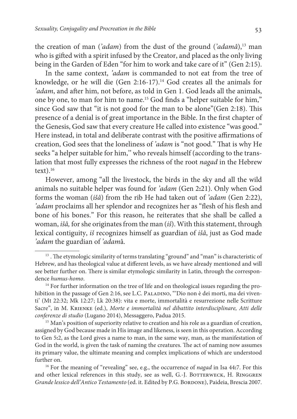the creation of man ('adam) from the dust of the ground ('adamâ), $13$  man who is gifted with a spirit infused by the Creator, and placed as the only living being in the Garden of Eden "for him to work and take care of it" (Gen 2:15).

In the same context, 'adam is commanded to not eat from the tree of knowledge, or he will die (Gen 2:16-17).<sup>14</sup> God creates all the animals for 'adam, and after him, not before, as told in Gen 1. God leads all the animals, one by one, to man for him to name.<sup>15</sup> God finds a "helper suitable for him," since God saw that "it is not good for the man to be alone"(Gen 2:18). This presence of a denial is of great importance in the Bible. In the first chapter of the Genesis, God saw that every creature He called into existence "was good." Here instead, in total and deliberate contrast with the positive affirmations of creation, God sees that the loneliness of 'adam is "not good." That is why He seeks "a helper suitable for him,'' who reveals himself (according to the translation that most fully expresses the richness of the root nagad in the Hebrew  $text)$ <sup>16</sup>

However, among "all the livestock, the birds in the sky and all the wild animals no suitable helper was found for 'adam (Gen 2**:**21). Only when God forms the woman (išâ) from the rib He had taken out of 'adam (Gen 2:22), 'adam proclaims all her splendor and recognizes her as "flesh of his flesh and bone of his bones." For this reason, he reiterates that she shall be called a woman, išâ, for she originates from the man (iš). With this statement, through lexical contiguity, iš recognizes himself as guardian of išâ, just as God made 'adam the guardian of 'adamâ.

<sup>15</sup> Man's position of superiority relative to creation and his role as a guardian of creation, assigned by God because made in His image and likeness, is seen in this operation. According to Gen 5**:**2, as the Lord gives a name to man, in the same way, man, as the manifestation of God in the world, is given the task of naming the creatures. The act of naming now assumes its primary value, the ultimate meaning and complex implications of which are understood further on.

<sup>16</sup> For the meaning of "revealing" see, e.g., the occurrence of nagad in Isa 44**:**7. For this and other lexical references in this study, see as well, G.-J. BOTTERWECK, H. RINGGREN Grande lessico dell'Antico Testamento (ed. it. Edited by P.G. BORDONE), Paideia, Brescia 2007.

<sup>&</sup>lt;sup>13</sup>. The etymologic similarity of terms translating "ground" and "man" is characteristic of Hebrew, and has theological value at different levels, as we have already mentioned and will see better further on. There is similar etymologic similarity in Latin, through the correspondence humus-homo.

<sup>&</sup>lt;sup>14</sup> For further information on the tree of life and on theological issues regarding the prohibition in the passage of Gen 2:16, see L.C. PALADINO, "'Dio non è dei morti, ma dei viventi' (Mt 22:32; Mk 12:27; Lk 20:38): vita e morte, immortalità e resurrezione nelle Scritture Sacre", in M. Krienke (ed.), Morte e immortalità nel dibattito interdisciplinare, Atti delle conferenze di studio (Lugano 2014), Messaggero, Padua 2015.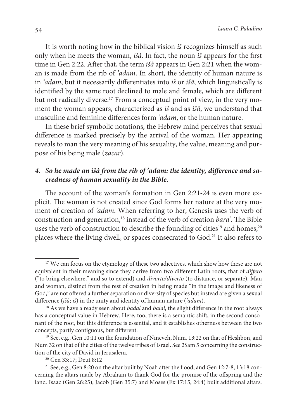It is worth noting how in the biblical vision is recognizes himself as such only when he meets the woman, išâ. In fact, the noun iš appears for the first time in Gen 2:22. After that, the term išâ appears in Gen 2**:**21 when the woman is made from the rib of 'adam. In short, the identity of human nature is in 'adam, but it necessarily differentiates into iš or išâ, which linguistically is identified by the same root declined to male and female, which are different but not radically diverse.<sup>17</sup> From a conceptual point of view, in the very moment the woman appears, characterized as is and as is a, we understand that masculine and feminine differences form 'adam, or the human nature.

In these brief symbolic notations, the Hebrew mind perceives that sexual difference is marked precisely by the arrival of the woman. Her appearing reveals to man the very meaning of his sexuality, the value, meaning and purpose of his being male (zacar).

## **4. So he made an išâ from the rib of 'adam: the identity, difference and sacredness of human sexuality in the Bible.**

The account of the woman's formation in Gen 2:21**-**24 is even more explicit. The woman is not created since God forms her nature at the very moment of creation of 'adam. When referring to her, Genesis uses the verb of construction and generation,<sup>18</sup> instead of the verb of creation bara'. The Bible uses the verb of construction to describe the founding of cities<sup>19</sup> and homes,<sup>20</sup> places where the living dwell, or spaces consecrated to God.<sup>21</sup> It also refers to

<sup>&</sup>lt;sup>17</sup> We can focus on the etymology of these two adjectives, which show how these are not equivalent in their meaning since they derive from two different Latin roots, that of differo ("to bring elsewhere," and so to extend) and divorto/diverto (to distance, or separate). Man and woman, distinct from the rest of creation in being made "in the image and likeness of God," are not offered a further separation or diversity of species but instead are given a sexual difference (išâ; iš) in the unity and identity of human nature ('adam).

 $18$  As we have already seen about *badal* and *balal*, the slight difference in the root always has a conceptual value in Hebrew. Here, too, there is a semantic shift, in the second consonant of the root, but this difference is essential, and it establishes otherness between the two concepts, partly contiguous, but different.

<sup>&</sup>lt;sup>19</sup> See, e.g., Gen 10:11 on the foundation of Nineveh, Num, 13:22 on that of Heshbon, and Num 32 on that of the cities of the twelve tribes of Israel. See 2Sam 5 concerning the construction of the city of David in Jerusalem.

<sup>20</sup> Gen 33:17; Deut 8:12

<sup>&</sup>lt;sup>21</sup> See, e.g., Gen 8:20 on the altar built by Noah after the flood, and Gen 12:7-8, 13:18 concerning the altars made by Abraham to thank God for the promise of the offspring and the land. Isaac (Gen 26:25), Jacob (Gen 35:7) and Moses (Ex 17:15, 24:4) built additional altars.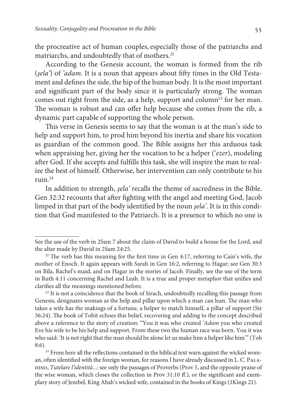the procreative act of human couples, especially those of the patriarchs and matriarchs, and undoubtedly that of mothers.<sup>22</sup>

According to the Genesis account, the woman is formed from the rib (şela') of 'adam. It is a noun that appears about fifty times in the Old Testament and defines the side, the hip of the human body. It is the most important and significant part of the body since it is particularly strong. The woman comes out right from the side, as a help, support and column<sup>23</sup> for her man. The woman is robust and can offer help because she comes from the rib, a dynamic part capable of supporting the whole person.

This verse in Genesis seems to say that the woman is at the man's side to help and support him, to prod him beyond his inertia and share his vocation as guardian of the common good. The Bible assigns her this arduous task when appraising her, giving her the vocation to be a helper ('ezer), modeling after God. If she accepts and fulfills this task, she will inspire the man to realize the best of himself. Otherwise, her intervention can only contribute to his ruin.<sup>24</sup>

In addition to strength, şela' recalls the theme of sacredness in the Bible. Gen 32:32 recounts that after fighting with the angel and meeting God, Jacob limped in that part of the body identified by the noun şela'. It is in this condition that God manifested to the Patriarch. It is a presence to which no one is

See the use of the verb in 2Sam 7 about the claim of David to build a house for the Lord, and the altar made by David in 2Sam 24:25.

 $22$  The verb has this meaning for the first time in Gen 4:17, referring to Cain's wife, the mother of Enoch. It again appears with Sarah in Gen 16:2, referring to Hagar; see Gen 30:3 on Bila, Rachel's maid, and on Hagar in the stories of Jacob. Finally, see the use of the term in Ruth 4:11 concerning Rachel and Leah. It is a true and proper metaphor that unifies and clarifies all the meanings mentioned before.

<sup>&</sup>lt;sup>23</sup> It is not a coincidence that the book of Sirach, undoubtedly recalling this passage from Genesis, designates woman as the help and pillar upon which a man can lean. The man who takes a wife has the makings of a fortune, a helper to match himself, a pillar of support (Sir 36:24). The book of Tobit echoes this belief, recovering and adding to the concept described above a reference to the story of creation: "You it was who created 'Adam you who created Eve his wife to be his help and support. From these two the human race was born. You it was who said: 'It is not right that the man should be alone let us make him a helper like him'" (Tob 8:6).

<sup>&</sup>lt;sup>24</sup> From here all the reflections contained in the biblical text warn against the wicked woman, often identified with the foreign woman, for reasons I have already discussed in L. C. Palapino, Tutelare l'identità...: see only the passages of Proverbs (Prov 5, and the opposite praise of the wise woman, which closes the collection in Prov 31:10 ff.), or the significant and exemplary story of Jezebel, King Ahab's wicked wife, contained in the books of Kings (1Kings 21).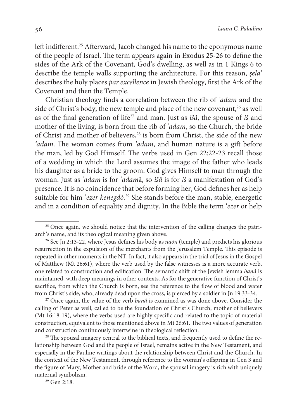left indifferent.<sup>25</sup> Afterward, Jacob changed his name to the eponymous name of the people of Israel. The term appears again in Exodus 25-26 to define the sides of the Ark of the Covenant, God's dwelling, as well as in 1 Kings 6 to describe the temple walls supporting the architecture. For this reason, şela' describes the holy places par excellence in Jewish theology, first the Ark of the Covenant and then the Temple.

Christian theology finds a correlation between the rib of 'adam and the side of Christ's body, the new temple and place of the new covenant,<sup>26</sup> as well as of the final generation of life<sup>27</sup> and man. Just as  $i\dot{s}\hat{a}$ , the spouse of  $i\dot{s}$  and mother of the living, is born from the rib of 'adam, so the Church, the bride of Christ and mother of believers,<sup>28</sup> is born from Christ, the side of the new 'adam. The woman comes from 'adam, and human nature is a gift before the man, led by God Himself. The verbs used in Gen 22:22-23 recall those of a wedding in which the Lord assumes the image of the father who leads his daughter as a bride to the groom. God gives Himself to man through the woman. Just as 'adam is for 'adamâ, so išâ is for iš a manifestation of God's presence. It is no coincidence that before forming her, God defines her as help suitable for him 'ezer kenegdô.<sup>29</sup> She stands before the man, stable, energetic and in a condition of equality and dignity. In the Bible the term 'ezer or help

<sup>29</sup> Gen 2:18.

<sup>&</sup>lt;sup>25</sup> Once again, we should notice that the intervention of the calling changes the patriarch's name, and its theological meaning given above.

<sup>&</sup>lt;sup>26</sup> See Jn 2:13-22, where Jesus defines his body as  $nabn$  (temple) and predicts his glorious resurrection in the expulsion of the merchants from the Jerusalem Temple. This episode is repeated in other moments in the NT. In fact, it also appears in the trial of Jesus in the Gospel of Matthew (Mt 26:61), where the verb used by the false witnesses is a more accurate verb, one related to construction and edification. The semantic shift of the Jewish lemma banâ is maintained, with deep meanings in other contexts. As for the generative function of Christ's sacrifice, from which the Church is born, see the reference to the flow of blood and water from Christ's side, who, already dead upon the cross, is pierced by a soldier in Jn 19:33-34.

<sup>&</sup>lt;sup>27</sup> Once again, the value of the verb *banâ* is examined as was done above. Consider the calling of Peter as well, called to be the foundation of Christ's Church, mother of believers (Mt 16:18-19), where the verbs used are highly specific and related to the topic of material construction, equivalent to those mentioned above in Mt 26:61. The two values of generation and construction continuously intertwine in theological reflection.

<sup>&</sup>lt;sup>28</sup> The spousal imagery central to the biblical texts, and frequently used to define the relationship between God and the people of Israel, remains active in the New Testament, and especially in the Pauline writings about the relationship between Christ and the Church. In the context of the New Testament, through reference to the woman's offspring in Gen 3 and the figure of Mary, Mother and bride of the Word, the spousal imagery is rich with uniquely maternal symbolism.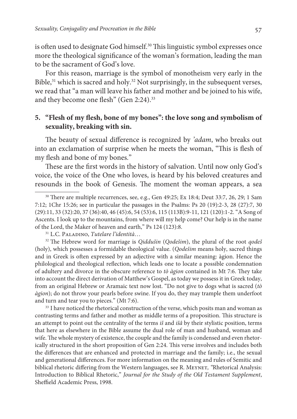is often used to designate God himself.<sup>30</sup> This linguistic symbol expresses once more the theological significance of the woman's formation, leading the man to be the sacrament of God's love.

For this reason, marriage is the symbol of monotheism very early in the Bible,<sup>31</sup> which is sacred and holy.<sup>32</sup> Not surprisingly, in the subsequent verses, we read that "a man will leave his father and mother and be joined to his wife, and they become one flesh" (Gen 2:24).<sup>33</sup>

# **5. "Flesh of my flesh, bone of my bones": the love song and symbolism of sexuality, breaking with sin.**

The beauty of sexual difference is recognized by 'adam, who breaks out into an exclamation of surprise when he meets the woman, "This is flesh of my flesh and bone of my bones."

These are the first words in the history of salvation. Until now only God's voice, the voice of the One who loves, is heard by his beloved creatures and resounds in the book of Genesis. The moment the woman appears, a sea

<sup>31</sup> L.C. PALADINO, Tutelare l'identità...

 $32$  The Hebrew word for marriage is *Qiddušin (Qodešim)*, the plural of the root *qodeš* (holy), which possesses a formidable theological value. (Qodešim means holy, sacred things and in Greek is often expressed by an adjective with a similar meaning: àgion. Hence the philological and theological reflection, which leads one to locate a possible condemnation of adultery and divorce in the obscure reference to tò  $\dot{a}$  detay contained in Mt 7:6. They take into account the direct derivation of Matthew's Gospel, as today we possess it in Greek today, from an original Hebrew or Aramaic text now lost. "Do not give to dogs what is sacred (tò àgion); do not throw your pearls before swine. If you do, they may trample them underfoot and turn and tear you to pieces." (Mt 7:6).

<sup>33</sup> I have noticed the rhetorical construction of the verse, which posits man and woman as contrasting terms and father and mother as middle terms of a proposition. This structure is an attempt to point out the centrality of the terms  $i\ddot{s}$  and  $i\ddot{s}\hat{a}$  by their stylistic position, terms that here as elsewhere in the Bible assume the dual role of man and husband, woman and wife. The whole mystery of existence, the couple and the family is condensed and even rhetorically structured in the short proposition of Gen 2:24. This verse involves and includes both the differences that are enhanced and protected in marriage and the family; i.e., the sexual and generational differences. For more information on the meaning and rules of Semitic and biblical rhetoric differing from the Western languages, see R. MEYNET, "Rhetorical Analysis: Introduction to Biblical Rhetoric," Journal for the Study of the Old Testament Supplement, Sheffield Academic Press, 1998.

<sup>30</sup> There are multiple recurrences, see, e.g., Gen 49:25; Ex 18:4; Deut 33:7, 26, 29; 1 Sam 7:12; 1Chr 15:26; see in particular the passages in the Psalms: Ps 20 (19):2-3, 28 (27):7, 30 (29):11, 33 (32):20, 37 (36):40, 46 (45):6, 54 (53):6, 115 (113B):9-11, 121 (120):1-2. "A Song of Ascents. I look up to the mountains, from where will my help come? Our help is in the name of the Lord, the Maker of heaven and earth," Ps 124 (123):8.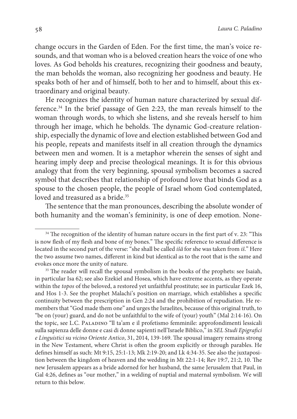change occurs in the Garden of Eden. For the first time, the man's voice resounds, and that woman who is a beloved creation hears the voice of one who loves. As God beholds his creatures, recognizing their goodness and beauty, the man beholds the woman, also recognizing her goodness and beauty. He speaks both of her and of himself, both to her and to himself, about this extraordinary and original beauty.

He recognizes the identity of human nature characterized by sexual difference.<sup>34</sup> In the brief passage of Gen 2:23, the man reveals himself to the woman through words, to which she listens, and she reveals herself to him through her image, which he beholds. The dynamic God-creature relationship, especially the dynamic of love and election established between God and his people, repeats and manifests itself in all creation through the dynamics between men and women. It is a metaphor wherein the senses of sight and hearing imply deep and precise theological meanings. It is for this obvious analogy that from the very beginning, spousal symbolism becomes a sacred symbol that describes that relationship of profound love that binds God as a spouse to the chosen people, the people of Israel whom God contemplated, loved and treasured as a bride.<sup>35</sup>

The sentence that the man pronounces, describing the absolute wonder of both humanity and the woman's femininity, is one of deep emotion. None-

<sup>&</sup>lt;sup>34</sup> The recognition of the identity of human nature occurs in the first part of v. 23: "This is now flesh of my flesh and bone of my bones." The specific reference to sexual difference is located in the second part of the verse: "she shall be called *išâ* for she was taken from *iš*." Here the two assume two names, different in kind but identical as to the root that is the same and evokes once more the unity of nature.

<sup>&</sup>lt;sup>35</sup> The reader will recall the spousal symbolism in the books of the prophets: see Isaiah, in particular Isa 62; see also Ezekiel and Hosea, which have extreme accents, as they operate within the topos of the beloved, a restored yet unfaithful prostitute; see in particular Ezek 16, and Hos 1-3. See the prophet Malachi's position on marriage, which establishes a specific continuity between the prescription in Gen 2:24 and the prohibition of repudiation. He remembers that "God made them one" and urges the Israelites, because of this original truth, to "be on (your) guard, and do not be unfaithful to the wife of (your) youth" (Mal 2:14-16). On the topic, see L.C. Paladino "ll ta'am e il profetismo femminile: approfondimenti lessicali sulla sapienza delle donne e casi di donne sapienti nell'Israele Biblico," in SEL Studi Epigrafici e Linguistici su vicino Oriente Antico, 31, 2014, 139-169. The spousal imagery remains strong in the New Testament, where Christ is often the groom explicitly or through parables. He defines himself as such: Mt 9:15, 25:1-13; Mk 2:19-20; and Lk 4:34-35. See also the juxtaposition between the kingdom of heaven and the wedding in Mt 22:1-14; Rev 19:7, 21:2, 10. The new Jerusalem appears as a bride adorned for her husband, the same Jerusalem that Paul, in Gal 4:26, defines as "our mother," in a welding of nuptial and maternal symbolism. We will return to this below.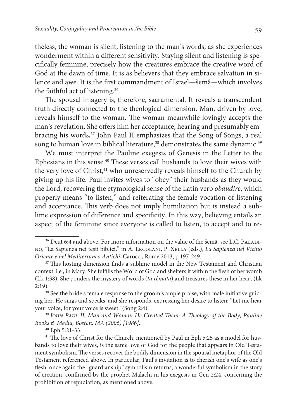theless, the woman is silent, listening to the man's words, as she experiences wonderment within a different sensitivity. Staying silent and listening is specifically feminine, precisely how the creatures embrace the creative word of God at the dawn of time. It is as believers that they embrace salvation in silence and awe. It is the first commandment of Israel—šemâ—which involves the faithful act of listening.<sup>36</sup>

The spousal imagery is, therefore, sacramental. It reveals a transcendent truth directly connected to the theological dimension. Man, driven by love, reveals himself to the woman. The woman meanwhile lovingly accepts the man's revelation. She offers him her acceptance, hearing and presumably embracing his words**.** <sup>37</sup> John Paul II emphasizes that the Song of Songs, a real song to human love in biblical literature,<sup>38</sup> demonstrates the same dynamic.<sup>39</sup>

We must interpret the Pauline exegesis of Genesis in the Letter to the Ephesians in this sense.<sup>40</sup> These verses call husbands to love their wives with the very love of Christ,<sup>41</sup> who unreservedly reveals himself to the Church by giving up his life. Paul invites wives to "obey" their husbands as they would the Lord, recovering the etymological sense of the Latin verb obaudire, which properly means "to listen," and reiterating the female vocation of listening and acceptance. This verb does not imply humiliation but is instead a sublime expression of difference and specificity. In this way, believing entails an aspect of the feminine since everyone is called to listen, to accept and to re-

<sup>&</sup>lt;sup>36</sup> Deut 6:4 and above. For more information on the value of the šemâ, see L.C. PALADIno, "La Sapienza nei testi biblici," in A. Ercolani, P. Xella (eds.), La Sapienza nel Vicino Oriente e nel Mediterraneo Antichi, Carocci, Rome 2013, p.197-249.

<sup>&</sup>lt;sup>37</sup> This hosting dimension finds a sublime model in the New Testament and Christian context, i.e., in Mary. She fulfills the Word of God and shelters it within the flesh of her womb (Lk 1:38). She ponders the mystery of words (tà rèmata) and treasures these in her heart (Lk 2:19).

<sup>&</sup>lt;sup>38</sup> See the bride's female response to the groom's ample praise, with male initiative guiding her. He sings and speaks, and she responds, expressing her desire to listen: "Let me hear your voice, for your voice is sweet" (Song 2:4).

<sup>&</sup>lt;sup>39</sup> JOHN PAUL II, Man and Woman He Created Them: A Theology of the Body, Pauline Books & Media, Boston, MA (2006) [1986].

<sup>40</sup> Eph 5:21-33.

<sup>&</sup>lt;sup>41</sup> The love of Christ for the Church, mentioned by Paul in Eph 5:25 as a model for husbands to love their wives, is the same love of God for the people that appears in Old Testament symbolism. The verses recover the bodily dimension in the spousal metaphor of the Old Testament referenced above. In particular, Paul's invitation is to cherish one's wife as one's flesh: once again the "guardianship" symbolism returns, a wonderful symbolism in the story of creation, confirmed by the prophet Malachi in his exegesis in Gen 2:24, concerning the prohibition of repudiation, as mentioned above.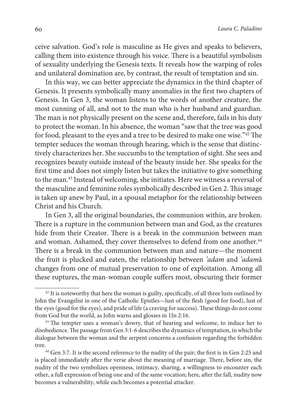ceive salvation. God's role is masculine as He gives and speaks to believers, calling them into existence through his voice. There is a beautiful symbolism of sexuality underlying the Genesis texts. It reveals how the warping of roles and unilateral domination are, by contrast, the result of temptation and sin.

In this way, we can better appreciate the dynamics in the third chapter of Genesis. It presents symbolically many anomalies in the first two chapters of Genesis. In Gen 3, the woman listens to the words of another creature, the most cunning of all, and not to the man who is her husband and guardian. The man is not physically present on the scene and, therefore, fails in his duty to protect the woman. In his absence, the woman "saw that the tree was good for food, pleasant to the eyes and a tree to be desired to make one wise."<sup>42</sup> The tempter seduces the woman through hearing, which is the sense that distinctively characterizes her. She succumbs to the temptation of sight. She sees and recognizes beauty outside instead of the beauty inside her. She speaks for the first time and does not simply listen but takes the initiative to give something to the man.<sup>43</sup> Instead of welcoming, she initiates. Here we witness a reversal of the masculine and feminine roles symbolically described in Gen 2. This image is taken up anew by Paul, in a spousal metaphor for the relationship between Christ and his Church.

In Gen 3, all the original boundaries, the communion within, are broken. There is a rupture in the communion between man and God, as the creatures hide from their Creator. There is a break in the communion between man and woman. Ashamed, they cover themselves to defend from one another.<sup>44</sup> There is a break in the communion between man and nature—the moment the fruit is plucked and eaten, the relationship between 'adam and 'adamâ changes from one of mutual preservation to one of exploitation. Among all these ruptures, the man-woman couple suffers most, obscuring their former

<sup>&</sup>lt;sup>42</sup> It is noteworthy that here the woman is guilty, specifically, of all three lusts outlined by John the Evangelist in one of the Catholic Epistles—lust of the flesh (good for food), lust of the eyes (good for the eyes), and pride of life (a craving for success). These things do not come from God but the world, as John warns and glosses in 1Jn 2:16.

<sup>&</sup>lt;sup>43</sup> The tempter uses a woman's dowry, that of hearing and welcome, to induce her to disobedience. The passage from Gen 3:1-6 describes the dynamics of temptation, in which the dialogue between the woman and the serpent concerns a confusion regarding the forbidden tree.

<sup>44</sup> Gen 3:7. It is the second reference to the nudity of the pair; the first is in Gen 2:25 and is placed immediately after the verse about the meaning of marriage. There, before sin, the nudity of the two symbolizes openness, intimacy, sharing, a willingness to encounter each other, a full expression of being one and of the same vocation; here, after the fall, nudity now becomes a vulnerability, while each becomes a potential attacker.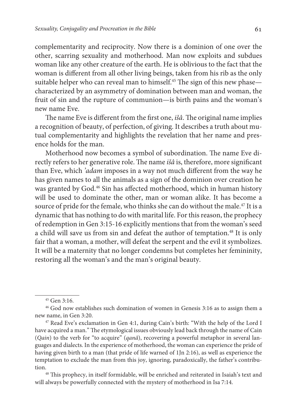complementarity and reciprocity. Now there is a dominion of one over the other, scarring sexuality and motherhood. Man now exploits and subdues woman like any other creature of the earth. He is oblivious to the fact that the woman is different from all other living beings, taken from his rib as the only suitable helper who can reveal man to himself.<sup>45</sup> The sign of this new phase characterized by an asymmetry of domination between man and woman, the fruit of sin and the rupture of communion—is birth pains and the woman's new name Eve.

The name Eve is different from the first one, išâ. The original name implies a recognition of beauty, of perfection, of giving. It describes a truth about mutual complementarity and highlights the revelation that her name and presence holds for the man.

Motherhood now becomes a symbol of subordination. The name Eve directly refers to her generative role. The name išâ is, therefore, more significant than Eve, which 'adam imposes in a way not much different from the way he has given names to all the animals as a sign of the dominion over creation he was granted by God.<sup>46</sup> Sin has affected motherhood, which in human history will be used to dominate the other, man or woman alike. It has become a source of pride for the female, who thinks she can do without the male.<sup>47</sup> It is a dynamic that has nothing to do with marital life. For this reason, the prophecy of redemption in Gen 3:15-16 explicitly mentions that from the woman's seed a child will save us from sin and defeat the author of temptation.<sup>48</sup> It is only fair that a woman, a mother, will defeat the serpent and the evil it symbolizes. It will be a maternity that no longer condemns but completes her femininity, restoring all the woman's and the man's original beauty.

<sup>45</sup> Gen 3:16.

<sup>46</sup> God now establishes such domination of women in Genesis 3:16 as to assign them a new name, in Gen 3:20.

<sup>47</sup> Read Eve's exclamation in Gen 4:1, during Cain's birth: "With the help of the Lord I have acquired a man." The etymological issues obviously lead back through the name of Cain (Qain) to the verb for "to acquire" (qanâ), recovering a powerful metaphor in several languages and dialects. In the experience of motherhood, the woman can experience the pride of having given birth to a man (that pride of life warned of 1Jn 2:16), as well as experience the temptation to exclude the man from this joy, ignoring, paradoxically, the father's contribution.

<sup>48</sup> This prophecy, in itself formidable, will be enriched and reiterated in Isaiah's text and will always be powerfully connected with the mystery of motherhood in Isa 7:14.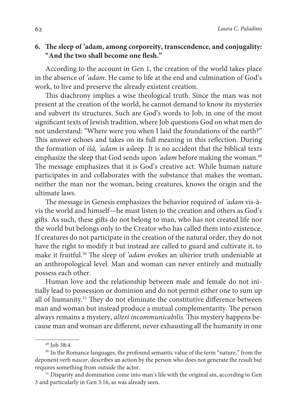# **6. The sleep of 'adam, among corporeity, transcendence, and conjugality: "And the two shall become one flesh."**

According to the account in Gen 1, the creation of the world takes place in the absence of 'adam. He came to life at the end and culmination of God's work, to live and preserve the already existent creation.

This diachrony implies a wise theological truth. Since the man was not present at the creation of the world, he cannot demand to know its mysteries and subvert its structures. Such are God's words to Job, in one of the most significant texts of Jewish tradition, where Job questions God on what men do not understand: "Where were you when I laid the foundations of the earth?" This answer echoes and takes on its full meaning in this reflection. During the formation of išâ, 'adam is asleep. It is no accident that the biblical texts emphasize the sleep that God sends upon 'adam before making the woman.<sup>49</sup> The message emphasizes that it is God's creative act. While human nature participates in and collaborates with the substance that makes the woman, neither the man nor the woman, being creatures, knows the origin and the ultimate laws.

The message in Genesis emphasizes the behavior required of 'adam vis-àvis the world and himself—he must listen to the creation and others as God's gifts. As such, these gifts do not belong to man, who has not created life nor the world but belongs only to the Creator who has called them into existence. If creatures do not participate in the creation of the natural order, they do not have the right to modify it but instead are called to guard and cultivate it, to make it fruitful.<sup>50</sup> The sleep of *'adam* evokes an ulterior truth undeniable at an anthropological level. Man and woman can never entirely and mutually possess each other.

Human love and the relationship between male and female do not initially lead to possession or dominion and do not permit either one to sum up all of humanity.<sup>51</sup> They do not eliminate the constitutive difference between man and woman but instead produce a mutual complementarity. The person always remains a mystery, alteri incommunicabilis. This mystery happens because man and woman are different, never exhausting all the humanity in one

 $49$  Job 38:4.

<sup>&</sup>lt;sup>50</sup> In the Romance languages, the profound semantic value of the term "nature," from the deponent verb nascor, describes an action by the person who does not generate the result but requires something from outside the actor.

<sup>&</sup>lt;sup>51</sup> Disparity and domination come into man's life with the original sin, according to Gen 3 and particularly in Gen 3:16, as was already seen.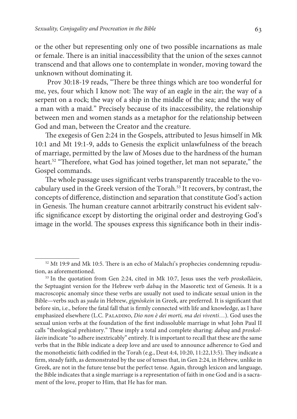or the other but representing only one of two possible incarnations as male or female. There is an initial inaccessibility that the union of the sexes cannot transcend and that allows one to contemplate in wonder, moving toward the unknown without dominating it.

 Prov 30:18-19 reads, "There be three things which are too wonderful for me, yes, four which I know not: The way of an eagle in the air; the way of a serpent on a rock; the way of a ship in the middle of the sea; and the way of a man with a maid." Precisely because of its inaccessibility, the relationship between men and women stands as a metaphor for the relationship between God and man, between the Creator and the creature.

The exegesis of Gen 2:24 in the Gospels, attributed to Jesus himself in Mk 10:1 and Mt 19:1-9, adds to Genesis the explicit unlawfulness of the breach of marriage, permitted by the law of Moses due to the hardness of the human heart.<sup>52</sup> "Therefore, what God has joined together, let man not separate," the Gospel commands.

The whole passage uses significant verbs transparently traceable to the vocabulary used in the Greek version of the Torah.<sup>53</sup> It recovers, by contrast, the concepts of difference, distinction and separation that constitute God's action in Genesis. The human creature cannot arbitrarily construct his evident salvific significance except by distorting the original order and destroying God's image in the world. The spouses express this significance both in their indis-

<sup>52</sup> Mt 19:9 and Mk 10:5. There is an echo of Malachi's prophecies condemning repudiation, as aforementioned.

<sup>&</sup>lt;sup>53</sup> In the quotation from Gen 2:24, cited in Mk 10:7, Jesus uses the verb *proskollàein*, the Septuagint version for the Hebrew verb dabaq in the Masoretic text of Genesis. It is a macroscopic anomaly since these verbs are usually not used to indicate sexual union in the Bible—verbs such as yada in Hebrew, gignòskein in Greek, are preferred. It is significant that before sin, i.e., before the fatal fall that is firmly connected with life and knowledge, as I have emphasized elsewhere (L.C. PALADINO, Dio non è dei morti, ma dei viventi...). God uses the sexual union verbs at the foundation of the first indissoluble marriage in what John Paul II calls "theological prehistory." These imply a total and complete sharing: dabaq and proskollàein indicate "to adhere inextricably" entirely. It is important to recall that these are the same verbs that in the Bible indicate a deep love and are used to announce adherence to God and the monotheistic faith codified in the Torah (e.g., Deut 4:4, 10:20, 11:22,13:5). They indicate a firm, steady faith, as demonstrated by the use of tenses that, in Gen 2:24, in Hebrew, unlike in Greek, are not in the future tense but the perfect tense. Again, through lexicon and language, the Bible indicates that a single marriage is a representation of faith in one God and is a sacrament of the love, proper to Him, that He has for man.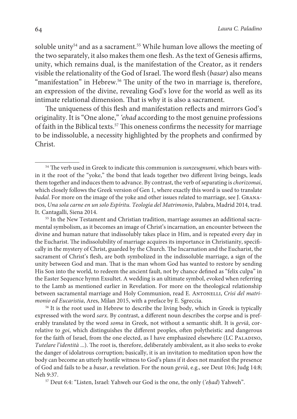soluble unity<sup>54</sup> and as a sacrament.<sup>55</sup> While human love allows the meeting of the two separately, it also makes them one flesh. As the text of Genesis affirms, unity, which remains dual, is the manifestation of the Creator, as it renders visible the relationality of the God of Israel. The word flesh (basar) also means "manifestation" in Hebrew.<sup>56</sup> The unity of the two in marriage is, therefore, an expression of the divine, revealing God's love for the world as well as its intimate relational dimension. That is why it is also a sacrament.

The uniqueness of this flesh and manifestation reflects and mirrors God's originality. It is "One alone," 'ehad according to the most genuine professions of faith in the Biblical texts.<sup>57</sup> This oneness confirms the necessity for marriage to be indissoluble, a necessity highlighted by the prophets and confirmed by Christ.

<sup>56</sup> It is the root used in Hebrew to describe the living body, which in Greek is typically expressed with the word sarx. By contrast, a different noun describes the corpse and is preferably translated by the word soma in Greek, not without a semantic shift. It is geviâ, correlative to goi, which distinguishes the different peoples, often polytheistic and dangerous for the faith of Israel, from the one elected, as I have emphasized elsewhere (LC PALADINO, Tutelare l'identità ...). The root is, therefore, deliberately ambivalent, as it also seeks to evoke the danger of idolatrous corruption; basically, it is an invitation to meditation upon how the body can become an utterly hostile witness to God's plans if it does not manifest the presence of God and fails to be a basar, a revelation. For the noun geviâ, e.g., see Deut 10:6; Judg 14:8; Neh 9:37.

57 Deut 6:4: "Listen, Israel: Yahweh our God is the one, the only ('e*ḥ*ad) Yahweh".

<sup>&</sup>lt;sup>54</sup> The verb used in Greek to indicate this communion is *sunzeugnumi*, which bears within it the root of the "yoke," the bond that leads together two different living beings, leads them together and induces them to advance. By contrast, the verb of separating is chorizomai, which closely follows the Greek version of Gen 1, where exactly this word is used to translate badal. For more on the image of the yoke and other issues related to marriage, see J. Granapos, Una sola carne en un solo Espíritu. Teología del Matrimonio, Palabra, Madrid 2014, trad. It. Cantagalli, Siena 2014.

<sup>55</sup> In the New Testament and Christian tradition, marriage assumes an additional sacramental symbolism, as it becomes an image of Christ's incarnation, an encounter between the divine and human nature that indissolubly takes place in Him, and is repeated every day in the Eucharist. The indissolubility of marriage acquires its importance in Christianity, specifically in the mystery of Christ, guarded by the Church. The Incarnation and the Eucharist, the sacrament of Christ's flesh, are both symbolized in the indissoluble marriage, a sign of the unity between God and man. That is the man whom God has wanted to restore by sending His Son into the world, to redeem the ancient fault, not by chance defined as "felix culpa" in the Easter Sequence hymn Exsultet. A wedding is an ultimate symbol, evoked when referring to the Lamb as mentioned earlier in Revelation. For more on the theological relationship between sacramental marriage and Holy Communion, read E. ANTONELLI, Crisi del matrimonio ed Eucaristia, Ares, Milan 2015, with a preface by E. Sgreccia.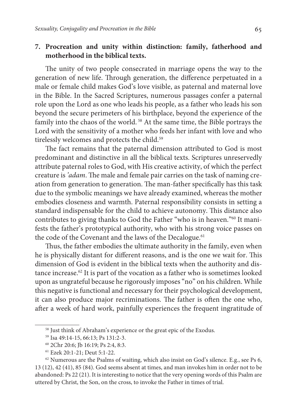# **7. Procreation and unity within distinction: family, fatherhood and motherhood in the biblical texts.**

The unity of two people consecrated in marriage opens the way to the generation of new life. Through generation, the difference perpetuated in a male or female child makes God's love visible, as paternal and maternal love in the Bible. In the Sacred Scriptures, numerous passages confer a paternal role upon the Lord as one who leads his people, as a father who leads his son beyond the secure perimeters of his birthplace, beyond the experience of the family into the chaos of the world.<sup>58</sup> At the same time, the Bible portrays the Lord with the sensitivity of a mother who feeds her infant with love and who tirelessly welcomes and protects the child.<sup>59</sup>

The fact remains that the paternal dimension attributed to God is most predominant and distinctive in all the biblical texts. Scriptures unreservedly attribute paternal roles to God, with His creative activity, of which the perfect creature is 'adam. The male and female pair carries on the task of naming creation from generation to generation. The man-father specifically has this task due to the symbolic meanings we have already examined, whereas the mother embodies closeness and warmth. Paternal responsibility consists in setting a standard indispensable for the child to achieve autonomy. This distance also contributes to giving thanks to God the Father "who is in heaven."<sup>60</sup> It manifests the father's prototypical authority, who with his strong voice passes on the code of the Covenant and the laws of the Decalogue.<sup>61</sup>

Thus, the father embodies the ultimate authority in the family, even when he is physically distant for different reasons, and is the one we wait for. This dimension of God is evident in the biblical texts when the authority and distance increase.<sup>62</sup> It is part of the vocation as a father who is sometimes looked upon as ungrateful because he rigorously imposes "no" on his children. While this negative is functional and necessary for their psychological development, it can also produce major recriminations. The father is often the one who, after a week of hard work, painfully experiences the frequent ingratitude of

<sup>&</sup>lt;sup>58</sup> Just think of Abraham's experience or the great epic of the Exodus.

<sup>59</sup> Isa 49:14-15, 66:13; Ps 131:2-3.

<sup>60</sup> 2Chr 20:6; Jb 16:19; Ps 2:4, 8:3.

<sup>61</sup> Ezek 20:1-21; Deut 5:1-22.

 $62$  Numerous are the Psalms of waiting, which also insist on God's silence. E.g., see Ps 6, 13 (12), 42 (41), 85 (84). God seems absent at times, and man invokes him in order not to be abandoned: Ps 22 (21). It is interesting to notice that the very opening words of this Psalm are uttered by Christ, the Son, on the cross, to invoke the Father in times of trial.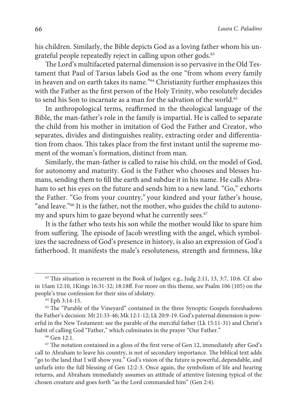his children. Similarly, the Bible depicts God as a loving father whom his ungrateful people repeatedly reject in calling upon other gods.<sup>63</sup>

The Lord's multifaceted paternal dimension is so pervasive in the Old Testament that Paul of Tarsus labels God as the one "from whom every family in heaven and on earth takes its name."<sup>64</sup> Christianity further emphasizes this with the Father as the first person of the Holy Trinity, who resolutely decides to send his Son to incarnate as a man for the salvation of the world.<sup>65</sup>

In anthropological terms, reaffirmed in the theological language of the Bible, the man-father's role in the family is impartial. He is called to separate the child from his mother in imitation of God the Father and Creator, who separates, divides and distinguishes reality, extracting order and differentiation from chaos. This takes place from the first instant until the supreme moment of the woman's formation, distinct from man.

Similarly, the man-father is called to raise his child, on the model of God, for autonomy and maturity. God is the Father who chooses and blesses humans, sending them to fill the earth and subdue it in his name. He calls Abraham to set his eyes on the future and sends him to a new land. "Go," exhorts the Father. "Go from your country," your kindred and your father's house, "and leave."<sup>66</sup> It is the father, not the mother, who guides the child to autonomy and spurs him to gaze beyond what he currently sees.<sup>67</sup>

It is the father who tests his son while the mother would like to spare him from suffering. The episode of Jacob wrestling with the angel, which symbolizes the sacredness of God's presence in history, is also an expression of God's fatherhood. It manifests the male's resoluteness, strength and firmness, like

<sup>66</sup> Gen 12:1.

 $63$  This situation is recurrent in the Book of Judges: e.g., Judg 2:11, 13, 3:7, 10:6. Cf. also in 1Sam 12:10, 1Kings 16:31-32; 18:18ff. For more on this theme, see Psalm 106 (105) on the people's true confession for their sins of idolatry.

<sup>64</sup> Eph 3:14-15.

<sup>65</sup> The "Parable of the Vineyard" contained in the three Synoptic Gospels foreshadows the Father's decision: Mt 21:33-46; Mk 12:1-12; Lk 20:9-19. God's paternal dimension is powerful in the New Testament: see the parable of the merciful father (Lk 15:11-31) and Christ's habit of calling God "Father," which culminates in the prayer "Our Father."

 $67$  The notation contained in a gloss of the first verse of Gen 12, immediately after God's call to Abraham to leave his country, is not of secondary importance. The biblical text adds "go to the land that I will show you." God's vision of the future is powerful, dependable, and unfurls into the full blessing of Gen 12:2-3. Once again, the symbolism of life and hearing returns, and Abraham immediately assumes an attitude of attentive listening typical of the chosen creature and goes forth "as the Lord commanded him" (Gen 2:4).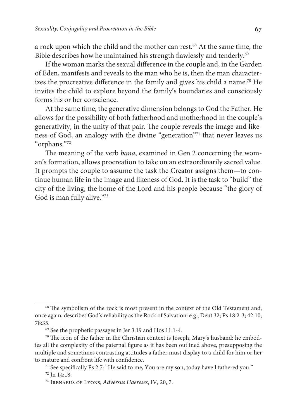a rock upon which the child and the mother can rest.<sup>68</sup> At the same time, the Bible describes how he maintained his strength flawlessly and tenderly.<sup>69</sup>

If the woman marks the sexual difference in the couple and, in the Garden of Eden, manifests and reveals to the man who he is, then the man characterizes the procreative difference in the family and gives his child a name.<sup>70</sup> He invites the child to explore beyond the family's boundaries and consciously forms his or her conscience.

At the same time, the generative dimension belongs to God the Father. He allows for the possibility of both fatherhood and motherhood in the couple's generativity, in the unity of that pair. The couple reveals the image and likeness of God, an analogy with the divine "generation"<sup>71</sup> that never leaves us "orphans."<sup>72</sup>

The meaning of the verb bana, examined in Gen 2 concerning the woman's formation, allows procreation to take on an extraordinarily sacred value. It prompts the couple to assume the task the Creator assigns them—to continue human life in the image and likeness of God. It is the task to "build" the city of the living, the home of the Lord and his people because "the glory of God is man fully alive."<sup>73</sup>

<sup>&</sup>lt;sup>68</sup> The symbolism of the rock is most present in the context of the Old Testament and, once again, describes God's reliability as the Rock of Salvation: e.g., Deut 32; Ps 18:2-3; 42:10; 78:35.

<sup>69</sup> See the prophetic passages in Jer 3:19 and Hos 11:1-4.

<sup>&</sup>lt;sup>70</sup> The icon of the father in the Christian context is Joseph, Mary's husband: he embodies all the complexity of the paternal figure as it has been outlined above, presupposing the multiple and sometimes contrasting attitudes a father must display to a child for him or her to mature and confront life with confidence.

<sup>&</sup>lt;sup>71</sup> See specifically Ps 2:7: "He said to me, You are my son, today have I fathered you." <sup>72</sup> Jn 14:18.

<sup>73</sup> Irenaeus of Lyons, Adversus Haereses, IV, 20, 7.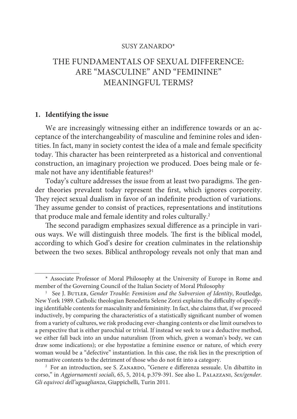## SUSY ZANARDO\*

# THE FUNDAMENTALS OF SEXUAL DIFFERENCE: ARE "MASCULINE" AND "FEMININE" MEANINGFUL TERMS?

#### **1. Identifying the issue**

We are increasingly witnessing either an indifference towards or an acceptance of the interchangeability of masculine and feminine roles and identities. In fact, many in society contest the idea of a male and female specificity today. This character has been reinterpreted as a historical and conventional construction, an imaginary projection we produced. Does being male or female not have any identifiable features?<sup>1</sup>

Today's culture addresses the issue from at least two paradigms. The gender theories prevalent today represent the first, which ignores corporeity. They reject sexual dualism in favor of an indefinite production of variations. They assume gender to consist of practices, representations and institutions that produce male and female identity and roles culturally.<sup>2</sup>

The second paradigm emphasizes sexual difference as a principle in various ways. We will distinguish three models. The first is the biblical model, according to which God's desire for creation culminates in the relationship between the two sexes. Biblical anthropology reveals not only that man and

<sup>\*</sup> Associate Professor of Moral Philosophy at the University of Europe in Rome and member of the Governing Council of the Italian Society of Moral Philosophy

<sup>&</sup>lt;sup>1</sup> See J. BUTLER, Gender Trouble: Feminism and the Subversion of Identity, Routledge, New York 1989. Catholic theologian Benedetta Selene Zorzi explains the difficulty of specifying identifiable contents for masculinity and femininity. In fact, she claims that, if we proceed inductively, by comparing the characteristics of a statistically significant number of women from a variety of cultures, we risk producing ever-changing contents or else limit ourselves to a perspective that is either parochial or trivial. If instead we seek to use a deductive method, we either fall back into an undue naturalism (from which, given a woman's body, we can draw some indications); or else hypostatize a feminine essence or nature, of which every woman would be a "defective" instantiation. In this case, the risk lies in the prescription of normative contents to the detriment of those who do not fit into a category.

<sup>&</sup>lt;sup>2</sup> For an introduction, see S. ZANARDO, "Genere e differenza sessuale. Un dibattito in corso," in Aggiornamenti sociali, 65, 5, 2014, p.379-391. See also L. Palazzani, Sex/gender. Gli equivoci dell'uguaglianza, Giappichelli, Turin 2011.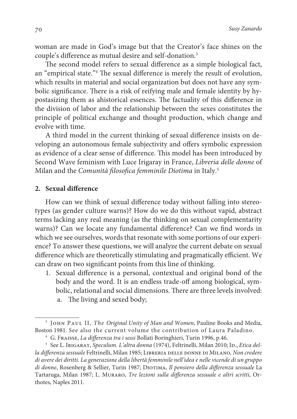woman are made in God's image but that the Creator's face shines on the couple's difference as mutual desire and self-donation.<sup>3</sup>

The second model refers to sexual difference as a simple biological fact, an "empirical state."<sup>4</sup> The sexual difference is merely the result of evolution, which results in material and social organization but does not have any symbolic significance. There is a risk of reifying male and female identity by hypostasizing them as ahistorical essences. The factuality of this difference in the division of labor and the relationship between the sexes constitutes the principle of political exchange and thought production, which change and evolve with time.

A third model in the current thinking of sexual difference insists on developing an autonomous female subjectivity and offers symbolic expression as evidence of a clear sense of difference. This model has been introduced by Second Wave feminism with Luce Irigaray in France, Libreria delle donne of Milan and the Comunità filosofica femminile Diotima in Italy.<sup>5</sup>

## **2. Sexual difference**

How can we think of sexual difference today without falling into stereotypes (as gender culture warns)? How do we do this without vapid, abstract terms lacking any real meaning (as the thinking on sexual complementarity warns)? Can we locate any fundamental difference? Can we find words in which we see ourselves, words that resonate with some portions of our experience? To answer these questions, we will analyze the current debate on sexual difference which are theoretically stimulating and pragmatically efficient. We can draw on two significant points from this line of thinking.

1. Sexual difference is a personal, contextual and original bond of the body and the word. It is an endless trade-off among biological, symbolic, relational and social dimensions. There are three levels involved: a. The living and sexed body;

<sup>&</sup>lt;sup>3</sup> JOHN PAUL II, The Original Unity of Man and Women, Pauline Books and Media, Boston 1981. See also the current volume the contribution of Laura Paladino.

<sup>&</sup>lt;sup>4</sup> G. Fraisse, La differenza tra i sessi Bollati Boringhieri, Turin 1996, p.46.

 $^{\rm 5} \,$  See L. Irı $aaray, Speculum. L'altra donna (1974), Feltrinelli, Milan 2010; Id.,$ *Etica del*la differenza sessuale Feltrinelli, Milan 1985; LIBRERIA DELLE DONNE DI MILANO, Non credere di avere dei diritti. La generazione della libertà femminile nell'idea e nelle vicende di un gruppo di donne, Rosenberg & Sellier, Turin 1987; DIOTIMA, Il pensiero della differenza sessuale La Tartaruga, Milan 1987; L. Muraro, Tre lezioni sulla differenza sessuale e altri scritti, Orthotes, Naples 2011.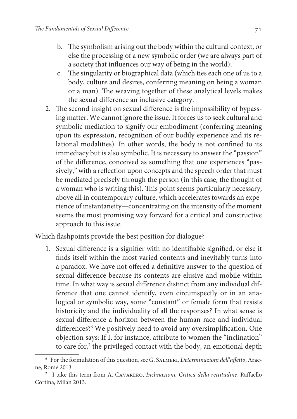- b. The symbolism arising out the body within the cultural context, or else the processing of a new symbolic order (we are always part of a society that influences our way of being in the world);
- c. The singularity or biographical data (which ties each one of us to a body, culture and desires, conferring meaning on being a woman or a man). The weaving together of these analytical levels makes the sexual difference an inclusive category.
- 2. The second insight on sexual difference is the impossibility of bypassing matter. We cannot ignore the issue. It forces us to seek cultural and symbolic mediation to signify our embodiment (conferring meaning upon its expression, recognition of our bodily experience and its relational modalities). In other words, the body is not confined to its immediacy but is also symbolic. It is necessary to answer the "passion" of the difference, conceived as something that one experiences "passively," with a reflection upon concepts and the speech order that must be mediated precisely through the person (in this case, the thought of a woman who is writing this). This point seems particularly necessary, above all in contemporary culture, which accelerates towards an experience of instantaneity—concentrating on the intensity of the moment seems the most promising way forward for a critical and constructive approach to this issue.

Which flashpoints provide the best position for dialogue?

1. Sexual difference is a signifier with no identifiable signified, or else it finds itself within the most varied contents and inevitably turns into a paradox. We have not offered a definitive answer to the question of sexual difference because its contents are elusive and mobile within time. In what way is sexual difference distinct from any individual difference that one cannot identify, even circumspectly or in an analogical or symbolic way, some "constant" or female form that resists historicity and the individuality of all the responses? In what sense is sexual difference a horizon between the human race and individual differences?<sup>6</sup> We positively need to avoid any oversimplification. One objection says: If I, for instance, attribute to women the "inclination" to care for,<sup>7</sup> the privileged contact with the body, an emotional depth

<sup>6</sup> For the formulation of this question, see G. Salmeri, Determinazioni dell'affetto, Aracne, Rome 2013.

<sup>7</sup> I take this term from A. Cavarero, Inclinazioni. Critica della rettitudine, Raffaello Cortina, Milan 2013.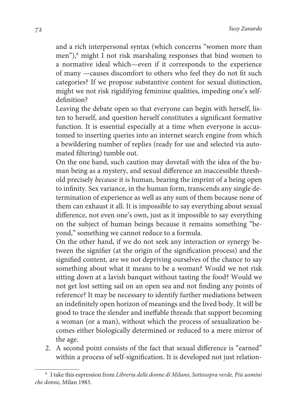and a rich interpersonal syntax (which concerns "women more than men"),<sup>8</sup> might I not risk marshaling responses that bind women to a normative ideal which—even if it corresponds to the experience of many —causes discomfort to others who feel they do not fit such categories? If we propose substantive content for sexual distinction, might we not risk rigidifying feminine qualities, impeding one's selfdefinition?

 Leaving the debate open so that everyone can begin with herself, listen to herself, and question herself constitutes a significant formative function. It is essential especially at a time when everyone is accustomed to inserting queries into an internet search engine from which a bewildering number of replies (ready for use and selected via automated filtering) tumble out.

 On the one hand, such caution may dovetail with the idea of the human being as a mystery, and sexual difference an inaccessible threshold precisely because it is human, bearing the imprint of a being open to infinity. Sex variance, in the human form, transcends any single determination of experience as well as any sum of them because none of them can exhaust it all. It is impossible to say everything about sexual difference, not even one's own, just as it impossible to say everything on the subject of human beings because it remains something "beyond," something we cannot reduce to a formula.

 On the other hand, if we do not seek any interaction or synergy between the signifier (at the origin of the signification process) and the signified content, are we not depriving ourselves of the chance to say something about what it means to be a woman? Would we not risk sitting down at a lavish banquet without tasting the food? Would we not get lost setting sail on an open sea and not finding any points of reference? It may be necessary to identify further mediations between an indefinitely open horizon of meanings and the lived body. It will be good to trace the slender and ineffable threads that support becoming a woman (or a man), without which the process of sexualization becomes either biologically determined or reduced to a mere mirror of the age.

2. A second point consists of the fact that sexual difference is "earned" within a process of self-signification. It is developed not just relation-

<sup>&</sup>lt;sup>8</sup> I take this espression from Libreria delle donne di Milano, Sottosopra verde. Più uomini che donne, Milan 1983.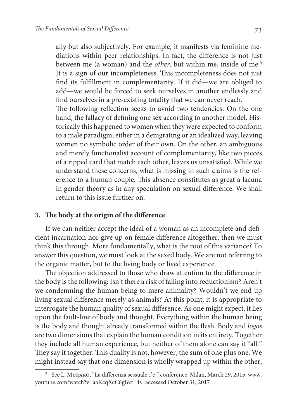ally but also subjectively. For example, it manifests via feminine mediations within peer relationships. In fact, the difference is not just between me (a woman) and the *other*, but within me, inside of me.<sup>9</sup> It is a sign of our incompleteness. This incompleteness does not just find its fulfillment in complementarity. If it did—we are obliged to add—we would be forced to seek ourselves in another endlessly and find ourselves in a pre-existing totality that we can never reach. The following reflection seeks to avoid two tendencies. On the one hand, the fallacy of defining one sex according to another model. Historically this happened to women when they were expected to conform to a male paradigm, either in a denigrating or an idealized way, leaving

women no symbolic order of their own. On the other, an ambiguous and merely functionalist account of complementarity, like two pieces of a ripped card that match each other, leaves us unsatisfied. While we understand these concerns, what is missing in such claims is the reference to a human couple. This absence constitutes as great a lacuna in gender theory as in any speculation on sexual difference. We shall return to this issue further on.

## **3. The body at the origin of the difference**

If we can neither accept the ideal of a woman as an incomplete and deficient incarnation nor give up on female difference altogether, then we must think this through. More fundamentally, what is the root of this variance? To answer this question, we must look at the sexed body. We are not referring to the organic matter, but to the living body or lived experience.

The objection addressed to those who draw attention to the difference in the body is the following: Isn't there a risk of falling into reductionism? Aren't we condemning the human being to mere animality? Wouldn't we end up living sexual difference merely as animals? At this point, it is appropriate to interrogate the human quality of sexual difference. As one might expect, it lies upon the fault-line of body and thought. Everything within the human being is the body and thought already transformed within the flesh. Body and logos are two dimensions that explain the human condition in its entirety. Together they include all human experience, but neither of them alone can say it "all." They say it together. This duality is not, however, the sum of one plus one. We might instead say that one dimension is wholly wrapped up within the other,

<sup>9</sup> See L. Muraro, "La differenza sessuale c'e," conference, Milan, March 29, 2015, www. youtube.com/watch?v=aaKcqXcC6gI&t=4s [accessed October 31, 2017]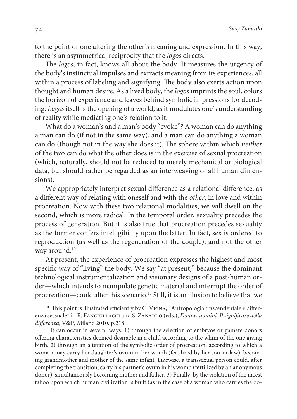to the point of one altering the other's meaning and expression. In this way, there is an asymmetrical reciprocity that the logos directs.

The logos, in fact, knows all about the body. It measures the urgency of the body's instinctual impulses and extracts meaning from its experiences, all within a process of labeling and signifying. The body also exerts action upon thought and human desire. As a lived body, the logos imprints the soul, colors the horizon of experience and leaves behind symbolic impressions for decoding. Logos itself is the opening of a world, as it modulates one's understanding of reality while mediating one's relation to it.

What do a woman's and a man's body "evoke"? A woman can do anything a man can do (if not in the same way), and a man can do anything a woman can do (though not in the way she does it). The sphere within which neither of the two can do what the other does is in the exercise of sexual procreation (which, naturally, should not be reduced to merely mechanical or biological data, but should rather be regarded as an interweaving of all human dimensions).

We appropriately interpret sexual difference as a relational difference, as a different way of relating with oneself and with the other, in love and within procreation. Now with these two relational modalities, we will dwell on the second, which is more radical. In the temporal order, sexuality precedes the process of generation. But it is also true that procreation precedes sexuality as the former confers intelligibility upon the latter. In fact, sex is ordered to reproduction (as well as the regeneration of the couple), and not the other way around.<sup>10</sup>

At present, the experience of procreation expresses the highest and most specific way of "living" the body. We say "at present," because the dominant technological instrumentalization and visionary designs of a post-human order—which intends to manipulate genetic material and interrupt the order of procreation—could alter this scenario.<sup>11</sup> Still, it is an illusion to believe that we

 $10$  This point is illustrated efficiently by C. VIGNA, "Antropologia trascendentale e differenza sessuale" in R. FANCIULLACCI and S. ZANARDO (eds.), Donne, uomini. Il significare della differenza, V&P, Milano 2010, p.218.

 $11$  It can occur in several ways: 1) through the selection of embryos or gamete donors offering characteristics deemed desirable in a child according to the whim of the one giving birth. 2) through an alteration of the symbolic order of procreation, according to which a woman may carry her daughter**'**s ovum in her womb (fertilized by her son-in-law), becoming grandmother and mother of the same infant. Likewise, a transsexual person could, after completing the transition, carry his partner's ovum in his womb (fertilized by an anonymous donor), simultaneously becoming mother and father. 3) Finally, by the violation of the incest taboo upon which human civilization is built (as in the case of a woman who carries the oo-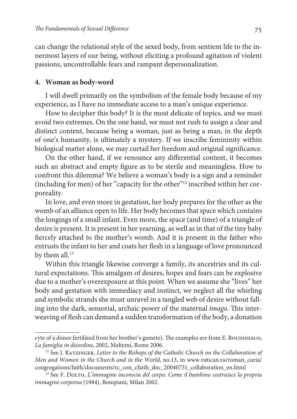can change the relational style of the sexed body, from sentient life to the innermost layers of our being, without eliciting a profound agitation of violent passions, uncontrollable fears and rampant depersonalization.

## **4. Woman as body-word**

I will dwell primarily on the symbolism of the female body because of my experience, as I have no immediate access to a man's unique experience.

How to decipher this body? It is the most delicate of topics, and we must avoid two extremes. On the one hand, we must not rush to assign a clear and distinct content, because being a woman, just as being a man, in the depth of one's humanity, is ultimately a mystery. If we inscribe femininity within biological matter alone, we may curtail her freedom and original significance.

On the other hand, if we renounce any differential content, it becomes such an abstract and empty figure as to be sterile and meaningless. How to confront this dilemma? We believe a woman's body is a sign and a reminder (including for men) of her "capacity for the other"12 inscribed within her corporeality.

In love, and even more in gestation, her body prepares for the other as the womb of an alliance open to life. Her body becomes that space which contains the longings of a small infant. Even more, the space (and time) of a triangle of desire is present. It is present in her yearning, as well as in that of the tiny baby fiercely attached to the mother's womb. And it is present in the father who entrusts the infant to her and coats her flesh in a language of love pronounced by them all.<sup>13</sup>

Within this triangle likewise converge a family, its ancestries and its cultural expectations. This amalgam of desires, hopes and fears can be explosive due to a mother's overexposure at this point. When we assume she "lives" her body and gestation with immediacy and instinct, we neglect all the whirling and symbolic strands she must unravel in a tangled web of desire without falling into the dark, sensorial, archaic power of the maternal imago. This interweaving of flesh can demand a sudden transformation of the body, a donation

cyte of a donor fertilized from her brother's gamete). The examples are from E. ROUDINESCO, La famiglia in disordine, 2002, Meltemi, Rome 2006.

 $12$  See J. RATZINGER, Letter to the Bishops of the Catholic Church on the Collaboration of Men and Women in the Church and in the World, no.13, in www.vatican.va/roman\_curia/ congregations/faith/documents/rc\_con\_cfaith\_doc\_20040731\_collaboration\_en.html

<sup>&</sup>lt;sup>13</sup> See F. DOLTO, L'immagine inconscia del corpo. Come il bambino costruisce la propria immagine corporea (1984), Bompiani, Milan 2002.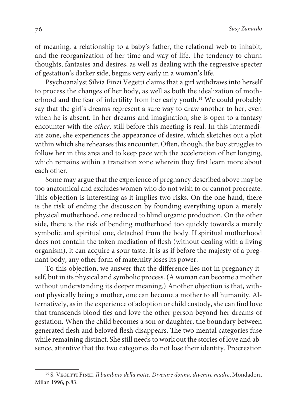of meaning, a relationship to a baby's father, the relational web to inhabit, and the reorganization of her time and way of life. The tendency to churn thoughts, fantasies and desires, as well as dealing with the regressive specter of gestation's darker side, begins very early in a woman's life.

Psychoanalyst Silvia Finzi Vegetti claims that a girl withdraws into herself to process the changes of her body, as well as both the idealization of motherhood and the fear of infertility from her early youth.<sup>14</sup> We could probably say that the girl's dreams represent a sure way to draw another to her, even when he is absent. In her dreams and imagination, she is open to a fantasy encounter with the other, still before this meeting is real. In this intermediate zone, she experiences the appearance of desire, which sketches out a plot within which she rehearses this encounter. Often, though, the boy struggles to follow her in this area and to keep pace with the acceleration of her longing, which remains within a transition zone wherein they first learn more about each other.

Some may argue that the experience of pregnancy described above may be too anatomical and excludes women who do not wish to or cannot procreate. This objection is interesting as it implies two risks. On the one hand, there is the risk of ending the discussion by founding everything upon a merely physical motherhood, one reduced to blind organic production. On the other side, there is the risk of bending motherhood too quickly towards a merely symbolic and spiritual one, detached from the body. If spiritual motherhood does not contain the token mediation of flesh (without dealing with a living organism), it can acquire a sour taste. It is as if before the majesty of a pregnant body, any other form of maternity loses its power.

To this objection, we answer that the difference lies not in pregnancy itself, but in its physical and symbolic process. (A woman can become a mother without understanding its deeper meaning.) Another objection is that, without physically being a mother, one can become a mother to all humanity. Alternatively, as in the experience of adoption or child custody, she can find love that transcends blood ties and love the other person beyond her dreams of gestation. When the child becomes a son or daughter, the boundary between generated flesh and beloved flesh disappears. The two mental categories fuse while remaining distinct. She still needs to work out the stories of love and absence, attentive that the two categories do not lose their identity. Procreation

<sup>&</sup>lt;sup>14</sup> S. VEGETTI FINZI, Il bambino della notte. Divenire donna, divenire madre, Mondadori, Milan 1996, p.83.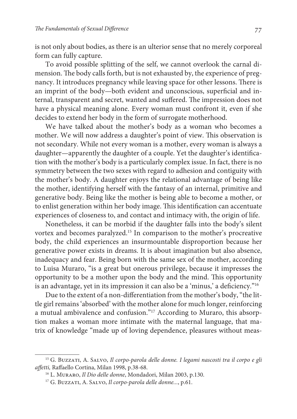is not only about bodies, as there is an ulterior sense that no merely corporeal form can fully capture.

To avoid possible splitting of the self, we cannot overlook the carnal dimension. The body calls forth, but is not exhausted by, the experience of pregnancy. It introduces pregnancy while leaving space for other lessons. There is an imprint of the body—both evident and unconscious, superficial and internal, transparent and secret, wanted and suffered. The impression does not have a physical meaning alone. Every woman must confront it, even if she decides to extend her body in the form of surrogate motherhood.

We have talked about the mother's body as a woman who becomes a mother. We will now address a daughter's point of view. This observation is not secondary. While not every woman is a mother, every woman is always a daughter—apparently the daughter of a couple. Yet the daughter's identification with the mother's body is a particularly complex issue. In fact, there is no symmetry between the two sexes with regard to adhesion and contiguity with the mother's body. A daughter enjoys the relational advantage of being like the mother, identifying herself with the fantasy of an internal, primitive and generative body. Being like the mother is being able to become a mother, or to enlist generation within her body image. This identification can accentuate experiences of closeness to, and contact and intimacy with, the origin of life.

Nonetheless, it can be morbid if the daughter falls into the body's silent vortex and becomes paralyzed.<sup>15</sup> In comparison to the mother's procreative body, the child experiences an insurmountable disproportion because her generative power exists in dreams. It is about imagination but also absence, inadequacy and fear. Being born with the same sex of the mother, according to Luisa Muraro, "is a great but onerous privilege, because it impresses the opportunity to be a mother upon the body and the mind. This opportunity is an advantage, yet in its impression it can also be a 'minus,' a deficiency."<sup>16</sup>

Due to the extent of a non-differentiation from the mother's body, "the little girl remains 'absorbed' with the mother alone for much longer, reinforcing a mutual ambivalence and confusion."17 According to Muraro, this absorption makes a woman more intimate with the maternal language, that matrix of knowledge "made up of loving dependence, pleasures without meas-

<sup>&</sup>lt;sup>15</sup> G. BUZZATI, A. SALVO, Il corpo-parola delle donne. I legami nascosti tra il corpo e gli affetti, Raffaello Cortina, Milan 1998, p.38-68.

<sup>&</sup>lt;sup>16</sup> L. MURARO, Il Dio delle donne, Mondadori, Milan 2003, p.130.

<sup>&</sup>lt;sup>17</sup> G. BUZZATI, A. SALVO, Il corpo-parola delle donne..., p.61.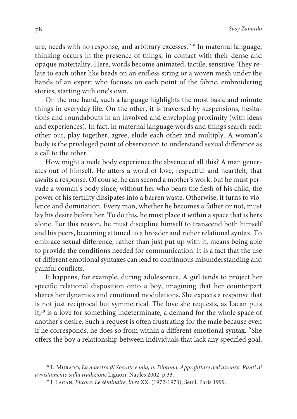ure, needs with no response, and arbitrary excesses."<sup>18</sup> In maternal language, thinking occurs in the presence of things, in contact with their dense and opaque materiality. Here, words become animated, tactile, sensitive. They relate to each other like beads on an endless string or a woven mesh under the hands of an expert who focuses on each point of the fabric, embroidering stories, starting with one's own.

On the one hand, such a language highlights the most basic and minute things in everyday life. On the other, it is traversed by suspensions, hesitations and roundabouts in an involved and enveloping proximity (with ideas and experiences). In fact, in maternal language words and things search each other out, play together, agree, elude each other and multiply. A woman's body is the privileged point of observation to understand sexual difference as a call to the other.

How might a male body experience the absence of all this? A man generates out of himself. He utters a word of love, respectful and heartfelt, that awaits a response. Of course, he can second a mother's work, but he must pervade a woman's body since, without her who bears the flesh of his child, the power of his fertility dissipates into a barren waste. Otherwise, it turns to violence and domination. Every man, whether he becomes a father or not, must lay his desire before her. To do this, he must place it within a space that is hers alone. For this reason, he must discipline himself to transcend both himself and his peers, becoming attuned to a broader and richer relational syntax. To embrace sexual difference, rather than just put up with it, means being able to provide the conditions needed for communication. It is a fact that the use of different emotional syntaxes can lead to continuous misunderstanding and painful conflicts.

It happens, for example, during adolescence. A girl tends to project her specific relational disposition onto a boy, imagining that her counterpart shares her dynamics and emotional modulations. She expects a response that is not just reciprocal but symmetrical. The love she requests, as Lacan puts it,<sup>19</sup> is a love for something indeterminate, a demand for the whole space of another's desire. Such a request is often frustrating for the male because even if he corresponds, he does so from within a different emotional syntax. "She offers the boy a relationship between individuals that lack any specified goal,

<sup>&</sup>lt;sup>18</sup> L. MURARO, La maestra di Socrate e mia, in Diotima, Approfittare dell'assenza. Punti di avvistamento sulla tradizione Liguori, Naples 2002, p.33.

<sup>&</sup>lt;sup>19</sup> J. Lacan, *Encore: Le séminaire, livre XX.* (1972-1973), Seuil, Paris 1999.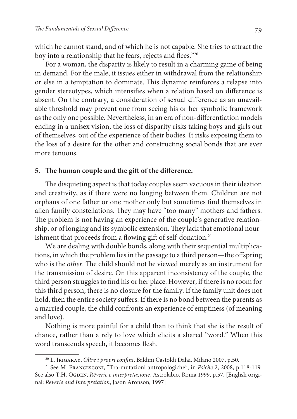which he cannot stand, and of which he is not capable. She tries to attract the boy into a relationship that he fears, rejects and flees."20

For a woman, the disparity is likely to result in a charming game of being in demand. For the male, it issues either in withdrawal from the relationship or else in a temptation to dominate. This dynamic reinforces a relapse into gender stereotypes, which intensifies when a relation based on difference is absent. On the contrary, a consideration of sexual difference as an unavailable threshold may prevent one from seeing his or her symbolic framework as the only one possible. Nevertheless, in an era of non-differentiation models ending in a unisex vision, the loss of disparity risks taking boys and girls out of themselves, out of the experience of their bodies. It risks exposing them to the loss of a desire for the other and constructing social bonds that are ever more tenuous.

#### **5. The human couple and the gift of the difference.**

The disquieting aspect is that today couples seem vacuous in their ideation and creativity, as if there were no longing between them. Children are not orphans of one father or one mother only but sometimes find themselves in alien family constellations. They may have "too many" mothers and fathers. The problem is not having an experience of the couple's generative relationship, or of longing and its symbolic extension. They lack that emotional nourishment that proceeds from a flowing gift of self-donation.<sup>21</sup>

We are dealing with double bonds, along with their sequential multiplications, in which the problem lies in the passage to a third person—the offspring who is the other. The child should not be viewed merely as an instrument for the transmission of desire. On this apparent inconsistency of the couple, the third person struggles to find his or her place. However, if there is no room for this third person, there is no closure for the family. If the family unit does not hold, then the entire society suffers. If there is no bond between the parents as a married couple, the child confronts an experience of emptiness (of meaning and love).

Nothing is more painful for a child than to think that she is the result of chance, rather than a rely to love which elicits a shared "word." When this word transcends speech, it becomes flesh.

<sup>&</sup>lt;sup>20</sup> L. Irigaray, Oltre i propri confini, Baldini Castoldi Dalai, Milano 2007, p.50.

<sup>21</sup> See M. Francesconi, "Tra-mutazioni antropologiche", in Psiche 2, 2008, p.118-119. See also T.H. OGDEN, Rêverie e interpretazione, Astrolabio, Roma 1999, p.57. [English original: Reverie and Interpretation, Jason Aronson, 1997]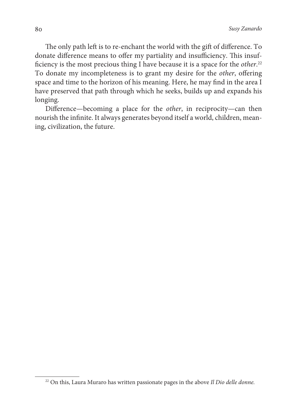The only path left is to re-enchant the world with the gift of difference. To donate difference means to offer my partiality and insufficiency. This insufficiency is the most precious thing I have because it is a space for the other.<sup>22</sup> To donate my incompleteness is to grant my desire for the other, offering space and time to the horizon of his meaning. Here, he may find in the area I have preserved that path through which he seeks, builds up and expands his longing.

Difference—becoming a place for the other, in reciprocity—can then nourish the infinite. It always generates beyond itself a world, children, meaning, civilization, the future.

 $22$  On this, Laura Muraro has written passionate pages in the above Il Dio delle donne.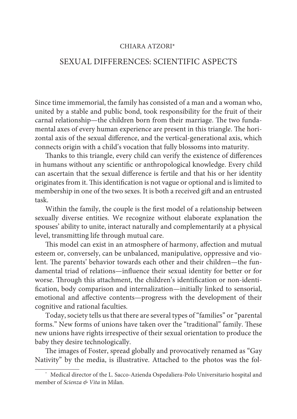## CHIARA ATZORI\*<sup>1</sup>

# SEXUAL DIFFERENCES: SCIENTIFIC ASPECTS

Since time immemorial, the family has consisted of a man and a woman who, united by a stable and public bond, took responsibility for the fruit of their carnal relationship—the children born from their marriage. The two fundamental axes of every human experience are present in this triangle. The horizontal axis of the sexual difference, and the vertical-generational axis, which connects origin with a child's vocation that fully blossoms into maturity.

Thanks to this triangle, every child can verify the existence of differences in humans without any scientific or anthropological knowledge. Every child can ascertain that the sexual difference is fertile and that his or her identity originates from it. This identification is not vague or optional and is limited to membership in one of the two sexes. It is both a received gift and an entrusted task.

Within the family, the couple is the first model of a relationship between sexually diverse entities. We recognize without elaborate explanation the spouses' ability to unite, interact naturally and complementarily at a physical level, transmitting life through mutual care.

This model can exist in an atmosphere of harmony, affection and mutual esteem or, conversely, can be unbalanced, manipulative, oppressive and violent. The parents' behavior towards each other and their children—the fundamental triad of relations—influence their sexual identity for better or for worse. Through this attachment, the children's identification or non-identification, body comparison and internalization—initially linked to sensorial, emotional and affective contents—progress with the development of their cognitive and rational faculties.

Today, society tells us that there are several types of "families" or "parental forms." New forms of unions have taken over the "traditional" family. These new unions have rights irrespective of their sexual orientation to produce the baby they desire technologically.

The images of Foster, spread globally and provocatively renamed as "Gay Nativity" by the media, is illustrative. Attached to the photos was the fol-

<sup>\*</sup> Medical director of the L. Sacco-Azienda Ospedaliera-Polo Universitario hospital and member of Scienza & Vita in Milan.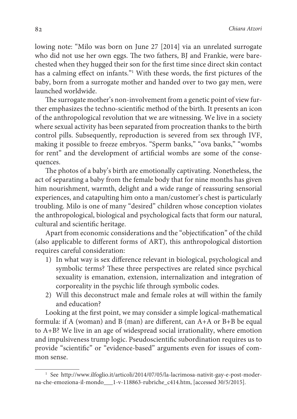lowing note: "Milo was born on June 27 [2014] via an unrelated surrogate who did not use her own eggs. The two fathers, BJ and Frankie, were barechested when they hugged their son for the first time since direct skin contact has a calming effect on infants."<sup>1</sup> With these words, the first pictures of the baby, born from a surrogate mother and handed over to two gay men, were launched worldwide.

The surrogate mother's non-involvement from a genetic point of view further emphasizes the techno-scientific method of the birth. It presents an icon of the anthropological revolution that we are witnessing. We live in a society where sexual activity has been separated from procreation thanks to the birth control pills. Subsequently, reproduction is severed from sex through IVF, making it possible to freeze embryos. "Sperm banks," "ova banks," "wombs for rent" and the development of artificial wombs are some of the consequences.

The photos of a baby's birth are emotionally captivating. Nonetheless, the act of separating a baby from the female body that for nine months has given him nourishment, warmth, delight and a wide range of reassuring sensorial experiences, and catapulting him onto a man/customer's chest is particularly troubling. Milo is one of many "desired" children whose conception violates the anthropological, biological and psychological facts that form our natural, cultural and scientific heritage.

Apart from economic considerations and the "objectification" of the child (also applicable to different forms of ART), this anthropological distortion requires careful consideration:

- 1) In what way is sex difference relevant in biological, psychological and symbolic terms? These three perspectives are related since psychical sexuality is emanation, extension, internalization and integration of corporeality in the psychic life through symbolic codes.
- 2) Will this deconstruct male and female roles at will within the family and education?

Looking at the first point, we may consider a simple logical-mathematical formula: if A (woman) and B (man) are different, can A+A or B+B be equal to A+B? We live in an age of widespread social irrationality, where emotion and impulsiveness trump logic. Pseudoscientific subordination requires us to provide "scientific" or "evidence-based" arguments even for issues of common sense.

<sup>&</sup>lt;sup>1</sup> See http://www.ilfoglio.it/articoli/2014/07/05/la-lacrimosa-nativit-gay-e-post-moderna-che-emoziona-il-mondo\_\_\_1-v-118863-rubriche\_c414.htm, [accessed 30/5/2015].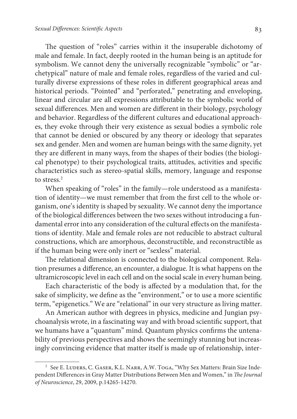The question of "roles" carries within it the insuperable dichotomy of male and female. In fact, deeply rooted in the human being is an aptitude for symbolism. We cannot deny the universally recognizable "symbolic" or "archetypical" nature of male and female roles, regardless of the varied and culturally diverse expressions of these roles in different geographical areas and historical periods. "Pointed" and "perforated," penetrating and enveloping, linear and circular are all expressions attributable to the symbolic world of sexual differences. Men and women are different in their biology, psychology and behavior. Regardless of the different cultures and educational approaches, they evoke through their very existence as sexual bodies a symbolic role that cannot be denied or obscured by any theory or ideology that separates sex and gender. Men and women are human beings with the same dignity, yet they are different in many ways, from the shapes of their bodies (the biological phenotype) to their psychological traits, attitudes, activities and specific characteristics such as stereo-spatial skills, memory, language and response to stress.<sup>2</sup>

When speaking of "roles" in the family—role understood as a manifestation of identity—we must remember that from the first cell to the whole organism, one's identity is shaped by sexuality. We cannot deny the importance of the biological differences between the two sexes without introducing a fundamental error into any consideration of the cultural effects on the manifestations of identity. Male and female roles are not reducible to abstract cultural constructions, which are amorphous, deconstructible, and reconstructible as if the human being were only inert or "sexless" material.

The relational dimension is connected to the biological component. Relation presumes a difference, an encounter, a dialogue. It is what happens on the ultramicroscopic level in each cell and on the social scale in every human being.

Each characteristic of the body is affected by a modulation that, for the sake of simplicity, we define as the "environment," or to use a more scientific term, "epigenetics." We are "relational" in our very structure as living matter.

An American author with degrees in physics, medicine and Jungian psychoanalysis wrote, in a fascinating way and with broad scientific support, that we humans have a "quantum" mind. Quantum physics confirms the untenability of previous perspectives and shows the seemingly stunning but increasingly convincing evidence that matter itself is made up of relationship, inter-

<sup>&</sup>lt;sup>2</sup> See E. LUDERS, C. GASER, K.L. NARR, A.W. TOGA, "Why Sex Matters: Brain Size Independent Differences in Gray Matter Distributions Between Men and Women," in The Journal of Neuroscience, 29, 2009, p.14265-14270.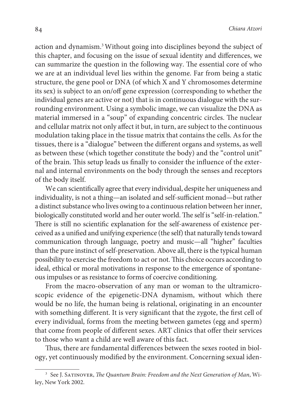action and dynamism.<sup>3</sup>Without going into disciplines beyond the subject of this chapter, and focusing on the issue of sexual identity and differences, we can summarize the question in the following way. The essential core of who we are at an individual level lies within the genome. Far from being a static structure, the gene pool or DNA (of which X and Y chromosomes determine its sex) is subject to an on/off gene expression (corresponding to whether the individual genes are active or not) that is in continuous dialogue with the surrounding environment. Using a symbolic image, we can visualize the DNA as material immersed in a "soup" of expanding concentric circles. The nuclear and cellular matrix not only affect it but, in turn, are subject to the continuous modulation taking place in the tissue matrix that contains the cells. As for the tissues, there is a "dialogue" between the different organs and systems, as well as between these (which together constitute the body) and the "control unit" of the brain. This setup leads us finally to consider the influence of the external and internal environments on the body through the senses and receptors of the body itself.

We can scientifically agree that every individual, despite her uniqueness and individuality, is not a thing—an isolated and self-sufficient monad—but rather a distinct substance who lives owing to a continuous relation between her inner, biologically constituted world and her outer world. The self is "self-in-relation." There is still no scientific explanation for the self-awareness of existence perceived as a unified and unifying experience (the self) that naturally tends toward communication through language, poetry and music—all "higher" faculties than the pure instinct of self-preservation. Above all, there is the typical human possibility to exercise the freedom to act or not. This choice occurs according to ideal, ethical or moral motivations in response to the emergence of spontaneous impulses or as resistance to forms of coercive conditioning.

From the macro-observation of any man or woman to the ultramicroscopic evidence of the epigenetic-DNA dynamism, without which there would be no life, the human being is relational, originating in an encounter with something different. It is very significant that the zygote, the first cell of every individual, forms from the meeting between gametes (egg and sperm) that come from people of different sexes. ART clinics that offer their services to those who want a child are well aware of this fact.

Thus, there are fundamental differences between the sexes rooted in biology, yet continuously modified by the environment. Concerning sexual iden-

 $^3$  See J. Sa $\tau$ INOVER, The Quantum Brain: Freedom and the Next Generation of Man, Wiley, New York 2002.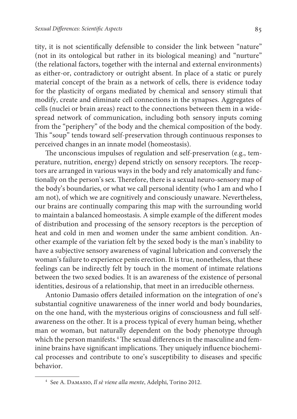tity, it is not scientifically defensible to consider the link between "nature" (not in its ontological but rather in its biological meaning) and "nurture" (the relational factors, together with the internal and external environments) as either-or, contradictory or outright absent. In place of a static or purely material concept of the brain as a network of cells, there is evidence today for the plasticity of organs mediated by chemical and sensory stimuli that modify, create and eliminate cell connections in the synapses. Aggregates of cells (nuclei or brain areas) react to the connections between them in a widespread network of communication, including both sensory inputs coming from the "periphery" of the body and the chemical composition of the body. This "soup" tends toward self-preservation through continuous responses to perceived changes in an innate model (homeostasis).

The unconscious impulses of regulation and self-preservation (e.g., temperature, nutrition, energy) depend strictly on sensory receptors. The receptors are arranged in various ways in the body and rely anatomically and functionally on the person's sex. Therefore, there is a sexual neuro-sensory map of the body's boundaries, or what we call personal identity (who I am and who I am not), of which we are cognitively and consciously unaware. Nevertheless, our brains are continually comparing this map with the surrounding world to maintain a balanced homeostasis. A simple example of the different modes of distribution and processing of the sensory receptors is the perception of heat and cold in men and women under the same ambient condition. Another example of the variation felt by the sexed body is the man's inability to have a subjective sensory awareness of vaginal lubrication and conversely the woman's failure to experience penis erection. It is true, nonetheless, that these feelings can be indirectly felt by touch in the moment of intimate relations between the two sexed bodies. It is an awareness of the existence of personal identities, desirous of a relationship, that meet in an irreducible otherness.

Antonio Damasio offers detailed information on the integration of one's substantial cognitive unawareness of the inner world and body boundaries, on the one hand, with the mysterious origins of consciousness and full selfawareness on the other. It is a process typical of every human being, whether man or woman, but naturally dependent on the body phenotype through which the person manifests.<sup>4</sup> The sexual differences in the masculine and feminine brains have significant implications. They uniquely influence biochemical processes and contribute to one's susceptibility to diseases and specific behavior.

<sup>4</sup> See A. Damasio, Il sè viene alla mente, Adelphi, Torino 2012.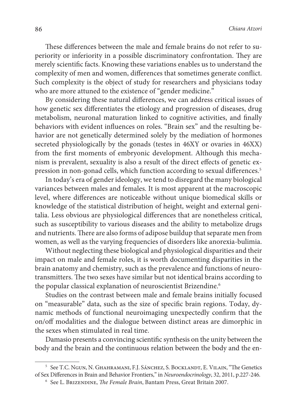These differences between the male and female brains do not refer to superiority or inferiority in a possible discriminatory confrontation. They are merely scientific facts. Knowing these variations enables us to understand the complexity of men and women, differences that sometimes generate conflict. Such complexity is the object of study for researchers and physicians today who are more attuned to the existence of "gender medicine."

By considering these natural differences, we can address critical issues of how genetic sex differentiates the etiology and progression of diseases, drug metabolism, neuronal maturation linked to cognitive activities, and finally behaviors with evident influences on roles. "Brain sex" and the resulting behavior are not genetically determined solely by the mediation of hormones secreted physiologically by the gonads (testes in 46XY or ovaries in 46XX) from the first moments of embryonic development. Although this mechanism is prevalent, sexuality is also a result of the direct effects of genetic expression in non-gonad cells, which function according to sexual differences.<sup>5</sup>

In today's era of gender ideology, we tend to disregard the many biological variances between males and females. It is most apparent at the macroscopic level, where differences are noticeable without unique biomedical skills or knowledge of the statistical distribution of height, weight and external genitalia. Less obvious are physiological differences that are nonetheless critical, such as susceptibility to various diseases and the ability to metabolize drugs and nutrients. There are also forms of adipose buildup that separate men from women, as well as the varying frequencies of disorders like anorexia-bulimia.

Without neglecting these biological and physiological disparities and their impact on male and female roles, it is worth documenting disparities in the brain anatomy and chemistry, such as the prevalence and functions of neurotransmitters. The two sexes have similar but not identical brains according to the popular classical explanation of neuroscientist Brizendine.<sup>6</sup>

Studies on the contrast between male and female brains initially focused on "measurable" data, such as the size of specific brain regions. Today, dynamic methods of functional neuroimaging unexpectedly confirm that the on/off modalities and the dialogue between distinct areas are dimorphic in the sexes when stimulated in real time.

Damasio presents a convincing scientific synthesis on the unity between the body and the brain and the continuous relation between the body and the en-

<sup>5</sup> See T.C. Ngun, N. Ghahramani, F.J. Sánchez, S. Bocklandt, E. Vilain, "The Genetics of Sex Differences in Brain and Behavior Frontiers," in Neuroendocrinology, 32, 2011, p.227-246.

<sup>&</sup>lt;sup>6</sup> See L. Brizendine, *The Female Brain*, Bantam Press, Great Britain 2007.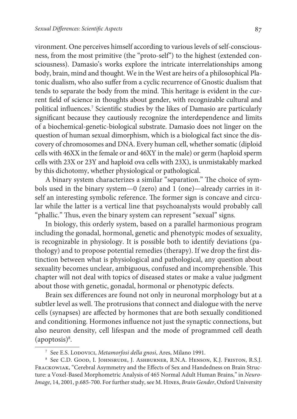vironment. One perceives himself according to various levels of self-consciousness, from the most primitive (the "proto-self") to the highest (extended consciousness). Damasio's works explore the intricate interrelationships among body, brain, mind and thought. We in the West are heirs of a philosophical Platonic dualism, who also suffer from a cyclic recurrence of Gnostic dualism that tends to separate the body from the mind. This heritage is evident in the current field of science in thoughts about gender, with recognizable cultural and political influences.<sup>7</sup> Scientific studies by the likes of Damasio are particularly significant because they cautiously recognize the interdependence and limits of a biochemical-genetic-biological substrate. Damasio does not linger on the question of human sexual dimorphism, which is a biological fact since the discovery of chromosomes and DNA. Every human cell, whether somatic (diploid cells with 46XX in the female or and 46XY in the male) or germ (haploid sperm cells with 23X or 23Y and haploid ova cells with 23X), is unmistakably marked by this dichotomy, whether physiological or pathological.

A binary system characterizes a similar "separation." The choice of symbols used in the binary system—0 (zero) and 1 (one)—already carries in itself an interesting symbolic reference. The former sign is concave and circular while the latter is a vertical line that psychoanalysts would probably call "phallic." Thus, even the binary system can represent "sexual" signs.

In biology, this orderly system, based on a parallel harmonious program including the gonadal, hormonal, genetic and phenotypic modes of sexuality, is recognizable in physiology. It is possible both to identify deviations (pathology) and to propose potential remedies (therapy). If we drop the first distinction between what is physiological and pathological, any question about sexuality becomes unclear, ambiguous, confused and incomprehensible. This chapter will not deal with topics of diseased states or make a value judgment about those with genetic, gonadal, hormonal or phenotypic defects.

Brain sex differences are found not only in neuronal morphology but at a subtler level as well. The protrusions that connect and dialogue with the nerve cells (synapses) are affected by hormones that are both sexually conditioned and conditioning. Hormones influence not just the synaptic connections, but also neuron density, cell lifespan and the mode of programmed cell death (apoptosis)<sup>8</sup> .

<sup>&</sup>lt;sup>7</sup> See E.S. Lodovici, Metamorfosi della gnosi, Ares, Milano 1991.

<sup>8</sup> See C.D. Good, I. Johnsrude, J. Ashburner, R.N.A. Henson, K.J. Friston, R.S.J. Frackowiak, "Cerebral Asymmetry and the Effects of Sex and Handedness on Brain Structure: a Voxel-Based Morphometric Analysis of 465 Normal Adult Human Brains," in Neuro-Image, 14, 2001, p.685-700. For further study, see M. Hines, Brain Gender, Oxford University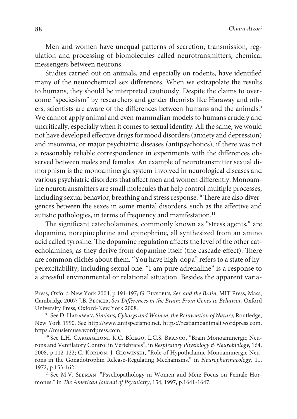Men and women have unequal patterns of secretion, transmission, regulation and processing of biomolecules called neurotransmitters, chemical messengers between neurons.

Studies carried out on animals, and especially on rodents, have identified many of the neurochemical sex differences. When we extrapolate the results to humans, they should be interpreted cautiously. Despite the claims to overcome "speciesism" by researchers and gender theorists like Haraway and others, scientists are aware of the differences between humans and the animals.<sup>9</sup> We cannot apply animal and even mammalian models to humans crudely and uncritically, especially when it comes to sexual identity. All the same, we would not have developed effective drugs for mood disorders (anxiety and depression) and insomnia, or major psychiatric diseases (antipsychotics), if there was not a reasonably reliable correspondence in experiments with the differences observed between males and females. An example of neurotransmitter sexual dimorphism is the monoaminergic system involved in neurological diseases and various psychiatric disorders that affect men and women differently. Monoamine neurotransmitters are small molecules that help control multiple processes, including sexual behavior, breathing and stress response.<sup>10</sup> There are also divergences between the sexes in some mental disorders, such as the affective and autistic pathologies, in terms of frequency and manifestation.<sup>11</sup>

The significant catecholamines, commonly known as "stress agents," are dopamine, norepinephrine and epinephrine, all synthesized from an amino acid called tyrosine. The dopamine regulation affects the level of the other catecholamines, as they derive from dopamine itself (the cascade effect). There are common clichés about them. "You have high-dopa" refers to a state of hyperexcitability, including sexual one. "I am pure adrenaline" is a response to a stressful environmental or relational situation. Besides the apparent varia-

Press, Oxford-New York 2004, p.191-197; G. Einstein, Sex and the Brain, MIT Press, Mass, Cambridge 2007; J.B. Becker, Sex Differences in the Brain: From Genes to Behavior, Oxford University Press, Oxford-New York 2008.

<sup>9</sup> See D. Haraway, Simians, Cyborgs and Women: the Reinvention of Nature, Routledge, New York 1990. See http://www.antispecismo.net, https://restiamoanimali.wordpress.com, https://musiemuse.wordpress.com.

<sup>&</sup>lt;sup>10</sup> See L.H. GARGAGLIONI, K.C. Bícego, L.G.S. BRANCO, "Brain Monoaminergic Neurons and Ventilatory Control in Vertebrates", in Respiratory Physiology & Neurobiology, 164, 2008, p.112-122; C. KORDON, J. GLOWINSKI, "Role of Hypothalamic Monoaminergic Neurons in the Gonadotrophin Release-Regulating Mechanisms," in Neuropharmacology, 11, 1972, p.153-162.

<sup>&</sup>lt;sup>11</sup> See M.V. SEEMAN, "Psychopathology in Women and Men: Focus on Female Hormones," in The American Journal of Psychiatry, 154, 1997, p.1641-1647.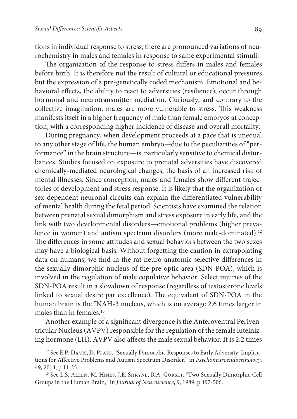tions in individual response to stress, there are pronounced variations of neurochemistry in males and females in response to same experimental stimuli.

The organization of the response to stress differs in males and females before birth. It is therefore not the result of cultural or educational pressures but the expression of a pre-genetically coded mechanism. Emotional and behavioral effects, the ability to react to adversities (resilience), occur through hormonal and neurotransmitter mediation. Curiously, and contrary to the collective imagination, males are more vulnerable to stress. This weakness manifests itself in a higher frequency of male than female embryos at conception, with a corresponding higher incidence of disease and overall mortality.

During pregnancy, when development proceeds at a pace that is unequal to any other stage of life, the human embryo—due to the peculiarities of "performance" in the brain structure—is particularly sensitive to chemical disturbances. Studies focused on exposure to prenatal adversities have discovered chemically-mediated neurological changes, the basis of an increased risk of mental illnesses. Since conception, males and females show different trajectories of development and stress response. It is likely that the organization of sex-dependent neuronal circuits can explain the differentiated vulnerability of mental health during the fetal period. Scientists have examined the relation between prenatal sexual dimorphism and stress exposure in early life, and the link with two developmental disorders—emotional problems (higher prevalence in women) and autism spectrum disorders (more male-dominated).<sup>12</sup> The differences in some attitudes and sexual behaviors between the two sexes may have a biological basis. Without forgetting the caution in extrapolating data on humans, we find in the rat neuro-anatomic selective differences in the sexually dimorphic nucleus of the pre-optic area (SDN-POA), which is involved in the regulation of male copulative behavior. Select injuries of the SDN-POA result in a slowdown of response (regardless of testosterone levels linked to sexual desire par excellence). The equivalent of SDN-POA in the human brain is the INAH-3 nucleus, which is on average 2.6 times larger in males than in females.<sup>13</sup>

Another example of a significant divergence is the Anteroventral Periventricular Nucleus (AVPV) responsible for the regulation of the female luteinizing hormone (LH). AVPV also affects the male sexual behavior. It is 2.2 times

<sup>&</sup>lt;sup>12</sup> See E.P. Davis, D. PFAFF, "Sexually Dimorphic Responses to Early Adversity: Implications for Affective Problems and Autism Spectrum Disorder," in Psychoneuroendocrinology, 49, 2014, p.11-25.

<sup>13</sup> See L.S. Allen, M. Hines, J.E. Shryne, R.A. Gorski, "Two Sexually Dimorphic Cell Groups in the Human Brain," in Journal of Neuroscience, 9, 1989, p.497-506.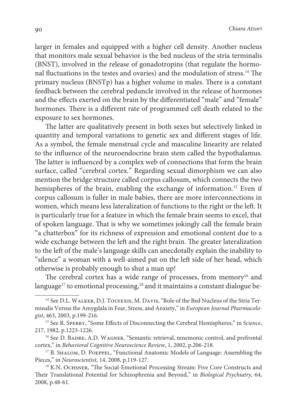larger in females and equipped with a higher cell density. Another nucleus that monitors male sexual behavior is the bed nucleus of the stria terminalis (BNST), involved in the release of gonadotropins (that regulate the hormonal fluctuations in the testes and ovaries) and the modulation of stress.<sup>14</sup> The primary nucleus (BNSTp) has a higher volume in males. There is a constant feedback between the cerebral peduncle involved in the release of hormones and the effects exerted on the brain by the differentiated "male" and "female" hormones. There is a different rate of programmed cell death related to the exposure to sex hormones.

The latter are qualitatively present in both sexes but selectively linked in quantity and temporal variations to genetic sex and different stages of life. As a symbol, the female menstrual cycle and masculine linearity are related to the influence of the neuroendocrine brain stem called the hypothalamus. The latter is influenced by a complex web of connections that form the brain surface, called "cerebral cortex." Regarding sexual dimorphism we can also mention the bridge structure called corpus callosum, which connects the two hemispheres of the brain, enabling the exchange of information.<sup>15</sup> Even if corpus callosum is fuller in male babies, there are more interconnections in women, which means less lateralization of functions to the right or the left. It is particularly true for a feature in which the female brain seems to excel, that of spoken language. That is why we sometimes jokingly call the female brain "a chatterbox" for its richness of expression and emotional content due to a wide exchange between the left and the right brain. The greater lateralization to the left of the male's language skills can anecdotally explain the inability to "silence" a woman with a well-aimed pat on the left side of her head, which otherwise is probably enough to shut a man up!

The cerebral cortex has a wide range of processes, from memory<sup>16</sup> and language<sup>17</sup> to emotional processing,<sup>18</sup> and it maintains a constant dialogue be-

<sup>&</sup>lt;sup>14</sup> See D.L. WALKER, D.J. TOUFEXIS, M. DAVIS, "Role of the Bed Nucleus of the Stria Terminalis Versus the Amygdala in Fear, Stress, and Anxiety," in European Journal Pharmacologist, 463, 2003, p.199-216.

<sup>&</sup>lt;sup>15</sup> See R. SPERRY, "Some Effects of Disconnecting the Cerebral Hemispheres," in Science, 217, 1982, p.1223-1226.

<sup>&</sup>lt;sup>16</sup> See D. BADRE, A.D. WAGNER, "Semantic retrieval, mnemonic control, and prefrontal cortex," in Behavioral Cognitive Neuroscience Review, 1, 2002, p.206-218.

<sup>17</sup> B. Shalom, D. Poeppel, "Functional Anatomic Models of Language: Assembling the Pieces," in Neuroscientist, 14, 2008, p.119-127.

<sup>&</sup>lt;sup>18</sup> K.N. OCHSNER, "The Social-Emotional Processing Stream: Five Core Constructs and Their Translational Potential for Schizophrenia and Beyond," in Biological Psychiatry, 64, 2008, p.48-61.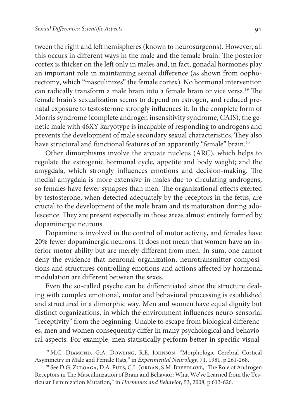tween the right and left hemispheres (known to neurosurgeons). However, all this occurs in different ways in the male and the female brain. The posterior cortex is thicker on the left only in males and, in fact, gonadal hormones play an important role in maintaining sexual difference (as shown from oophorectomy, which "masculinizes" the female cortex). No hormonal intervention can radically transform a male brain into a female brain or vice versa.<sup>19</sup> The female brain's sexualization seems to depend on estrogen, and reduced prenatal exposure to testosterone strongly influences it. In the complete form of Morris syndrome (complete androgen insensitivity syndrome, CAIS), the genetic male with 46XY karyotype is incapable of responding to androgens and prevents the development of male secondary sexual characteristics. They also have structural and functional features of an apparently "female" brain.<sup>20</sup>

Other dimorphisms involve the arcuate nucleus (ARC), which helps to regulate the estrogenic hormonal cycle, appetite and body weight; and the amygdala, which strongly influences emotions and decision-making. The medial amygdala is more extensive in males due to circulating androgens, so females have fewer synapses than men. The organizational effects exerted by testosterone, when detected adequately by the receptors in the fetus, are crucial to the development of the male brain and its maturation during adolescence. They are present especially in those areas almost entirely formed by dopaminergic neurons.

Dopamine is involved in the control of motor activity, and females have 20% fewer dopaminergic neurons. It does not mean that women have an inferior motor ability but are merely different from men. In sum, one cannot deny the evidence that neuronal organization, neurotransmitter compositions and structures controlling emotions and actions affected by hormonal modulation are different between the sexes.

Even the so-called psyche can be differentiated since the structure dealing with complex emotional, motor and behavioral processing is established and structured in a dimorphic way. Men and women have equal dignity but distinct organizations, in which the environment influences neuro-sensorial "receptivity" from the beginning. Unable to escape from biological differences, men and women consequently differ in many psychological and behavioral aspects. For example, men statistically perform better in specific visual-

<sup>&</sup>lt;sup>19</sup> M.C. DIAMOND, G.A. DOWLING, R.E. JOHNSON, "Morphologic Cerebral Cortical Asymmetry in Male and Female Rats," in Experimental Neurology, 71, 1981, p.261-268.

<sup>&</sup>lt;sup>20</sup> See D.G. ZULOAGA, D.A. PUTS, C.L. JORDAN, S.M. BREEDLOVE, "The Role of Androgen Receptors in The Masculinization of Brain and Behavior: What We've Learned from the Testicular Feminization Mutation," in Hormones and Behavior, 53, 2008, p.613-626.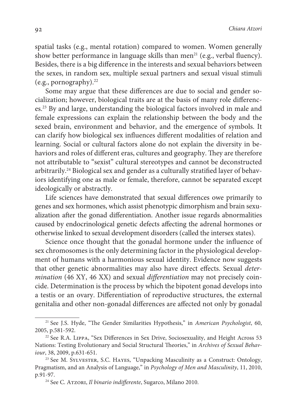spatial tasks (e.g., mental rotation) compared to women. Women generally show better performance in language skills than men<sup>21</sup> (e.g., verbal fluency). Besides, there is a big difference in the interests and sexual behaviors between the sexes, in random sex, multiple sexual partners and sexual visual stimuli (e.g., pornography). $^{22}$ 

Some may argue that these differences are due to social and gender socialization; however, biological traits are at the basis of many role differences.<sup>23</sup> By and large, understanding the biological factors involved in male and female expressions can explain the relationship between the body and the sexed brain, environment and behavior, and the emergence of symbols. It can clarify how biological sex influences different modalities of relation and learning. Social or cultural factors alone do not explain the diversity in behaviors and roles of different eras, cultures and geography. They are therefore not attributable to "sexist" cultural stereotypes and cannot be deconstructed arbitrarily.24 Biological sex and gender as a culturally stratified layer of behaviors identifying one as male or female, therefore, cannot be separated except ideologically or abstractly.

Life sciences have demonstrated that sexual differences owe primarily to genes and sex hormones, which assist phenotypic dimorphism and brain sexualization after the gonad differentiation. Another issue regards abnormalities caused by endocrinological genetic defects affecting the adrenal hormones or otherwise linked to sexual development disorders (called the intersex states).

Science once thought that the gonadal hormone under the influence of sex chromosomes is the only determining factor in the physiological development of humans with a harmonious sexual identity. Evidence now suggests that other genetic abnormalities may also have direct effects. Sexual determination (46 XY, 46 XX) and sexual differentiation may not precisely coincide. Determination is the process by which the bipotent gonad develops into a testis or an ovary. Differentiation of reproductive structures, the external genitalia and other non-gonadal differences are affected not only by gonadal

<sup>&</sup>lt;sup>21</sup> See J.S. Hyde, "The Gender Similarities Hypothesis," in American Psychologist, 60, 2005, p.581-592.

<sup>22</sup> See R.A. Lippa, "Sex Differences in Sex Drive, Sociosexuality, and Height Across 53 Nations: Testing Evolutionary and Social Structural Theories," in Archives of Sexual Behaviour, 38, 2009, p.631-651.

<sup>&</sup>lt;sup>23</sup> See M. SYLVESTER, S.C. HAYES, "Unpacking Masculinity as a Construct: Ontology, Pragmatism, and an Analysis of Language," in Psychology of Men and Masculinity, 11, 2010, p.91-97.

<sup>&</sup>lt;sup>24</sup> See C. ATZORI, Il binario indifferente, Sugarco, Milano 2010.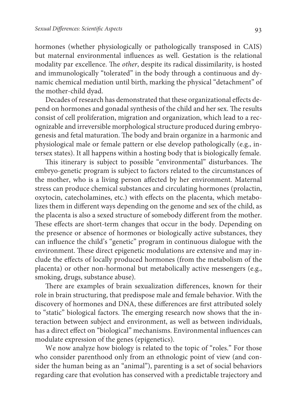hormones (whether physiologically or pathologically transposed in CAIS) but maternal environmental influences as well. Gestation is the relational modality par excellence. The other, despite its radical dissimilarity, is hosted and immunologically "tolerated" in the body through a continuous and dynamic chemical mediation until birth, marking the physical "detachment" of the mother-child dyad.

Decades of research has demonstrated that these organizational effects depend on hormones and gonadal synthesis of the child and her sex. The results consist of cell proliferation, migration and organization, which lead to a recognizable and irreversible morphological structure produced during embryogenesis and fetal maturation. The body and brain organize in a harmonic and physiological male or female pattern or else develop pathologically (e.g., intersex states). It all happens within a hosting body that is biologically female.

This itinerary is subject to possible "environmental" disturbances. The embryo-genetic program is subject to factors related to the circumstances of the mother, who is a living person affected by her environment. Maternal stress can produce chemical substances and circulating hormones (prolactin, oxytocin, catecholamines, etc.) with effects on the placenta, which metabolizes them in different ways depending on the genome and sex of the child, as the placenta is also a sexed structure of somebody different from the mother. These effects are short-term changes that occur in the body. Depending on the presence or absence of hormones or biologically active substances, they can influence the child's "genetic" program in continuous dialogue with the environment. These direct epigenetic modulations are extensive and may include the effects of locally produced hormones (from the metabolism of the placenta) or other non-hormonal but metabolically active messengers (e.g., smoking, drugs, substance abuse).

There are examples of brain sexualization differences, known for their role in brain structuring, that predispose male and female behavior. With the discovery of hormones and DNA, these differences are first attributed solely to "static" biological factors. The emerging research now shows that the interaction between subject and environment, as well as between individuals, has a direct effect on "biological" mechanisms. Environmental influences can modulate expression of the genes (epigenetics).

We now analyze how biology is related to the topic of "roles." For those who consider parenthood only from an ethnologic point of view (and consider the human being as an "animal"), parenting is a set of social behaviors regarding care that evolution has conserved with a predictable trajectory and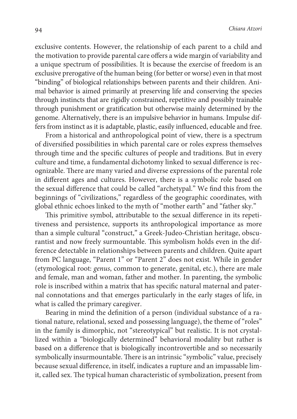exclusive contents. However, the relationship of each parent to a child and the motivation to provide parental care offers a wide margin of variability and a unique spectrum of possibilities. It is because the exercise of freedom is an exclusive prerogative of the human being (for better or worse) even in that most "binding" of biological relationships between parents and their children. Animal behavior is aimed primarily at preserving life and conserving the species through instincts that are rigidly constrained, repetitive and possibly trainable through punishment or gratification but otherwise mainly determined by the genome. Alternatively, there is an impulsive behavior in humans. Impulse differs from instinct as it is adaptable, plastic, easily influenced, educable and free.

From a historical and anthropological point of view, there is a spectrum of diversified possibilities in which parental care or roles express themselves through time and the specific cultures of people and traditions. But in every culture and time, a fundamental dichotomy linked to sexual difference is recognizable. There are many varied and diverse expressions of the parental role in different ages and cultures. However, there is a symbolic role based on the sexual difference that could be called "archetypal." We find this from the beginnings of "civilizations," regardless of the geographic coordinates, with global ethnic echoes linked to the myth of "mother earth" and "father sky."

This primitive symbol, attributable to the sexual difference in its repetitiveness and persistence, supports its anthropological importance as more than a simple cultural "construct," a Greek-Judeo-Christian heritage, obscurantist and now freely surmountable. This symbolism holds even in the difference detectable in relationships between parents and children. Quite apart from PC language, "Parent 1" or "Parent 2" does not exist. While in gender (etymological root: genus, common to generate, genital, etc.), there are male and female, man and woman, father and mother. In parenting, the symbolic role is inscribed within a matrix that has specific natural maternal and paternal connotations and that emerges particularly in the early stages of life, in what is called the primary caregiver.

Bearing in mind the definition of a person (individual substance of a rational nature, relational, sexed and possessing language), the theme of "roles" in the family is dimorphic, not "stereotypical" but realistic. It is not crystallized within a "biologically determined" behavioral modality but rather is based on a difference that is biologically incontrovertible and so necessarily symbolically insurmountable. There is an intrinsic "symbolic" value, precisely because sexual difference, in itself, indicates a rupture and an impassable limit, called sex. The typical human characteristic of symbolization, present from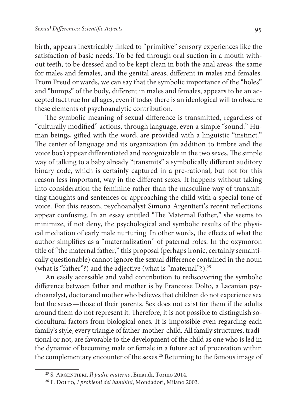birth, appears inextricably linked to "primitive" sensory experiences like the satisfaction of basic needs. To be fed through oral suction in a mouth without teeth, to be dressed and to be kept clean in both the anal areas, the same for males and females, and the genital areas, different in males and females. From Freud onwards, we can say that the symbolic importance of the "holes" and "bumps" of the body, different in males and females, appears to be an accepted fact true for all ages, even if today there is an ideological will to obscure these elements of psychoanalytic contribution.

The symbolic meaning of sexual difference is transmitted, regardless of "culturally modified" actions, through language, even a simple "sound." Human beings, gifted with the word, are provided with a linguistic "instinct." The center of language and its organization (in addition to timbre and the voice box) appear differentiated and recognizable in the two sexes. The simple way of talking to a baby already "transmits" a symbolically different auditory binary code, which is certainly captured in a pre-rational, but not for this reason less important, way in the different sexes. It happens without taking into consideration the feminine rather than the masculine way of transmitting thoughts and sentences or approaching the child with a special tone of voice. For this reason, psychoanalyst Simona Argentieri's recent reflections appear confusing. In an essay entitled "The Maternal Father," she seems to minimize, if not deny, the psychological and symbolic results of the physical mediation of early male nurturing. In other words, the effects of what the author simplifies as a "maternalization" of paternal roles. In the oxymoron title of "the maternal father," this proposal (perhaps ironic, certainly semantically questionable) cannot ignore the sexual difference contained in the noun (what is "father"?) and the adjective (what is "maternal"?).<sup>25</sup>

An easily accessible and valid contribution to rediscovering the symbolic difference between father and mother is by Francoise Dolto, a Lacanian psychoanalyst, doctor and mother who believes that children do not experience sex but the sexes—those of their parents. Sex does not exist for them if the adults around them do not represent it. Therefore, it is not possible to distinguish sociocultural factors from biological ones. It is impossible even regarding each family's style, every triangle of father-mother-child. All family structures, traditional or not, are favorable to the development of the child as one who is led in the dynamic of becoming male or female in a future act of procreation within the complementary encounter of the sexes.<sup>26</sup> Returning to the famous image of

<sup>&</sup>lt;sup>25</sup> S. ARGENTIERI, Il padre materno, Einaudi, Torino 2014.

<sup>&</sup>lt;sup>26</sup> F. DOLTO, I problemi dei bambini, Mondadori, Milano 2003.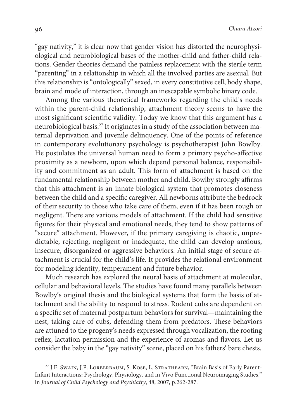"gay nativity," it is clear now that gender vision has distorted the neurophysiological and neurobiological bases of the mother-child and father-child relations. Gender theories demand the painless replacement with the sterile term "parenting" in a relationship in which all the involved parties are asexual. But this relationship is "ontologically" sexed, in every constitutive cell, body shape, brain and mode of interaction, through an inescapable symbolic binary code.

Among the various theoretical frameworks regarding the child's needs within the parent-child relationship, attachment theory seems to have the most significant scientific validity. Today we know that this argument has a neurobiological basis.27 It originates in a study of the association between maternal deprivation and juvenile delinquency. One of the points of reference in contemporary evolutionary psychology is psychotherapist John Bowlby. He postulates the universal human need to form a primary psycho-affective proximity as a newborn, upon which depend personal balance, responsibility and commitment as an adult. This form of attachment is based on the fundamental relationship between mother and child. Bowlby strongly affirms that this attachment is an innate biological system that promotes closeness between the child and a specific caregiver. All newborns attribute the bedrock of their security to those who take care of them, even if it has been rough or negligent. There are various models of attachment. If the child had sensitive figures for their physical and emotional needs, they tend to show patterns of "secure" attachment. However, if the primary caregiving is chaotic, unpredictable, rejecting, negligent or inadequate, the child can develop anxious, insecure, disorganized or aggressive behaviors. An initial stage of secure attachment is crucial for the child's life. It provides the relational environment for modeling identity, temperament and future behavior.

Much research has explored the neural basis of attachment at molecular, cellular and behavioral levels. The studies have found many parallels between Bowlby's original thesis and the biological systems that form the basis of attachment and the ability to respond to stress. Rodent cubs are dependent on a specific set of maternal postpartum behaviors for survival—maintaining the nest, taking care of cubs, defending them from predators. These behaviors are attuned to the progeny's needs expressed through vocalization, the rooting reflex, lactation permission and the experience of aromas and flavors. Let us consider the baby in the "gay nativity" scene, placed on his fathers' bare chests.

<sup>&</sup>lt;sup>27</sup> J.E. SWAIN, J.P. LORBERBAUM, S. KOSE, L. STRATHEARN, "Brain Basis of Early Parent-Infant Interactions: Psychology, Physiology, and in Vivo Functional Neuroimaging Studies," in Journal of Child Psychology and Psychiatry, 48, 2007, p.262-287.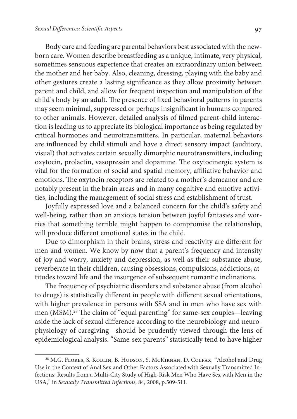Body care and feeding are parental behaviors best associated with the newborn care. Women describe breastfeeding as a unique, intimate, very physical, sometimes sensuous experience that creates an extraordinary union between the mother and her baby. Also, cleaning, dressing, playing with the baby and other gestures create a lasting significance as they allow proximity between parent and child, and allow for frequent inspection and manipulation of the child's body by an adult. The presence of fixed behavioral patterns in parents may seem minimal, suppressed or perhaps insignificant in humans compared to other animals. However, detailed analysis of filmed parent-child interaction is leading us to appreciate its biological importance as being regulated by critical hormones and neurotransmitters. In particular, maternal behaviors are influenced by child stimuli and have a direct sensory impact (auditory, visual) that activates certain sexually dimorphic neurotransmitters, including oxytocin, prolactin, vasopressin and dopamine. The oxytocinergic system is vital for the formation of social and spatial memory, affiliative behavior and emotions. The oxytocin receptors are related to a mother's demeanor and are notably present in the brain areas and in many cognitive and emotive activities, including the management of social stress and establishment of trust.

Joyfully expressed love and a balanced concern for the child's safety and well-being, rather than an anxious tension between joyful fantasies and worries that something terrible might happen to compromise the relationship, will produce different emotional states in the child.

Due to dimorphism in their brains, stress and reactivity are different for men and women. We know by now that a parent's frequency and intensity of joy and worry, anxiety and depression, as well as their substance abuse, reverberate in their children, causing obsessions, compulsions, addictions, attitudes toward life and the insurgence of subsequent romantic inclinations.

The frequency of psychiatric disorders and substance abuse (from alcohol to drugs) is statistically different in people with different sexual orientations, with higher prevalence in persons with SSA and in men who have sex with men (MSM).<sup>28</sup> The claim of "equal parenting" for same-sex couples—leaving aside the lack of sexual difference according to the neurobiology and neurophysiology of caregiving—should be prudently viewed through the lens of epidemiological analysis. "Same-sex parents" statistically tend to have higher

<sup>&</sup>lt;sup>28</sup> M.G. FLORES, S. KOBLIN, B. HUDSON, S. MCKIRNAN, D. COLFAX, "Alcohol and Drug Use in the Context of Anal Sex and Other Factors Associated with Sexually Transmitted Infections: Results from a Multi-City Study of High-Risk Men Who Have Sex with Men in the USA," in Sexually Transmitted Infections, 84, 2008, p.509-511.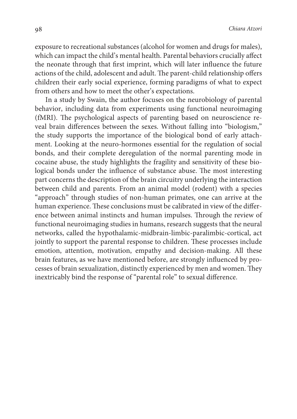exposure to recreational substances (alcohol for women and drugs for males), which can impact the child's mental health. Parental behaviors crucially affect the neonate through that first imprint, which will later influence the future actions of the child, adolescent and adult. The parent-child relationship offers children their early social experience, forming paradigms of what to expect from others and how to meet the other's expectations.

In a study by Swain, the author focuses on the neurobiology of parental behavior, including data from experiments using functional neuroimaging (fMRI). The psychological aspects of parenting based on neuroscience reveal brain differences between the sexes. Without falling into "biologism," the study supports the importance of the biological bond of early attachment. Looking at the neuro-hormones essential for the regulation of social bonds, and their complete deregulation of the normal parenting mode in cocaine abuse, the study highlights the fragility and sensitivity of these biological bonds under the influence of substance abuse. The most interesting part concerns the description of the brain circuitry underlying the interaction between child and parents. From an animal model (rodent) with a species "approach" through studies of non-human primates, one can arrive at the human experience. These conclusions must be calibrated in view of the difference between animal instincts and human impulses. Through the review of functional neuroimaging studies in humans, research suggests that the neural networks, called the hypothalamic-midbrain-limbic-paralimbic-cortical, act jointly to support the parental response to children. These processes include emotion, attention, motivation, empathy and decision-making. All these brain features, as we have mentioned before, are strongly influenced by processes of brain sexualization, distinctly experienced by men and women. They inextricably bind the response of "parental role" to sexual difference.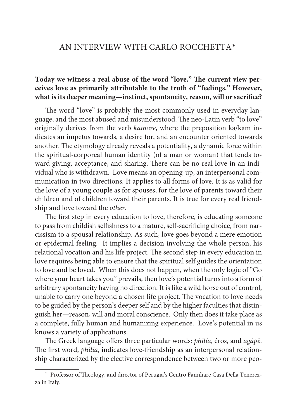## AN INTERVIEW WITH CARLO ROCCHETTA\*

## **Today we witness a real abuse of the word "love." The current view perceives love as primarily attributable to the truth of "feelings." However, what is its deeper meaning—instinct, spontaneity, reason, will or sacrifice?**

The word "love" is probably the most commonly used in everyday language, and the most abused and misunderstood. The neo-Latin verb "to love" originally derives from the verb kamare, where the preposition ka/kam indicates an impetus towards, a desire for, and an encounter oriented towards another. The etymology already reveals a potentiality, a dynamic force within the spiritual-corporeal human identity (of a man or woman) that tends toward giving, acceptance, and sharing. There can be no real love in an individual who is withdrawn. Love means an opening-up, an interpersonal communication in two directions. It applies to all forms of love. It is as valid for the love of a young couple as for spouses, for the love of parents toward their children and of children toward their parents. It is true for every real friendship and love toward the other.

The first step in every education to love, therefore, is educating someone to pass from childish selfishness to a mature, self-sacrificing choice, from narcissism to a spousal relationship. As such, love goes beyond a mere emotion or epidermal feeling. It implies a decision involving the whole person, his relational vocation and his life project. The second step in every education in love requires being able to ensure that the spiritual self guides the orientation to love and be loved. When this does not happen, when the only logic of "Go where your heart takes you" prevails, then love's potential turns into a form of arbitrary spontaneity having no direction. It is like a wild horse out of control, unable to carry one beyond a chosen life project. The vocation to love needs to be guided by the person's deeper self and by the higher faculties that distinguish her—reason, will and moral conscience. Only then does it take place as a complete, fully human and humanizing experience. Love's potential in us knows a variety of applications.

The Greek language offers three particular words: philía, éros, and agápē. The first word, philía, indicates love-friendship as an interpersonal relationship characterized by the elective correspondence between two or more peo-

<sup>\*</sup> Professor of Theology, and director of Perugia's Centro Familiare Casa Della Tenerezza in Italy.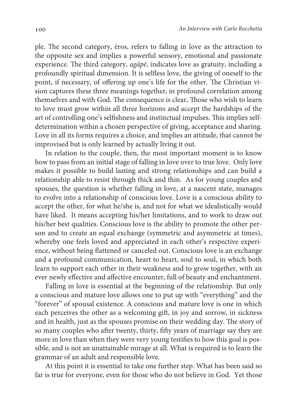ple. The second category, éros, refers to falling in love as the attraction to the opposite sex and implies a powerful sensory, emotional and passionate experience. The third category, agápē, indicates love as gratuity, including a profoundly spiritual dimension. It is selfless love, the giving of oneself to the point, if necessary, of offering up one's life for the other. The Christian vision captures these three meanings together, in profound correlation among themselves and with God. The consequence is clear**.** Those who wish to learn to love must grow within all three horizons and accept the hardships of the art of controlling one's selfishness and instinctual impulses. This implies selfdetermination within a chosen perspective of giving, acceptance and sharing. Love in all its forms requires a choice, and implies an attitude, that cannot be improvised but is only learned by actually living it out.

In relation to the couple, then, the most important moment is to know how to pass from an initial stage of falling in love over to true love. Only love makes it possible to build lasting and strong relationships and can build a relationship able to resist through thick and thin. As for young couples and spouses, the question is whether falling in love, at a nascent state, manages to evolve into a relationship of conscious love. Love is a conscious ability to accept the other, for what he/she is, and not for what we idealistically would have liked. It means accepting his/her limitations, and to work to draw out his/her best qualities. Conscious love is the ability to promote the other person and to create an equal exchange (symmetric and asymmetric at times), whereby one feels loved and appreciated in each other's respective experience, without being flattened or canceled out. Conscious love is an exchange and a profound communication, heart to heart, soul to soul, in which both learn to support each other in their weakness and to grow together, with an ever newly effective and affective encounter, full of beauty and enchantment.

Falling in love is essential at the beginning of the relationship. But only a conscious and mature love allows one to put up with "everything" and the "forever" of spousal existence. A conscious and mature love is one in which each perceives the other as a welcoming gift, in joy and sorrow, in sickness and in health, just as the spouses promise on their wedding day. The story of so many couples who after twenty, thirty, fifty years of marriage say they are more in love than when they were very young testifies to how this goal is possible, and is not an unattainable mirage at all. What is required is to learn the grammar of an adult and responsible love.

At this point it is essential to take one further step. What has been said so far is true for everyone, even for those who do not believe in God. Yet those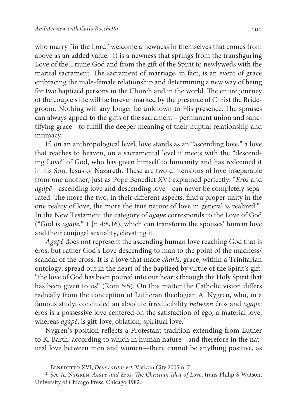who marry "in the Lord" welcome a newness in themselves that comes from above as an added value. It is a newness that springs from the transfiguring Love of the Triune God and from the gift of the Spirit to newlyweds with the marital sacrament. The sacrament of marriage, in fact, is an event of grace embracing the male-female relationship and determining a new way of being for two baptized persons in the Church and in the world. The entire journey of the couple's life will be forever marked by the presence of Christ the Bridegroom. Nothing will any longer be unknown to His presence. The spouses can always appeal to the gifts of the sacrament—permanent union and sanctifying grace—to fulfill the deeper meaning of their nuptial relationship and intimacy.

If, on an anthropological level, love stands as an "ascending love," a love that reaches to heaven, on a sacramental level it meets with the "descending Love" of God, who has given himself to humanity and has redeemed it in his Son, Jesus of Nazareth. These are two dimensions of love inseparable from one another, just as Pope Benedict XVI explained perfectly: "Eros and agápē—ascending love and descending love—can never be completely separated. The more the two, in their different aspects, find a proper unity in the one reality of love, the more the true nature of love in general is realized."<sup>1</sup> In the New Testament the category of agape corresponds to the Love of God ("God is agápē," 1 Jn 4:8,16), which can transform the spouses' human love and their conjugal sexuality, elevating it.

Agápē does not represent the ascending human love reaching God that is éros, but rather God's Love descending to man to the point of the madness/ scandal of the cross. It is a love that made charis, grace, within a Trinitarian ontology, spread out in the heart of the baptized by virtue of the Spirit's gift: "the love of God has been poured into our hearts through the Holy Spirit that has been given to us" (Rom 5:5). On this matter the Catholic vision differs radically from the conception of Lutheran theologian A. Nygren, who, in a famous study, concluded an absolute irreducibility between éros and agápē: éros is a possessive love centered on the satisfaction of ego, a material love, whereas agápē, is gift-love, oblation, spiritual love.<sup>2</sup>

Nygren's position reflects a Protestant tradition extending from Luther to K. Barth, according to which in human nature—and therefore in the natural love between men and women—there cannot be anything positive, as

<sup>&</sup>lt;sup>1</sup> BENEDETTO XVI, Deus caritas est, Vatican City 2005 n. 7.

<sup>&</sup>lt;sup>2</sup> See A. Nygren, Agape and Eros: The Christian Idea of Love, trans Philip S Watson, University of Chicago Press, Chicago 1982.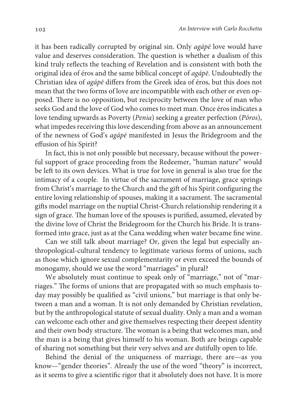it has been radically corrupted by original sin. Only agápē love would have value and deserves consideration. The question is whether a dualism of this kind truly reflects the teaching of Revelation and is consistent with both the original idea of éros and the same biblical concept of agápē. Undoubtedly the Christian idea of agápē differs from the Greek idea of éros, but this does not mean that the two forms of love are incompatible with each other or even opposed. There is no opposition, but reciprocity between the love of man who seeks God and the love of God who comes to meet man. Once éros indicates a love tending upwards as Poverty (Penia) seeking a greater perfection (Póros), what impedes receiving this love descending from above as an announcement of the newness of God's agápē manifested in Jesus the Bridegroom and the effusion of his Spirit?

In fact, this is not only possible but necessary, because without the powerful support of grace proceeding from the Redeemer, "human nature" would be left to its own devices. What is true for love in general is also true for the intimacy of a couple. In virtue of the sacrament of marriage, grace springs from Christ's marriage to the Church and the gift of his Spirit configuring the entire loving relationship of spouses, making it a sacrament. The sacramental gifts model marriage on the nuptial Christ-Church relationship rendering it a sign of grace. The human love of the spouses is purified, assumed, elevated by the divine love of Christ the Bridegroom for the Church his Bride. It is transformed into grace, just as at the Cana wedding when water became fine wine.

Can we still talk about marriage? Or, given the legal but especially anthropological-cultural tendency to legitimate various forms of unions, such as those which ignore sexual complementarity or even exceed the bounds of monogamy, should we use the word "marriages" in plural?

We absolutely must continue to speak only of "marriage," not of "marriages." The forms of unions that are propagated with so much emphasis today may possibly be qualified as "civil unions," but marriage is that only between a man and a woman. It is not only demanded by Christian revelation, but by the anthropological statute of sexual duality. Only a man and a woman can welcome each other and give themselves respecting their deepest identity and their own body structure. The woman is a being that welcomes man, and the man is a being that gives himself to his woman. Both are beings capable of sharing not something but their very selves and are dutifully open to life.

Behind the denial of the uniqueness of marriage, there are—as you know—"gender theories". Already the use of the word "theory" is incorrect, as it seems to give a scientific rigor that it absolutely does not have. It is more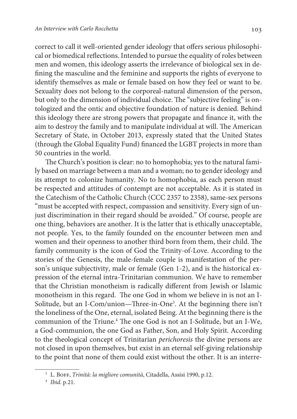correct to call it well-oriented gender ideology that offers serious philosophical or biomedical reflections. Intended to pursue the equality of roles between men and women, this ideology asserts the irrelevance of biological sex in defining the masculine and the feminine and supports the rights of everyone to identify themselves as male or female based on how they feel or want to be. Sexuality does not belong to the corporeal-natural dimension of the person, but only to the dimension of individual choice. The "subjective feeling" is ontologized and the ontic and objective foundation of nature is denied. Behind this ideology there are strong powers that propagate and finance it, with the aim to destroy the family and to manipulate individual at will. The American Secretary of State, in October 2013, expressly stated that the United States (through the Global Equality Fund) financed the LGBT projects in more than 50 countries in the world.

The Church's position is clear: no to homophobia; yes to the natural family based on marriage between a man and a woman; no to gender ideology and its attempt to colonize humanity. No to homophobia, as each person must be respected and attitudes of contempt are not acceptable. As it is stated in the Catechism of the Catholic Church (CCC 2357 to 2358), same-sex persons "must be accepted with respect, compassion and sensitivity. Every sign of unjust discrimination in their regard should be avoided." Of course, people are one thing, behaviors are another. It is the latter that is ethically unacceptable, not people. Yes, to the family founded on the encounter between men and women and their openness to another third born from them, their child. The family community is the icon of God the Trinity-of-Love. According to the stories of the Genesis, the male-female couple is manifestation of the person's unique subjectivity, male or female (Gen 1-2), and is the historical expression of the eternal intra-Trinitarian communion. We have to remember that the Christian monotheism is radically different from Jewish or Islamic monotheism in this regard. The one God in whom we believe in is not an I-Solitude, but an I-Com/union—Three-in-One<sup>3</sup> . At the beginning there isn't the loneliness of the One, eternal, isolated Being. At the beginning there is the communion of the Triune.<sup>4</sup> The one God is not an I-Solitude, but an I-We, a God-communion, the one God as Father, Son, and Holy Spirit. According to the theological concept of Trinitarian perichoresis the divine persons are not closed in upon themselves, but exist in an eternal self-giving relationship to the point that none of them could exist without the other. It is an interre-

<sup>&</sup>lt;sup>3</sup> L. BOFF, Trinità: la migliore comunità, Citadella, Assisi 1990, p.12.

<sup>4</sup> Ibid. p.21.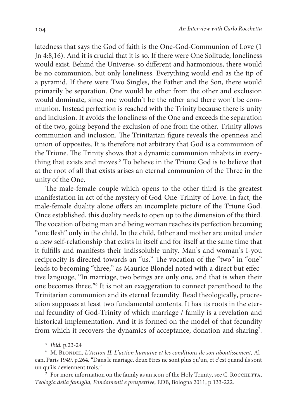latedness that says the God of faith is the One-God-Communion of Love (1 Jn 4:8,16). And it is crucial that it is so. If there were One Solitude, loneliness would exist. Behind the Universe, so different and harmonious, there would be no communion, but only loneliness. Everything would end as the tip of a pyramid. If there were Two Singles, the Father and the Son, there would primarily be separation. One would be other from the other and exclusion would dominate, since one wouldn't be the other and there won't be communion. Instead perfection is reached with the Trinity because there is unity and inclusion. It avoids the loneliness of the One and exceeds the separation of the two, going beyond the exclusion of one from the other. Trinity allows communion and inclusion. The Trinitarian figure reveals the openness and union of opposites. It is therefore not arbitrary that God is a communion of the Triune. The Trinity shows that a dynamic communion inhabits in everything that exists and moves.<sup>5</sup> To believe in the Triune God is to believe that at the root of all that exists arises an eternal communion of the Three in the unity of the One.

The male-female couple which opens to the other third is the greatest manifestation in act of the mystery of God-One-Trinity-of-Love. In fact, the male-female duality alone offers an incomplete picture of the Triune God. Once established, this duality needs to open up to the dimension of the third. The vocation of being man and being woman reaches its perfection becoming "one flesh" only in the child. In the child, father and mother are united under a new self-relationship that exists in itself and for itself at the same time that it fulfills and manifests their indissoluble unity. Man's and woman's I-you reciprocity is directed towards an "us." The vocation of the "two" in "one" leads to becoming "three," as Maurice Blondel noted with a direct but effective language, "In marriage, two beings are only one, and that is when their one becomes three."<sup>6</sup> It is not an exaggeration to connect parenthood to the Trinitarian communion and its eternal fecundity. Read theologically, procreation supposes at least two fundamental contents. It has its roots in the eternal fecundity of God-Trinity of which marriage / family is a revelation and historical implementation. And it is formed on the model of that fecundity from which it recovers the dynamics of acceptance, donation and sharing<sup>7</sup>.

<sup>&</sup>lt;sup>5</sup> Ibid. p.23-24

 $6$  M. BLONDEL, L'Action II, L'action humaine et les conditions de son aboutissement, Alcan, Paris 1949, p.264. "Dans le mariage, deux êtres ne sont plus qu'un, et c'est quand ils sont un qu'ils deviennent trois."

 $7$  For more information on the family as an icon of the Holy Trinity, see C. ROCCHETTA, Teologia della famiglia, Fondamenti e prospettive, EDB, Bologna 2011, p.133-222.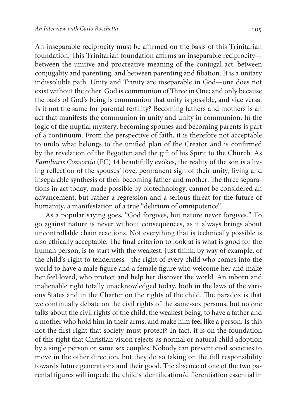An inseparable reciprocity must be affirmed on the basis of this Trinitarian foundation. This Trinitarian foundation affirms an inseparable reciprocity—

between the unitive and procreative meaning of the conjugal act, between conjugality and parenting, and between parenting and filiation. It is a unitary indissoluble path. Unity and Trinity are inseparable in God—one does not exist without the other. God is communion of Three in One; and only because the basis of God's being is communion that unity is possible, and vice versa. Is it not the same for parental fertility? Becoming fathers and mothers is an act that manifests the communion in unity and unity in communion. In the logic of the nuptial mystery, becoming spouses and becoming parents is part of a continuum. From the perspective of faith, it is therefore not acceptable to undo what belongs to the unified plan of the Creator and is confirmed by the revelation of the Begotten and the gift of his Spirit to the Church. As Familiaris Consortio (FC) 14 beautifully evokes, the reality of the son is a living reflection of the spouses' love, permanent sign of their unity, living and inseparable synthesis of their becoming father and mother. The three separations in act today, made possible by biotechnology, cannot be considered an advancement, but rather a regression and a serious threat for the future of humanity, a manifestation of a true "delirium of omnipotence".

As a popular saying goes, "God forgives, but nature never forgives." To go against nature is never without consequences, as it always brings about uncontrollable chain reactions. Not everything that is technically possible is also ethically acceptable. The final criterion to look at is what is good for the human person, is to start with the weakest. Just think, by way of example, of the child's right to tenderness—the right of every child who comes into the world to have a male figure and a female figure who welcome her and make her feel loved, who protect and help her discover the world. An inborn and inalienable right totally unacknowledged today, both in the laws of the various States and in the Charter on the rights of the child. The paradox is that we continually debate on the civil rights of the same-sex persons, but no one talks about the civil rights of the child, the weakest being, to have a father and a mother who hold him in their arms, and make him feel like a person. Is this not the first right that society must protect? In fact, it is on the foundation of this right that Christian vision rejects as normal or natural child adoption by a single person or same sex couples. Nobody can prevent civil societies to move in the other direction, but they do so taking on the full responsibility towards future generations and their good. The absence of one of the two parental figures will impede the child's identification/differentiation essential in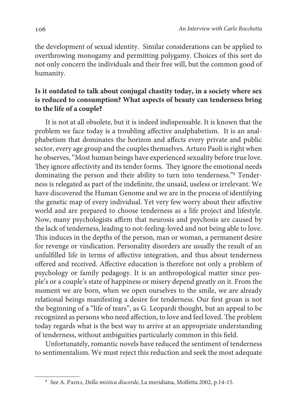the development of sexual identity. Similar considerations can be applied to overthrowing monogamy and permitting polygamy. Choices of this sort do not only concern the individuals and their free will, but the common good of humanity.

## **Is it outdated to talk about conjugal chastity today, in a society where sex is reduced to consumption? What aspects of beauty can tenderness bring to the life of a couple?**

It is not at all obsolete, but it is indeed indispensable. It is known that the problem we face today is a troubling affective analphabetism. It is an analphabetism that dominates the horizon and affects every private and public sector, every age group and the couples themselves. Arturo Paoli is right when he observes, "Most human beings have experienced sexuality before true love. They ignore affectivity and its tender forms. They ignore the emotional needs dominating the person and their ability to turn into tenderness."<sup>8</sup> Tenderness is relegated as part of the indefinite, the unsaid, useless or irrelevant. We have discovered the Human Genome and we are in the process of identifying the genetic map of every individual. Yet very few worry about their affective world and are prepared to choose tenderness as a life project and lifestyle. Now, many psychologists affirm that neurosis and psychosis are caused by the lack of tenderness, leading to not-feeling-loved and not being able to love. This induces in the depths of the person, man or woman, a permanent desire for revenge or vindication. Personality disorders are usually the result of an unfulfilled life in terms of affective integration, and thus about tenderness offered and received. Affective education is therefore not only a problem of psychology or family pedagogy. It is an anthropological matter since people's or a couple's state of happiness or misery depend greatly on it. From the moment we are born, when we open ourselves to the smile, we are already relational beings manifesting a desire for tenderness. Our first groan is not the beginning of a "life of tears", as G. Leopardi thought, but an appeal to be recognized as persons who need affection, to love and feel loved. The problem today regards what is the best way to arrive at an appropriate understanding of tenderness, without ambiguities particularly common in this field.

Unfortunately, romantic novels have reduced the sentiment of tenderness to sentimentalism. We must reject this reduction and seek the most adequate

<sup>8</sup> See A. Paoli, Della mistica discorde, La meridiana, Molfetta 2002, p.14-15.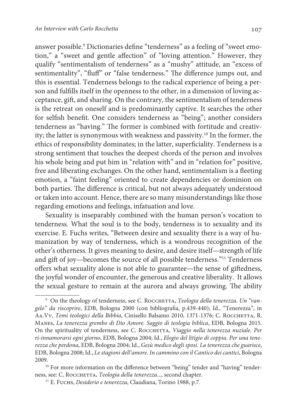answer possible.<sup>9</sup> Dictionaries define "tenderness" as a feeling of "sweet emotion," a "sweet and gentle affection" of "loving attention." However, they qualify "sentimentalism of tenderness" as a "mushy" attitude, an "excess of sentimentality", "fluff" or "false tenderness." The difference jumps out, and this is essential. Tenderness belongs to the radical experience of being a person and fulfills itself in the openness to the other, in a dimension of loving acceptance, gift, and sharing. On the contrary, the sentimentalism of tenderness is the retreat on oneself and is predominantly captive. It searches the other for selfish benefit. One considers tenderness as "being"; another considers tenderness as "having." The former is combined with fortitude and creativity; the latter is synonymous with weakness and passivity.<sup>10</sup> In the former, the ethics of responsibility dominates; in the latter, superficiality. Tenderness is a strong sentiment that touches the deepest chords of the person and involves his whole being and put him in "relation with" and in "relation for" positive, free and liberating exchanges. On the other hand, sentimentalism is a fleeting emotion, a "faint feeling" oriented to create dependencies or dominion on both parties. The difference is critical, but not always adequately understood or taken into account. Hence, there are so many misunderstandings like those regarding emotions and feelings, infatuation and love.

Sexuality is inseparably combined with the human person's vocation to tenderness. What the soul is to the body, tenderness is to sexuality and its exercise. E. Fuchs writes, "Between desire and sexuality there is a way of humanization by way of tenderness, which is a wondrous recognition of the other's otherness. It gives meaning to desire, and desire itself—strength of life and gift of joy—becomes the source of all possible tenderness."<sup>11</sup> Tenderness offers what sexuality alone is not able to guarantee—the sense of giftedness, the joyful wonder of encounter, the generous and creative liberality. It allows the sexual gesture to remain at the aurora and always growing. The ability

<sup>&</sup>lt;sup>9</sup> On the theology of tenderness, see C. ROCCHETTA, Teologia della tenerezza. Un "vangelo" da riscoprire, EDB, Bologna 2000 (con bibliografia, p.439-440); Id., "Tenerezza", in AA.Vv, Temi teologici della Bibbia, Cinisello Balsamo 2010, 1371-1376; C. ROCCHETTA, R. Manes, La tenerezza grembo di Dio Amore. Saggio di teologia biblica, EDB, Bologna 2015. On the spirituality of tenderness, see C. ROCCHETTA, Viaggio nella tenerezza nuziale. Per ri-innamorarsi ogni giorno, EDB, Bologna 2004; Id., Elogio del litigio di coppia. Per una tenerezza che perdona, EDB, Bologna 2004; Id., Gesù medico degli sposi. La tenerezza che guarisce, EDB, Bologna 2008; Id., Le stagioni dell'amore. In cammino con il Cantico dei cantici, Bologna 2009.

<sup>&</sup>lt;sup>10</sup> For more information on the difference between "being" tender and "having" tenderness, see: C. ROCCHETTA, Teologia della tenerezza..., second chapter.

<sup>&</sup>lt;sup>11</sup> E. Fuchs, *Desiderio e tenerezza*, Claudiana, Torino 1988, p.7.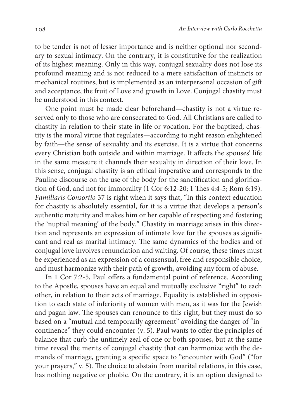to be tender is not of lesser importance and is neither optional nor secondary to sexual intimacy. On the contrary, it is constitutive for the realization of its highest meaning. Only in this way, conjugal sexuality does not lose its profound meaning and is not reduced to a mere satisfaction of instincts or mechanical routines, but is implemented as an interpersonal occasion of gift and acceptance, the fruit of Love and growth in Love. Conjugal chastity must be understood in this context.

One point must be made clear beforehand—chastity is not a virtue reserved only to those who are consecrated to God. All Christians are called to chastity in relation to their state in life or vocation. For the baptized, chastity is the moral virtue that regulates—according to right reason enlightened by faith—the sense of sexuality and its exercise. It is a virtue that concerns every Christian both outside and within marriage. It affects the spouses' life in the same measure it channels their sexuality in direction of their love. In this sense, conjugal chastity is an ethical imperative and corresponds to the Pauline discourse on the use of the body for the sanctification and glorification of God, and not for immorality (1 Cor 6:12-20; 1 Thes 4:4-5; Rom 6:19). Familiaris Consortio 37 is right when it says that, "In this context education for chastity is absolutely essential, for it is a virtue that develops a person's authentic maturity and makes him or her capable of respecting and fostering the 'nuptial meaning' of the body." Chastity in marriage arises in this direction and represents an expression of intimate love for the spouses as significant and real as marital intimacy. The same dynamics of the bodies and of conjugal love involves renunciation and waiting. Of course, these times must be experienced as an expression of a consensual, free and responsible choice, and must harmonize with their path of growth, avoiding any form of abuse.

In 1 Cor 7:2-5, Paul offers a fundamental point of reference. According to the Apostle, spouses have an equal and mutually exclusive "right" to each other, in relation to their acts of marriage. Equality is established in opposition to each state of inferiority of women with men, as it was for the Jewish and pagan law. The spouses can renounce to this right, but they must do so based on a "mutual and temporarily agreement" avoiding the danger of "incontinence" they could encounter (v. 5). Paul wants to offer the principles of balance that curb the untimely zeal of one or both spouses, but at the same time reveal the merits of conjugal chastity that can harmonize with the demands of marriage, granting a specific space to "encounter with God" ("for your prayers," v. 5). The choice to abstain from marital relations, in this case, has nothing negative or phobic. On the contrary, it is an option designed to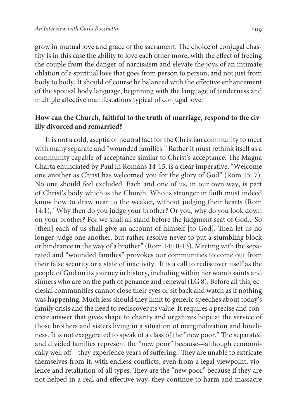grow in mutual love and grace of the sacrament. The choice of conjugal chastity is in this case the ability to love each other more, with the effect of freeing the couple from the danger of narcissism and elevate the joys of an intimate oblation of a spiritual love that goes from person to person, and not just from body to body. It should of course be balanced with the effective enhancement of the spousal body language, beginning with the language of tenderness and multiple affective manifestations typical of conjugal love.

### **How can the Church, faithful to the truth of marriage, respond to the civilly divorced and remarried?**

It is not a cold, aseptic or neutral fact for the Christian community to meet with many separate and "wounded families." Rather it must rethink itself as a community capable of acceptance similar to Christ's acceptance. The Magna Charta enunciated by Paul in Romans 14-15, is a clear imperative, "Welcome one another as Christ has welcomed you for the glory of God" (Rom 15: 7). No one should feel excluded. Each and one of us, in our own way, is part of Christ's body which is the Church. Who is stronger in faith must indeed know how to draw near to the weaker, without judging their hearts (Rom 14:1), "Why then do you judge your brother? Or you, why do you look down on your brother? For we shall all stand before the judgment seat of God... So [then] each of us shall give an account of himself [to God]. Then let us no longer judge one another, but rather resolve never to put a stumbling block or hindrance in the way of a brother" (Rom 14:10-13). Meeting with the separated and "wounded families" provokes our communities to come out from their false security or a state of inactivity. It is a call to rediscover itself as the people of God on its journey in history, including within her womb saints and sinners who are on the path of penance and renewal (LG 8). Before all this, ecclesial communities cannot close their eyes or sit back and watch as if nothing was happening. Much less should they limit to generic speeches about today's family crisis and the need to rediscover its value. It requires a precise and concrete answer that gives shape to charity and organizes hope at the service of those brothers and sisters living in a situation of marginalization and loneliness. It is not exaggerated to speak of a class of the "new poor." The separated and divided families represent the "new poor" because—although economically well off—they experience years of suffering. They are unable to extricate themselves from it, with endless conflicts, even from a legal viewpoint, violence and retaliation of all types. They are the "new poor" because if they are not helped in a real and effective way, they continue to harm and massacre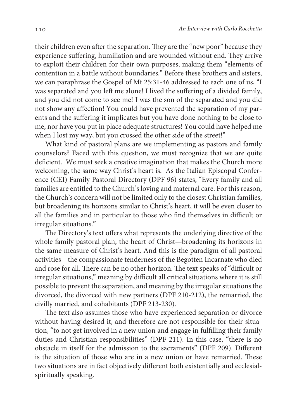their children even after the separation. They are the "new poor" because they experience suffering, humiliation and are wounded without end. They arrive to exploit their children for their own purposes, making them "elements of contention in a battle without boundaries." Before these brothers and sisters, we can paraphrase the Gospel of Mt 25:31-46 addressed to each one of us, "I was separated and you left me alone! I lived the suffering of a divided family, and you did not come to see me! I was the son of the separated and you did not show any affection! You could have prevented the separation of my parents and the suffering it implicates but you have done nothing to be close to me, nor have you put in place adequate structures! You could have helped me when I lost my way, but you crossed the other side of the street!"

What kind of pastoral plans are we implementing as pastors and family counselors? Faced with this question, we must recognize that we are quite deficient. We must seek a creative imagination that makes the Church more welcoming, the same way Christ's heart is. As the Italian Episcopal Conference (CEI) Family Pastoral Directory (DPF 96) states, "Every family and all families are entitled to the Church's loving and maternal care. For this reason, the Church's concern will not be limited only to the closest Christian families, but broadening its horizons similar to Christ's heart, it will be even closer to all the families and in particular to those who find themselves in difficult or irregular situations."

The Directory's text offers what represents the underlying directive of the whole family pastoral plan, the heart of Christ—broadening its horizons in the same measure of Christ's heart. And this is the paradigm of all pastoral activities—the compassionate tenderness of the Begotten Incarnate who died and rose for all. There can be no other horizon. The text speaks of "difficult or irregular situations," meaning by difficult all critical situations where it is still possible to prevent the separation, and meaning by the irregular situations the divorced, the divorced with new partners (DPF 210-212), the remarried, the civilly married, and cohabitants (DPF 213-230).

The text also assumes those who have experienced separation or divorce without having desired it, and therefore are not responsible for their situation, "to not get involved in a new union and engage in fulfilling their family duties and Christian responsibilities" (DPF 211). In this case, "there is no obstacle in itself for the admission to the sacraments" (DPF 209). Different is the situation of those who are in a new union or have remarried. These two situations are in fact objectively different both existentially and ecclesialspiritually speaking.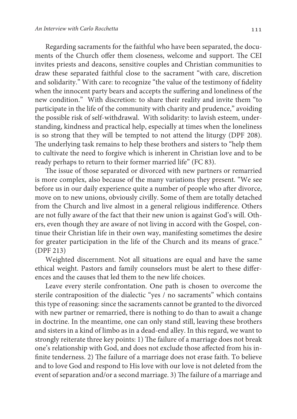Regarding sacraments for the faithful who have been separated, the documents of the Church offer them closeness, welcome and support. The CEI invites priests and deacons, sensitive couples and Christian communities to draw these separated faithful close to the sacrament "with care, discretion and solidarity." With care: to recognize "the value of the testimony of fidelity when the innocent party bears and accepts the suffering and loneliness of the new condition." With discretion: to share their reality and invite them "to participate in the life of the community with charity and prudence," avoiding the possible risk of self-withdrawal. With solidarity: to lavish esteem, understanding, kindness and practical help, especially at times when the loneliness is so strong that they will be tempted to not attend the liturgy (DPF 208). The underlying task remains to help these brothers and sisters to "help them to cultivate the need to forgive which is inherent in Christian love and to be ready perhaps to return to their former married life" (FC 83).

The issue of those separated or divorced with new partners or remarried is more complex, also because of the many variations they present. "We see before us in our daily experience quite a number of people who after divorce, move on to new unions, obviously civilly. Some of them are totally detached from the Church and live almost in a general religious indifference. Others are not fully aware of the fact that their new union is against God's will. Others, even though they are aware of not living in accord with the Gospel, continue their Christian life in their own way, manifesting sometimes the desire for greater participation in the life of the Church and its means of grace." (DPF 213)

Weighted discernment. Not all situations are equal and have the same ethical weight. Pastors and family counselors must be alert to these differences and the causes that led them to the new life choices.

Leave every sterile confrontation. One path is chosen to overcome the sterile contraposition of the dialectic "yes / no sacraments" which contains this type of reasoning: since the sacraments cannot be granted to the divorced with new partner or remarried, there is nothing to do than to await a change in doctrine. In the meantime, one can only stand still, leaving these brothers and sisters in a kind of limbo as in a dead-end alley. In this regard, we want to strongly reiterate three key points: 1) The failure of a marriage does not break one's relationship with God, and does not exclude those affected from his infinite tenderness. 2) The failure of a marriage does not erase faith. To believe and to love God and respond to His love with our love is not deleted from the event of separation and/or a second marriage. 3) The failure of a marriage and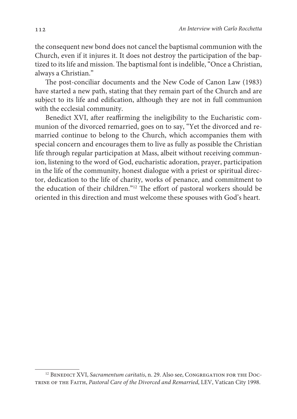the consequent new bond does not cancel the baptismal communion with the Church, even if it injures it. It does not destroy the participation of the baptized to its life and mission. The baptismal font is indelible, "Once a Christian, always a Christian."

The post-conciliar documents and the New Code of Canon Law (1983) have started a new path, stating that they remain part of the Church and are subject to its life and edification, although they are not in full communion with the ecclesial community.

Benedict XVI, after reaffirming the ineligibility to the Eucharistic communion of the divorced remarried, goes on to say, "Yet the divorced and remarried continue to belong to the Church, which accompanies them with special concern and encourages them to live as fully as possible the Christian life through regular participation at Mass, albeit without receiving communion, listening to the word of God, eucharistic adoration, prayer, participation in the life of the community, honest dialogue with a priest or spiritual director, dedication to the life of charity, works of penance, and commitment to the education of their children."<sup>12</sup> The effort of pastoral workers should be oriented in this direction and must welcome these spouses with God's heart.

<sup>&</sup>lt;sup>12</sup> BENEDICT XVI, Sacramentum caritatis, n. 29. Also see, CONGREGATION FOR THE DOC-TRINE OF THE FAITH, Pastoral Care of the Divorced and Remarried, LEV, Vatican City 1998.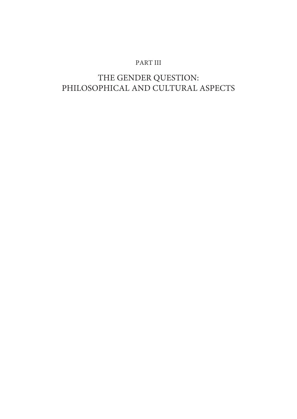## PART III

# THE GENDER QUESTION: PHILOSOPHICAL AND CULTURAL ASPECTS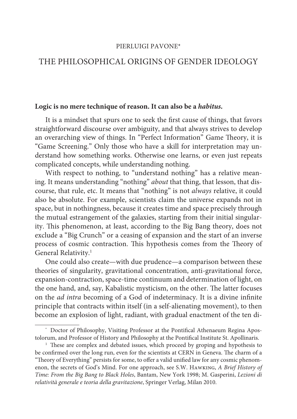#### PIERLUIGI PAVONE\*

## THE PHILOSOPHICAL ORIGINS OF GENDER IDEOLOGY

#### **Logic is no mere technique of reason. It can also be a habitus.**

It is a mindset that spurs one to seek the first cause of things, that favors straightforward discourse over ambiguity, and that always strives to develop an overarching view of things. In "Perfect Information" Game Theory, it is "Game Screening." Only those who have a skill for interpretation may understand how something works. Otherwise one learns, or even just repeats complicated concepts, while understanding nothing.

With respect to nothing, to "understand nothing" has a relative meaning. It means understanding "nothing" *about* that thing, that lesson, that discourse, that rule, etc. It means that "nothing" is not always relative, it could also be absolute. For example, scientists claim the universe expands not in space, but in nothingness, because it creates time and space precisely through the mutual estrangement of the galaxies, starting from their initial singularity. This phenomenon, at least, according to the Big Bang theory, does not exclude a "Big Crunch" or a ceasing of expansion and the start of an inverse process of cosmic contraction. This hypothesis comes from the Theory of General Relativity.<sup>1</sup>

One could also create—with due prudence—a comparison between these theories of singularity, gravitational concentration, anti-gravitational force, expansion-contraction, space-time continuum and determination of light, on the one hand, and, say, Kabalistic mysticism, on the other. The latter focuses on the ad intra becoming of a God of indeterminacy. It is a divine infinite principle that contracts within itself (in a self-alienating movement), to then become an explosion of light, radiant, with gradual enactment of the ten di-

<sup>\*</sup> Doctor of Philosophy, Visiting Professor at the Pontifical Athenaeum Regina Apostolorum, and Professor of History and Philosophy at the Pontifical Institute St. Apollinaris.

<sup>&</sup>lt;sup>1</sup> These are complex and debated issues, which proceed by groping and hypothesis to be confirmed over the long run, even for the scientists at CERN in Geneva. The charm of a "Theory of Everything" persists for some, to offer a valid unified law for any cosmic phenomenon, the secrets of God's Mind. For one approach, see S.W. Hawking, A Brief History of Time: From the Big Bang to Black Holes, Bantam, New York 1998; M. Gasperini, Lezioni di relatività generale e teoria della gravitazione, Springer Verlag, Milan 2010.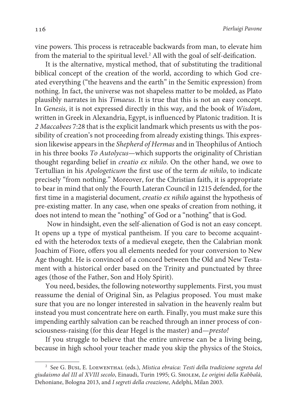vine powers. This process is retraceable backwards from man, to elevate him from the material to the spiritual level. $^2$  All with the goal of self-deification.

It is the alternative, mystical method, that of substituting the traditional biblical concept of the creation of the world, according to which God created everything ("the heavens and the earth" in the Semitic expression) from nothing. In fact, the universe was not shapeless matter to be molded, as Plato plausibly narrates in his Timaeus. It is true that this is not an easy concept. In Genesis, it is not expressed directly in this way, and the book of Wisdom, written in Greek in Alexandria, Egypt, is influenced by Platonic tradition. It is 2 Maccabees 7:28 that is the explicit landmark which presents us with the possibility of creation's not proceeding from already existing things. This expression likewise appears in the Shepherd of Hermas and in Theophilus of Antioch in his three books To Autolycus—which supports the originality of Christian thought regarding belief in creatio ex nihilo. On the other hand, we owe to Tertullian in his Apologeticum the first use of the term de nihilo, to indicate precisely "from nothing." Moreover, for the Christian faith, it is appropriate to bear in mind that only the Fourth Lateran Council in 1215 defended, for the first time in a magisterial document, creatio ex nihilo against the hypothesis of pre-existing matter. In any case, when one speaks of creation from nothing, it does not intend to mean the "nothing" of God or a "nothing" that is God.

 Now in hindsight, even the self-alienation of God is not an easy concept. It opens up a type of mystical pantheism. If you care to become acquainted with the heterodox texts of a medieval exegete, then the Calabrian monk Joachim of Fiore, offers you all elements needed for your conversion to New Age thought. He is convinced of a concord between the Old and New Testament with a historical order based on the Trinity and punctuated by three ages (those of the Father, Son and Holy Spirit).

You need, besides, the following noteworthy supplements. First, you must reassume the denial of Original Sin, as Pelagius proposed. You must make sure that you are no longer interested in salvation in the heavenly realm but instead you must concentrate here on earth. Finally, you must make sure this impending earthly salvation can be reached through an inner process of consciousness-raising (for this dear Hegel is the master) and—presto!

If you struggle to believe that the entire universe can be a living being, because in high school your teacher made you skip the physics of the Stoics,

<sup>&</sup>lt;sup>2</sup> See G. Busi, E. LOEWENTHAL (eds.), Mistica ebraica: Testi della tradizione segreta del giudaismo dal III al XVIII secolo, Einaudi, Turin 1995; G. Sholem, Le origini della Kabbalà, Dehoniane, Bologna 2013, and I segreti della creazione, Adelphi, Milan 2003.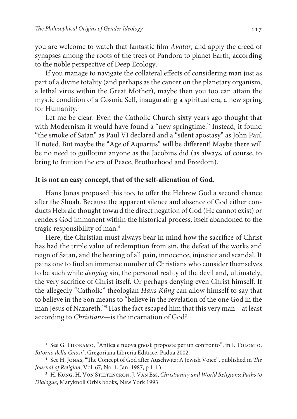you are welcome to watch that fantastic film Avatar, and apply the creed of synapses among the roots of the trees of Pandora to planet Earth, according to the noble perspective of Deep Ecology.

If you manage to navigate the collateral effects of considering man just as part of a divine totality (and perhaps as the cancer on the planetary organism, a lethal virus within the Great Mother), maybe then you too can attain the mystic condition of a Cosmic Self, inaugurating a spiritual era, a new spring for Humanity.<sup>3</sup>

Let me be clear. Even the Catholic Church sixty years ago thought that with Modernism it would have found a "new springtime." Instead, it found "the smoke of Satan" as Paul VI declared and a "silent apostasy" as John Paul II noted. But maybe the "Age of Aquarius" will be different! Maybe there will be no need to guillotine anyone as the Jacobins did (as always, of course, to bring to fruition the era of Peace, Brotherhood and Freedom).

#### **It is not an easy concept, that of the self-alienation of God.**

Hans Jonas proposed this too, to offer the Hebrew God a second chance after the Shoah. Because the apparent silence and absence of God either conducts Hebraic thought toward the direct negation of God (He cannot exist) or renders God immanent within the historical process, itself abandoned to the tragic responsibility of man.<sup>4</sup>

Here, the Christian must always bear in mind how the sacrifice of Christ has had the triple value of redemption from sin, the defeat of the works and reign of Satan, and the bearing of all pain, innocence, injustice and scandal. It pains one to find an immense number of Christians who consider themselves to be such while denying sin, the personal reality of the devil and, ultimately, the very sacrifice of Christ itself. Or perhaps denying even Christ himself. If the allegedly "Catholic" theologian Hans Küng can allow himself to say that to believe in the Son means to "believe in the revelation of the one God in the man Jesus of Nazareth."<sup>5</sup> Has the fact escaped him that this very man—at least according to Christians—is the incarnation of God?

<sup>&</sup>lt;sup>3</sup> See G. FILORAMO, "Antica e nuova gnosi: proposte per un confronto", in I. ТоLОМІО, Ritorno della Gnosi?, Gregoriana Libreria Editrice, Padua 2002.

<sup>&</sup>lt;sup>4</sup> See H. JONAS, "The Concept of God after Auschwitz: A Jewish Voice", published in The Journal of Religion, Vol. 67, No. 1, Jan. 1987, p.1-13.

<sup>&</sup>lt;sup>5</sup> H. Kung, H. Von Stietencron, J. Van Ess, Christianity and World Religions: Paths to Dialogue, Maryknoll Orbis books, New York 1993.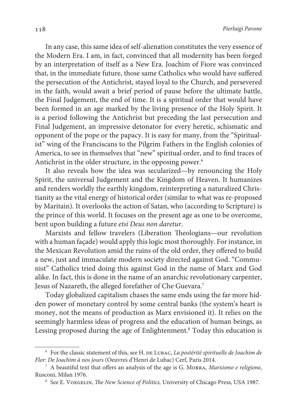In any case, this same idea of self-alienation constitutes the very essence of the Modern Era. I am, in fact, convinced that all modernity has been forged by an interpretation of itself as a New Era. Joachim of Fiore was convinced that, in the immediate future, those same Catholics who would have suffered the persecution of the Antichrist, stayed loyal to the Church, and persevered in the faith, would await a brief period of pause before the ultimate battle, the Final Judgement, the end of time. It is a spiritual order that would have been formed in an age marked by the living presence of the Holy Spirit. It is a period following the Antichrist but preceding the last persecution and Final Judgement, an impressive detonator for every heretic, schismatic and opponent of the pope or the papacy. It is easy for many, from the "Spiritualist" wing of the Franciscans to the Pilgrim Fathers in the English colonies of America, to see in themselves that "new" spiritual order, and to find traces of Antichrist in the older structure, in the opposing power.<sup>6</sup>

It also reveals how the idea was secularized—by renouncing the Holy Spirit, the universal Judgement and the Kingdom of Heaven. It humanizes and renders worldly the earthly kingdom, reinterpreting a naturalized Christianity as the vital energy of historical order (similar to what was re-proposed by Maritain). It overlooks the action of Satan, who (according to Scripture) is the prince of this world. It focuses on the present age as one to be overcome, bent upon building a future etsi Deus non daretur.

Marxists and fellow travelers (Liberation Theologians—our revolution with a human façade) would apply this logic most thoroughly. For instance, in the Mexican Revolution amid the ruins of the old order, they offered to build a new, just and immaculate modern society directed against God. "Communist" Catholics tried doing this against God in the name of Marx and God alike. In fact, this is done in the name of an anarchic revolutionary carpenter, Jesus of Nazareth, the alleged forefather of Che Guevara.<sup>7</sup>

Today globalized capitalism chases the same ends using the far more hidden power of monetary control by some central banks (the system's heart is money, not the means of production as Marx envisioned it). It relies on the seemingly harmless ideas of progress and the education of human beings, as Lessing proposed during the age of Enlightenment.<sup>8</sup> Today this education is

 $6$  For the classic statement of this, see H. DE LUBAC, La postérité spirituelle de Joachim de Flor: De Joachim à nos jours (Oeuvres d'Henri de Lubac) Cerf, Paris 2014.

 $7$  A beautiful text that offers an analysis of the age is G. MORRA, Marxismo e religione, Rusconi, Milan 1976.

<sup>&</sup>lt;sup>8</sup> See E. VOEGELIN, *The New Science of Politics*, University of Chicago Press, USA 1987.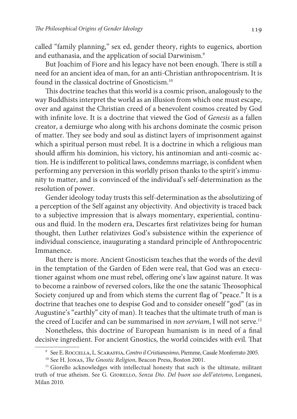called "family planning," sex ed, gender theory, rights to eugenics, abortion and euthanasia, and the application of social Darwinism.<sup>9</sup>

But Joachim of Fiore and his legacy have not been enough. There is still a need for an ancient idea of man, for an anti-Christian anthropocentrism. It is found in the classical doctrine of Gnosticism.<sup>10</sup>

This doctrine teaches that this world is a cosmic prison, analogously to the way Buddhists interpret the world as an illusion from which one must escape, over and against the Christian creed of a benevolent cosmos created by God with infinite love. It is a doctrine that viewed the God of Genesis as a fallen creator, a demiurge who along with his archons dominate the cosmic prison of matter. They see body and soul as distinct layers of imprisonment against which a spiritual person must rebel. It is a doctrine in which a religious man should affirm his dominion, his victory, his antinomian and anti-cosmic action. He is indifferent to political laws, condemns marriage, is confident when performing any perversion in this worldly prison thanks to the spirit's immunity to matter, and is convinced of the individual's self-determination as the resolution of power.

Gender ideology today trusts this self-determination as the absolutizing of a perception of the Self against any objectivity. And objectivity is traced back to a subjective impression that is always momentary, experiential, continuous and fluid. In the modern era, Descartes first relativizes being for human thought, then Luther relativizes God's subsistence within the experience of individual conscience, inaugurating a standard principle of Anthropocentric Immanence.

But there is more. Ancient Gnosticism teaches that the words of the devil in the temptation of the Garden of Eden were real, that God was an executioner against whom one must rebel, offering one's law against nature. It was to become a rainbow of reversed colors, like the one the satanic Theosophical Society conjured up and from which stems the current flag of "peace." It is a doctrine that teaches one to despise God and to consider oneself "god" (as in Augustine's "earthly" city of man). It teaches that the ultimate truth of man is the creed of Lucifer and can be summarised in non serviam, I will not serve.<sup>11</sup>

Nonetheless, this doctrine of European humanism is in need of a final decisive ingredient. For ancient Gnostics, the world coincides with evil. That

<sup>9</sup> See E. Roccella, L. Scaraffia, Contro il Cristianesimo, Piemme, Casale Monferrato 2005.

<sup>&</sup>lt;sup>10</sup> See H. JONAS, *The Gnostic Religion*, Beacon Press, Boston 2001.

<sup>&</sup>lt;sup>11</sup> Giorello acknowledges with intellectual honesty that such is the ultimate, militant truth of true atheism. See G. GIORELLO, Senza Dio. Del buon uso dell'ateismo, Longanesi, Milan 2010.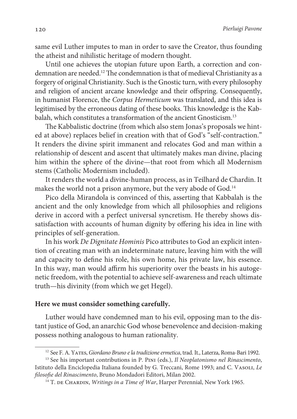same evil Luther imputes to man in order to save the Creator, thus founding the atheist and nihilistic heritage of modern thought.

Until one achieves the utopian future upon Earth, a correction and condemnation are needed.<sup>12</sup> The condemnation is that of medieval Christianity as a forgery of original Christianity. Such is the Gnostic turn, with every philosophy and religion of ancient arcane knowledge and their offspring. Consequently, in humanist Florence, the Corpus Hermeticum was translated, and this idea is legitimised by the erroneous dating of these books. This knowledge is the Kabbalah, which constitutes a transformation of the ancient Gnosticism.<sup>13</sup>

The Kabbalistic doctrine (from which also stem Jonas's proposals we hinted at above) replaces belief in creation with that of God's "self-contraction." It renders the divine spirit immanent and relocates God and man within a relationship of descent and ascent that ultimately makes man divine, placing him within the sphere of the divine—that root from which all Modernism stems (Catholic Modernism included).

It renders the world a divine-human process, as in Teilhard de Chardin. It makes the world not a prison anymore, but the very abode of God.<sup>14</sup>

Pico della Mirandola is convinced of this, asserting that Kabbalah is the ancient and the only knowledge from which all philosophies and religions derive in accord with a perfect universal syncretism. He thereby shows dissatisfaction with accounts of human dignity by offering his idea in line with principles of self-generation.

In his work De Dignitate Hominis Pico attributes to God an explicit intention of creating man with an indeterminate nature, leaving him with the will and capacity to define his role, his own home, his private law, his essence. In this way, man would affirm his superiority over the beasts in his autogenetic freedom, with the potential to achieve self-awareness and reach ultimate truth—his divinity (from which we get Hegel).

#### **Here we must consider something carefully.**

Luther would have condemned man to his evil, opposing man to the distant justice of God, an anarchic God whose benevolence and decision-making possess nothing analogous to human rationality.

<sup>&</sup>lt;sup>12</sup> See F. A. YATES, Giordano Bruno e la tradizione ermetica, trad. It., Laterza, Roma-Bari 1992.

 $13$  See his important contributions in P. PINI (eds.), Il Neoplatonismo nel Rinascimento, Istituto della Enciclopedia Italiana founded by G. Treccani, Rome 1993; and C. VASOLI, Le filosofie del Rinascimento, Bruno Mondadori Editori, Milan 2002.

 $14$  T. DE CHARDIN, Writings in a Time of War, Harper Perennial, New York 1965.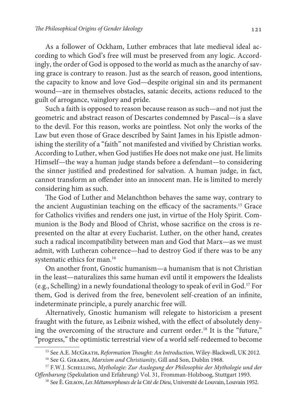As a follower of Ockham, Luther embraces that late medieval ideal according to which God's free will must be preserved from any logic. Accordingly, the order of God is opposed to the world as much as the anarchy of saving grace is contrary to reason. Just as the search of reason, good intentions, the capacity to know and love God—despite original sin and its permanent wound—are in themselves obstacles, satanic deceits, actions reduced to the guilt of arrogance, vainglory and pride.

Such a faith is opposed to reason because reason as such—and not just the geometric and abstract reason of Descartes condemned by Pascal—is a slave to the devil. For this reason, works are pointless. Not only the works of the Law but even those of Grace described by Saint James in his Epistle admonishing the sterility of a "faith" not manifested and vivified by Christian works. According to Luther, when God justifies He does not make one just. He limits Himself—the way a human judge stands before a defendant—to considering the sinner justified and predestined for salvation. A human judge, in fact, cannot transform an offender into an innocent man. He is limited to merely considering him as such.

The God of Luther and Melanchthon behaves the same way, contrary to the ancient Augustinian teaching on the efficacy of the sacraments.<sup>15</sup> Grace for Catholics vivifies and renders one just, in virtue of the Holy Spirit. Communion is the Body and Blood of Christ, whose sacrifice on the cross is represented on the altar at every Eucharist. Luther, on the other hand, creates such a radical incompatibility between man and God that Marx—as we must admit, with Lutheran coherence—had to destroy God if there was to be any systematic ethics for man.<sup>16</sup>

On another front, Gnostic humanism—a humanism that is not Christian in the least—naturalizes this same human evil until it empowers the Idealists (e.g., Schelling) in a newly foundational theology to speak of evil in God.<sup>17</sup> For them, God is derived from the free, benevolent self-creation of an infinite, indeterminate principle, a purely anarchic free will.

Alternatively, Gnostic humanism will relegate to historicism a present fraught with the future, as Leibniz wished, with the effect of absolutely denying the overcoming of the structure and current order.<sup>18</sup> It is the "future," "progress," the optimistic terrestrial view of a world self-redeemed to become

<sup>&</sup>lt;sup>15</sup> See A.E. McGrath, Reformation Thought: An Introduction, Wiley-Blackwell, UK 2012.

<sup>&</sup>lt;sup>16</sup> See G. GIRARDI, Marxism and Christianity, Gill and Son, Dublin 1968.

<sup>&</sup>lt;sup>17</sup> F.W.J. SCHELLING, Mythologie: Zur Auslegung der Philosophie der Mythologie und der Offenbarung (Spekulation und Erfahrung) Vol. 31, Fromman-Holzboog, Stuttgart 1993.

<sup>&</sup>lt;sup>18</sup> See È. GILSON, Les Métamorphoses de la Cité de Dieu, Université de Louvain, Louvain 1952.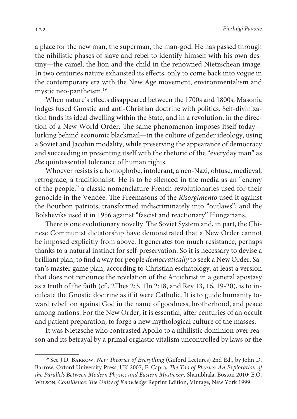a place for the new man, the superman, the man-god. He has passed through the nihilistic phases of slave and rebel to identify himself with his own destiny—the camel, the lion and the child in the renowned Nietzschean image. In two centuries nature exhausted its effects, only to come back into vogue in the contemporary era with the New Age movement, environmentalism and mystic neo-pantheism.<sup>19</sup>

When nature's effects disappeared between the 1700s and 1800s, Masonic lodges fused Gnostic and anti-Christian doctrine with politics. Self-divinization finds its ideal dwelling within the State, and in a revolution, in the direction of a New World Order. The same phenomenon imposes itself today lurking behind economic blackmail—in the culture of gender ideology, using a Soviet and Jacobin modality, while preserving the appearance of democracy and succeeding in presenting itself with the rhetoric of the "everyday man" as the quintessential tolerance of human rights.

Whoever resists is a homophobe, intolerant, a neo-Nazi, obtuse, medieval, retrograde, a traditionalist. He is to be silenced in the media as an "enemy of the people," a classic nomenclature French revolutionaries used for their genocide in the Vendée. The Freemasons of the Risorgimento used it against the Bourbon patriots, transformed indiscriminately into "outlaws"; and the Bolsheviks used it in 1956 against "fascist and reactionary" Hungarians.

There is one evolutionary novelty. The Soviet System and, in part, the Chinese Communist dictatorship have demonstrated that a New Order cannot be imposed explicitly from above. It generates too much resistance, perhaps thanks to a natural instinct for self-preservation. So it is necessary to devise a brilliant plan, to find a way for people democratically to seek a New Order. Satan's master game plan, according to Christian eschatology, at least a version that does not renounce the revelation of the Antichrist in a general apostasy as a truth of the faith (cf., 2Thes 2:3, 1Jn 2:18, and Rev 13, 16, 19-20), is to inculcate the Gnostic doctrine as if it were Catholic. It is to guide humanity toward rebellion against God in the name of goodness, brotherhood, and peace among nations. For the New Order, it is essential, after centuries of an occult and patient preparation, to forge a new mythological culture of the masses.

It was Nietzsche who contrasted Apollo to a nihilistic dominion over reason and its betrayal by a primal orgiastic vitalism uncontrolled by laws or the

<sup>&</sup>lt;sup>19</sup> See J.D. BARROW, New Theories of Everything (Gifford Lectures) 2nd Ed., by John D. Barrow, Oxford University Press, UK 2007; F. Capra, The Tao of Physics: An Exploration of the Parallels Between Modern Physics and Eastern Mysticism, Shambhala, Boston 2010; E.O. Wilson, Consilience: The Unity of Knowledge Reprint Edition, Vintage, New York 1999.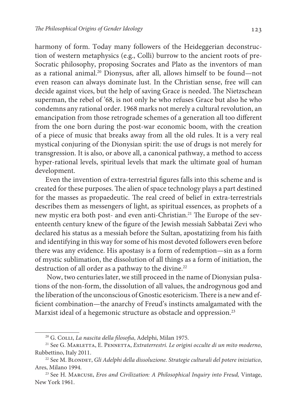harmony of form. Today many followers of the Heideggerian deconstruction of western metaphysics (e.g., Colli) burrow to the ancient roots of pre-Socratic philosophy, proposing Socrates and Plato as the inventors of man as a rational animal.<sup>20</sup> Dionysus, after all, allows himself to be found—not even reason can always dominate lust. In the Christian sense, free will can decide against vices, but the help of saving Grace is needed. The Nietzschean superman, the rebel of '68, is not only he who refuses Grace but also he who condemns any rational order. 1968 marks not merely a cultural revolution, an emancipation from those retrograde schemes of a generation all too different from the one born during the post-war economic boom, with the creation of a piece of music that breaks away from all the old rules. It is a very real mystical conjuring of the Dionysian spirit: the use of drugs is not merely for transgression. It is also, or above all, a canonical pathway, a method to access hyper-rational levels, spiritual levels that mark the ultimate goal of human development.

Even the invention of extra-terrestrial figures falls into this scheme and is created for these purposes. The alien of space technology plays a part destined for the masses as propaedeutic. The real creed of belief in extra-terrestrials describes them as messengers of light, as spiritual essences, as prophets of a new mystic era both post- and even anti-Christian.21 The Europe of the seventeenth century knew of the figure of the Jewish messiah Sabbatai Zevi who declared his status as a messiah before the Sultan, apostatizing from his faith and identifying in this way for some of his most devoted followers even before there was any evidence. His apostasy is a form of redemption—sin as a form of mystic sublimation, the dissolution of all things as a form of initiation, the destruction of all order as a pathway to the divine.<sup>22</sup>

 Now, two centuries later, we still proceed in the name of Dionysian pulsations of the non-form, the dissolution of all values, the androgynous god and the liberation of the unconscious of Gnostic esotericism. There is a new and efficient combination—the anarchy of Freud's instincts amalgamated with the Marxist ideal of a hegemonic structure as obstacle and oppression.<sup>23</sup>

<sup>&</sup>lt;sup>20</sup> G. COLLI, La nascita della filosofia, Adelphi, Milan 1975.

 $21$  See G. MARLETTA, E. PENNETTA, Extraterrestri. Le origini occulte di un mito moderno, Rubbettino, Italy 2011.

<sup>&</sup>lt;sup>22</sup> See M. BLONDET, Gli Adelphi della dissoluzione. Strategie culturali del potere iniziatico, Ares, Milano 1994.

<sup>&</sup>lt;sup>23</sup> See H. MARCUSE, *Eros and Civilization: A Philosophical Inquiry into Freud*, Vintage, New York 1961.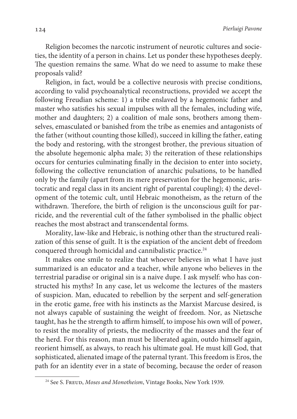Religion becomes the narcotic instrument of neurotic cultures and societies, the identity of a person in chains. Let us ponder these hypotheses deeply. The question remains the same. What do we need to assume to make these proposals valid?

Religion, in fact, would be a collective neurosis with precise conditions, according to valid psychoanalytical reconstructions, provided we accept the following Freudian scheme: 1) a tribe enslaved by a hegemonic father and master who satisfies his sexual impulses with all the females, including wife, mother and daughters; 2) a coalition of male sons, brothers among themselves, emasculated or banished from the tribe as enemies and antagonists of the father (without counting those killed), succeed in killing the father, eating the body and restoring, with the strongest brother, the previous situation of the absolute hegemonic alpha male; 3) the reiteration of these relationships occurs for centuries culminating finally in the decision to enter into society, following the collective renunciation of anarchic pulsations, to be handled only by the family (apart from its mere preservation for the hegemonic, aristocratic and regal class in its ancient right of parental coupling); 4) the development of the totemic cult, until Hebraic monotheism, as the return of the withdrawn. Therefore, the birth of religion is the unconscious guilt for parricide, and the reverential cult of the father symbolised in the phallic object reaches the most abstract and transcendental forms.

Morality, law-like and Hebraic, is nothing other than the structured realization of this sense of guilt. It is the expiation of the ancient debt of freedom conquered through homicidal and cannibalistic practice.<sup>24</sup>

It makes one smile to realize that whoever believes in what I have just summarized is an educator and a teacher, while anyone who believes in the terrestrial paradise or original sin is a naive dupe. I ask myself: who has constructed his myths? In any case, let us welcome the lectures of the masters of suspicion. Man, educated to rebellion by the serpent and self-generation in the erotic game, free with his instincts as the Marxist Marcuse desired, is not always capable of sustaining the weight of freedom. Nor, as Nietzsche taught, has he the strength to affirm himself, to impose his own will of power, to resist the morality of priests, the mediocrity of the masses and the fear of the herd. For this reason, man must be liberated again, outdo himself again, reorient himself, as always, to reach his ultimate goal. He must kill God, that sophisticated, alienated image of the paternal tyrant. This freedom is Eros, the path for an identity ever in a state of becoming, because the order of reason

<sup>&</sup>lt;sup>24</sup> See S. Freup, *Moses and Monotheism*, Vintage Books, New York 1939.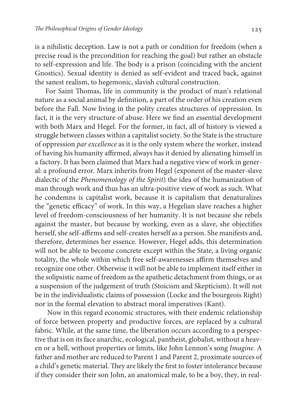is a nihilistic deception. Law is not a path or condition for freedom (when a precise road is the precondition for reaching the goal) but rather an obstacle to self-expression and life. The body is a prison (coinciding with the ancient Gnostics). Sexual identity is denied as self-evident and traced back, against the sanest realism, to hegemonic, slavish cultural construction.

For Saint Thomas, life in community is the product of man's relational nature as a social animal by definition, a part of the order of his creation even before the Fall. Now living in the polity creates structures of oppression. In fact, it is the very structure of abuse. Here we find an essential development with both Marx and Hegel. For the former, in fact, all of history is viewed a struggle between classes within a capitalist society. So the State is the structure of oppression par excellence as it is the only system where the worker, instead of having his humanity affirmed, always has it denied by alienating himself in a factory. It has been claimed that Marx had a negative view of work in general: a profound error. Marx inherits from Hegel (exponent of the master-slave dialectic of the Phenomenology of the Spirit) the idea of the humanization of man through work and thus has an ultra-positive view of work as such. What he condemns is capitalist work, because it is capitalism that denaturalizes the "genetic efficacy" of work. In this way, a Hegelian slave reaches a higher level of freedom-consciousness of her humanity. It is not because she rebels against the master, but because by working, even as a slave, she objectifies herself, she self-affirms and self-creates herself as a person. She manifests and, therefore, determines her essence. However, Hegel adds, this determination will not be able to become concrete except within the State, a living organic totality, the whole within which free self-awarenesses affirm themselves and recognize one other. Otherwise it will not be able to implement itself either in the solipsistic name of freedom as the apathetic detachment from things, or as a suspension of the judgement of truth (Stoicism and Skepticism). It will not be in the individualistic claims of possession (Locke and the bourgeois Right) nor in the formal elevation to abstract moral imperatives (Kant).

 Now in this regard economic structures, with their endemic relationship of force between property and productive forces, are replaced by a cultural fabric. While, at the same time, the liberation occurs according to a perspective that is on its face anarchic, ecological, pantheist, globalist, without a heaven or a hell, without properties or limits, like John Lennon's song Imagine. A father and mother are reduced to Parent 1 and Parent 2, proximate sources of a child's genetic material. They are likely the first to foster intolerance because if they consider their son John, an anatomical male, to be a boy, they, in real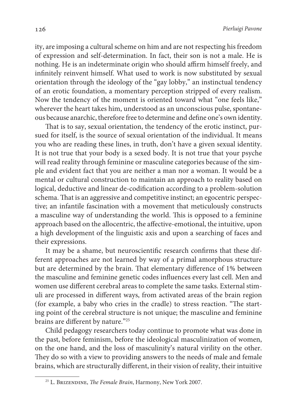ity, are imposing a cultural scheme on him and are not respecting his freedom of expression and self-determination. In fact, their son is not a male. He is nothing. He is an indeterminate origin who should affirm himself freely, and infinitely reinvent himself. What used to work is now substituted by sexual orientation through the ideology of the "gay lobby," an instinctual tendency of an erotic foundation, a momentary perception stripped of every realism. Now the tendency of the moment is oriented toward what "one feels like," wherever the heart takes him, understood as an unconscious pulse, spontaneous because anarchic, therefore free to determine and define one's own identity.

That is to say, sexual orientation, the tendency of the erotic instinct, pursued for itself, is the source of sexual orientation of the individual. It means you who are reading these lines, in truth, don't have a given sexual identity. It is not true that your body is a sexed body. It is not true that your psyche will read reality through feminine or masculine categories because of the simple and evident fact that you are neither a man nor a woman. It would be a mental or cultural construction to maintain an approach to reality based on logical, deductive and linear de-codification according to a problem-solution schema. That is an aggressive and competitive instinct; an egocentric perspective; an infantile fascination with a movement that meticulously constructs a masculine way of understanding the world. This is opposed to a feminine approach based on the allocentric, the affective-emotional, the intuitive, upon a high development of the linguistic axis and upon a searching of faces and their expressions.

It may be a shame, but neuroscientific research confirms that these different approaches are not learned by way of a primal amorphous structure but are determined by the brain. That elementary difference of 1% between the masculine and feminine genetic codes influences every last cell. Men and women use different cerebral areas to complete the same tasks. External stimuli are processed in different ways, from activated areas of the brain region (for example, a baby who cries in the cradle) to stress reaction. "The starting point of the cerebral structure is not unique; the masculine and feminine brains are different by nature."<sup>25</sup>

Child pedagogy researchers today continue to promote what was done in the past, before feminism, before the ideological masculinization of women, on the one hand, and the loss of masculinity's natural virility on the other. They do so with a view to providing answers to the needs of male and female brains, which are structurally different, in their vision of reality, their intuitive

<sup>&</sup>lt;sup>25</sup> L. BRIZENDINE, *The Female Brain*, Harmony, New York 2007.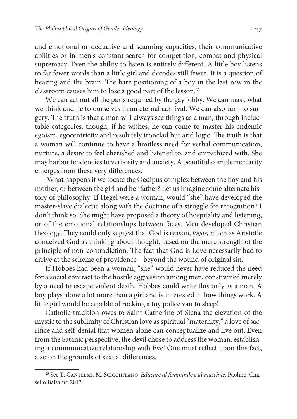and emotional or deductive and scanning capacities, their communicative abilities or in men's constant search for competition, combat and physical supremacy. Even the ability to listen is entirely different. A little boy listens to far fewer words than a little girl and decodes still fewer. It is a question of hearing and the brain. The bare positioning of a boy in the last row in the classroom causes him to lose a good part of the lesson.<sup>26</sup>

We can act out all the parts required by the gay lobby. We can mask what we think and lie to ourselves in an eternal carnival. We can also turn to surgery. The truth is that a man will always see things as a man, through ineluctable categories, though, if he wishes, he can come to master his endemic egoism, egocentricity and resolutely ironclad but arid logic. The truth is that a woman will continue to have a limitless need for verbal communication, nurture, a desire to feel cherished and listened to, and empathized with. She may harbor tendencies to verbosity and anxiety. A beautiful complementarity emerges from these very differences.

 What happens if we locate the Oedipus complex between the boy and his mother, or between the girl and her father? Let us imagine some alternate history of philosophy. If Hegel were a woman, would "she" have developed the master-slave dialectic along with the doctrine of a struggle for recognition? I don't think so. She might have proposed a theory of hospitality and listening, or of the emotional relationships between faces. Men developed Christian theology. They could only suggest that God is reason, logos, much as Aristotle conceived God as thinking about thought, based on the mere strength of the principle of non-contradiction. The fact that God is Love necessarily had to arrive at the scheme of providence—beyond the wound of original sin.

If Hobbes had been a woman, "she" would never have reduced the need for a social contract to the hostile aggression among men, constrained merely by a need to escape violent death. Hobbes could write this only as a man. A boy plays alone a lot more than a girl and is interested in how things work. A little girl would be capable of rocking a toy police van to sleep!

Catholic tradition owes to Saint Catherine of Siena the elevation of the mystic to the sublimity of Christian love as spiritual "maternity," a love of sacrifice and self-denial that women alone can conceptualize and live out. Even from the Satanic perspective, the devil chose to address the woman, establishing a communicative relationship with Eve! One must reflect upon this fact, also on the grounds of sexual differences.

<sup>&</sup>lt;sup>26</sup> See T. CANTELMI, M. SCICCHITANO, Educare al femminile e al maschile, Paoline, Cinisello Balsamo 2013.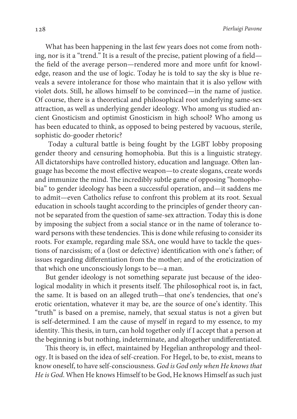What has been happening in the last few years does not come from nothing, nor is it a "trend." It is a result of the precise, patient plowing of a field the field of the average person—rendered more and more unfit for knowledge, reason and the use of logic. Today he is told to say the sky is blue reveals a severe intolerance for those who maintain that it is also yellow with violet dots. Still, he allows himself to be convinced—in the name of justice. Of course, there is a theoretical and philosophical root underlying same-sex attraction, as well as underlying gender ideology. Who among us studied ancient Gnosticism and optimist Gnosticism in high school? Who among us has been educated to think, as opposed to being pestered by vacuous, sterile, sophistic do-gooder rhetoric?

 Today a cultural battle is being fought by the LGBT lobby proposing gender theory and censuring homophobia. But this is a linguistic strategy. All dictatorships have controlled history, education and language. Often language has become the most effective weapon—to create slogans, create words and immunize the mind. The incredibly subtle game of opposing "homophobia" to gender ideology has been a successful operation, and—it saddens me to admit—even Catholics refuse to confront this problem at its root. Sexual education in schools taught according to the principles of gender theory cannot be separated from the question of same-sex attraction. Today this is done by imposing the subject from a social stance or in the name of tolerance toward persons with these tendencies. This is done while refusing to consider its roots. For example, regarding male SSA, one would have to tackle the questions of narcissism; of a (lost or defective) identification with one's father; of issues regarding differentiation from the mother; and of the eroticization of that which one unconsciously longs to be—a man.

But gender ideology is not something separate just because of the ideological modality in which it presents itself. The philosophical root is, in fact, the same. It is based on an alleged truth—that one's tendencies, that one's erotic orientation, whatever it may be, are the source of one's identity. This "truth" is based on a premise, namely, that sexual status is not a given but is self-determined. I am the cause of myself in regard to my essence, to my identity. This thesis, in turn, can hold together only if I accept that a person at the beginning is but nothing, indeterminate, and altogether undifferentiated.

This theory is, in effect, maintained by Hegelian anthropology and theology. It is based on the idea of self-creation. For Hegel, to be, to exist, means to know oneself, to have self-consciousness. God is God only when He knows that He is God. When He knows Himself to be God, He knows Himself as such just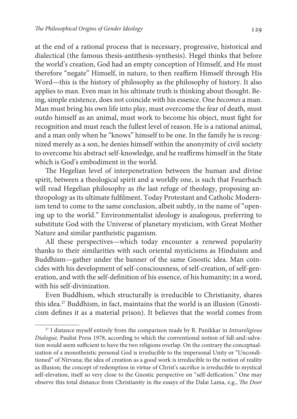at the end of a rational process that is necessary, progressive, historical and dialectical (the famous thesis-antithesis-synthesis). Hegel thinks that before the world's creation, God had an empty conception of Himself, and He must therefore "negate" Himself, in nature, to then reaffirm Himself through His Word—this is the history of philosophy as the philosophy of history. It also applies to man. Even man in his ultimate truth is thinking about thought. Being, simple existence, does not coincide with his essence. One becomes a man. Man must bring his own life into play, must overcome the fear of death, must outdo himself as an animal, must work to become his object, must fight for recognition and must reach the fullest level of reason. He is a rational animal, and a man only when he "knows" himself to be one. In the family he is recognized merely as a son, he denies himself within the anonymity of civil society to overcome his abstract self-knowledge, and he reaffirms himself in the State which is God's embodiment in the world.

The Hegelian level of interpenetration between the human and divine spirit, between a theological spirit and a worldly one, is such that Feuerbach will read Hegelian philosophy as the last refuge of theology, proposing anthropology as its ultimate fulfilment. Today Protestant and Catholic Modernism tend to come to the same conclusion, albeit subtly, in the name of "opening up to the world." Environmentalist ideology is analogous, preferring to substitute God with the Universe of planetary mysticism, with Great Mother Nature and similar pantheistic paganism.

All these perspectives—which today encounter a renewed popularity thanks to their similarities with such oriental mysticisms as Hinduism and Buddhism—gather under the banner of the same Gnostic idea. Man coincides with his development of self-consciousness, of self-creation, of self-generation, and with the self-definition of his essence, of his humanity; in a word, with his self-divinization.

Even Buddhism, which structurally is irreducible to Christianity, shares this idea.<sup>27</sup> Buddhism, in fact, maintains that the world is an illusion (Gnosticism defines it as a material prison). It believes that the world comes from

 $27$  I distance myself entirely from the comparison made by R. Panikkar in *Intrareligious* Dialogue, Paulist Press 1978, according to which the conventional notion of fall-and-salvation would seem sufficient to have the two religions overlap. On the contrary the conceptualization of a monotheistic personal God is irreducible to the impersonal Unity or "Unconditioned" of Nirvana; the idea of creation as a good work is irreducible to the notion of reality as illusion; the concept of redemption in virtue of Christ's sacrifice is irreducible to mystical self-elevation, itself so very close to the Gnostic perspective on "self-deification." One may observe this total distance from Christianity in the essays of the Dalai Lama, e.g., The Door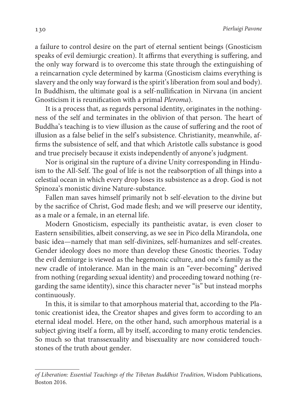a failure to control desire on the part of eternal sentient beings (Gnosticism speaks of evil demiurgic creation). It affirms that everything is suffering, and the only way forward is to overcome this state through the extinguishing of a reincarnation cycle determined by karma (Gnosticism claims everything is slavery and the only way forward is the spirit's liberation from soul and body). In Buddhism, the ultimate goal is a self-nullification in Nirvana (in ancient Gnosticism it is reunification with a primal Pleroma).

It is a process that, as regards personal identity, originates in the nothingness of the self and terminates in the oblivion of that person. The heart of Buddha's teaching is to view illusion as the cause of suffering and the root of illusion as a false belief in the self's subsistence. Christianity, meanwhile, affirms the subsistence of self, and that which Aristotle calls substance is good and true precisely because it exists independently of anyone's judgment.

Nor is original sin the rupture of a divine Unity corresponding in Hinduism to the All-Self. The goal of life is not the reabsorption of all things into a celestial ocean in which every drop loses its subsistence as a drop. God is not Spinoza's monistic divine Nature-substance.

Fallen man saves himself primarily not b self-elevation to the divine but by the sacrifice of Christ, God made flesh; and we will preserve our identity, as a male or a female, in an eternal life.

Modern Gnosticism, especially its pantheistic avatar, is even closer to Eastern sensibilities, albeit conserving, as we see in Pico della Mirandola, one basic idea—namely that man self-divinizes, self-humanizes and self-creates. Gender ideology does no more than develop these Gnostic theories. Today the evil demiurge is viewed as the hegemonic culture, and one's family as the new cradle of intolerance. Man in the main is an "ever-becoming" derived from nothing (regarding sexual identity) and proceeding toward nothing (regarding the same identity), since this character never "is" but instead morphs continuously.

In this, it is similar to that amorphous material that, according to the Platonic creationist idea, the Creator shapes and gives form to according to an eternal ideal model. Here, on the other hand, such amorphous material is a subject giving itself a form, all by itself, according to many erotic tendencies. So much so that transsexuality and bisexuality are now considered touchstones of the truth about gender.

of Liberation: Essential Teachings of the Tibetan Buddhist Tradition, Wisdom Publications, Boston 2016.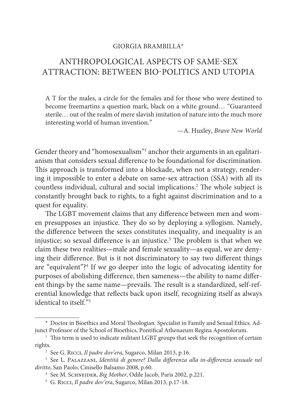#### GIORGIA BRAMBILLA\*

# ANTHROPOLOGICAL ASPECTS OF SAME-SEX ATTRACTION: BETWEEN BIO-POLITICS AND UTOPIA

A T for the males, a circle for the females and for those who were destined to become freemartins a question mark, black on a white ground… "Guaranteed sterile… out of the realm of mere slavish imitation of nature into the much more interesting world of human invention."

—A. Huxley, Brave New World

Gender theory and "homosexualism"<sup>1</sup> anchor their arguments in an egalitarianism that considers sexual difference to be foundational for discrimination. This approach is transformed into a blockade, when not a strategy, rendering it impossible to enter a debate on same-sex attraction (SSA) with all its countless individual, cultural and social implications.<sup>2</sup> The whole subject is constantly brought back to rights, to a fight against discrimination and to a quest for equality.

The LGBT movement claims that any difference between men and women presupposes an injustice. They do so by deploying a syllogism. Namely, the difference between the sexes constitutes inequality, and inequality is an injustice; so sexual difference is an injustice.<sup>3</sup> The problem is that when we claim these two realities—male and female sexuality—as equal, we are denying their difference. But is it not discriminatory to say two different things are "equivalent"?<sup>4</sup> If we go deeper into the logic of advocating identity for purposes of abolishing difference, then sameness—the ability to name different things by the same name—prevails. The result is a standardized, self-referential knowledge that reflects back upon itself, recognizing itself as always identical to itself."<sup>5</sup>

<sup>\*</sup> Doctor in Bioethics and Moral Theologian. Specialist in Family and Sexual Ethics. Adjunct Professor of the School of Bioethics, Pontifical Athenaeum Regina Apostolorum.

<sup>&</sup>lt;sup>1</sup> This term is used to indicate militant LGBT groups that seek the recognition of certain rights.

<sup>&</sup>lt;sup>2</sup> See G. Ricci, Il padre dov'era, Sugarco, Milan 2013, p.16.

<sup>3</sup> See L. Palazzani, Identità di genere? Dalla differenza alla in-differenza sessuale nel diritto, San Paolo, Cinisello Balsamo 2008, p.60.

<sup>&</sup>lt;sup>4</sup> See M. SCHNEIDER, Big Mother, Odile Jacob, Paris 2002, p.221.

<sup>&</sup>lt;sup>5</sup> G. Ricci, Il padre dov'era, Sugarco, Milan 2013, p.17-18.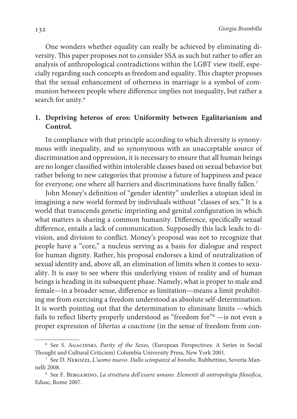One wonders whether equality can really be achieved by eliminating diversity. This paper proposes not to consider SSA as such but rather to offer an analysis of anthropological contradictions within the LGBT view itself, especially regarding such concepts as freedom and equality. This chapter proposes that the sexual enhancement of otherness in marriage is a symbol of communion between people where difference implies not inequality, but rather a search for unity.<sup>6</sup>

### **1. Depriving heteros of eros: Uniformity between Egalitarianism and Control.**

In compliance with that principle according to which diversity is synonymous with inequality, and so synonymous with an unacceptable source of discrimination and oppression, it is necessary to ensure that all human beings are no longer classified within intolerable classes based on sexual behavior but rather belong to new categories that promise a future of happiness and peace for everyone; one where all barriers and discriminations have finally fallen.<sup>7</sup>

John Money's definition of "gender identity" underlies a utopian ideal in imagining a new world formed by individuals without "classes of sex." It is a world that transcends genetic imprinting and genital configuration in which what matters is sharing a common humanity. Difference, specifically sexual difference, entails a lack of communication. Supposedly this lack leads to division, and division to conflict. Money's proposal was not to recognize that people have a "core," a nucleus serving as a basis for dialogue and respect for human dignity. Rather, his proposal endorses a kind of neutralization of sexual identity and, above all, an elimination of limits when it comes to sexuality. It is easy to see where this underlying vision of reality and of human beings is heading in its subsequent phase. Namely, what is proper to male and female—in a broader sense, difference as limitation—means a limit prohibiting me from exercising a freedom understood as absolute self-determination. It is worth pointing out that the determination to eliminate limits —which fails to reflect liberty properly understood as "freedom for"<sup>8</sup> —is not even a proper expression of libertas a coactione (in the sense of freedom from con-

<sup>6</sup> See S. Agacinski, Parity of the Sexes, (European Perspectives: A Series in Social Thought and Cultural Criticism) Columbia University Press, New York 2001.

<sup>7</sup> See D. Nerozzi, L'uomo nuovo. Dallo scimpanzè al bonobo, Rubbettino, Soveria Mannelli 2008.

<sup>8</sup> See F. Bergamino, La struttura dell'essere umano. Elementi di antropologia filosofica, Edusc, Rome 2007.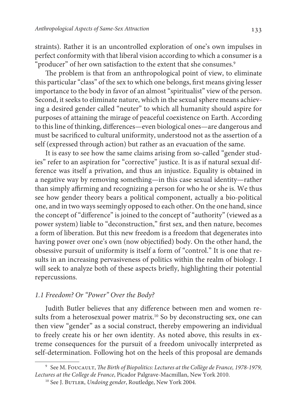straints). Rather it is an uncontrolled exploration of one's own impulses in perfect conformity with that liberal vision according to which a consumer is a "producer" of her own satisfaction to the extent that she consumes.<sup>9</sup>

The problem is that from an anthropological point of view, to eliminate this particular "class" of the sex to which one belongs, first means giving lesser importance to the body in favor of an almost "spiritualist" view of the person. Second, it seeks to eliminate nature, which in the sexual sphere means achieving a desired gender called "neuter" to which all humanity should aspire for purposes of attaining the mirage of peaceful coexistence on Earth. According to this line of thinking, differences—even biological ones—are dangerous and must be sacrificed to cultural uniformity, understood not as the assertion of a self (expressed through action) but rather as an evacuation of the same.

It is easy to see how the same claims arising from so-called "gender studies" refer to an aspiration for "corrective" justice. It is as if natural sexual difference was itself a privation, and thus an injustice. Equality is obtained in a negative way by removing something—in this case sexual identity—rather than simply affirming and recognizing a person for who he or she is. We thus see how gender theory bears a political component, actually a bio-political one, and in two ways seemingly opposed to each other. On the one hand, since the concept of "difference" is joined to the concept of "authority" (viewed as a power system) liable to "deconstruction," first sex, and then nature, becomes a form of liberation. But this new freedom is a freedom that degenerates into having power over one's own (now objectified) body. On the other hand, the obsessive pursuit of uniformity is itself a form of "control." It is one that results in an increasing pervasiveness of politics within the realm of biology. I will seek to analyze both of these aspects briefly, highlighting their potential repercussions.

#### 1.1 Freedom? Or "Power" Over the Body?

Judith Butler believes that any difference between men and women results from a heterosexual power matrix.<sup>10</sup> So by deconstructing sex, one can then view "gender" as a social construct, thereby empowering an individual to freely create his or her own identity. As noted above, this results in extreme consequences for the pursuit of a freedom univocally interpreted as self-determination. Following hot on the heels of this proposal are demands

<sup>&</sup>lt;sup>9</sup> See M. Foucault, *The Birth of Biopolitics: Lectures at the Collège de France, 1978-1979,* Lectures at the College de France, Picador Palgrave-Macmillan, New York 2010.

<sup>&</sup>lt;sup>10</sup> See J. BUTLER, Undoing gender, Routledge, New York 2004.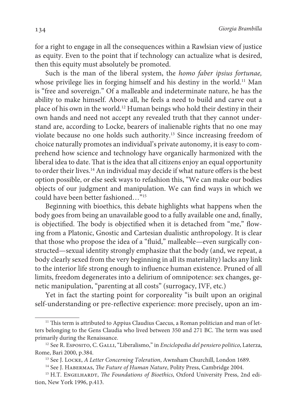134 Giorgia Brambilla

for a right to engage in all the consequences within a Rawlsian view of justice as equity. Even to the point that if technology can actualize what is desired, then this equity must absolutely be promoted.

Such is the man of the liberal system, the homo faber ipsius fortunae, whose privilege lies in forging himself and his destiny in the world.<sup>11</sup> Man is "free and sovereign." Of a malleable and indeterminate nature, he has the ability to make himself. Above all, he feels a need to build and carve out a place of his own in the world.<sup>12</sup> Human beings who hold their destiny in their own hands and need not accept any revealed truth that they cannot understand are, according to Locke, bearers of inalienable rights that no one may violate because no one holds such authority.<sup>13</sup> Since increasing freedom of choice naturally promotes an individual's private autonomy, it is easy to comprehend how science and technology have organically harmonized with the liberal idea to date. That is the idea that all citizens enjoy an equal opportunity to order their lives.<sup>14</sup> An individual may decide if what nature offers is the best option possible, or else seek ways to refashion this, " We can make our bodies objects of our judgment and manipulation. We can find ways in which we could have been better fashioned… "<sup>15</sup>

Beginning with bioethics, this debate highlights what happens when the body goes from being an unavailable good to a fully available one and, finally, is objectified. The body is objectified when it is detached from "me," flowing from a Platonic, Gnostic and Cartesian dualistic anthropology. It is clear that those who propose the idea of a "fluid," malleable—even surgically constructed—sexual identity strongly emphasize that the body (and, we repeat, a body clearly sexed from the very beginning in all its materiality) lacks any link to the interior life strong enough to influence human existence. Pruned of all limits, freedom degenerates into a delirium of omnipotence: sex changes, genetic manipulation, "parenting at all costs" (surrogacy, IVF, etc.)

Yet in fact the starting point for corporeality "is built upon an original self-understanding or pre-reflective experience: more precisely, upon an im-

 $11$  This term is attributed to Appius Claudius Caecus, a Roman politician and man of letters belonging to the Gens Claudia who lived between 350 and 271 BC. The term was used primarily during the Renaissance.

<sup>&</sup>lt;sup>12</sup> See R. Esposito, C. GALLI, "Liberalismo," in *Enciclopedia del pensiero politico*, Laterza, Rome, Bari 2000, p.384.

<sup>&</sup>lt;sup>13</sup> See J. LOCKE, A Letter Concerning Toleration, Awnsham Churchill, London 1689.

<sup>&</sup>lt;sup>14</sup> See J. HABERMAS, *The Future of Human Nature*, Polity Press, Cambridge 2004.

<sup>&</sup>lt;sup>15</sup> H.T. ENGELHARDT, *The Foundations of Bioethics*, Oxford University Press, 2nd edition, New York 1996, p.413.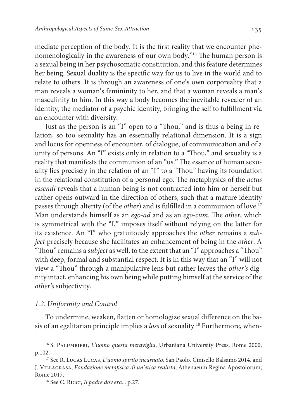mediate perception of the body. It is the first reality that we encounter phenomenologically in the awareness of our own body."<sup>16</sup> The human person is a sexual being in her psychosomatic constitution, and this feature determines her being. Sexual duality is the specific way for us to live in the world and to relate to others. It is through an awareness of one's own corporeality that a man reveals a woman's femininity to her, and that a woman reveals a man's masculinity to him. In this way a body becomes the inevitable revealer of an identity, the mediator of a psychic identity, bringing the self to fulfillment via an encounter with diversity.

Just as the person is an "I" open to a "Thou," and is thus a being in relation, so too sexuality has an essentially relational dimension. It is a sign and locus for openness of encounter, of dialogue, of communication and of a unity of persons. An "I" exists only in relation to a "Thou," and sexuality is a reality that manifests the communion of an "us." The essence of human sexuality lies precisely in the relation of an "I" to a "Thou" having its foundation in the relational constitution of a personal ego. The metaphysics of the actus essendi reveals that a human being is not contracted into him or herself but rather opens outward in the direction of others, such that a mature identity passes through alterity (of the *other*) and is fulfilled in a communion of love.<sup>17</sup> Man understands himself as an ego-ad and as an ego-cum. The other, which is symmetrical with the "I," imposes itself without relying on the latter for its existence. An "I" who gratuitously approaches the other remains a subject precisely because she facilitates an enhancement of being in the other. A "Thou" remains a subject as well, to the extent that an "I" approaches a "Thou" with deep, formal and substantial respect. It is in this way that an "I" will not view a "Thou" through a manipulative lens but rather leaves the other's dignity intact, enhancing his own being while putting himself at the service of the other's subjectivity.

#### 1.2. Uniformity and Control

To undermine, weaken, flatten or homologize sexual difference on the basis of an egalitarian principle implies a loss of sexuality.18 Furthermore, when-

<sup>&</sup>lt;sup>16</sup> S. PALUMBIERI, L'uomo questa meraviglia, Urbaniana University Press, Rome 2000, p.102.

<sup>&</sup>lt;sup>17</sup> See R. Lucas Lucas, L'uomo spirito incarnato, San Paolo, Cinisello Balsamo 2014, and J. Villagrasa, Fondazione metafisica di un'etica realista, Athenaeum Regina Apostolorum, Rome 2017.

<sup>&</sup>lt;sup>18</sup> See C. RICCI, Il padre dov'era... p.27.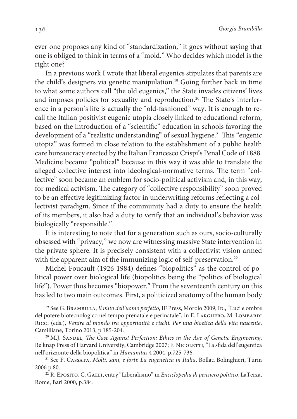ever one proposes any kind of "standardization," it goes without saying that one is obliged to think in terms of a "mold." Who decides which model is the right one?

In a previous work I wrote that liberal eugenics stipulates that parents are the child's designers via genetic manipulation.<sup>19</sup> Going further back in time to what some authors call "the old eugenics," the State invades citizens' lives and imposes policies for sexuality and reproduction.<sup>20</sup> The State's interference in a person's life is actually the "old-fashioned" way. It is enough to recall the Italian positivist eugenic utopia closely linked to educational reform, based on the introduction of a "scientific" education in schools favoring the development of a "realistic understanding" of sexual hygiene.<sup>21</sup> This "eugenic utopia" was formed in close relation to the establishment of a public health care bureaucracy erected by the Italian Francesco Crispi's Penal Code of 1888. Medicine became "political" because in this way it was able to translate the alleged collective interest into ideological-normative terms. The term "collective" soon became an emblem for socio-political activism and, in this way, for medical activism. The category of "collective responsibility" soon proved to be an effective legitimizing factor in underwriting reforms reflecting a collectivist paradigm. Since if the community had a duty to ensure the health of its members, it also had a duty to verify that an individual's behavior was biologically "responsible."

It is interesting to note that for a generation such as ours, socio-culturally obsessed with "privacy," we now are witnessing massive State intervention in the private sphere. It is precisely consistent with a collectivist vision armed with the apparent aim of the immunizing logic of self-preservation.<sup>22</sup>

 Michel Foucault (1926-1984) defines "biopolitics" as the control of political power over biological life (biopolitics being the "politics of biological life"). Power thus becomes "biopower." From the seventeenth century on this has led to two main outcomes. First, a politicized anatomy of the human body

<sup>&</sup>lt;sup>19</sup> See G. BRAMBILLA, Il mito dell'uomo perfetto, IF Press, Morolo 2009; ID., "Luci e ombre del potere biotecnologico nel tempo prenatale e perinatale", in E. LARGHERO, M. LOMBARDI Ricci (eds.), Venire al mondo tra opportunità e rischi. Per una bioetica della vita nascente, Camilliane, Torino 2013, p.185-204.

<sup>&</sup>lt;sup>20</sup> M.J. SANDEL, *The Case Against Perfection: Ethics in the Age of Genetic Engineering*, Belknap Press of Harvard University, Cambridge 2007; F. NICOLETTI, "La sfida dell'eugentica nell'orizzonte della biopolitica" in Humanitas 4 2004, p.725-736.

<sup>21</sup> See F. Cassata, Molti, sani, e forti: La eugenetica in Italia, Bollati Bolinghieri, Turin 2006 p.80.

<sup>&</sup>lt;sup>22</sup> R. Eposito, C. GALLI, entry "Liberalismo" in *Enciclopedia di pensiero politico*, LaTerza, Rome, Bari 2000, p.384.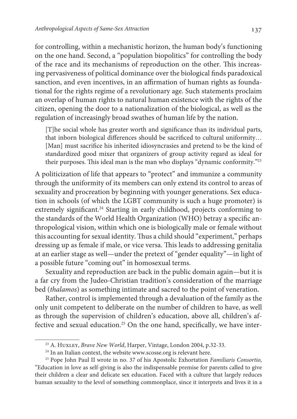for controlling, within a mechanistic horizon, the human body's functioning on the one hand. Second, a "population biopolitics" for controlling the body of the race and its mechanisms of reproduction on the other. This increasing pervasiveness of political dominance over the biological finds paradoxical sanction, and even incentives, in an affirmation of human rights as foundational for the rights regime of a revolutionary age. Such statements proclaim an overlap of human rights to natural human existence with the rights of the citizen, opening the door to a nationalization of the biological, as well as the regulation of increasingly broad swathes of human life by the nation.

[T]he social whole has greater worth and significance than its individual parts, that inborn biological differences should be sacrificed to cultural uniformity… [Man] must sacrifice his inherited idiosyncrasies and pretend to be the kind of standardized good mixer that organizers of group activity regard as ideal for their purposes. This ideal man is the man who displays "dynamic conformity."<sup>23</sup>

A politicization of life that appears to "protect" and immunize a community through the uniformity of its members can only extend its control to areas of sexuality and procreation by beginning with younger generations. Sex education in schools (of which the LGBT community is such a huge promoter) is extremely significant.<sup>24</sup> Starting in early childhood, projects conforming to the standards of the World Health Organization (WHO) betray a specific anthropological vision, within which one is biologically male or female without this accounting for sexual identity. Thus a child should "experiment," perhaps dressing up as female if male, or vice versa. This leads to addressing genitalia at an earlier stage as well—under the pretext of "gender equality"—in light of a possible future "coming out" in homosexual terms.

Sexuality and reproduction are back in the public domain again—but it is a far cry from the Judeo-Christian tradition's consideration of the marriage bed (thalamos) as something intimate and sacred to the point of veneration.

Rather, control is implemented through a devaluation of the family as the only unit competent to deliberate on the number of children to have, as well as through the supervision of children's education, above all, children's affective and sexual education.<sup>25</sup> On the one hand, specifically, we have inter-

<sup>&</sup>lt;sup>23</sup> A. HUXLEY, *Brave New World*, Harper, Vintage, London 2004, p.32-33.

<sup>&</sup>lt;sup>24</sup> In an Italian context, the website www.scosse.org is relevant here.

<sup>&</sup>lt;sup>25</sup> Pope John Paul II wrote in no. 37 of his Apostolic Exhortation *Familiaris Consortio*, "Education in love as self-giving is also the indispensable premise for parents called to give their children a clear and delicate sex education. Faced with a culture that largely reduces human sexuality to the level of something commonplace, since it interprets and lives it in a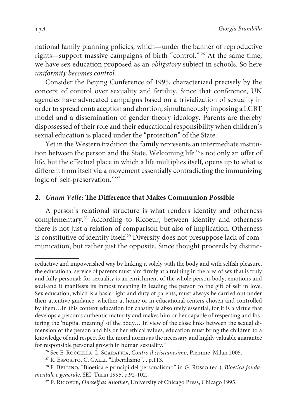national family planning policies, which—under the banner of reproductive rights—support massive campaigns of birth "control."<sup>26</sup> At the same time, we have sex education proposed as an obligatory subject in schools. So here uniformity becomes control.

Consider the Beijing Conference of 1995, characterized precisely by the concept of control over sexuality and fertility. Since that conference, UN agencies have advocated campaigns based on a trivialization of sexuality in order to spread contraception and abortion, simultaneously imposing a LGBT model and a dissemination of gender theory ideology. Parents are thereby dispossessed of their role and their educational responsibility when children's sexual education is placed under the "protection" of the State.

Yet in the Western tradition the family represents an intermediate institution between the person and the State. Welcoming life "is not only an offer of life, but the effectual place in which a life multiplies itself, opens up to what is different from itself via a movement essentially contradicting the immunizing logic of 'self-preservation.'"<sup>27</sup>

#### **2. Unum Velle: The Difference that Makes Communion Possible**

A person's relational structure is what renders identity and otherness complementary.<sup>28</sup> According to Ricoeur, between identity and otherness there is not just a relation of comparison but also of implication. Otherness is constitutive of identity itself.<sup>29</sup> Diversity does not presuppose lack of communication, but rather just the opposite. Since thought proceeds by distinc-

reductive and impoverished way by linking it solely with the body and with selfish pleasure, the educational service of parents must aim firmly at a training in the area of sex that is truly and fully personal: for sexuality is an enrichment of the whole person-body, emotions and soul-and it manifests its inmost meaning in leading the person to the gift of self in love. Sex education, which is a basic right and duty of parents, must always be carried out under their attentive guidance, whether at home or in educational centers chosen and controlled by them…In this context education for chastity is absolutely essential, for it is a virtue that develops a person's authentic maturity and makes him or her capable of respecting and fostering the 'nuptial meaning' of the body… In view of the close links between the sexual dimension of the person and his or her ethical values, education must bring the children to a knowledge of and respect for the moral norms as the necessary and highly valuable guarantee for responsible personal growth in human sexuality."

<sup>&</sup>lt;sup>26</sup> See E. ROCCELLA, L. SCARAFFIA, Contro il cristianesimo, Piemme, Milan 2005.

<sup>&</sup>lt;sup>27</sup> R. Esposito, C. GALLI, "Liberalismo"... p.113.

<sup>&</sup>lt;sup>28</sup> F. BELLINO, "Bioetica e principi del personalismo" in G. Russo (ed.), Bioetica fondamentale e generale, SEI, Turin 1995, p.92-102.

<sup>&</sup>lt;sup>29</sup> P. RICOEUR, Oneself as Another, University of Chicago Press, Chicago 1995.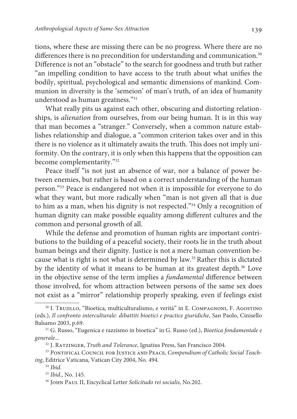tions, where these are missing there can be no progress. Where there are no differences there is no precondition for understanding and communication.<sup>30</sup> Difference is not an "obstacle" to the search for goodness and truth but rather "an impelling condition to have access to the truth about what unifies the bodily, spiritual, psychological and semantic dimensions of mankind. Communion in diversity is the 'semeion' of man's truth, of an idea of humanity understood as human greatness."<sup>31</sup>

What really pits us against each other, obscuring and distorting relationships, is alienation from ourselves, from our being human. It is in this way that man becomes a "stranger." Conversely, when a common nature establishes relationship and dialogue, a "common criterion takes over and in this there is no violence as it ultimately awaits the truth. This does not imply uniformity. On the contrary, it is only when this happens that the opposition can become complementarity."<sup>32</sup>

Peace itself "is not just an absence of war, nor a balance of power between enemies, but rather is based on a correct understanding of the human person."<sup>33</sup> Peace is endangered not when it is impossible for everyone to do what they want, but more radically when "man is not given all that is due to him as a man, when his dignity is not respected."<sup>34</sup> Only a recognition of human dignity can make possible equality among different cultures and the common and personal growth of all.

While the defense and promotion of human rights are important contributions to the building of a peaceful society, their roots lie in the truth about human beings and their dignity. Justice is not a mere human convention because what is right is not what is determined by law.<sup>35</sup> Rather this is dictated by the identity of what it means to be human at its greatest depth.<sup>36</sup> Love in the objective sense of the term implies a fundamental difference between those involved, for whom attraction between persons of the same sex does not exist as a "mirror" relationship properly speaking, even if feelings exist

<sup>30</sup> I. Trujillo, "Bioetica, multiculturalismo, e verità" in E. Compagnoni, F. Agostino (eds.), Il confronto interculturale: dibattiti bioetici e practice giuridiche, San Paolo, Cinisello Balsamo 2003, p.69.

<sup>&</sup>lt;sup>31</sup> G. Russo, "Eugenica e razzismo in bioetica" in G. Russo (ed.), Bioetica fondamentale e generale...

<sup>&</sup>lt;sup>32</sup> J. RATZINGER, Truth and Tolerance, Ignatius Press, San Francisco 2004.

<sup>&</sup>lt;sup>33</sup> PONTIFICAL COUNCIL FOR JUSTICE AND PEACE, Compendium of Catholic Social Teaching, Editrice Vaticana, Vatican City 2004, No. 494.

 $34$  Ibid.

<sup>&</sup>lt;sup>35</sup> Ibid., No. 145.

<sup>&</sup>lt;sup>36</sup> JOHN PAUL II, Encyclical Letter Solicitudo rei socialis, No.202.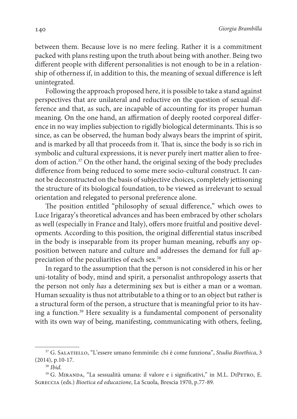between them. Because love is no mere feeling. Rather it is a commitment packed with plans resting upon the truth about being with another. Being two different people with different personalities is not enough to be in a relationship of otherness if, in addition to this, the meaning of sexual difference is left unintegrated.

Following the approach proposed here, it is possible to take a stand against perspectives that are unilateral and reductive on the question of sexual difference and that, as such, are incapable of accounting for its proper human meaning. On the one hand, an affirmation of deeply rooted corporeal difference in no way implies subjection to rigidly biological determinants. This is so since, as can be observed, the human body always bears the imprint of spirit, and is marked by all that proceeds from it. That is, since the body is so rich in symbolic and cultural expressions, it is never purely inert matter alien to freedom of action.<sup>37</sup> On the other hand, the original sexing of the body precludes difference from being reduced to some mere socio-cultural construct. It cannot be deconstructed on the basis of subjective choices, completely jettisoning the structure of its biological foundation, to be viewed as irrelevant to sexual orientation and relegated to personal preference alone.

The position entitled "philosophy of sexual difference," which owes to Luce Irigaray's theoretical advances and has been embraced by other scholars as well (especially in France and Italy), offers more fruitful and positive developments. According to this position, the original differential status inscribed in the body is inseparable from its proper human meaning, rebuffs any opposition between nature and culture and addresses the demand for full appreciation of the peculiarities of each sex.<sup>38</sup>

In regard to the assumption that the person is not considered in his or her uni-totality of body, mind and spirit, a personalist anthropology asserts that the person not only has a determining sex but is either a man or a woman. Human sexuality is thus not attributable to a thing or to an object but rather is a structural form of the person, a structure that is meaningful prior to its having a function.<sup>39</sup> Here sexuality is a fundamental component of personality with its own way of being, manifesting, communicating with others, feeling,

<sup>&</sup>lt;sup>37</sup> G. SALATIELLO, "L'essere umano femminile: chi è come funziona", Studia Bioethica, 3 (2014), p.10-17.

 $38$  Ihid.

<sup>&</sup>lt;sup>39</sup> G. MIRANDA, "La sessualità umana: il valore e i significativi," in M.L. DIPETRO, E. Sgreccia (eds.) Bioetica ed educazione, La Scuola, Brescia 1970, p.77-89.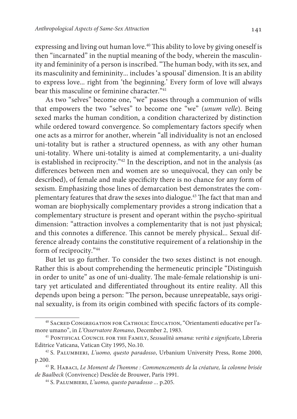expressing and living out human love.<sup>40</sup> This ability to love by giving oneself is then "incarnated" in the nuptial meaning of the body, wherein the masculinity and femininity of a person is inscribed. "The human body, with its sex, and its masculinity and femininity... includes 'a spousal' dimension. It is an ability to express love... right from 'the beginning.' Every form of love will always bear this masculine or feminine character."<sup>41</sup>

As two "selves" become one, "we" passes through a communion of wills that empowers the two "selves" to become one "we" (unum velle). Being sexed marks the human condition, a condition characterized by distinction while ordered toward convergence. So complementary factors specify when one acts as a mirror for another, wherein "all individuality is not an enclosed uni-totality but is rather a structured openness, as with any other human uni-totality. Where uni-totality is aimed at complementarity, a uni-duality is established in reciprocity."<sup>42</sup> In the description, and not in the analysis (as differences between men and women are so unequivocal, they can only be described), of female and male specificity there is no chance for any form of sexism. Emphasizing those lines of demarcation best demonstrates the complementary features that draw the sexes into dialogue.<sup>43</sup> The fact that man and woman are biophysically complementary provides a strong indication that a complementary structure is present and operant within the psycho-spiritual dimension: "attraction involves a complementarity that is not just physical; and this connotes a difference. This cannot be merely physical... Sexual difference already contains the constitutive requirement of a relationship in the form of reciprocity."<sup>44</sup>

But let us go further. To consider the two sexes distinct is not enough. Rather this is about comprehending the hermeneutic principle "Distinguish in order to unite" as one of uni-duality. The male-female relationship is unitary yet articulated and differentiated throughout its entire reality. All this depends upon being a person: "The person, because unrepeatable, says original sexuality, is from its origin combined with specific factors of its comple-

<sup>40</sup> Sacred Congregation for Catholic Education, "Orientamenti educative per l'amore umano", in L'Osservatore Romano, December 2, 1983.

<sup>&</sup>lt;sup>41</sup> PONTIFICAL COUNCIL FOR THE FAMILY, Sessualità umana: verità e significato, Libreria Editrice Vaticana, Vatican City 1995, No.10.

<sup>42</sup> S. Palumbieri, L'uomo, questo paradosso, Urbanium University Press, Rome 2000, p.200.

<sup>43</sup> R. Habaci, Le Moment de l'homme : Commencements de la créature, la colonne brisée de Baalbeck (Convivence) Desclée de Brouwer, Paris 1991.

<sup>44</sup> S. Palumbieri, L'uomo, questo paradosso ... p.205.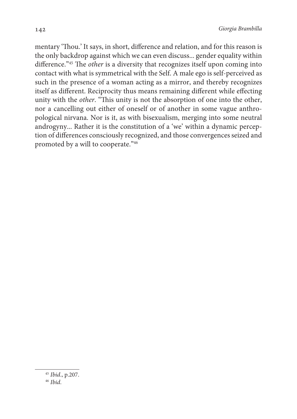mentary 'Thou.' It says, in short, difference and relation, and for this reason is the only backdrop against which we can even discuss... gender equality within difference."<sup>45</sup> The *other* is a diversity that recognizes itself upon coming into contact with what is symmetrical with the Self. A male ego is self-perceived as such in the presence of a woman acting as a mirror, and thereby recognizes itself as different. Reciprocity thus means remaining different while effecting unity with the other. "This unity is not the absorption of one into the other, nor a cancelling out either of oneself or of another in some vague anthropological nirvana. Nor is it, as with bisexualism, merging into some neutral androgyny... Rather it is the constitution of a 'we' within a dynamic perception of differences consciously recognized, and those convergences seized and promoted by a will to cooperate."46

<sup>45</sup> Ibid., p.207.

 $46$  Ihid.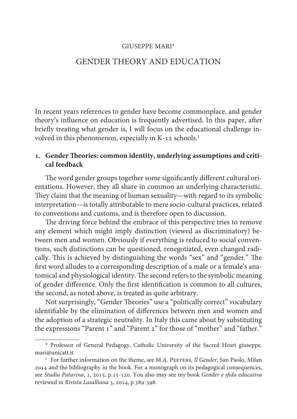#### GIUSEPPE MARI\*

### GENDER THEORY AND EDUCATION

In recent years references to gender have become commonplace, and gender theory's influence on education is frequently advertised. In this paper, after briefly treating what gender is, I will focus on the educational challenge involved in this phenomenon, especially in K-12 schools.<sup>1</sup>

### **. Gender Theories: common identity, underlying assumptions and critical feedback**

The word gender groups together some significantly different cultural orientations. However, they all share in common an underlying characteristic. They claim that the meaning of human sexuality—with regard to its symbolic interpretation—is totally attributable to mere socio-cultural practices, related to conventions and customs, and is therefore open to discussion.

The driving force behind the embrace of this perspective tries to remove any element which might imply distinction (viewed as discriminatory) between men and women. Obviously if everything is reduced to social conventions, such distinctions can be questioned, renegotiated, even changed radically. This is achieved by distinguishing the words "sex" and "gender." The first word alludes to a corresponding description of a male or a female's anatomical and physiological identity. The second refers to the symbolic meaning of gender difference. Only the first identification is common to all cultures, the second, as noted above, is treated as quite arbitrary.

Not surprisingly, "Gender Theories" use a "politically correct" vocabulary identifiable by the elimination of differences between men and women and the adoption of a strategic neutrality. In Italy this came about by substituting the expressions "Parent 1" and "Parent 2" for those of "mother" and "father."

<sup>\*</sup> Professor of General Pedagogy, Catholic University of the Sacred Heart giuseppe. mari@unicatt.it

<sup>&</sup>lt;sup>1</sup> For further information on the theme, see M.A. PEETERS, Il Gender, San Paolo, Milan 2014 and the bibliography in the book. For a monograph on its pedagogical consequences, see Studia Patavina, 1, 2015, p.15-120. You also may see my book Gender e sfida educativa reviewed in Rivista Lasalliana 3, 2014, p.389-398.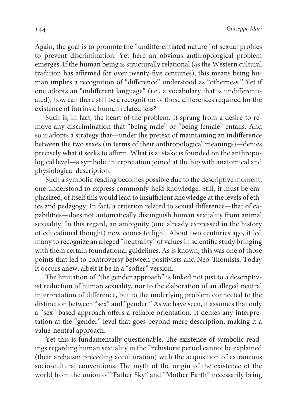Again, the goal is to promote the "undifferentiated nature" of sexual profiles to prevent discrimination. Yet here an obvious anthropological problem emerges. If the human being is structurally relational (as the Western cultural tradition has affirmed for over twenty-five centuries), this means being human implies a recognition of "difference" understood as "otherness." Yet if one adopts an "indifferent language" (i.e., a vocabulary that is undifferentiated), how can there still be a recognition of those differences required for the existence of intrinsic human relatedness?

Such is, in fact, the heart of the problem. It sprang from a desire to remove any discrimination that "being male" or "being female" entails. And so it adopts a strategy that—under the pretext of maintaining an indifference between the two sexes (in terms of their anthropological meanings)—denies precisely what it seeks to affirm. What is at stake is founded on the anthropological level—a symbolic interpretation joined at the hip with anatomical and physiological description.

Such a symbolic reading becomes possible due to the descriptive moment, one understood to express commonly-held knowledge. Still, it must be emphasized, of itself this would lead to insufficient knowledge at the levels of ethics and pedagogy. In fact, a criterion related to sexual difference—that of capabilities—does not automatically distinguish human sexuality from animal sexuality. In this regard, an ambiguity (one already expressed in the history of educational thought) now comes to light. About two centuries ago, it led many to recognize an alleged "neutrality" of values in scientific study bringing with them certain foundational guidelines. As is known, this was one of those points that led to controversy between positivists and Neo-Thomists. Today it occurs anew, albeit it be in a "softer" version.

The limitation of "the gender approach" is linked not just to a descriptivist reduction of human sexuality, nor to the elaboration of an alleged neutral interpretation of difference, but to the underlying problem connected to the distinction between "sex" and "gender." As we have seen, it assumes that only a "sex"-based approach offers a reliable orientation. It denies any interpretation at the "gender" level that goes beyond mere description, making it a value-neutral approach.

Yet this is fundamentally questionable. The existence of symbolic readings regarding human sexuality in the Prehistoric period cannot be explained (their archaism preceding acculturation) with the acquisition of extraneous socio-cultural conventions. The myth of the origin of the existence of the world from the union of "Father Sky" and "Mother Earth" necessarily bring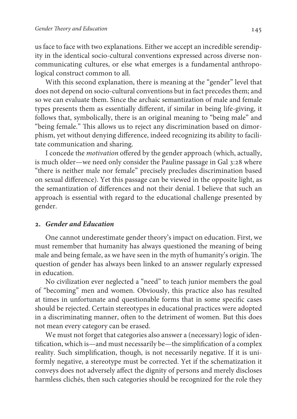us face to face with two explanations. Either we accept an incredible serendipity in the identical socio-cultural conventions expressed across diverse noncommunicating cultures, or else what emerges is a fundamental anthropological construct common to all.

With this second explanation, there is meaning at the "gender" level that does not depend on socio-cultural conventions but in fact precedes them; and so we can evaluate them. Since the archaic semantization of male and female types presents them as essentially different, if similar in being life-giving, it follows that, symbolically, there is an original meaning to "being male" and "being female." This allows us to reject any discrimination based on dimorphism, yet without denying difference, indeed recognizing its ability to facilitate communication and sharing.

I concede the motivation offered by the gender approach (which, actually, is much older—we need only consider the Pauline passage in Gal 3:28 where "there is neither male nor female" precisely precludes discrimination based on sexual difference). Yet this passage can be viewed in the opposite light, as the semantization of differences and not their denial. I believe that such an approach is essential with regard to the educational challenge presented by gender.

#### **. Gender and Education**

One cannot underestimate gender theory's impact on education. First, we must remember that humanity has always questioned the meaning of being male and being female, as we have seen in the myth of humanity's origin. The question of gender has always been linked to an answer regularly expressed in education.

No civilization ever neglected a "need" to teach junior members the goal of "becoming" men and women. Obviously, this practice also has resulted at times in unfortunate and questionable forms that in some specific cases should be rejected. Certain stereotypes in educational practices were adopted in a discriminating manner, often to the detriment of women. But this does not mean every category can be erased.

We must not forget that categories also answer a (necessary) logic of identification, which is—and must necessarily be—the simplification of a complex reality. Such simplification, though, is not necessarily negative. If it is uniformly negative, a stereotype must be corrected. Yet if the schematization it conveys does not adversely affect the dignity of persons and merely discloses harmless clichés, then such categories should be recognized for the role they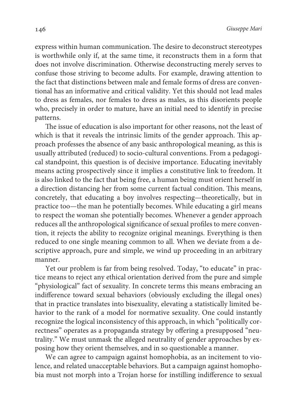express within human communication. The desire to deconstruct stereotypes is worthwhile only if, at the same time, it reconstructs them in a form that does not involve discrimination. Otherwise deconstructing merely serves to confuse those striving to become adults. For example, drawing attention to the fact that distinctions between male and female forms of dress are conventional has an informative and critical validity. Yet this should not lead males to dress as females, nor females to dress as males, as this disorients people who, precisely in order to mature, have an initial need to identify in precise patterns.

The issue of education is also important for other reasons, not the least of which is that it reveals the intrinsic limits of the gender approach. This approach professes the absence of any basic anthropological meaning, as this is usually attributed (reduced) to socio-cultural conventions. From a pedagogical standpoint, this question is of decisive importance. Educating inevitably means acting prospectively since it implies a constitutive link to freedom. It is also linked to the fact that being free, a human being must orient herself in a direction distancing her from some current factual condition. This means, concretely, that educating a boy involves respecting—theoretically, but in practice too—the man he potentially becomes. While educating a girl means to respect the woman she potentially becomes. Whenever a gender approach reduces all the anthropological significance of sexual profiles to mere convention, it rejects the ability to recognize original meanings. Everything is then reduced to one single meaning common to all. When we deviate from a descriptive approach, pure and simple, we wind up proceeding in an arbitrary manner.

Yet our problem is far from being resolved. Today, "to educate" in practice means to reject any ethical orientation derived from the pure and simple "physiological" fact of sexuality. In concrete terms this means embracing an indifference toward sexual behaviors (obviously excluding the illegal ones) that in practice translates into bisexuality, elevating a statistically limited behavior to the rank of a model for normative sexuality. One could instantly recognize the logical inconsistency of this approach, in which "politically correctness" operates as a propaganda strategy by offering a presupposed "neutrality." We must unmask the alleged neutrality of gender approaches by exposing how they orient themselves, and in so questionable a manner.

We can agree to campaign against homophobia, as an incitement to violence, and related unacceptable behaviors. But a campaign against homophobia must not morph into a Trojan horse for instilling indifference to sexual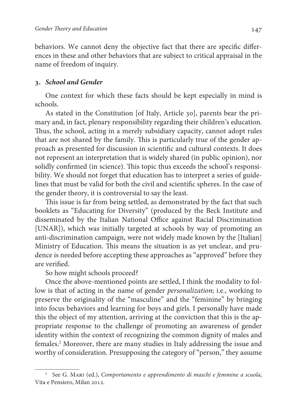behaviors. We cannot deny the objective fact that there are specific differences in these and other behaviors that are subject to critical appraisal in the name of freedom of inquiry.

#### **. School and Gender**

One context for which these facts should be kept especially in mind is schools.

As stated in the Constitution [of Italy, Article 30], parents bear the primary and, in fact, plenary responsibility regarding their children's education. Thus, the school, acting in a merely subsidiary capacity, cannot adopt rules that are not shared by the family. This is particularly true of the gender approach as presented for discussion in scientific and cultural contexts. It does not represent an interpretation that is widely shared (in public opinion), nor solidly confirmed (in science). This topic thus exceeds the school's responsibility. We should not forget that education has to interpret a series of guidelines that must be valid for both the civil and scientific spheres. In the case of the gender theory, it is controversial to say the least.

This issue is far from being settled, as demonstrated by the fact that such booklets as "Educating for Diversity" (produced by the Beck Institute and disseminated by the Italian National Office against Racial Discrimination [UNAR]), which was initially targeted at schools by way of promoting an anti-discrimination campaign, were not widely made known by the [Italian] Ministry of Education. This means the situation is as yet unclear, and prudence is needed before accepting these approaches as "approved" before they are verified.

So how might schools proceed?

Once the above-mentioned points are settled, I think the modality to follow is that of acting in the name of gender personalization; i.e., working to preserve the originality of the "masculine" and the "feminine" by bringing into focus behaviors and learning for boys and girls. I personally have made this the object of my attention, arriving at the conviction that this is the appropriate response to the challenge of promoting an awareness of gender identity within the context of recognizing the common dignity of males and females.<sup>2</sup> Moreover, there are many studies in Italy addressing the issue and worthy of consideration. Presupposing the category of "person," they assume

<sup>&</sup>lt;sup>2</sup> See G. MARI (ed.), Comportamento e apprendimento di maschi e femmine a scuola, Vita e Pensiero, Milan 2012.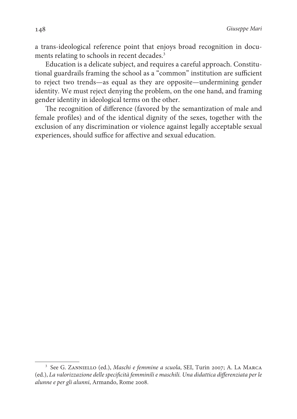a trans-ideological reference point that enjoys broad recognition in documents relating to schools in recent decades.<sup>3</sup>

Education is a delicate subject, and requires a careful approach. Constitutional guardrails framing the school as a "common" institution are sufficient to reject two trends—as equal as they are opposite—undermining gender identity. We must reject denying the problem, on the one hand, and framing gender identity in ideological terms on the other.

The recognition of difference (favored by the semantization of male and female profiles) and of the identical dignity of the sexes, together with the exclusion of any discrimination or violence against legally acceptable sexual experiences, should suffice for affective and sexual education.

<sup>&</sup>lt;sup>3</sup> See G. Zanniello (ed.), *Maschi e femmine a scuola*, SEI, Turin 2007; A. La Marca (ed.), La valorizzazione delle specificità femminili e maschili. Una didattica differenziata per le alunne e per gli alunni, Armando, Rome 2008.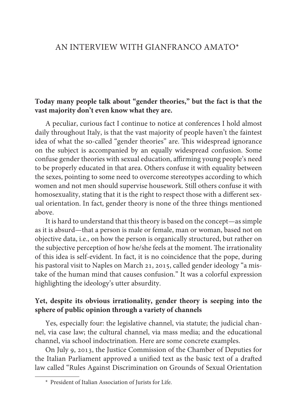### AN INTERVIEW WITH GIANFRANCO AMATO\*<sup>1</sup>

### **Today many people talk about "gender theories," but the fact is that the vast majority don't even know what they are.**

A peculiar, curious fact I continue to notice at conferences I hold almost daily throughout Italy, is that the vast majority of people haven't the faintest idea of what the so-called "gender theories" are. This widespread ignorance on the subject is accompanied by an equally widespread confusion. Some confuse gender theories with sexual education, affirming young people's need to be properly educated in that area. Others confuse it with equality between the sexes, pointing to some need to overcome stereotypes according to which women and not men should supervise housework. Still others confuse it with homosexuality, stating that it is the right to respect those with a different sexual orientation. In fact, gender theory is none of the three things mentioned above.

It is hard to understand that this theory is based on the concept—as simple as it is absurd—that a person is male or female, man or woman, based not on objective data, i.e., on how the person is organically structured, but rather on the subjective perception of how he/she feels at the moment. The irrationality of this idea is self-evident. In fact, it is no coincidence that the pope, during his pastoral visit to Naples on March 21, 2015, called gender ideology "a mistake of the human mind that causes confusion." It was a colorful expression highlighting the ideology's utter absurdity.

### **Yet, despite its obvious irrationality, gender theory is seeping into the sphere of public opinion through a variety of channels**

Yes, especially four: the legislative channel, via statute; the judicial channel, via case law; the cultural channel, via mass media; and the educational channel, via school indoctrination. Here are some concrete examples.

On July 9, 2013, the Justice Commission of the Chamber of Deputies for the Italian Parliament approved a unified text as the basic text of a drafted law called "Rules Against Discrimination on Grounds of Sexual Orientation

<sup>\*</sup> President of Italian Association of Jurists for Life.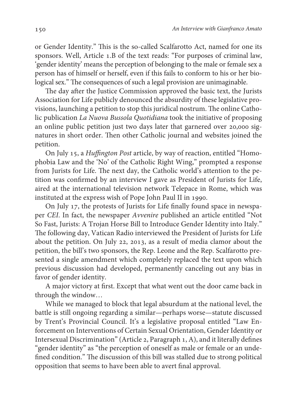or Gender Identity." This is the so-called Scalfarotto Act, named for one its sponsors. Well, Article 1.B of the text reads: "For purposes of criminal law, 'gender identity' means the perception of belonging to the male or female sex a person has of himself or herself, even if this fails to conform to his or her biological sex." The consequences of such a legal provision are unimaginable.

The day after the Justice Commission approved the basic text, the Jurists Association for Life publicly denounced the absurdity of these legislative provisions, launching a petition to stop this juridical nostrum. The online Catholic publication La Nuova Bussola Quotidiana took the initiative of proposing an online public petition just two days later that garnered over 20,000 signatures in short order. Then other Catholic journal and websites joined the petition.

On July 15, a Huffington Post article, by way of reaction, entitled "Homophobia Law and the 'No' of the Catholic Right Wing," prompted a response from Jurists for Life. The next day, the Catholic world's attention to the petition was confirmed by an interview I gave as President of Jurists for Life, aired at the international television network Telepace in Rome, which was instituted at the express wish of Pope John Paul II in 1990.

On July 17, the protests of Jurists for Life finally found space in newspaper CEI. In fact, the newspaper Avvenire published an article entitled "Not So Fast, Jurists: A Trojan Horse Bill to Introduce Gender Identity into Italy." The following day, Vatican Radio interviewed the President of Jurists for Life about the petition. On July 22, 2013, as a result of media clamor about the petition, the bill's two sponsors, the Rep. Leone and the Rep. Scalfarotto presented a single amendment which completely replaced the text upon which previous discussion had developed, permanently canceling out any bias in favor of gender identity.

A major victory at first. Except that what went out the door came back in through the window…

While we managed to block that legal absurdum at the national level, the battle is still ongoing regarding a similar—perhaps worse—statute discussed by Trent's Provincial Council. It's a legislative proposal entitled "Law Enforcement on Interventions of Certain Sexual Orientation, Gender Identity or Intersexual Discrimination" (Article 2, Paragraph 1, A), and it literally defines "gender identity" as "the perception of oneself as male or female or an undefined condition." The discussion of this bill was stalled due to strong political opposition that seems to have been able to avert final approval.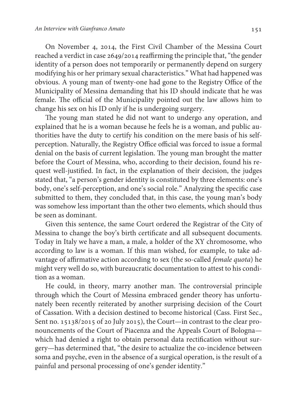On November 4, 2014, the First Civil Chamber of the Messina Court reached a verdict in case 2649/2014 reaffirming the principle that, "the gender identity of a person does not temporarily or permanently depend on surgery modifying his or her primary sexual characteristics." What had happened was obvious. A young man of twenty-one had gone to the Registry Office of the Municipality of Messina demanding that his ID should indicate that he was female. The official of the Municipality pointed out the law allows him to change his sex on his ID only if he is undergoing surgery.

The young man stated he did not want to undergo any operation, and explained that he is a woman because he feels he is a woman, and public authorities have the duty to certify his condition on the mere basis of his selfperception. Naturally, the Registry Office official was forced to issue a formal denial on the basis of current legislation. The young man brought the matter before the Court of Messina, who, according to their decision, found his request well-justified. In fact, in the explanation of their decision, the judges stated that, "a person's gender identity is constituted by three elements: one's body, one's self-perception, and one's social role." Analyzing the specific case submitted to them, they concluded that, in this case, the young man's body was somehow less important than the other two elements, which should thus be seen as dominant.

Given this sentence, the same Court ordered the Registrar of the City of Messina to change the boy's birth certificate and all subsequent documents. Today in Italy we have a man, a male, a holder of the XY chromosome, who according to law is a woman. If this man wished, for example, to take advantage of affirmative action according to sex (the so-called female quota) he might very well do so, with bureaucratic documentation to attest to his condition as a woman.

He could, in theory, marry another man. The controversial principle through which the Court of Messina embraced gender theory has unfortunately been recently reiterated by another surprising decision of the Court of Cassation. With a decision destined to become historical (Cass. First Sec., Sent no. 15138/2015 of 20 July 2015), the Court—in contrast to the clear pronouncements of the Court of Piacenza and the Appeals Court of Bologna which had denied a right to obtain personal data rectification without surgery—has determined that, "the desire to actualize the co-incidence between soma and psyche, even in the absence of a surgical operation, is the result of a painful and personal processing of one's gender identity."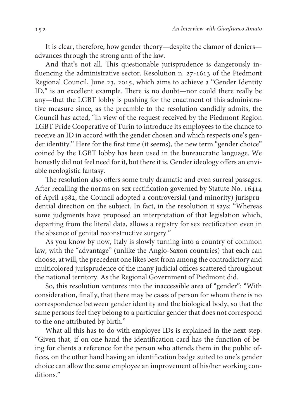It is clear, therefore, how gender theory—despite the clamor of deniers advances through the strong arm of the law.

And that's not all. This questionable jurisprudence is dangerously influencing the administrative sector. Resolution n. 27-1613 of the Piedmont Regional Council, June 23, 2015, which aims to achieve a "Gender Identity ID," is an excellent example. There is no doubt—nor could there really be any—that the LGBT lobby is pushing for the enactment of this administrative measure since, as the preamble to the resolution candidly admits, the Council has acted, "in view of the request received by the Piedmont Region LGBT Pride Cooperative of Turin to introduce its employees to the chance to receive an ID in accord with the gender chosen and which respects one's gender identity." Here for the first time (it seems), the new term "gender choice" coined by the LGBT lobby has been used in the bureaucratic language. We honestly did not feel need for it, but there it is. Gender ideology offers an enviable neologistic fantasy.

The resolution also offers some truly dramatic and even surreal passages. After recalling the norms on sex rectification governed by Statute No. 16414 of April 1982, the Council adopted a controversial (and minority) jurisprudential direction on the subject. In fact, in the resolution it says: "Whereas some judgments have proposed an interpretation of that legislation which, departing from the literal data, allows a registry for sex rectification even in the absence of genital reconstructive surgery."

As you know by now, Italy is slowly turning into a country of common law, with the "advantage" (unlike the Anglo-Saxon countries) that each can choose, at will, the precedent one likes best from among the contradictory and multicolored jurisprudence of the many judicial offices scattered throughout the national territory. As the Regional Government of Piedmont did.

So, this resolution ventures into the inaccessible area of "gender": "With consideration, finally, that there may be cases of person for whom there is no correspondence between gender identity and the biological body, so that the same persons feel they belong to a particular gender that does not correspond to the one attributed by birth."

What all this has to do with employee IDs is explained in the next step: "Given that, if on one hand the identification card has the function of being for clients a reference for the person who attends them in the public offices, on the other hand having an identification badge suited to one's gender choice can allow the same employee an improvement of his/her working conditions."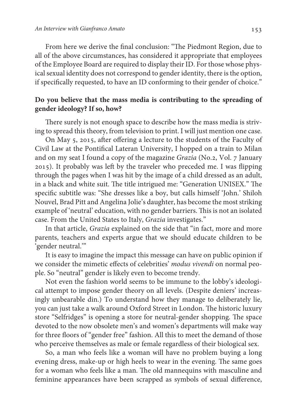From here we derive the final conclusion: "The Piedmont Region, due to all of the above circumstances, has considered it appropriate that employees of the Employee Board are required to display their ID. For those whose physical sexual identity does not correspond to gender identity, there is the option, if specifically requested, to have an ID conforming to their gender of choice."

### **Do you believe that the mass media is contributing to the spreading of gender ideology? If so, how?**

There surely is not enough space to describe how the mass media is striving to spread this theory, from television to print. I will just mention one case.

On May 5, 2015, after offering a lecture to the students of the Faculty of Civil Law at the Pontifical Lateran University, I hopped on a train to Milan and on my seat I found a copy of the magazine Grazia (No.2, Vol. 7 January 2015). It probably was left by the traveler who preceded me. I was flipping through the pages when I was hit by the image of a child dressed as an adult, in a black and white suit. The title intrigued me: "Generation UNISEX." The specific subtitle was: "She dresses like a boy, but calls himself 'John.' Shiloh Nouvel, Brad Pitt and Angelina Jolie's daughter, has become the most striking example of 'neutral' education, with no gender barriers. This is not an isolated case. From the United States to Italy, Grazia investigates."

In that article, Grazia explained on the side that "in fact, more and more parents, teachers and experts argue that we should educate children to be 'gender neutral.'"

It is easy to imagine the impact this message can have on public opinion if we consider the mimetic effects of celebrities' modus vivendi on normal people. So "neutral" gender is likely even to become trendy.

Not even the fashion world seems to be immune to the lobby's ideological attempt to impose gender theory on all levels. (Despite deniers' increasingly unbearable din.) To understand how they manage to deliberately lie, you can just take a walk around Oxford Street in London. The historic luxury store "Selfridges" is opening a store for neutral-gender shopping. The space devoted to the now obsolete men's and women's departments will make way for three floors of "gender free" fashion. All this to meet the demand of those who perceive themselves as male or female regardless of their biological sex.

So, a man who feels like a woman will have no problem buying a long evening dress, make-up or high heels to wear in the evening. The same goes for a woman who feels like a man. The old mannequins with masculine and feminine appearances have been scrapped as symbols of sexual difference,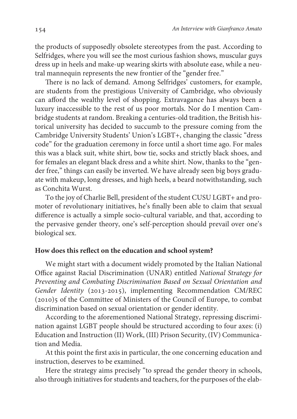the products of supposedly obsolete stereotypes from the past. According to Selfridges, where you will see the most curious fashion shows, muscular guys dress up in heels and make-up wearing skirts with absolute ease, while a neutral mannequin represents the new frontier of the "gender free."

There is no lack of demand. Among Selfridges' customers, for example, are students from the prestigious University of Cambridge, who obviously can afford the wealthy level of shopping. Extravagance has always been a luxury inaccessible to the rest of us poor mortals. Nor do I mention Cambridge students at random. Breaking a centuries-old tradition, the British historical university has decided to succumb to the pressure coming from the Cambridge University Students' Union's LGBT+, changing the classic "dress code" for the graduation ceremony in force until a short time ago. For males this was a black suit, white shirt, bow tie, socks and strictly black shoes, and for females an elegant black dress and a white shirt. Now, thanks to the "gender free," things can easily be inverted. We have already seen big boys graduate with makeup, long dresses, and high heels, a beard notwithstanding, such as Conchita Wurst.

To the joy of Charlie Bell, president of the student CUSU LGBT+ and promoter of revolutionary initiatives, he's finally been able to claim that sexual difference is actually a simple socio-cultural variable, and that, according to the pervasive gender theory, one's self-perception should prevail over one's biological sex.

#### **How does this reflect on the education and school system?**

We might start with a document widely promoted by the Italian National Office against Racial Discrimination (UNAR) entitled National Strategy for Preventing and Combating Discrimination Based on Sexual Orientation and Gender Identity (2013-2015), implementing Recommendation CM/REC (2010)5 of the Committee of Ministers of the Council of Europe, to combat discrimination based on sexual orientation or gender identity.

According to the aforementioned National Strategy, repressing discrimination against LGBT people should be structured according to four axes: (i) Education and Instruction (II) Work, (III) Prison Security, (IV) Communication and Media.

At this point the first axis in particular, the one concerning education and instruction, deserves to be examined.

Here the strategy aims precisely "to spread the gender theory in schools, also through initiatives for students and teachers, for the purposes of the elab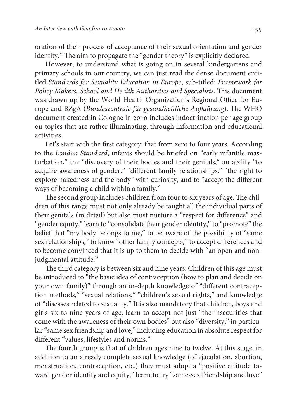oration of their process of acceptance of their sexual orientation and gender identity." The aim to propagate the "gender theory" is explicitly declared.

However, to understand what is going on in several kindergartens and primary schools in our country, we can just read the dense document entitled Standards for Sexuality Education in Europe, sub-titled: Framework for Policy Makers, School and Health Authorities and Specialists. This document was drawn up by the World Health Organization's Regional Office for Europe and BZgA (Bundeszentrale für gesundheitliche Aufklärung). The WHO document created in Cologne in 2010 includes indoctrination per age group on topics that are rather illuminating, through information and educational activities.

Let's start with the first category: that from zero to four years. According to the London Standard, infants should be briefed on "early infantile masturbation," the "discovery of their bodies and their genitals," an ability "to acquire awareness of gender," "different family relationships," "the right to explore nakedness and the body" with curiosity, and to "accept the different ways of becoming a child within a family."

The second group includes children from four to six years of age. The children of this range must not only already be taught all the individual parts of their genitals (in detail) but also must nurture a "respect for difference" and "gender equity," learn to "consolidate their gender identity," to "promote" the belief that "my body belongs to me," to be aware of the possibility of "same sex relationships," to know "other family concepts," to accept differences and to become convinced that it is up to them to decide with "an open and nonjudgmental attitude."

The third category is between six and nine years. Children of this age must be introduced to "the basic idea of contraception (how to plan and decide on your own family)" through an in-depth knowledge of "different contraception methods," "sexual relations," "children's sexual rights," and knowledge of "diseases related to sexuality." It is also mandatory that children, boys and girls six to nine years of age, learn to accept not just "the insecurities that come with the awareness of their own bodies" but also "diversity," in particular "same sex friendship and love," including education in absolute respect for different "values, lifestyles and norms."

The fourth group is that of children ages nine to twelve. At this stage, in addition to an already complete sexual knowledge (of ejaculation, abortion, menstruation, contraception, etc.) they must adopt a "positive attitude toward gender identity and equity," learn to try "same-sex friendship and love"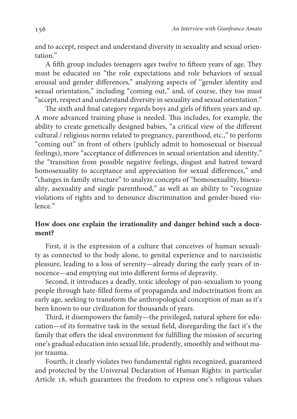and to accept, respect and understand diversity in sexuality and sexual orientation<sup>"</sup>

A fifth group includes teenagers ages twelve to fifteen years of age. They must be educated on "the role expectations and role behaviors of sexual arousal and gender differences," analyzing aspects of ''gender identity and sexual orientation," including "coming out," and, of course, they too must "accept, respect and understand diversity in sexuality and sexual orientation."

The sixth and final category regards boys and girls of fifteen years and up. A more advanced training phase is needed. This includes, for example, the ability to create genetically designed babies, "a critical view of the different cultural / religious norms related to pregnancy, parenthood, etc.," to perform "coming out" in front of others (publicly admit to homosexual or bisexual feelings), more "acceptance of differences in sexual orientation and identity," the "transition from possible negative feelings, disgust and hatred toward homosexuality to acceptance and appreciation for sexual differences," and "changes in family structure" to analyze concepts of "homosexuality, bisexuality, asexuality and single parenthood," as well as an ability to "recognize violations of rights and to denounce discrimination and gender-based violence."

### **How does one explain the irrationality and danger behind such a document?**

First, it is the expression of a culture that conceives of human sexuality as connected to the body alone, to genital experience and to narcissistic pleasure, leading to a loss of serenity—already during the early years of innocence—and emptying out into different forms of depravity.

Second, it introduces a deadly, toxic ideology of pan-sexualism to young people through hate-filled forms of propaganda and indoctrination from an early age, seeking to transform the anthropological conception of man as it's been known to our civilization for thousands of years.

Third, it disempowers the family—the privileged, natural sphere for education—of its formative task in the sexual field, disregarding the fact it's the family that offers the ideal environment for fulfilling the mission of securing one's gradual education into sexual life, prudently, smoothly and without major trauma.

Fourth, it clearly violates two fundamental rights recognized, guaranteed and protected by the Universal Declaration of Human Rights: in particular Article 18, which guarantees the freedom to express one's religious values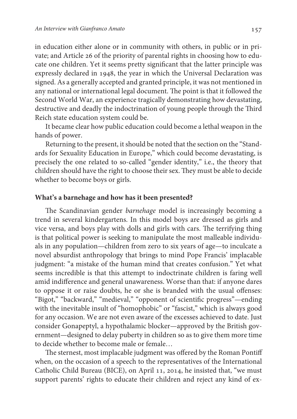in education either alone or in community with others, in public or in private; and Article 26 of the priority of parental rights in choosing how to educate one children. Yet it seems pretty significant that the latter principle was expressly declared in 1948, the year in which the Universal Declaration was signed. As a generally accepted and granted principle, it was not mentioned in any national or international legal document. The point is that it followed the Second World War, an experience tragically demonstrating how devastating, destructive and deadly the indoctrination of young people through the Third Reich state education system could be.

It became clear how public education could become a lethal weapon in the hands of power.

Returning to the present, it should be noted that the section on the "Standards for Sexuality Education in Europe," which could become devastating, is precisely the one related to so-called "gender identity," i.e., the theory that children should have the right to choose their sex. They must be able to decide whether to become boys or girls.

#### **What's a barnehage and how has it been presented?**

The Scandinavian gender barnehage model is increasingly becoming a trend in several kindergartens. In this model boys are dressed as girls and vice versa, and boys play with dolls and girls with cars. The terrifying thing is that political power is seeking to manipulate the most malleable individuals in any population—children from zero to six years of age—to inculcate a novel absurdist anthropology that brings to mind Pope Francis' implacable judgment: "a mistake of the human mind that creates confusion." Yet what seems incredible is that this attempt to indoctrinate children is faring well amid indifference and general unawareness. Worse than that: if anyone dares to oppose it or raise doubts, he or she is branded with the usual offenses: "Bigot," "backward," "medieval," "opponent of scientific progress"—ending with the inevitable insult of "homophobic" or "fascist," which is always good for any occasion. We are not even aware of the excesses achieved to date. Just consider Gonapeptyl, a hypothalamic blocker—approved by the British government—designed to delay puberty in children so as to give them more time to decide whether to become male or female…

The sternest, most implacable judgment was offered by the Roman Pontiff when, on the occasion of a speech to the representatives of the International Catholic Child Bureau (BICE), on April 11, 2014, he insisted that, "we must support parents' rights to educate their children and reject any kind of ex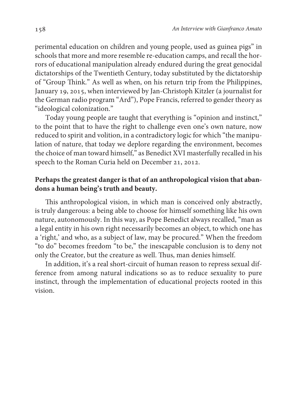perimental education on children and young people, used as guinea pigs" in schools that more and more resemble re-education camps, and recall the horrors of educational manipulation already endured during the great genocidal dictatorships of the Twentieth Century, today substituted by the dictatorship of "Group Think." As well as when, on his return trip from the Philippines, January 19, 2015, when interviewed by Jan-Christoph Kitzler (a journalist for the German radio program "Ard"), Pope Francis, referred to gender theory as "ideological colonization."

 Today young people are taught that everything is "opinion and instinct," to the point that to have the right to challenge even one's own nature, now reduced to spirit and volition, in a contradictory logic for which "the manipulation of nature, that today we deplore regarding the environment, becomes the choice of man toward himself," as Benedict XVI masterfully recalled in his speech to the Roman Curia held on December 21, 2012.

### **Perhaps the greatest danger is that of an anthropological vision that abandons a human being's truth and beauty.**

 This anthropological vision, in which man is conceived only abstractly, is truly dangerous: a being able to choose for himself something like his own nature, autonomously. In this way, as Pope Benedict always recalled, "man as a legal entity in his own right necessarily becomes an object, to which one has a 'right,' and who, as a subject of law, may be procured." When the freedom "to do" becomes freedom "to be," the inescapable conclusion is to deny not only the Creator, but the creature as well. Thus, man denies himself.

In addition, it's a real short-circuit of human reason to repress sexual difference from among natural indications so as to reduce sexuality to pure instinct, through the implementation of educational projects rooted in this vision.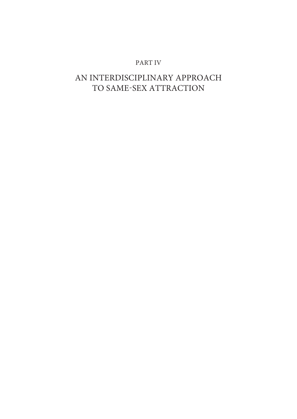#### PART IV

# AN INTERDISCIPLINARY APPROACH TO SAME-SEX ATTRACTION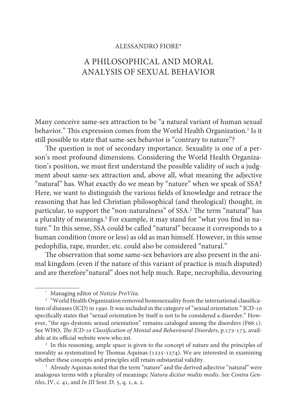#### ALESSANDRO FIORE\*

## A PHILOSOPHICAL AND MORAL ANALYSIS OF SEXUAL BEHAVIOR

Many conceive same-sex attraction to be "a natural variant of human sexual behavior." This expression comes from the World Health Organization.<sup>1</sup> Is it still possible to state that same-sex behavior is "contrary to nature"?

The question is not of secondary importance. Sexuality is one of a person's most profound dimensions. Considering the World Health Organization's position, we must first understand the possible validity of such a judgment about same-sex attraction and, above all, what meaning the adjective "natural" has. What exactly do we mean by "nature" when we speak of SSA? Here, we want to distinguish the various fields of knowledge and retrace the reasoning that has led Christian philosophical (and theological) thought, in particular, to support the "non-naturalness" of SSA.<sup>2</sup> The term "natural" has a plurality of meanings.<sup>3</sup> For example, it may stand for "what you find in nature." In this sense, SSA could be called "natural" because it corresponds to a human condition (more or less) as old as man himself. However, in this sense pedophilia, rape, murder, etc. could also be considered "natural."

The observation that some same-sex behaviors are also present in the animal kingdom (even if the nature of this variant of practice is much disputed) and are therefore"natural" does not help much. Rape, necrophilia, devouring

<sup>\*</sup> Managing editor of Notizie ProVita.

<sup>1</sup> "World Health Organization removed homosexuality from the international classification of diseases (ICD) in 1990. It was included in the category of "sexual orientation." ICD-10 specifically states that "sexual orientation by itself is not to be considered a disorder." However, "the ego-dystonic sexual orientation" remains cataloged among the disorders (F66.1). See WHO, The ICD-10 Classification of Mental and Behavioural Disorders, p.172-173, available at its official website www.who.int.

<sup>&</sup>lt;sup>2</sup> In this reasoning, ample space is given to the concept of nature and the principles of morality as systematized by Thomas Aquinas (1225-1274). We are interested in examining whether these concepts and principles still retain substantial validity.

<sup>&</sup>lt;sup>3</sup> Already Aquinas noted that the term "nature" and the derived adjective "natural" were analogous terms with a plurality of meanings: Natura dicitur multis modis. See Contra Gentiles, IV, c. 41, and In III Sent. D. 5, q. 1, a. 2.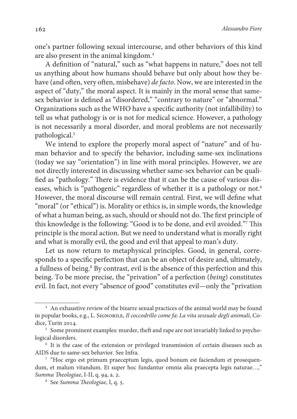one's partner following sexual intercourse, and other behaviors of this kind are also present in the animal kingdom.<sup>4</sup>

A definition of "natural," such as "what happens in nature," does not tell us anything about how humans should behave but only about how they behave (and often, very often, misbehave) de facto. Now, we are interested in the aspect of "duty," the moral aspect. It is mainly in the moral sense that samesex behavior is defined as "disordered," "contrary to nature" or "abnormal." Organizations such as the WHO have a specific authority (not infallibility) to tell us what pathology is or is not for medical science. However, a pathology is not necessarily a moral disorder, and moral problems are not necessarily pathological.<sup>5</sup>

We intend to explore the properly moral aspect of "nature" and of human behavior and to specify the behavior, including same-sex inclinations (today we say "orientation") in line with moral principles. However, we are not directly interested in discussing whether same-sex behavior can be qualified as "pathology." There is evidence that it can be the cause of various diseases, which is "pathogenic" regardless of whether it is a pathology or not.<sup>6</sup> However, the moral discourse will remain central. First, we will define what "moral" (or "ethical") is. Morality or ethics is, in simple words, the knowledge of what a human being, as such, should or should not do. The first principle of this knowledge is the following: "Good is to be done, and evil avoided."<sup>7</sup> This principle is the moral action. But we need to understand what is morally right and what is morally evil, the good and evil that appeal to man's duty.

Let us now return to metaphysical principles. Good, in general, corresponds to a specific perfection that can be an object of desire and, ultimately, a fullness of being.<sup>8</sup> By contrast, evil is the absence of this perfection and this being. To be more precise, the "privation" of a perfection (being) constitutes evil. In fact, not every "absence of good" constitutes evil—only the "privation

<sup>&</sup>lt;sup>4</sup> An exhaustive review of the bizarre sexual practices of the animal world may be found in popular books, e.g., L. SIGNORILE, Il coccodrillo come fa: La vita sessuale degli animali, Codice, Turin 2014.

<sup>&</sup>lt;sup>5</sup> Some prominent examples: murder, theft and rape are not invariably linked to psychological disorders.

<sup>&</sup>lt;sup>6</sup> It is the case of the extension or privileged transmission of certain diseases such as AIDS due to same-sex behavior. See Infra.

<sup>&</sup>lt;sup>7</sup> "Hoc ergo est primum praeceptum legis, quod bonum est faciendum et prosequendum, et malum vitandum. Et super hoc fundantur omnia alia praecepta legis naturae…," Summa Theologiae, I-II, q. 94, a. 2.

<sup>8</sup> See Summa Theologiae, I, q. 5.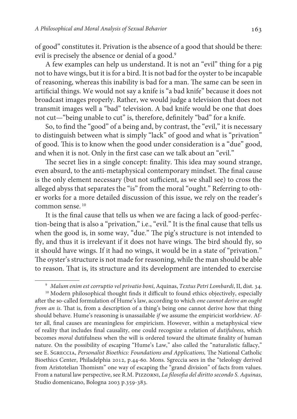of good" constitutes it. Privation is the absence of a good that should be there: evil is precisely the absence or denial of a good.<sup>9</sup>

A few examples can help us understand. It is not an "evil" thing for a pig not to have wings, but it is for a bird. It is not bad for the oyster to be incapable of reasoning, whereas this inability is bad for a man. The same can be seen in artificial things. We would not say a knife is "a bad knife" because it does not broadcast images properly. Rather, we would judge a television that does not transmit images well a "bad" television. A bad knife would be one that does not cut—"being unable to cut" is, therefore, definitely "bad" for a knife.

So, to find the "good" of a being and, by contrast, the "evil," it is necessary to distinguish between what is simply "lack" of good and what is "privation" of good. This is to know when the good under consideration is a "due" good, and when it is not. Only in the first case can we talk about an "evil."

The secret lies in a single concept: finality. This idea may sound strange, even absurd, to the anti-metaphysical contemporary mindset. The final cause is the only element necessary (but not sufficient, as we shall see) to cross the alleged abyss that separates the "is" from the moral "ought." Referring to other works for a more detailed discussion of this issue, we rely on the reader's common sense.<sup>10</sup>

It is the final cause that tells us when we are facing a lack of good-perfection-being that is also a "privation," i.e., "evil." It is the final cause that tells us when the good is, in some way, "due." The pig's structure is not intended to fly, and thus it is irrelevant if it does not have wings. The bird should fly, so it should have wings. If it had no wings, it would be in a state of "privation." The oyster's structure is not made for reasoning, while the man should be able to reason. That is, its structure and its development are intended to exercise

<sup>9</sup> Malum enim est corruptio vel privatio boni, Aquinas, Textus Petri Lombardi, II, dist. 34.

<sup>&</sup>lt;sup>10</sup> Modern philosophical thought finds it difficult to found ethics objectively, especially after the so-called formulation of Hume's law, according to which one cannot derive an ought from an is. That is, from a description of a thing's being one cannot derive how that thing should behave. Hume's reasoning is unassailable if we assume the empiricist worldview. After all, final causes are meaningless for empiricism. However, within a metaphysical view of reality that includes final causality, one could recognize a relation of dutifulness, which becomes moral dutifulness when the will is ordered toward the ultimate finality of human nature. On the possibility of escaping "Hume's Law," also called the "naturalistic fallacy," see E. Sgreccia, Personalist Bioethics: Foundations and Applications, The National Catholic Bioethics Center, Philadelphia 2012, p.44-60. Mons. Sgreccia sees in the "teleology derived from Aristotelian Thomism" one way of escaping the "grand division" of facts from values. From a natural law perspective, see R.M. Pizzorni, La filosofia del diritto secondo S. Aquinas, Studio domenicano, Bologna 2003 p.359-383.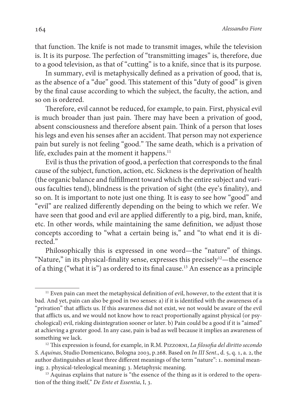that function. The knife is not made to transmit images, while the television is. It is its purpose. The perfection of "transmitting images" is, therefore, due to a good television, as that of "cutting" is to a knife, since that is its purpose.

In summary, evil is metaphysically defined as a privation of good, that is, as the absence of a "due" good. This statement of this "duty of good" is given by the final cause according to which the subject, the faculty, the action, and so on is ordered.

Therefore, evil cannot be reduced, for example, to pain. First, physical evil is much broader than just pain. There may have been a privation of good, absent consciousness and therefore absent pain. Think of a person that loses his legs and even his senses after an accident. That person may not experience pain but surely is not feeling "good." The same death, which is a privation of life, excludes pain at the moment it happens.<sup>11</sup>

Evil is thus the privation of good, a perfection that corresponds to the final cause of the subject, function, action, etc. Sickness is the deprivation of health (the organic balance and fulfillment toward which the entire subject and various faculties tend), blindness is the privation of sight (the eye's finality), and so on. It is important to note just one thing. It is easy to see how "good" and "evil" are realized differently depending on the being to which we refer. We have seen that good and evil are applied differently to a pig, bird, man, knife, etc. In other words, while maintaining the same definition, we adjust those concepts according to "what a certain being is," and "to what end it is directed."

Philosophically this is expressed in one word—the "nature" of things. "Nature," in its physical-finality sense, expresses this precisely<sup>12</sup>—the essence of a thing ("what it is") as ordered to its final cause.<sup>13</sup> An essence as a principle

<sup>&</sup>lt;sup>11</sup> Even pain can meet the metaphysical definition of evil, however, to the extent that it is bad. And yet, pain can also be good in two senses: a) if it is identified with the awareness of a "privation" that afflicts us. If this awareness did not exist, we not would be aware of the evil that afflicts us, and we would not know how to react proportionally against physical (or psychological) evil, risking disintegration sooner or later. b) Pain could be a good if it is "aimed" at achieving a greater good. In any case, pain is bad as well because it implies an awareness of something we lack.

 $12$  This expression is found, for example, in R.M. PIZZORNI, La filosofia del diritto secondo S. Aquinas, Studio Domenicano, Bologna 2003, p.268. Based on In III Sent., d. 5, q. 1, a. 2, the author distinguishes at least three different meanings of the term "nature": 1. nominal meaning; 2. physical-teleological meaning; 3. Metaphysic meaning.

<sup>&</sup>lt;sup>13</sup> Aquinas explains that nature is "the essence of the thing as it is ordered to the operation of the thing itself," De Ente et Essentia, I, 3.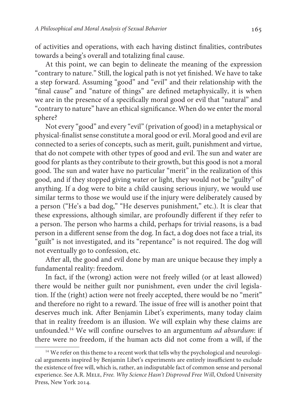of activities and operations, with each having distinct finalities, contributes towards a being's overall and totalizing final cause.

At this point, we can begin to delineate the meaning of the expression "contrary to nature." Still, the logical path is not yet finished. We have to take a step forward. Assuming "good" and "evil" and their relationship with the "final cause" and "nature of things" are defined metaphysically, it is when we are in the presence of a specifically moral good or evil that "natural" and "contrary to nature" have an ethical significance. When do we enter the moral sphere?

Not every "good" and every "evil" (privation of good) in a metaphysical or physical-finalist sense constitute a moral good or evil. Moral good and evil are connected to a series of concepts, such as merit, guilt, punishment and virtue, that do not compete with other types of good and evil. The sun and water are good for plants as they contribute to their growth, but this good is not a moral good. The sun and water have no particular "merit" in the realization of this good, and if they stopped giving water or light, they would not be "guilty" of anything. If a dog were to bite a child causing serious injury, we would use similar terms to those we would use if the injury were deliberately caused by a person ("He's a bad dog," "He deserves punishment," etc.). It is clear that these expressions, although similar, are profoundly different if they refer to a person. The person who harms a child, perhaps for trivial reasons, is a bad person in a different sense from the dog. In fact, a dog does not face a trial, its "guilt" is not investigated, and its "repentance" is not required. The dog will not eventually go to confession, etc.

After all, the good and evil done by man are unique because they imply a fundamental reality: freedom.

In fact, if the (wrong) action were not freely willed (or at least allowed) there would be neither guilt nor punishment, even under the civil legislation. If the (right) action were not freely accepted, there would be no "merit" and therefore no right to a reward. The issue of free will is another point that deserves much ink. After Benjamin Libet's experiments, many today claim that in reality freedom is an illusion. We will explain why these claims are unfounded.<sup>14</sup> We will confine ourselves to an argumentum ad absurdum: if there were no freedom, if the human acts did not come from a will, if the

<sup>&</sup>lt;sup>14</sup> We refer on this theme to a recent work that tells why the psychological and neurological arguments inspired by Benjamin Libet's experiments are entirely insufficient to exclude the existence of free will, which is, rather, an indisputable fact of common sense and personal experience. See A.R. Mele, Free. Why Science Hasn't Disproved Free Will, Oxford University Press, New York 2014.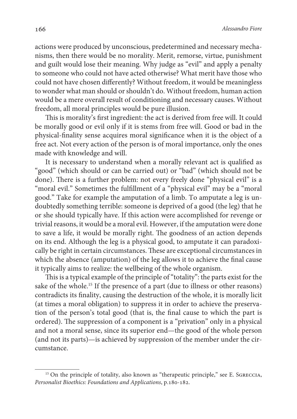actions were produced by unconscious, predetermined and necessary mechanisms, then there would be no morality. Merit, remorse, virtue, punishment and guilt would lose their meaning. Why judge as "evil" and apply a penalty to someone who could not have acted otherwise? What merit have those who could not have chosen differently? Without freedom, it would be meaningless to wonder what man should or shouldn't do. Without freedom, human action would be a mere overall result of conditioning and necessary causes. Without freedom, all moral principles would be pure illusion.

This is morality's first ingredient: the act is derived from free will. It could be morally good or evil only if it is stems from free will. Good or bad in the physical-finality sense acquires moral significance when it is the object of a free act. Not every action of the person is of moral importance, only the ones made with knowledge and will.

It is necessary to understand when a morally relevant act is qualified as "good" (which should or can be carried out) or "bad" (which should not be done). There is a further problem: not every freely done "physical evil" is a "moral evil." Sometimes the fulfillment of a "physical evil" may be a "moral good." Take for example the amputation of a limb. To amputate a leg is undoubtedly something terrible: someone is deprived of a good (the leg) that he or she should typically have. If this action were accomplished for revenge or trivial reasons, it would be a moral evil. However, if the amputation were done to save a life, it would be morally right. The goodness of an action depends on its end. Although the leg is a physical good, to amputate it can paradoxically be right in certain circumstances. These are exceptional circumstances in which the absence (amputation) of the leg allows it to achieve the final cause it typically aims to realize: the wellbeing of the whole organism.

This is a typical example of the principle of "totality": the parts exist for the sake of the whole.<sup>15</sup> If the presence of a part (due to illness or other reasons) contradicts its finality, causing the destruction of the whole, it is morally licit (at times a moral obligation) to suppress it in order to achieve the preservation of the person's total good (that is, the final cause to which the part is ordered). The suppression of a component is a "privation" only in a physical and not a moral sense, since its superior end—the good of the whole person (and not its parts)—is achieved by suppression of the member under the circumstance.

<sup>&</sup>lt;sup>15</sup> On the principle of totality, also known as "therapeutic principle," see E. SGRECCIA, Personalist Bioethics: Foundations and Applications, p.180-182.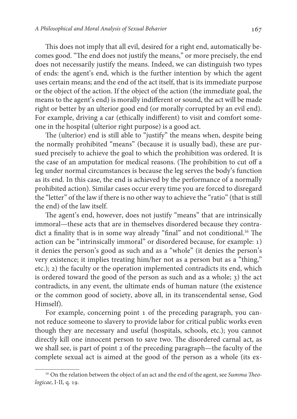This does not imply that all evil, desired for a right end, automatically becomes good. "The end does not justify the means," or more precisely, the end does not necessarily justify the means. Indeed, we can distinguish two types of ends: the agent's end, which is the further intention by which the agent uses certain means; and the end of the act itself, that is its immediate purpose or the object of the action. If the object of the action (the immediate goal, the means to the agent's end) is morally indifferent or sound, the act will be made right or better by an ulterior good end (or morally corrupted by an evil end). For example, driving a car (ethically indifferent) to visit and comfort someone in the hospital (ulterior right purpose) is a good act.

The (ulterior) end is still able to "justify" the means when, despite being the normally prohibited "means" (because it is usually bad), these are pursued precisely to achieve the goal to which the prohibition was ordered. It is the case of an amputation for medical reasons. (The prohibition to cut off a leg under normal circumstances is because the leg serves the body's function as its end. In this case, the end is achieved by the performance of a normally prohibited action). Similar cases occur every time you are forced to disregard the "letter" of the law if there is no other way to achieve the "ratio" (that is still the end) of the law itself.

The agent's end, however, does not justify "means" that are intrinsically immoral—these acts that are in themselves disordered because they contradict a finality that is in some way already "final" and not conditional.<sup>16</sup> The action can be "intrinsically immoral" or disordered because, for example: 1) it denies the person's good as such and as a "whole" (it denies the person's very existence; it implies treating him/her not as a person but as a "thing," etc.); 2) the faculty or the operation implemented contradicts its end, which is ordered toward the good of the person as such and as a whole; 3) the act contradicts, in any event, the ultimate ends of human nature (the existence or the common good of society, above all, in its transcendental sense, God Himself).

For example, concerning point 1 of the preceding paragraph, you cannot reduce someone to slavery to provide labor for critical public works even though they are necessary and useful (hospitals, schools, etc.); you cannot directly kill one innocent person to save two. The disordered carnal act, as we shall see, is part of point 2 of the preceding paragraph—the faculty of the complete sexual act is aimed at the good of the person as a whole (its ex-

<sup>&</sup>lt;sup>16</sup> On the relation between the object of an act and the end of the agent, see Summa Theologicae, I-II, q. 19.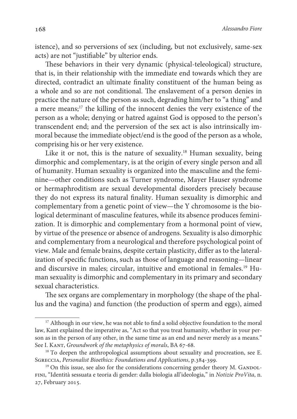istence), and so perversions of sex (including, but not exclusively, same-sex acts) are not "justifiable" by ulterior ends.

These behaviors in their very dynamic (physical-teleological) structure, that is, in their relationship with the immediate end towards which they are directed, contradict an ultimate finality constituent of the human being as a whole and so are not conditional. The enslavement of a person denies in practice the nature of the person as such, degrading him/her to "a thing" and a mere means;<sup>17</sup> the killing of the innocent denies the very existence of the person as a whole; denying or hatred against God is opposed to the person's transcendent end; and the perversion of the sex act is also intrinsically immoral because the immediate object/end is the good of the person as a whole, comprising his or her very existence.

Like it or not, this is the nature of sexuality.<sup>18</sup> Human sexuality, being dimorphic and complementary, is at the origin of every single person and all of humanity. Human sexuality is organized into the masculine and the feminine—other conditions such as Turner syndrome, Mayer Hauser syndrome or hermaphroditism are sexual developmental disorders precisely because they do not express its natural finality. Human sexuality is dimorphic and complementary from a genetic point of view—the Y chromosome is the biological determinant of masculine features, while its absence produces feminization. It is dimorphic and complementary from a hormonal point of view, by virtue of the presence or absence of androgens. Sexuality is also dimorphic and complementary from a neurological and therefore psychological point of view. Male and female brains, despite certain plasticity, differ as to the lateralization of specific functions, such as those of language and reasoning—linear and discursive in males; circular, intuitive and emotional in females.<sup>19</sup> Human sexuality is dimorphic and complementary in its primary and secondary sexual characteristics.

The sex organs are complementary in morphology (the shape of the phallus and the vagina) and function (the production of sperm and eggs), aimed

<sup>&</sup>lt;sup>17</sup> Although in our view, he was not able to find a solid objective foundation to the moral law, Kant explained the imperative as, "Act so that you treat humanity, whether in your person as in the person of any other, in the same time as an end and never merely as a means." See I. KANT, Groundwork of the metaphysics of morals, BA 67-68.

<sup>&</sup>lt;sup>18</sup> To deepen the anthropological assumptions about sexuality and procreation, see E. Sgreccia, Personalist Bioethics: Foundations and Applications, p.384-399.

 $19$  On this issue, see also for the considerations concerning gender theory M. GANDOLfini, "Identità sessuata e teoria di gender: dalla biologia all'ideologia," in Notizie ProVita, n. 27, February 2015.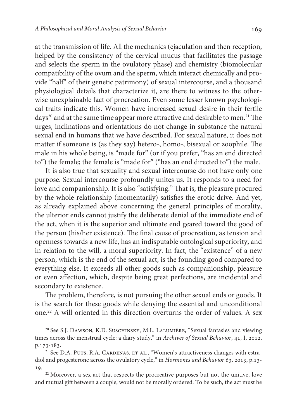at the transmission of life. All the mechanics (ejaculation and then reception, helped by the consistency of the cervical mucus that facilitates the passage and selects the sperm in the ovulatory phase) and chemistry (biomolecular compatibility of the ovum and the sperm, which interact chemically and provide "half" of their genetic patrimony) of sexual intercourse, and a thousand physiological details that characterize it, are there to witness to the otherwise unexplainable fact of procreation. Even some lesser known psychological traits indicate this. Women have increased sexual desire in their fertile days<sup>20</sup> and at the same time appear more attractive and desirable to men.<sup>21</sup> The urges, inclinations and orientations do not change in substance the natural sexual end in humans that we have described. For sexual nature, it does not matter if someone is (as they say) hetero-, homo-, bisexual or zoophile. The male in his whole being, is "made for" (or if you prefer, "has an end directed to") the female; the female is "made for" ("has an end directed to") the male.

It is also true that sexuality and sexual intercourse do not have only one purpose. Sexual intercourse profoundly unites us. It responds to a need for love and companionship. It is also "satisfying." That is, the pleasure procured by the whole relationship (momentarily) satisfies the erotic drive. And yet, as already explained above concerning the general principles of morality, the ulterior ends cannot justify the deliberate denial of the immediate end of the act, when it is the superior and ultimate end geared toward the good of the person (his/her existence). The final cause of procreation, as tension and openness towards a new life, has an indisputable ontological superiority, and in relation to the will, a moral superiority. In fact, the "existence" of a new person, which is the end of the sexual act, is the founding good compared to everything else. It exceeds all other goods such as companionship, pleasure or even affection, which, despite being great perfections, are incidental and secondary to existence.

The problem, therefore, is not pursuing the other sexual ends or goods. It is the search for these goods while denying the essential and unconditional one.<sup>22</sup> A will oriented in this direction overturns the order of values. A sex

<sup>&</sup>lt;sup>20</sup> See S.J. DAWSON, K.D. SUSCHINSKY, M.L. LALUMIÈRE, "Sexual fantasies and viewing times across the menstrual cycle: a diary study," in Archives of Sexual Behavior, 41, I, 2012, p.173-183.

<sup>&</sup>lt;sup>21</sup> See D.A. PUTS, R.A. CARDENAS, ET AL., "Women's attractiveness changes with estradiol and progesterone across the ovulatory cycle," in Hormones and Behavior 63, 2013, p.13- 19.

<sup>&</sup>lt;sup>22</sup> Moreover, a sex act that respects the procreative purposes but not the unitive, love and mutual gift between a couple, would not be morally ordered. To be such, the act must be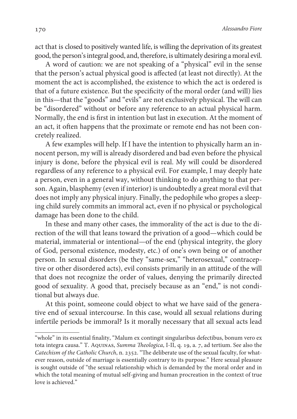act that is closed to positively wanted life, is willing the deprivation of its greatest good, the person's integral good, and, therefore, is ultimately desiring a moral evil.

A word of caution: we are not speaking of a "physical" evil in the sense that the person's actual physical good is affected (at least not directly). At the moment the act is accomplished, the existence to which the act is ordered is that of a future existence. But the specificity of the moral order (and will) lies in this—that the "goods" and "evils" are not exclusively physical. The will can be "disordered" without or before any reference to an actual physical harm. Normally, the end is first in intention but last in execution. At the moment of an act, it often happens that the proximate or remote end has not been concretely realized.

A few examples will help. If I have the intention to physically harm an innocent person, my will is already disordered and bad even before the physical injury is done, before the physical evil is real. My will could be disordered regardless of any reference to a physical evil. For example, I may deeply hate a person, even in a general way, without thinking to do anything to that person. Again, blasphemy (even if interior) is undoubtedly a great moral evil that does not imply any physical injury. Finally, the pedophile who gropes a sleeping child surely commits an immoral act, even if no physical or psychological damage has been done to the child.

In these and many other cases, the immorality of the act is due to the direction of the will that leans toward the privation of a good—which could be material, immaterial or intentional—of the end (physical integrity, the glory of God, personal existence, modesty, etc.) of one's own being or of another person. In sexual disorders (be they "same-sex," "heterosexual," contraceptive or other disordered acts), evil consists primarily in an attitude of the will that does not recognize the order of values, denying the primarily directed good of sexuality. A good that, precisely because as an "end," is not conditional but always due.

At this point, someone could object to what we have said of the generative end of sexual intercourse. In this case, would all sexual relations during infertile periods be immoral? Is it morally necessary that all sexual acts lead

<sup>&</sup>quot;whole" in its essential finality, "Malum ex contingit singularibus defectibus, bonum vero ex tota integra causa." T. Aquinas, Summa Theologica, I-II, q. 19, a. 7, ad tertium. See also the Catechism of the Catholic Church, n. 2352. "The deliberate use of the sexual faculty, for whatever reason, outside of marriage is essentially contrary to its purpose." Here sexual pleasure is sought outside of "the sexual relationship which is demanded by the moral order and in which the total meaning of mutual self-giving and human procreation in the context of true love is achieved."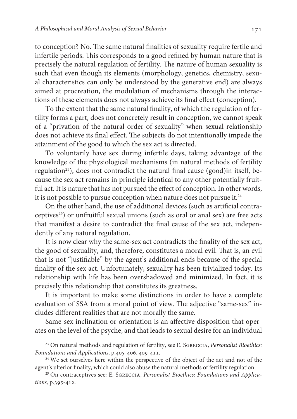to conception? No. The same natural finalities of sexuality require fertile and infertile periods. This corresponds to a good refined by human nature that is precisely the natural regulation of fertility. The nature of human sexuality is such that even though its elements (morphology, genetics, chemistry, sexual characteristics can only be understood by the generative end) are always aimed at procreation, the modulation of mechanisms through the interactions of these elements does not always achieve its final effect (conception).

To the extent that the same natural finality, of which the regulation of fertility forms a part, does not concretely result in conception, we cannot speak of a "privation of the natural order of sexuality" when sexual relationship does not achieve its final effect. The subjects do not intentionally impede the attainment of the good to which the sex act is directed.

To voluntarily have sex during infertile days, taking advantage of the knowledge of the physiological mechanisms (in natural methods of fertility regulation<sup>23</sup>), does not contradict the natural final cause (good)in itself, because the sex act remains in principle identical to any other potentially fruitful act. It is nature that has not pursued the effect of conception. In other words, it is not possible to pursue conception when nature does not pursue it.<sup>24</sup>

On the other hand, the use of additional devices (such as artificial contraceptives<sup>25</sup>) or unfruitful sexual unions (such as oral or anal sex) are free acts that manifest a desire to contradict the final cause of the sex act, independently of any natural regulation.

It is now clear why the same-sex act contradicts the finality of the sex act, the good of sexuality, and, therefore, constitutes a moral evil. That is, an evil that is not "justifiable" by the agent's additional ends because of the special finality of the sex act. Unfortunately, sexuality has been trivialized today. Its relationship with life has been overshadowed and minimized. In fact, it is precisely this relationship that constitutes its greatness.

It is important to make some distinctions in order to have a complete evaluation of SSA from a moral point of view. The adjective "same-sex" includes different realities that are not morally the same.

Same-sex inclination or orientation is an affective disposition that operates on the level of the psyche, and that leads to sexual desire for an individual

<sup>&</sup>lt;sup>23</sup> On natural methods and regulation of fertility, see E. SGRECCIA, *Personalist Bioethics*: Foundations and Applications, p.405-406, 409-411.

<sup>&</sup>lt;sup>24</sup> We set ourselves here within the perspective of the object of the act and not of the agent's ulterior finality, which could also abuse the natural methods of fertility regulation.

<sup>&</sup>lt;sup>25</sup> On contraceptives see: E. SGRECCIA, Personalist Bioethics: Foundations and Applications, p.395-412.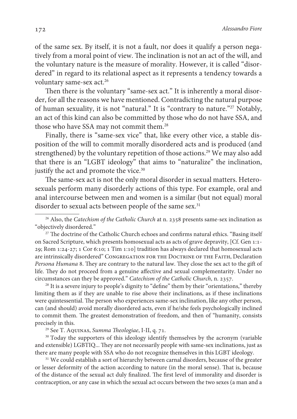of the same sex. By itself, it is not a fault, nor does it qualify a person negatively from a moral point of view. The inclination is not an act of the will, and the voluntary nature is the measure of morality. However, it is called "disordered" in regard to its relational aspect as it represents a tendency towards a voluntary same-sex act.<sup>26</sup>

Then there is the voluntary "same-sex act." It is inherently a moral disorder, for all the reasons we have mentioned. Contradicting the natural purpose of human sexuality, it is not "natural." It is "contrary to nature."<sup>27</sup> Notably, an act of this kind can also be committed by those who do not have SSA, and those who have SSA may not commit them.<sup>28</sup>

Finally, there is "same-sex vice" that, like every other vice, a stable disposition of the will to commit morally disordered acts and is produced (and strengthened) by the voluntary repetition of those actions.<sup>29</sup> We may also add that there is an "LGBT ideology" that aims to "naturalize" the inclination, justify the act and promote the vice.<sup>30</sup>

The same-sex act is not the only moral disorder in sexual matters. Heterosexuals perform many disorderly actions of this type. For example, oral and anal intercourse between men and women is a similar (but not equal) moral disorder to sexual acts between people of the same sex.<sup>31</sup>

<sup>27</sup> The doctrine of the Catholic Church echoes and confirms natural ethics. "Basing itself on Sacred Scripture, which presents homosexual acts as acts of grave depravity, [Cf. Gen 1:1- 29; Rom 1:24-27; 1 Cor 6:10; 1 Tim 1:10] tradition has always declared that homosexual acts are intrinsically disordered" Congregation for the Doctrine of the Faith, Declaration Persona Humana 8. They are contrary to the natural law. They close the sex act to the gift of life. They do not proceed from a genuine affective and sexual complementarity. Under no circumstances can they be approved." Catechism of the Catholic Church, n. 2357.

<sup>28</sup> It is a severe injury to people's dignity to "define" them by their "orientations," thereby limiting them as if they are unable to rise above their inclinations, as if these inclinations were quintessential. The person who experiences same-sex inclination, like any other person, can (and should) avoid morally disordered acts, even if he/she feels psychologically inclined to commit them. The greatest demonstration of freedom, and then of "humanity, consists precisely in this.

<sup>29</sup> See T. AQUINAS, Summa Theologiae, I-II, q. 71.

<sup>30</sup> Today the supporters of this ideology identify themselves by the acronym (variable and extensible) LGBTIQ... They are not necessarily people with same-sex inclinations, just as there are many people with SSA who do not recognize themselves in this LGBT ideology.

<sup>31</sup> We could establish a sort of hierarchy between carnal disorders, because of the greater or lesser deformity of the action according to nature (in the moral sense). That is, because of the distance of the sexual act duly finalized. The first level of immorality and disorder is contraception, or any case in which the sexual act occurs between the two sexes (a man and a

<sup>&</sup>lt;sup>26</sup> Also, the Catechism of the Catholic Church at n. 2358 presents same-sex inclination as "objectively disordered."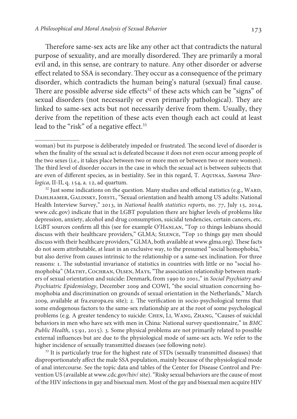Therefore same-sex acts are like any other act that contradicts the natural purpose of sexuality, and are morally disordered. They are primarily a moral evil and, in this sense, are contrary to nature. Any other disorder or adverse effect related to SSA is secondary. They occur as a consequence of the primary disorder, which contradicts the human being's natural (sexual) final cause. There are possible adverse side effects<sup>32</sup> of these acts which can be "signs" of sexual disorders (not necessarily or even primarily pathological). They are linked to same-sex acts but not necessarily derive from them. Usually, they derive from the repetition of these acts even though each act could at least lead to the "risk" of a negative effect.<sup>33</sup>

<sup>32</sup> Just some indications on the question. Many studies and official statistics (e.g., WARD, DAHLHAMER, GALINSKY, JOESTL, "Sexual orientation and health among US adults: National Health Interview Survey," 2013, in National health statistics reports, no. 77, July 15, 2014, www.cdc.gov) indicate that in the LGBT population there are higher levels of problems like depression, anxiety, alcohol and drug consumption, suicidal tendencies, certain cancers, etc. LGBT sources confirm all this (see for example O'HANLAN, "Top 10 things lesbians should discuss with their healthcare providers," GLMA; Silence, "Top 10 things gay men should discuss with their healthcare providers," GLMA, both available at www.glma.org). These facts do not seem attributable, at least in an exclusive way, to the presumed "social homophobia," but also derive from causes intrinsic to the relationship or a same-sex inclination. For three reasons: 1. The substantial invariance of statistics in countries with little or no "social homophobia" (Mathy, Cochran, Olsen, Mays, "The association relationship between markers of sexual orientation and suicide: Denmark, from 1990 to 2001," in Social Psychiatry and Psychiatric Epidemiology, December 2009 and COWI, "the social situation concerning homophobia and discrimination on grounds of sexual orientation in the Netherlands," March 2009, available at fra.europa.eu site); 2. The verification in socio-psychological terms that some endogenous factors to the same-sex relationship are at the root of some psychological problems (e.g. A greater tendency to suicide: Chen, Li, Wang, Zhang, "Causes of suicidal behaviors in men who have sex with men in China: National survey questionnaire," in BMC Public Health, 15:91, 2015). 3. Some physical problems are not primarily related to possible external influences but are due to the physiological mode of same-sex acts. We refer to the higher incidence of sexually transmitted diseases (see following note).

<sup>33</sup> It is particularly true for the highest rate of STDs (sexually transmitted diseases) that disproportionately affect the male SSA population, mainly because of the physiological mode of anal intercourse. See the topic data and tables of the Center for Disease Control and Prevention US (available at www.cdc.gov/hiv/ site). "Risky sexual behaviors are the cause of most of the HIV infections in gay and bisexual men. Most of the gay and bisexual men acquire HIV

woman) but its purpose is deliberately impeded or frustrated. The second level of disorder is when the finality of the sexual act is defeated because it does not even occur among people of the two sexes (i.e., it takes place between two or more men or between two or more women). The third level of disorder occurs in the case in which the sexual act is between subjects that are even of different species, as in bestiality. See in this regard, T. AQUINAS, Summa Theologica, II-II, q. 154, a. 12, ad quartum.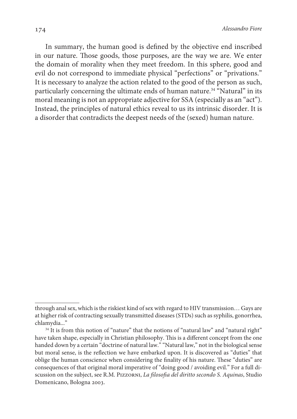In summary, the human good is defined by the objective end inscribed in our nature. Those goods, those purposes, are the way we are. We enter the domain of morality when they meet freedom. In this sphere, good and evil do not correspond to immediate physical "perfections" or "privations." It is necessary to analyze the action related to the good of the person as such, particularly concerning the ultimate ends of human nature.<sup>34</sup> "Natural" in its moral meaning is not an appropriate adjective for SSA (especially as an "act"). Instead, the principles of natural ethics reveal to us its intrinsic disorder. It is a disorder that contradicts the deepest needs of the (sexed) human nature.

through anal sex, which is the riskiest kind of sex with regard to HIV transmission… Gays are at higher risk of contracting sexually transmitted diseases (STDs) such as syphilis, gonorrhea, chlamydia..."

<sup>&</sup>lt;sup>34</sup> It is from this notion of "nature" that the notions of "natural law" and "natural right" have taken shape, especially in Christian philosophy. This is a different concept from the one handed down by a certain "doctrine of natural law." "Natural law," not in the biological sense but moral sense, is the reflection we have embarked upon. It is discovered as "duties" that oblige the human conscience when considering the finality of his nature. These "duties" are consequences of that original moral imperative of "doing good / avoiding evil." For a full discussion on the subject, see R.M. PIzzorni, La filosofia del diritto secondo S. Aquinas, Studio Domenicano, Bologna 2003.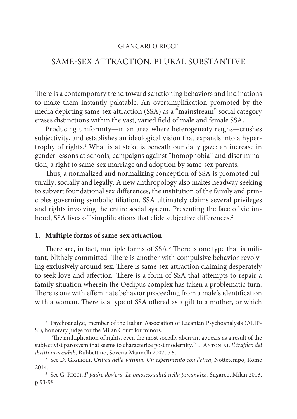## GIANCARLO RICCI\*

# SAME-SEX ATTRACTION, PLURAL SUBSTANTIVE

There is a contemporary trend toward sanctioning behaviors and inclinations to make them instantly palatable. An oversimplification promoted by the media depicting same-sex attraction (SSA) as a "mainstream" social category erases distinctions within the vast, varied field of male and female SSA**.**

Producing uniformity—in an area where heterogeneity reigns—crushes subjectivity, and establishes an ideological vision that expands into a hypertrophy of rights.<sup>1</sup> What is at stake is beneath our daily gaze: an increase in gender lessons at schools, campaigns against "homophobia" and discrimination, a right to same-sex marriage and adoption by same-sex parents.

Thus, a normalized and normalizing conception of SSA is promoted culturally, socially and legally. A new anthropology also makes headway seeking to subvert foundational sex differences, the institution of the family and principles governing symbolic filiation. SSA ultimately claims several privileges and rights involving the entire social system. Presenting the face of victimhood, SSA lives off simplifications that elide subjective differences.<sup>2</sup>

## **1. Multiple forms of same-sex attraction**

There are, in fact, multiple forms of SSA.<sup>3</sup> There is one type that is militant, blithely committed. There is another with compulsive behavior revolving exclusively around sex. There is same-sex attraction claiming desperately to seek love and affection. There is a form of SSA that attempts to repair a family situation wherein the Oedipus complex has taken a problematic turn. There is one with effeminate behavior proceeding from a male's identification with a woman. There is a type of SSA offered as a gift to a mother, or which

<sup>\*</sup> Psychoanalyst, member of the Italian Association of Lacanian Psychoanalysis (ALIP-SI), honorary judge for the Milan Court for minors.

<sup>&</sup>lt;sup>1</sup> "The multiplication of rights, even the most socially aberrant appears as a result of the subjectivist paroxysm that seems to characterize post modernity." L. ANTONINI, Il traffico dei diritti insaziabili, Rubbettino, Soveria Mannelli 2007, p.5.

<sup>&</sup>lt;sup>2</sup> See D. GIGLIOLI, Critica della vittima. Un esperimento con l'etica, Nottetempo, Rome 2014.

 $3$  See G. Ricci, Il padre dov'era. Le omosessualità nella psicanalisi, Sugarco, Milan 2013, p.93-98.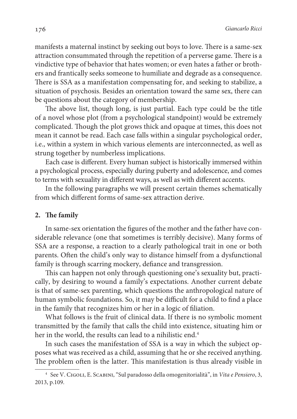manifests a maternal instinct by seeking out boys to love. There is a same-sex attraction consummated through the repetition of a perverse game. There is a vindictive type of behavior that hates women; or even hates a father or brothers and frantically seeks someone to humiliate and degrade as a consequence. There is SSA as a manifestation compensating for, and seeking to stabilize, a situation of psychosis. Besides an orientation toward the same sex, there can be questions about the category of membership.

The above list, though long, is just partial. Each type could be the title of a novel whose plot (from a psychological standpoint) would be extremely complicated. Though the plot grows thick and opaque at times, this does not mean it cannot be read. Each case falls within a singular psychological order, i.e., within a system in which various elements are interconnected, as well as strung together by numberless implications.

Each case is different. Every human subject is historically immersed within a psychological process, especially during puberty and adolescence, and comes to terms with sexuality in different ways, as well as with different accents.

In the following paragraphs we will present certain themes schematically from which different forms of same-sex attraction derive.

### **2. The family**

In same-sex orientation the figures of the mother and the father have considerable relevance (one that sometimes is terribly decisive). Many forms of SSA are a response, a reaction to a clearly pathological trait in one or both parents. Often the child's only way to distance himself from a dysfunctional family is through scarring mockery, defiance and transgression.

This can happen not only through questioning one's sexuality but, practically, by desiring to wound a family's expectations. Another current debate is that of same-sex parenting, which questions the anthropological nature of human symbolic foundations. So, it may be difficult for a child to find a place in the family that recognizes him or her in a logic of filiation.

What follows is the fruit of clinical data. If there is no symbolic moment transmitted by the family that calls the child into existence, situating him or her in the world, the results can lead to a nihilistic end.<sup>4</sup>

In such cases the manifestation of SSA is a way in which the subject opposes what was received as a child, assuming that he or she received anything. The problem often is the latter. This manifestation is thus already visible in

<sup>4</sup> See V. Cigoli, E. Scabini, "Sul paradosso della omogenitorialità", in Vita e Pensiero, 3, 2013, p.109.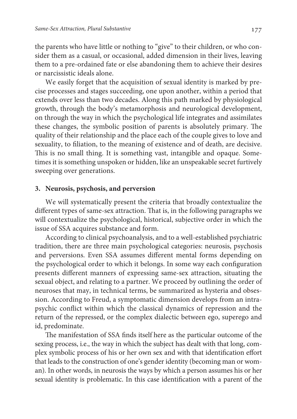the parents who have little or nothing to "give" to their children, or who consider them as a casual, or occasional, added dimension in their lives, leaving them to a pre-ordained fate or else abandoning them to achieve their desires or narcissistic ideals alone.

We easily forget that the acquisition of sexual identity is marked by precise processes and stages succeeding, one upon another, within a period that extends over less than two decades. Along this path marked by physiological growth, through the body's metamorphosis and neurological development, on through the way in which the psychological life integrates and assimilates these changes, the symbolic position of parents is absolutely primary. The quality of their relationship and the place each of the couple gives to love and sexuality, to filiation, to the meaning of existence and of death, are decisive. This is no small thing. It is something vast, intangible and opaque. Sometimes it is something unspoken or hidden, like an unspeakable secret furtively sweeping over generations.

## **3. Neurosis, psychosis, and perversion**

We will systematically present the criteria that broadly contextualize the different types of same-sex attraction. That is, in the following paragraphs we will contextualize the psychological, historical, subjective order in which the issue of SSA acquires substance and form.

According to clinical psychoanalysis, and to a well-established psychiatric tradition, there are three main psychological categories: neurosis, psychosis and perversions. Even SSA assumes different mental forms depending on the psychological order to which it belongs. In some way each configuration presents different manners of expressing same-sex attraction, situating the sexual object, and relating to a partner. We proceed by outlining the order of neuroses that may, in technical terms, be summarized as hysteria and obsession. According to Freud, a symptomatic dimension develops from an intrapsychic conflict within which the classical dynamics of repression and the return of the repressed, or the complex dialectic between ego, superego and id, predominate.

The manifestation of SSA finds itself here as the particular outcome of the sexing process, i.e., the way in which the subject has dealt with that long, complex symbolic process of his or her own sex and with that identification effort that leads to the construction of one's gender identity (becoming man or woman). In other words, in neurosis the ways by which a person assumes his or her sexual identity is problematic. In this case identification with a parent of the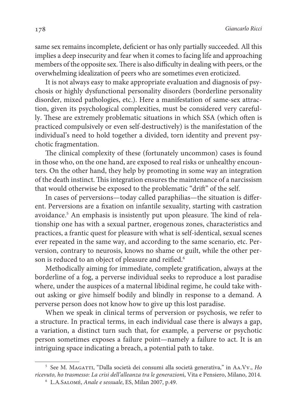same sex remains incomplete, deficient or has only partially succeeded. All this implies a deep insecurity and fear when it comes to facing life and approaching members of the opposite sex. There is also difficulty in dealing with peers, or the overwhelming idealization of peers who are sometimes even eroticized.

It is not always easy to make appropriate evaluation and diagnosis of psychosis or highly dysfunctional personality disorders (borderline personality disorder, mixed pathologies, etc.). Here a manifestation of same-sex attraction, given its psychological complexities, must be considered very carefully. These are extremely problematic situations in which SSA (which often is practiced compulsively or even self-destructively) is the manifestation of the individual's need to hold together a divided, torn identity and prevent psychotic fragmentation.

The clinical complexity of these (fortunately uncommon) cases is found in those who, on the one hand, are exposed to real risks or unhealthy encounters. On the other hand, they help by promoting in some way an integration of the death instinct. This integration ensures the maintenance of a narcissism that would otherwise be exposed to the problematic "drift" of the self.

In cases of perversions—today called paraphilias—the situation is different. Perversions are a fixation on infantile sexuality, starting with castration avoidance.<sup>5</sup> An emphasis is insistently put upon pleasure. The kind of relationship one has with a sexual partner, erogenous zones, characteristics and practices, a frantic quest for pleasure with what is self-identical, sexual scenes ever repeated in the same way, and according to the same scenario, etc. Perversion, contrary to neurosis, knows no shame or guilt, while the other person is reduced to an object of pleasure and reified.<sup>6</sup>

Methodically aiming for immediate, complete gratification, always at the borderline of a fog, a perverse individual seeks to reproduce a lost paradise where, under the auspices of a maternal libidinal regime, he could take without asking or give himself bodily and blindly in response to a demand. A perverse person does not know how to give up this lost paradise.

When we speak in clinical terms of perversion or psychosis, we refer to a structure. In practical terms, in each individual case there is always a gap, a variation, a distinct turn such that, for example, a perverse or psychotic person sometimes exposes a failure point—namely a failure to act. It is an intriguing space indicating a breach, a potential path to take.

<sup>&</sup>lt;sup>5</sup> See M. MAGATTI, "Dalla società dei consumi alla società generativa," in AA.Vv., Ho ricevuto, ho trasmesso: La crisi dell'alleanza tra le generazioni, Vita e Pensiero, Milano, 2014.

<sup>6</sup> L.A.Salomé, Anale e sessuale, ES, Milan 2007, p.49.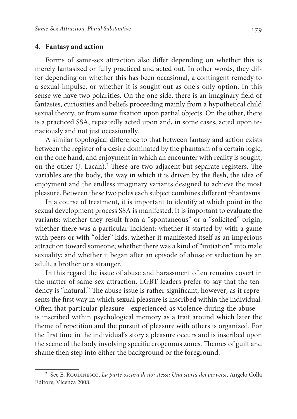#### **4. Fantasy and action**

Forms of same-sex attraction also differ depending on whether this is merely fantasized or fully practiced and acted out. In other words, they differ depending on whether this has been occasional, a contingent remedy to a sexual impulse, or whether it is sought out as one's only option. In this sense we have two polarities. On the one side, there is an imaginary field of fantasies, curiosities and beliefs proceeding mainly from a hypothetical child sexual theory, or from some fixation upon partial objects. On the other, there is a practiced SSA, repeatedly acted upon and, in some cases, acted upon tenaciously and not just occasionally.

A similar topological difference to that between fantasy and action exists between the register of a desire dominated by the phantasm of a certain logic, on the one hand, and enjoyment in which an encounter with reality is sought, on the other (J. Lacan).<sup>7</sup> These are two adjacent but separate registers. The variables are the body, the way in which it is driven by the flesh, the idea of enjoyment and the endless imaginary variants designed to achieve the most pleasure. Between these two poles each subject combines different phantasms.

In a course of treatment, it is important to identify at which point in the sexual development process SSA is manifested. It is important to evaluate the variants: whether they result from a "spontaneous" or a "solicited" origin; whether there was a particular incident; whether it started by with a game with peers or with "older" kids; whether it manifested itself as an imperious attraction toward someone; whether there was a kind of "initiation" into male sexuality; and whether it began after an episode of abuse or seduction by an adult, a brother or a stranger.

In this regard the issue of abuse and harassment often remains covert in the matter of same-sex attraction. LGBT leaders prefer to say that the tendency is "natural." The abuse issue is rather significant, however, as it represents the first way in which sexual pleasure is inscribed within the individual. Often that particular pleasure—experienced as violence during the abuse is inscribed within psychological memory as a trait around which later the theme of repetition and the pursuit of pleasure with others is organized. For the first time in the individual's story a pleasure occurs and is inscribed upon the scene of the body involving specific erogenous zones. Themes of guilt and shame then step into either the background or the foreground.

 $^7$  See E. Roudinesco, La parte oscura di noi stessi: Una storia dei perversi, Angelo Colla Editore, Vicenza 2008.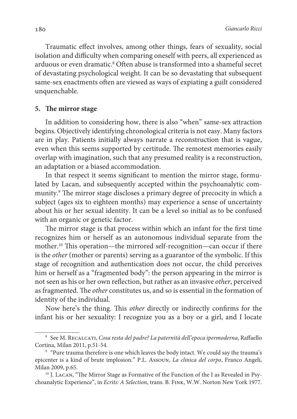Traumatic effect involves, among other things, fears of sexuality, social isolation and difficulty when comparing oneself with peers, all experienced as arduous or even dramatic.<sup>8</sup> Often abuse is transformed into a shameful secret of devastating psychological weight. It can be so devastating that subsequent same-sex enactments often are viewed as ways of expiating a guilt considered unquenchable.

## **5. The mirror stage**

In addition to considering how, there is also "when" same-sex attraction begins. Objectively identifying chronological criteria is not easy. Many factors are in play. Patients initially always narrate a reconstruction that is vague, even when this seems supported by certitude. The remotest memories easily overlap with imagination, such that any presumed reality is a reconstruction, an adaptation or a biased accommodation.

In that respect it seems significant to mention the mirror stage, formulated by Lacan, and subsequently accepted within the psychoanalytic community.<sup>9</sup> The mirror stage discloses a primary degree of precocity in which a subject (ages six to eighteen months) may experience a sense of uncertainty about his or her sexual identity. It can be a level so initial as to be confused with an organic or genetic factor.

The mirror stage is that process within which an infant for the first time recognizes him or herself as an autonomous individual separate from the mother.<sup>10</sup> This operation—the mirrored self-recognition—can occur if there is the other (mother or parents) serving as a guarantor of the symbolic. If this stage of recognition and authentication does not occur, the child perceives him or herself as a "fragmented body": the person appearing in the mirror is not seen as his or her own reflection, but rather as an invasive other, perceived as fragmented. The other constitutes us, and so is essential in the formation of identity of the individual.

Now here's the thing. This other directly or indirectly confirms for the infant his or her sexuality: I recognize you as a boy or a girl, and I locate

<sup>&</sup>lt;sup>8</sup> See M. RECALCATI, Cosa resta del padre? La paternità dell'epoca ipermoderna, Raffaello Cortina, Milan 2011, p.51-54.

<sup>&</sup>lt;sup>9</sup> "Pure trauma therefore is one which leaves the body intact. We could say the trauma's epicenter is a kind of brute implosion." P.L. Assoun, La clinica del corpo, Franco Angeli, Milan 2009, p.65.

<sup>&</sup>lt;sup>10</sup> J. Lacan, "The Mirror Stage as Formative of the Function of the I as Revealed in Psychoanalytic Experience", in Ecrits: A Selection, trans. B. Fink, W.W. Norton New York 1977.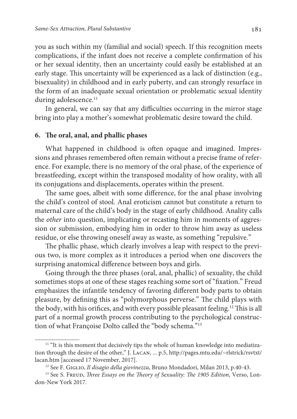you as such within my (familial and social) speech. If this recognition meets complications, if the infant does not receive a complete confirmation of his or her sexual identity, then an uncertainty could easily be established at an early stage. This uncertainty will be experienced as a lack of distinction (e.g., bisexuality) in childhood and in early puberty, and can strongly resurface in the form of an inadequate sexual orientation or problematic sexual identity during adolescence.<sup>11</sup>

In general, we can say that any difficulties occurring in the mirror stage bring into play a mother's somewhat problematic desire toward the child.

### **6. The oral, anal, and phallic phases**

What happened in childhood is often opaque and imagined. Impressions and phrases remembered often remain without a precise frame of reference. For example, there is no memory of the oral phase, of the experience of breastfeeding, except within the transposed modality of how orality, with all its conjugations and displacements, operates within the present.

The same goes, albeit with some difference, for the anal phase involving the child's control of stool. Anal eroticism cannot but constitute a return to maternal care of the child's body in the stage of early childhood. Anality calls the other into question, implicating or recasting him in moments of aggression or submission, embodying him in order to throw him away as useless residue, or else throwing oneself away as waste, as something "repulsive."

The phallic phase, which clearly involves a leap with respect to the previous two, is more complex as it introduces a period when one discovers the surprising anatomical difference between boys and girls.

Going through the three phases (oral, anal, phallic) of sexuality, the child sometimes stops at one of these stages reaching some sort of "fixation." Freud emphasizes the infantile tendency of favoring different body parts to obtain pleasure, by defining this as "polymorphous perverse." The child plays with the body, with his orifices, and with every possible pleasant feeling.<sup>12</sup> This is all part of a normal growth process contributing to the psychological construction of what Françoise Dolto called the "body schema."<sup>13</sup>

 $11$  "It is this moment that decisively tips the whole of human knowledge into mediatization through the desire of the other," J. Lacan, ... p.5, http://pages.mtu.edu/~rlstrick/rsvtxt/ lacan.htm [accessed 17 November, 2017].

<sup>&</sup>lt;sup>12</sup> See F. GIGLIO, Il disagio della giovinezza, Bruno Mondadori, Milan 2013, p.40-43.

<sup>&</sup>lt;sup>13</sup> See S. FREUD, *Three Essays on the Theory of Sexuality: The 1905 Edition*, Verso, London-New York 2017.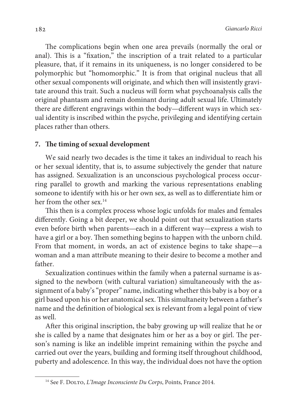The complications begin when one area prevails (normally the oral or anal). This is a "fixation," the inscription of a trait related to a particular pleasure, that, if it remains in its uniqueness, is no longer considered to be polymorphic but "homomorphic." It is from that original nucleus that all other sexual components will originate, and which then will insistently gravitate around this trait. Such a nucleus will form what psychoanalysis calls the original phantasm and remain dominant during adult sexual life. Ultimately there are different engravings within the body—different ways in which sexual identity is inscribed within the psyche, privileging and identifying certain places rather than others.

## **7. The timing of sexual development**

We said nearly two decades is the time it takes an individual to reach his or her sexual identity, that is, to assume subjectively the gender that nature has assigned. Sexualization is an unconscious psychological process occurring parallel to growth and marking the various representations enabling someone to identify with his or her own sex, as well as to differentiate him or her from the other sex.<sup>14</sup>

This then is a complex process whose logic unfolds for males and females differently. Going a bit deeper, we should point out that sexualization starts even before birth when parents—each in a different way—express a wish to have a girl or a boy. Then something begins to happen with the unborn child. From that moment, in words, an act of existence begins to take shape—a woman and a man attribute meaning to their desire to become a mother and father.

Sexualization continues within the family when a paternal surname is assigned to the newborn (with cultural variation) simultaneously with the assignment of a baby's "proper" name, indicating whether this baby is a boy or a girl based upon his or her anatomical sex. This simultaneity between a father's name and the definition of biological sex is relevant from a legal point of view as well.

After this original inscription, the baby growing up will realize that he or she is called by a name that designates him or her as a boy or girl. The person's naming is like an indelible imprint remaining within the psyche and carried out over the years, building and forming itself throughout childhood, puberty and adolescence. In this way, the individual does not have the option

<sup>&</sup>lt;sup>14</sup> See F. DOLTO, L'Image Inconsciente Du Corps, Points, France 2014.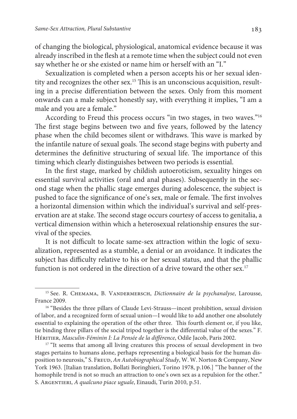of changing the biological, physiological, anatomical evidence because it was already inscribed in the flesh at a remote time when the subject could not even say whether he or she existed or name him or herself with an "I."

Sexualization is completed when a person accepts his or her sexual identity and recognizes the other sex.15 This is an unconscious acquisition, resulting in a precise differentiation between the sexes. Only from this moment onwards can a male subject honestly say, with everything it implies, "I am a male and you are a female."

According to Freud this process occurs "in two stages, in two waves."<sup>16</sup> The first stage begins between two and five years, followed by the latency phase when the child becomes silent or withdraws. This wave is marked by the infantile nature of sexual goals. The second stage begins with puberty and determines the definitive structuring of sexual life. The importance of this timing which clearly distinguishes between two periods is essential.

In the first stage, marked by childish autoeroticism, sexuality hinges on essential survival activities (oral and anal phases). Subsequently in the second stage when the phallic stage emerges during adolescence, the subject is pushed to face the significance of one's sex, male or female. The first involves a horizontal dimension within which the individual's survival and self-preservation are at stake. The second stage occurs courtesy of access to genitalia, a vertical dimension within which a heterosexual relationship ensures the survival of the species.

It is not difficult to locate same-sex attraction within the logic of sexualization, represented as a stumble, a denial or an avoidance. It indicates the subject has difficulty relative to his or her sexual status, and that the phallic function is not ordered in the direction of a drive toward the other sex.<sup>17</sup>

<sup>&</sup>lt;sup>15</sup> See. R. CHEMAMA, B. VANDERMERSCH, Dictionnaire de la psychanalyse, Larousse, France 2009.

<sup>&</sup>lt;sup>16</sup> "Besides the three pillars of Claude Levi-Strauss—incest prohibition, sexual division of labor, and a recognized form of sexual union—I would like to add another one absolutely essential to explaining the operation of the other three. This fourth element or, if you like, tie binding three pillars of the social tripod together is the differential value of the sexes." F. HÉRITIER, Masculin-Féminin I: La Pensée de la différence, Odile Jacob, Paris 2002.

<sup>&</sup>lt;sup>17</sup> "It seems that among all living creatures this process of sexual development in two stages pertains to humans alone, perhaps representing a biological basis for the human disposition to neurosis," S. Freud, An Autobiographical Study, W. W. Norton & Company, New York 1963. [Italian translation, Bollati Boringhieri, Torino 1978, p.106.] "The banner of the homophile trend is not so much an attraction to one's own sex as a repulsion for the other." S. ARGENTIERI, A qualcuno piace uguale, Einaudi, Turin 2010, p.51.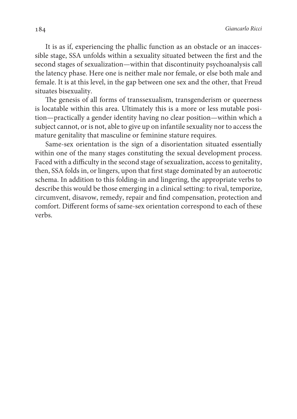It is as if, experiencing the phallic function as an obstacle or an inaccessible stage, SSA unfolds within a sexuality situated between the first and the second stages of sexualization—within that discontinuity psychoanalysis call the latency phase. Here one is neither male nor female, or else both male and female. It is at this level, in the gap between one sex and the other, that Freud situates bisexuality.

The genesis of all forms of transsexualism, transgenderism or queerness is locatable within this area. Ultimately this is a more or less mutable position—practically a gender identity having no clear position—within which a subject cannot, or is not, able to give up on infantile sexuality nor to access the mature genitality that masculine or feminine stature requires.

Same-sex orientation is the sign of a disorientation situated essentially within one of the many stages constituting the sexual development process. Faced with a difficulty in the second stage of sexualization, access to genitality, then, SSA folds in, or lingers, upon that first stage dominated by an autoerotic schema. In addition to this folding-in and lingering, the appropriate verbs to describe this would be those emerging in a clinical setting: to rival, temporize, circumvent, disavow, remedy, repair and find compensation, protection and comfort. Different forms of same-sex orientation correspond to each of these verbs.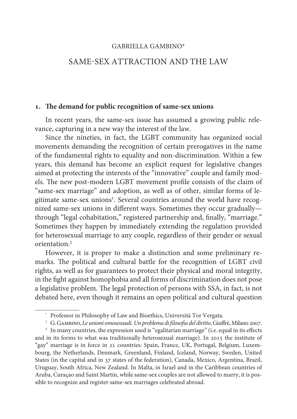## GABRIELLA GAMBINO\*

# SAME-SEX A TTRACTION AND THE LAW

#### **. The demand for public recognition of same-sex unions**

In recent years, the same-sex issue has assumed a growing public relevance, capturing in a new way the interest of the law.

Since the nineties, in fact, the LGBT community has organized social movements demanding the recognition of certain prerogatives in the name of the fundamental rights to equality and non-discrimination. Within a few years, this demand has become an explicit request for legislative changes aimed at protecting the interests of the "innovative" couple and family models. The new post-modern LGBT movement profile consists of the claim of "same-sex marriage" and adoption, as well as of other, similar forms of legitimate same-sex unions<sup>1</sup>. Several countries around the world have recognized same-sex unions in different ways. Sometimes they occur gradually through "legal cohabitation," registered partnership and, finally, "marriage." Sometimes they happen by immediately extending the regulation provided for heterosexual marriage to any couple, regardless of their gender or sexual orientation.<sup>2</sup>

However, it is proper to make a distinction and some preliminary remarks. The political and cultural battle for the recognition of LGBT civil rights, as well as for guarantees to protect their physical and moral integrity, in the fight against homophobia and all forms of discrimination does not pose a legislative problem. The legal protection of persons with SSA, in fact, is not debated here, even though it remains an open political and cultural question

<sup>\*</sup> Professor in Philosophy of Law and Bioethics, Università Tor Vergata.

 $^{\rm 1}~$  G. GAMBINO, Le unioni omosessuali. Un problema di filosofia del diritto, Giuffrè, Milano 2007.

<sup>&</sup>lt;sup>2</sup> In many countries, the expression used is "egalitarian marriage" (i.e. equal in its effects and in its forms to what was traditionally heterosexual marriage). In 2015 the institute of "gay" marriage is in force in 21 countries: Spain, France, UK, Portugal, Belgium, Luxembourg, the Netherlands, Denmark, Greenland, Finland, Iceland, Norway, Sweden, United States (in the capital and in 37 states of the federation), Canada, Mexico, Argentina, Brazil, Uruguay, South Africa, New Zealand. In Malta, in Israel and in the Caribbean countries of Aruba, Curaçao and Saint Martin, while same-sex couples are not allowed to marry, it is possible to recognize and register same-sex marriages celebrated abroad.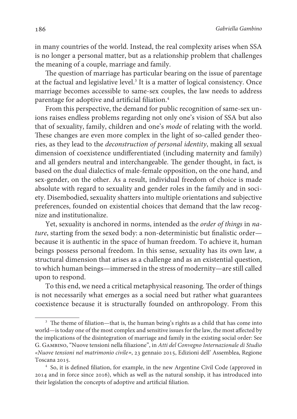186 Gabriella Gambino

in many countries of the world. Instead, the real complexity arises when SSA is no longer a personal matter, but as a relationship problem that challenges the meaning of a couple, marriage and family.

The question of marriage has particular bearing on the issue of parentage at the factual and legislative level.<sup>3</sup> It is a matter of logical consistency. Once marriage becomes accessible to same-sex couples, the law needs to address parentage for adoptive and artificial filiation.<sup>4</sup>

From this perspective, the demand for public recognition of same-sex unions raises endless problems regarding not only one's vision of SSA but also that of sexuality, family, children and one's mode of relating with the world. These changes are even more complex in the light of so-called gender theories, as they lead to the deconstruction of personal identity, making all sexual dimension of coexistence undifferentiated (including maternity and family) and all genders neutral and interchangeable. The gender thought, in fact, is based on the dual dialectics of male-female opposition, on the one hand, and sex-gender, on the other. As a result, individual freedom of choice is made absolute with regard to sexuality and gender roles in the family and in society. Disembodied, sexuality shatters into multiple orientations and subjective preferences, founded on existential choices that demand that the law recognize and institutionalize.

Yet, sexuality is anchored in norms, intended as the order of things in nature, starting from the sexed body: a non-deterministic but finalistic order because it is authentic in the space of human freedom. To achieve it, human beings possess personal freedom. In this sense, sexuality has its own law, a structural dimension that arises as a challenge and as an existential question, to which human beings—immersed in the stress of modernity—are still called upon to respond.

To this end, we need a critical metaphysical reasoning. The order of things is not necessarily what emerges as a social need but rather what guarantees coexistence because it is structurally founded on anthropology. From this

<sup>&</sup>lt;sup>3</sup> The theme of filiation—that is, the human being's rights as a child that has come into world—is today one of the most complex and sensitive issues for the law, the most affected by the implications of the disintegration of marriage and family in the existing social order: See G. Gambino, "Nuove tensioni nella filiazione", in Atti del Convegno Internazionale di Studio «Nuove tensioni nel matrimonio civile», 23 gennaio 2015, Edizioni dell' Assemblea, Regione Toscana 2015.

<sup>4</sup> So, it is defined filiation, for example, in the new Argentine Civil Code (approved in 2014 and in force since 2016), which as well as the natural sonship, it has introduced into their legislation the concepts of adoptive and artificial filiation.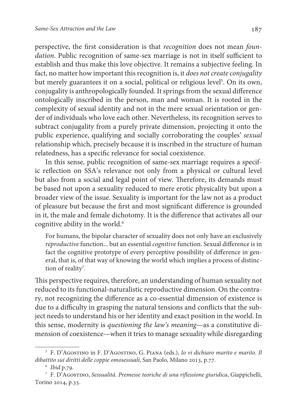perspective, the first consideration is that recognition does not mean foundation. Public recognition of same-sex marriage is not in itself sufficient to establish and thus make this love objective. It remains a subjective feeling. In fact, no matter how important this recognition is, it does not create conjugality but merely guarantees it on a social, political or religious level<sup>5</sup>. On its own, conjugality is anthropologically founded. It springs from the sexual difference ontologically inscribed in the person, man and woman. It is rooted in the complexity of sexual identity and not in the mere sexual orientation or gender of individuals who love each other. Nevertheless, its recognition serves to subtract conjugality from a purely private dimension, projecting it onto the public experience, qualifying and socially corroborating the couples' sexual relationship which, precisely because it is inscribed in the structure of human relatedness, has a specific relevance for social coexistence.

In this sense, public recognition of same-sex marriage requires a specific reflection on SSA's relevance not only from a physical or cultural level but also from a social and legal point of view. Therefore, its demands must be based not upon a sexuality reduced to mere erotic physicality but upon a broader view of the issue. Sexuality is important for the law not as a product of pleasure but because the first and most significant difference is grounded in it, the male and female dichotomy. It is the difference that activates all our cognitive ability in the world.<sup>6</sup>

For humans, the bipolar character of sexuality does not only have an exclusively reproductive function... but an essential cognitive function. Sexual difference is in fact the cognitive prototype of every perceptive possibility of difference in general, that is, of that way of knowing the world which implies a process of distinction of reality<sup>7</sup>.

This perspective requires, therefore, an understanding of human sexuality not reduced to its functional-naturalistic reproductive dimension. On the contrary, not recognizing the difference as a co-essential dimension of existence is due to a difficulty in grasping the natural tensions and conflicts that the subject needs to understand his or her identity and exact position in the world. In this sense, modernity is questioning the law's meaning—as a constitutive dimension of coexistence—when it tries to manage sexuality while disregarding

<sup>5</sup> F. D'Agostino in F. D'Agostino, G. Piana (eds.), Io vi dichiaro marito e marito. Il dibattito sui diritti delle coppie omosessuali, San Paolo, Milano 2013, p.77.

<sup>6</sup> Ibid p.79.

<sup>&</sup>lt;sup>7</sup> F. D'AGOSTINO, Sessualità. Premesse teoriche di una riflessione giuridica, Giappichelli, Torino 2014, p.35.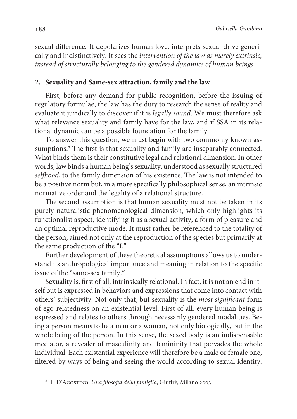sexual difference. It depolarizes human love, interprets sexual drive generically and indistinctively. It sees the intervention of the law as merely extrinsic, instead of structurally belonging to the gendered dynamics of human beings.

## **2. Sexuality and Same-sex attraction, family and the law**

First, before any demand for public recognition, before the issuing of regulatory formulae, the law has the duty to research the sense of reality and evaluate it juridically to discover if it is legally sound. We must therefore ask what relevance sexuality and family have for the law, and if SSA in its relational dynamic can be a possible foundation for the family.

To answer this question, we must begin with two commonly known assumptions.<sup>8</sup> The first is that sexuality and family are inseparably connected. What binds them is their constitutive legal and relational dimension. In other words, law binds a human being's sexuality, understood as sexually structured selfhood, to the family dimension of his existence. The law is not intended to be a positive norm but, in a more specifically philosophical sense, an intrinsic normative order and the legality of a relational structure.

The second assumption is that human sexuality must not be taken in its purely naturalistic-phenomenological dimension, which only highlights its functionalist aspect, identifying it as a sexual activity, a form of pleasure and an optimal reproductive mode. It must rather be referenced to the totality of the person, aimed not only at the reproduction of the species but primarily at the same production of the "I."

Further development of these theoretical assumptions allows us to understand its anthropological importance and meaning in relation to the specific issue of the "same-sex family."

Sexuality is, first of all, intrinsically relational. In fact, it is not an end in itself but is expressed in behaviors and expressions that come into contact with others' subjectivity. Not only that, but sexuality is the most significant form of ego-relatedness on an existential level. First of all, every human being is expressed and relates to others through necessarily gendered modalities. Being a person means to be a man or a woman, not only biologically, but in the whole being of the person. In this sense, the sexed body is an indispensable mediator, a revealer of masculinity and femininity that pervades the whole individual. Each existential experience will therefore be a male or female one, filtered by ways of being and seeing the world according to sexual identity.

<sup>&</sup>lt;sup>8</sup> F. D'AGOSTINO, *Una filosofia della famiglia*, Giuffrè, Milano 2003.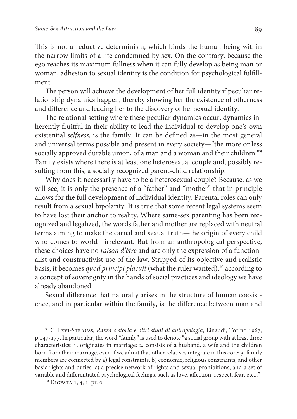This is not a reductive determinism, which binds the human being within the narrow limits of a life condemned by sex. On the contrary, because the ego reaches its maximum fullness when it can fully develop as being man or woman, adhesion to sexual identity is the condition for psychological fulfillment.

The person will achieve the development of her full identity if peculiar relationship dynamics happen, thereby showing her the existence of otherness and difference and leading her to the discovery of her sexual identity.

The relational setting where these peculiar dynamics occur, dynamics inherently fruitful in their ability to lead the individual to develop one's own existential selfness, is the family. It can be defined as—in the most general and universal terms possible and present in every society—"the more or less socially approved durable union, of a man and a woman and their children."<sup>9</sup> Family exists where there is at least one heterosexual couple and, possibly resulting from this, a socially recognized parent-child relationship.

Why does it necessarily have to be a heterosexual couple? Because, as we will see, it is only the presence of a "father" and "mother" that in principle allows for the full development of individual identity. Parental roles can only result from a sexual bipolarity. It is true that some recent legal systems seem to have lost their anchor to reality. Where same-sex parenting has been recognized and legalized, the words father and mother are replaced with neutral terms aiming to make the carnal and sexual truth—the origin of every child who comes to world—irrelevant. But from an anthropological perspective, these choices have no raison d'être and are only the expression of a functionalist and constructivist use of the law. Stripped of its objective and realistic basis, it becomes quod principi placuit (what the ruler wanted), $10$  according to a concept of sovereignty in the hands of social practices and ideology we have already abandoned.

Sexual difference that naturally arises in the structure of human coexistence, and in particular within the family, is the difference between man and

<sup>9</sup> C. Levi-Strauss, Razza e storia e altri studi di antropologia, Einaudi, Torino 1967, p.147-177. In particular, the word "family" is used to denote "a social group with at least three characteristics: 1. originates in marriage; 2. consists of a husband, a wife and the children born from their marriage, even if we admit that other relatives integrate in this core; 3. family members are connected by a) legal constraints, b) economic, religious constraints, and other basic rights and duties, c) a precise network of rights and sexual prohibitions, and a set of variable and differentiated psychological feelings, such as love, affection, respect, fear, etc..."

 $10$  DIGESTA 1, 4, 1, pr. 0.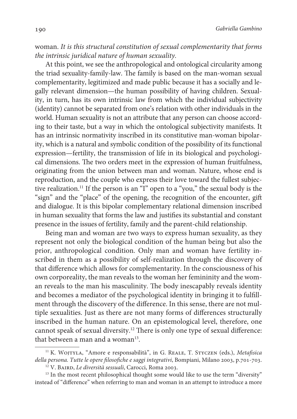190 Gabriella Gambino

# woman. It is this structural constitution of sexual complementarity that forms the intrinsic juridical nature of human sexuality.

At this point, we see the anthropological and ontological circularity among the triad sexuality-family-law. The family is based on the man-woman sexual complementarity, legitimized and made public because it has a socially and legally relevant dimension—the human possibility of having children. Sexuality, in turn, has its own intrinsic law from which the individual subjectivity (identity) cannot be separated from one's relation with other individuals in the world. Human sexuality is not an attribute that any person can choose according to their taste, but a way in which the ontological subjectivity manifests. It has an intrinsic normativity inscribed in its constitutive man-woman bipolarity, which is a natural and symbolic condition of the possibility of its functional expression—fertility, the transmission of life in its biological and psychological dimensions. The two orders meet in the expression of human fruitfulness, originating from the union between man and woman. Nature, whose end is reproduction, and the couple who express their love toward the fullest subjective realization.<sup>11</sup> If the person is an "I" open to a "you," the sexual body is the "sign" and the "place" of the opening, the recognition of the encounter, gift and dialogue. It is this bipolar complementary relational dimension inscribed in human sexuality that forms the law and justifies its substantial and constant presence in the issues of fertility, family and the parent-child relationship.

Being man and woman are two ways to express human sexuality, as they represent not only the biological condition of the human being but also the prior, anthropological condition. Only man and woman have fertility inscribed in them as a possibility of self-realization through the discovery of that difference which allows for complementarity. In the consciousness of his own corporeality, the man reveals to the woman her femininity and the woman reveals to the man his masculinity. The body inescapably reveals identity and becomes a mediator of the psychological identity in bringing it to fulfillment through the discovery of the difference. In this sense, there are not multiple sexualities. Just as there are not many forms of differences structurally inscribed in the human nature. On an epistemological level, therefore, one cannot speak of sexual diversity.<sup>12</sup> There is only one type of sexual difference: that between a man and a woman<sup>13</sup>.

<sup>&</sup>lt;sup>11</sup> K. WOJTYLA, "Amore e responsabilità", in G. REALE, T. STYCZEN (eds.), Metafisica della persona. Tutte le opere filosofiche e saggi integrativi, Bompiani, Milano 2003, p.701-703. <sup>12</sup> V. BAIRD, Le diversità sessuali, Carocci, Roma 2003.

<sup>&</sup>lt;sup>13</sup> In the most recent philosophical thought some would like to use the term "diversity" instead of "difference" when referring to man and woman in an attempt to introduce a more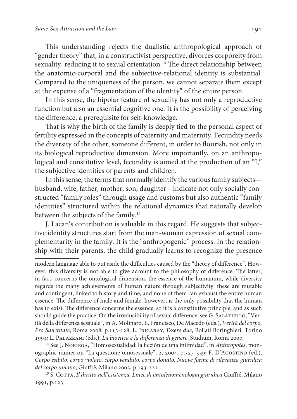This understanding rejects the dualistic anthropological approach of "gender theory" that, in a constructivist perspective, divorces corporeity from sexuality, reducing it to sexual orientation.<sup>14</sup> The direct relationship between the anatomic-corporal and the subjective-relational identity is substantial. Compared to the uniqueness of the person, we cannot separate them except at the expense of a "fragmentation of the identity" of the entire person.

In this sense, the bipolar feature of sexuality has not only a reproductive function but also an essential cognitive one. It is the possibility of perceiving the difference, a prerequisite for self-knowledge.

That is why the birth of the family is deeply tied to the personal aspect of fertility expressed in the concepts of paternity and maternity. Fecundity needs the diversity of the other, someone different, in order to flourish, not only in its biological reproductive dimension. More importantly, on an anthropological and constitutive level, fecundity is aimed at the production of an "I," the subjective identities of parents and children.

In this sense, the terms that normally identify the various family subjects husband, wife, father, mother, son, daughter—indicate not only socially constructed "family roles" through usage and customs but also authentic "family identities" structured within the relational dynamics that naturally develop between the subjects of the family.<sup>15</sup>

J. Lacan's contribution is valuable in this regard. He suggests that subjective identity structures start from the man-woman expression of sexual complementarity in the family. It is the "anthropogenic" process. In the relationship with their parents, the child gradually learns to recognize the presence

modern language able to put aside the difficulties caused by the "theory of difference". However, this diversity is not able to give account to the philosophy of difference. The latter, in fact, concerns the ontological dimension, the essence of the humanum, while diversity regards the many achievements of human nature through subjectivity: these are mutable and contingent, linked to history and time, and none of them can exhaust the entire human essence. The difference of male and female, however, is the only possibility that the human has to exist. The difference concerns the essence, so it is a constitutive principle, and as such should guide the practice. On the irreducibility of sexual difference, see G. SALATIELLO, "Verità della differenza sessuale", in A. Molinaro, E. Francisco, De Macedo (eds.), Verità del corpo, Pro Sanctitate, Roma 2008, p.113-128; L. Irigaray, Essere due, Bollati Boringhieri, Torino 1994; L. Palazzani (eds.), La bioetica e la differenza di genere, Studium, Roma 2007.

<sup>&</sup>lt;sup>14</sup> See J. NORIEGA, "Homosexualidad: la ficción de una intimidad", in Anthropotes, monographic numer on "La questione omosessuale", 2, 2004, p.327-339; F. D'Agostino (ed.), Corpo esibito, corpo violato, corpo venduto, corpo donato. Nuove forme di rilevanza giuridica del corpo umano, Giuffrè, Milano 2003, p.193-221.

<sup>&</sup>lt;sup>15</sup> S. COTTA, Il diritto nell'esistenza, Linee di ontofenomenologia giuridica Giuffré, Milano 1991, p.123.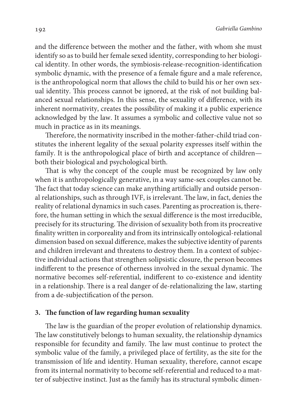and the difference between the mother and the father, with whom she must identify so as to build her female sexed identity, corresponding to her biological identity. In other words, the symbiosis-release-recognition-identification symbolic dynamic, with the presence of a female figure and a male reference, is the anthropological norm that allows the child to build his or her own sexual identity. This process cannot be ignored, at the risk of not building balanced sexual relationships. In this sense, the sexuality of difference, with its inherent normativity, creates the possibility of making it a public experience acknowledged by the law. It assumes a symbolic and collective value not so much in practice as in its meanings.

Therefore, the normativity inscribed in the mother-father-child triad constitutes the inherent legality of the sexual polarity expresses itself within the family. It is the anthropological place of birth and acceptance of children both their biological and psychological birth.

That is why the concept of the couple must be recognized by law only when it is anthropologically generative, in a way same-sex couples cannot be. The fact that today science can make anything artificially and outside personal relationships, such as through IVF, is irrelevant. The law, in fact, denies the reality of relational dynamics in such cases. Parenting as procreation is, therefore, the human setting in which the sexual difference is the most irreducible, precisely for its structuring. The division of sexuality both from its procreative finality written in corporeality and from its intrinsically ontological-relational dimension based on sexual difference, makes the subjective identity of parents and children irrelevant and threatens to destroy them. In a context of subjective individual actions that strengthen solipsistic closure, the person becomes indifferent to the presence of otherness involved in the sexual dynamic. The normative becomes self-referential, indifferent to co-existence and identity in a relationship. There is a real danger of de-relationalizing the law, starting from a de-subjectification of the person.

### **3. The function of law regarding human sexuality**

The law is the guardian of the proper evolution of relationship dynamics. The law constitutively belongs to human sexuality, the relationship dynamics responsible for fecundity and family. The law must continue to protect the symbolic value of the family, a privileged place of fertility, as the site for the transmission of life and identity. Human sexuality, therefore, cannot escape from its internal normativity to become self-referential and reduced to a matter of subjective instinct. Just as the family has its structural symbolic dimen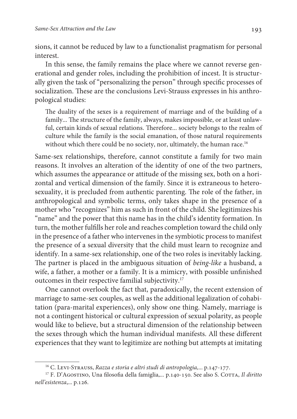sions, it cannot be reduced by law to a functionalist pragmatism for personal interest.

In this sense, the family remains the place where we cannot reverse generational and gender roles, including the prohibition of incest. It is structurally given the task of "personalizing the person" through specific processes of socialization. These are the conclusions Levi-Strauss expresses in his anthropological studies:

The duality of the sexes is a requirement of marriage and of the building of a family... The structure of the family, always, makes impossible, or at least unlawful, certain kinds of sexual relations. Therefore... society belongs to the realm of culture while the family is the social emanation, of those natural requirements without which there could be no society, nor, ultimately, the human race.<sup>16</sup>

Same-sex relationships, therefore, cannot constitute a family for two main reasons. It involves an alteration of the identity of one of the two partners, which assumes the appearance or attitude of the missing sex, both on a horizontal and vertical dimension of the family. Since it is extraneous to heterosexuality, it is precluded from authentic parenting. The role of the father, in anthropological and symbolic terms, only takes shape in the presence of a mother who "recognizes" him as such in front of the child. She legitimizes his "name" and the power that this name has in the child's identity formation. In turn, the mother fulfills her role and reaches completion toward the child only in the presence of a father who intervenes in the symbiotic process to manifest the presence of a sexual diversity that the child must learn to recognize and identify. In a same-sex relationship, one of the two roles is inevitably lacking. The partner is placed in the ambiguous situation of being-like a husband, a wife, a father, a mother or a family. It is a mimicry, with possible unfinished outcomes in their respective familial subjectivity.<sup>17</sup>

One cannot overlook the fact that, paradoxically, the recent extension of marriage to same-sex couples, as well as the additional legalization of cohabitation (para-marital experiences), only show one thing. Namely, marriage is not a contingent historical or cultural expression of sexual polarity, as people would like to believe, but a structural dimension of the relationship between the sexes through which the human individual manifests. All these different experiences that they want to legitimize are nothing but attempts at imitating

<sup>&</sup>lt;sup>16</sup> C. LEVI-STRAUSS, Razza e storia e altri studi di antropologia,... p.147-177.

<sup>&</sup>lt;sup>17</sup> F. D'AGOSTINO, Una filosofia della famiglia,... p.140-150. See also S. COTTA, Il diritto nell'esistenza,... p.126.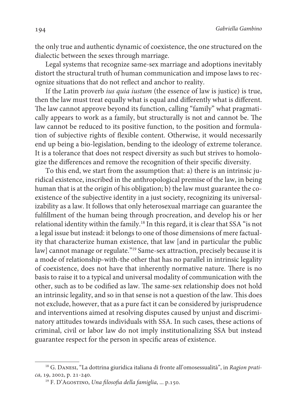194 Gabriella Gambino

the only true and authentic dynamic of coexistence, the one structured on the dialectic between the sexes through marriage.

Legal systems that recognize same-sex marriage and adoptions inevitably distort the structural truth of human communication and impose laws to recognize situations that do not reflect and anchor to reality.

If the Latin proverb ius quia iustum (the essence of law is justice) is true, then the law must treat equally what is equal and differently what is different. The law cannot approve beyond its function, calling "family" what pragmatically appears to work as a family, but structurally is not and cannot be. The law cannot be reduced to its positive function, to the position and formulation of subjective rights of flexible content. Otherwise, it would necessarily end up being a bio-legislation, bending to the ideology of extreme tolerance. It is a tolerance that does not respect diversity as such but strives to homologize the differences and remove the recognition of their specific diversity.

To this end, we start from the assumption that: a) there is an intrinsic juridical existence, inscribed in the anthropological premise of the law, in being human that is at the origin of his obligation; b) the law must guarantee the coexistence of the subjective identity in a just society, recognizing its universalizability as a law. It follows that only heterosexual marriage can guarantee the fulfillment of the human being through procreation, and develop his or her relational identity within the family.<sup>18</sup> In this regard, it is clear that SSA "is not a legal issue but instead: it belongs to one of those dimensions of mere factuality that characterize human existence, that law [and in particular the public law] cannot manage or regulate."<sup>19</sup> Same-sex attraction, precisely because it is a mode of relationship-with-the other that has no parallel in intrinsic legality of coexistence, does not have that inherently normative nature. There is no basis to raise it to a typical and universal modality of communication with the other, such as to be codified as law. The same-sex relationship does not hold an intrinsic legality, and so in that sense is not a question of the law. This does not exclude, however, that as a pure fact it can be considered by jurisprudence and interventions aimed at resolving disputes caused by unjust and discriminatory attitudes towards individuals with SSA. In such cases, these actions of criminal, civil or labor law do not imply institutionalizing SSA but instead guarantee respect for the person in specific areas of existence.

<sup>&</sup>lt;sup>18</sup> G. DANESI, "La dottrina giuridica italiana di fronte all'omosessualità", in Ragion pratica, 19, 2002, p. 21-240.

<sup>&</sup>lt;sup>19</sup> F. D'AGOSTINO, Una filosofia della famiglia, ... p.150.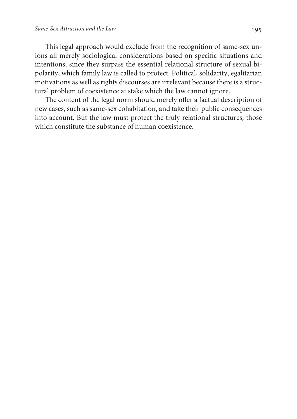This legal approach would exclude from the recognition of same-sex unions all merely sociological considerations based on specific situations and intentions, since they surpass the essential relational structure of sexual bipolarity, which family law is called to protect. Political, solidarity, egalitarian motivations as well as rights discourses are irrelevant because there is a structural problem of coexistence at stake which the law cannot ignore.

The content of the legal norm should merely offer a factual description of new cases, such as same-sex cohabitation, and take their public consequences into account. But the law must protect the truly relational structures, those which constitute the substance of human coexistence.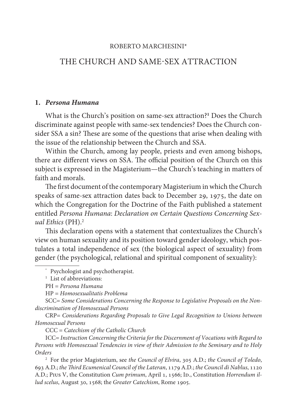### ROBERTO MARCHESINI\*

# THE CHURCH AND SAME-SEX ATTRACTION

#### **1. Persona Humana**

What is the Church's position on same-sex attraction?**<sup>1</sup>** Does the Church discriminate against people with same-sex tendencies? Does the Church consider SSA a sin? These are some of the questions that arise when dealing with the issue of the relationship between the Church and SSA.

Within the Church, among lay people, priests and even among bishops, there are different views on SSA. The official position of the Church on this subject is expressed in the Magisterium—the Church's teaching in matters of faith and morals.

The first document of the contemporary Magisterium in which the Church speaks of same-sex attraction dates back to December 29, 1975, the date on which the Congregation for the Doctrine of the Faith published a statement entitled Persona Humana: Declaration on Certain Questions Concerning Sexual Ethics (PH).<sup>2</sup>

This declaration opens with a statement that contextualizes the Church's view on human sexuality and its position toward gender ideology, which postulates a total independence of sex (the biological aspect of sexuality) from gender (the psychological, relational and spiritual component of sexuality):

<sup>1</sup> List of abbreviations:

PH = Persona Humana

HP = Homosexualitatis Problema

SCC= Some Considerations Concerning the Response to Legislative Proposals on the Nondiscrimination of Homosexual Persons

CRP= Considerations Regarding Proposals to Give Legal Recognition to Unions between Homosexual Persons

CCC = Catechism of the Catholic Church

ICC= Instruction Concerning the Criteria for the Discernment of Vocations with Regard to Persons with Homosexual Tendencies in view of their Admission to the Seminary and to Holy Orders

<sup>2</sup> For the prior Magisterium, see the Council of Elvira, 305 A.D.; the Council of Toledo, 693 A.D.; the Third Ecumenical Council of the Lateran, 1179 A.D.; the Council di Nablus, 1120 A.D.; Pius V, the Constitution Cum primum, April 1, 1566; Ip., Constitution Horrendum illud scelus, August 30, 1568; the Greater Catechism, Rome 1905.

<sup>\*</sup> Psychologist and psychotherapist.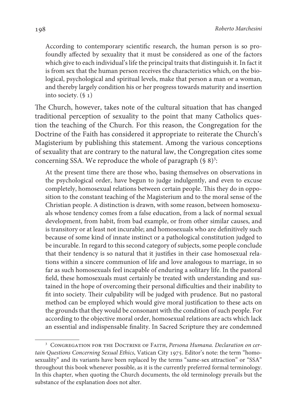According to contemporary scientific research, the human person is so profoundly affected by sexuality that it must be considered as one of the factors which give to each individual's life the principal traits that distinguish it. In fact it is from sex that the human person receives the characteristics which, on the biological, psychological and spiritual levels, make that person a man or a woman, and thereby largely condition his or her progress towards maturity and insertion into society.  $(\S_1)$ 

The Church, however, takes note of the cultural situation that has changed traditional perception of sexuality to the point that many Catholics question the teaching of the Church. For this reason, the Congregation for the Doctrine of the Faith has considered it appropriate to reiterate the Church's Magisterium by publishing this statement. Among the various conceptions of sexuality that are contrary to the natural law, the Congregation cites some concerning SSA. We reproduce the whole of paragraph  $(\S~8)^3$ :

At the present time there are those who, basing themselves on observations in the psychological order, have begun to judge indulgently, and even to excuse completely, homosexual relations between certain people. This they do in opposition to the constant teaching of the Magisterium and to the moral sense of the Christian people. A distinction is drawn, with some reason, between homosexuals whose tendency comes from a false education, from a lack of normal sexual development, from habit, from bad example, or from other similar causes, and is transitory or at least not incurable; and homosexuals who are definitively such because of some kind of innate instinct or a pathological constitution judged to be incurable. In regard to this second category of subjects, some people conclude that their tendency is so natural that it justifies in their case homosexual relations within a sincere communion of life and love analogous to marriage, in so far as such homosexuals feel incapable of enduring a solitary life. In the pastoral field, these homosexuals must certainly be treated with understanding and sustained in the hope of overcoming their personal difficulties and their inability to fit into society. Their culpability will be judged with prudence. But no pastoral method can be employed which would give moral justification to these acts on the grounds that they would be consonant with the condition of such people. For according to the objective moral order, homosexual relations are acts which lack an essential and indispensable finality. In Sacred Scripture they are condemned

<sup>&</sup>lt;sup>3</sup> CONGREGATION FOR THE DOCTRINE OF FAITH, Persona Humana. Declaration on certain Questions Concerning Sexual Ethics, Vatican City 1975. Editor's note: the term "homosexuality" and its variants have been replaced by the terms "same-sex attraction" or "SSA" throughout this book whenever possible, as it is the currently preferred formal terminology. In this chapter, when quoting the Church documents, the old terminology prevails but the substance of the explanation does not alter.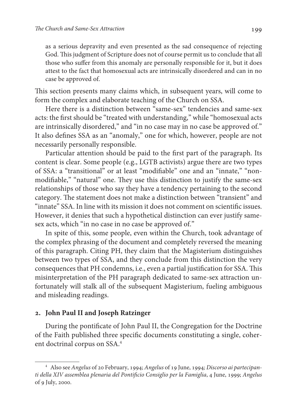as a serious depravity and even presented as the sad consequence of rejecting God. This judgment of Scripture does not of course permit us to conclude that all those who suffer from this anomaly are personally responsible for it, but it does attest to the fact that homosexual acts are intrinsically disordered and can in no case be approved of.

This section presents many claims which, in subsequent years, will come to form the complex and elaborate teaching of the Church on SSA.

Here there is a distinction between "same-sex" tendencies and same-sex acts: the first should be "treated with understanding," while "homosexual acts are intrinsically disordered," and "in no case may in no case be approved of." It also defines SSA as an "anomaly," one for which, however, people are not necessarily personally responsible.

Particular attention should be paid to the first part of the paragraph. Its content is clear. Some people (e.g., LGTB activists) argue there are two types of SSA: a "transitional" or at least "modifiable" one and an "innate," "nonmodifiable," "natural" one. They use this distinction to justify the same-sex relationships of those who say they have a tendency pertaining to the second category. The statement does not make a distinction between "transient" and "innate" SSA. In line with its mission it does not comment on scientific issues. However, it denies that such a hypothetical distinction can ever justify samesex acts, which "in no case in no case be approved of."

In spite of this, some people, even within the Church, took advantage of the complex phrasing of the document and completely reversed the meaning of this paragraph. Citing PH, they claim that the Magisterium distinguishes between two types of SSA, and they conclude from this distinction the very consequences that PH condemns, i.e., even a partial justification for SSA. This misinterpretation of the PH paragraph dedicated to same-sex attraction unfortunately will stalk all of the subsequent Magisterium, fueling ambiguous and misleading readings.

# **. John Paul II and Joseph Ratzinger**

During the pontificate of John Paul II, the Congregation for the Doctrine of the Faith published three specific documents constituting a single, coherent doctrinal corpus on SSA.<sup>4</sup>

<sup>4</sup> Also see Angelus of 20 February, 1994; Angelus of 19 June, 1994; Discorso ai partecipanti della XIV assemblea plenaria del Pontificio Consiglio per la Famiglia, 4 June, 1999; Angelus of 9 July, 2000.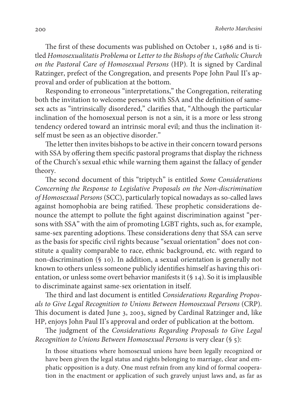The first of these documents was published on October 1, 1986 and is titled Homosexualitatis Problema or Letter to the Bishops of the Catholic Church on the Pastoral Care of Homosexual Persons (HP). It is signed by Cardinal Ratzinger, prefect of the Congregation, and presents Pope John Paul II's approval and order of publication at the bottom.

Responding to erroneous "interpretations," the Congregation, reiterating both the invitation to welcome persons with SSA and the definition of samesex acts as "intrinsically disordered," clarifies that, " Although the particular inclination of the homosexual person is not a sin, it is a more or less strong tendency ordered toward an intrinsic moral evil; and thus the inclination itself must be seen as an objective disorder."

The letter then invites bishops to be active in their concern toward persons with SSA by offering them specific pastoral programs that display the richness of the Church's sexual ethic while warning them against the fallacy of gender theory.

The second document of this "triptych" is entitled Some Considerations Concerning the Response to Legislative Proposals on the Non-discrimination of Homosexual Persons (SCC), particularly topical nowadays as so-called laws against homophobia are being ratified. These prophetic considerations denounce the attempt to pollute the fight against discrimination against "persons with SSA" with the aim of promoting LGBT rights, such as, for example, same-sex parenting adoptions. These considerations deny that SSA can serve as the basis for specific civil rights because "sexual orientation" does not constitute a quality comparable to race, ethnic background, etc. with regard to non-discrimination (§ 10). In addition, a sexual orientation is generally not known to others unless someone publicly identifies himself as having this orientation, or unless some overt behavior manifests it (§ 14). So it is implausible to discriminate against same-sex orientation in itself.

The third and last document is entitled Considerations Regarding Proposals to Give Legal Recognition to Unions Between Homosexual Persons (CRP). This document is dated June 3, 2003, signed by Cardinal Ratzinger and, like HP, enjoys John Paul II's approval and order of publication at the bottom.

The judgment of the Considerations Regarding Proposals to Give Legal Recognition to Unions Between Homosexual Persons is very clear (§ 5):

In those situations where homosexual unions have been legally recognized or have been given the legal status and rights belonging to marriage, clear and emphatic opposition is a duty. One must refrain from any kind of formal cooperation in the enactment or application of such gravely unjust laws and, as far as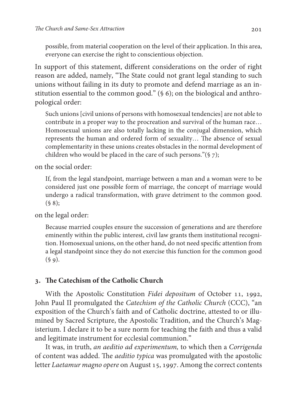possible, from material cooperation on the level of their application. In this area, everyone can exercise the right to conscientious objection.

In support of this statement, different considerations on the order of right reason are added, namely, "The State could not grant legal standing to such unions without failing in its duty to promote and defend marriage as an institution essential to the common good." (§ 6); on the biological and anthropological order:

Such unions [civil unions of persons with homosexual tendencies] are not able to contribute in a proper way to the procreation and survival of the human race… Homosexual unions are also totally lacking in the conjugal dimension, which represents the human and ordered form of sexuality… The absence of sexual complementarity in these unions creates obstacles in the normal development of children who would be placed in the care of such persons."(§ 7);

on the social order:

If, from the legal standpoint, marriage between a man and a woman were to be considered just one possible form of marriage, the concept of marriage would undergo a radical transformation, with grave detriment to the common good.  $(§ 8);$ 

on the legal order:

Because married couples ensure the succession of generations and are therefore eminently within the public interest, civil law grants them institutional recognition. Homosexual unions, on the other hand, do not need specific attention from a legal standpoint since they do not exercise this function for the common good  $(§ 9).$ 

## **. The Catechism of the Catholic Church**

With the Apostolic Constitution Fidei depositum of October 11, 1992, John Paul II promulgated the Catechism of the Catholic Church (CCC), "an exposition of the Church's faith and of Catholic doctrine, attested to or illumined by Sacred Scripture, the Apostolic Tradition, and the Church's Magisterium. I declare it to be a sure norm for teaching the faith and thus a valid and legitimate instrument for ecclesial communion."

It was, in truth, an aeditio ad experimentum, to which then a Corrigenda of content was added. The aeditio typica was promulgated with the apostolic letter Laetamur magno opere on August 15, 1997. Among the correct contents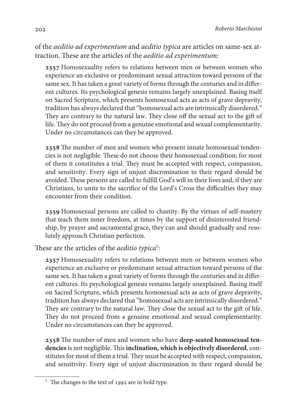of the aeditio ad experimentum and aeditio typica are articles on same-sex attraction. These are the articles of the aeditio ad experimentum:

2357 Homosexuality refers to relations between men or between women who experience an exclusive or predominant sexual attraction toward persons of the same sex. It has taken a great variety of forms through the centuries and in different cultures. Its psychological genesis remains largely unexplained. Basing itself on Sacred Scripture, which presents homosexual acts as acts of grave depravity, tradition has always declared that "homosexual acts are intrinsically disordered." They are contrary to the natural law. They close off the sexual act to the gift of life. They do not proceed from a genuine emotional and sexual complementarity. Under no circumstances can they be approved.

2358 The number of men and women who present innate homosexual tendencies is not negligible. These do not choose their homosexual condition; for most of them it constitutes a trial. They must be accepted with respect, compassion, and sensitivity. Every sign of unjust discrimination in their regard should be avoided. These persons are called to fulfill God's will in their lives and, if they are Christians, to unite to the sacrifice of the Lord's Cross the difficulties they may encounter from their condition.

2359 Homosexual persons are called to chastity. By the virtues of self-mastery that teach them inner freedom, at times by the support of disinterested friendship, by prayer and sacramental grace, they can and should gradually and resolutely approach Christian perfection.

These are the articles of the *aeditio typica*<sup>5</sup>:

2357 Homosexuality refers to relations between men or between women who experience an exclusive or predominant sexual attraction toward persons of the same sex. It has taken a great variety of forms through the centuries and in different cultures. Its psychological genesis remains largely unexplained. Basing itself on Sacred Scripture, which presents homosexual acts as acts of grave depravity, tradition has always declared that "homosexual acts are intrinsically disordered." They are contrary to the natural law. They close the sexual act to the gift of life. They do not proceed from a genuine emotional and sexual complementarity. Under no circumstances can they be approved.

2358 The number of men and women who have deep-seated homosexual ten**dencies** is not negligible. This **inclination, which is objectively disordered**, constitutes for most of them a trial. They must be accepted with respect, compassion, and sensitivity. Every sign of unjust discrimination in their regard should be

<sup>&</sup>lt;sup>5</sup> The changes to the text of 1992 are in bold type.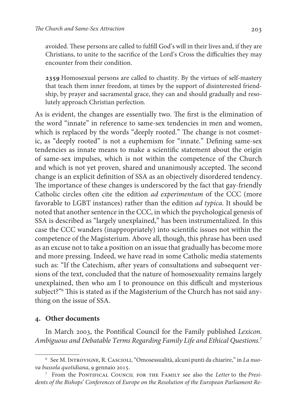avoided. These persons are called to fulfill God's will in their lives and, if they are Christians, to unite to the sacrifice of the Lord's Cross the difficulties they may encounter from their condition.

2359 Homosexual persons are called to chastity. By the virtues of self-mastery that teach them inner freedom, at times by the support of disinterested friendship, by prayer and sacramental grace, they can and should gradually and resolutely approach Christian perfection.

As is evident, the changes are essentially two. The first is the elimination of the word "innate" in reference to same-sex tendencies in men and women, which is replaced by the words "deeply rooted." The change is not cosmetic, as "deeply rooted" is not a euphemism for "innate." Defining same-sex tendencies as innate means to make a scientific statement about the origin of same-sex impulses, which is not within the competence of the Church and which is not yet proven, shared and unanimously accepted. The second change is an explicit definition of SSA as an objectively disordered tendency. The importance of these changes is underscored by the fact that gay-friendly Catholic circles often cite the edition ad experimentum of the CCC (more favorable to LGBT instances) rather than the edition ad typica. It should be noted that another sentence in the CCC, in which the psychological genesis of SSA is described as "largely unexplained," has been instrumentalized. In this case the CCC wanders (inappropriately) into scientific issues not within the competence of the Magisterium. Above all, though, this phrase has been used as an excuse not to take a position on an issue that gradually has become more and more pressing. Indeed, we have read in some Catholic media statements such as: "If the Catechism, after years of consultations and subsequent versions of the text, concluded that the nature of homosexuality remains largely unexplained, then who am I to pronounce on this difficult and mysterious subject?"<sup>6</sup> This is stated as if the Magisterium of the Church has not said anything on the issue of SSA.

## **. Other documents**

In March 2003, the Pontifical Council for the Family published Lexicon. Ambiguous and Debatable Terms Regarding Family Life and Ethical Questions.<sup>7</sup>

<sup>&</sup>lt;sup>6</sup> See M. Introvigne, R. Cascioli, "Omosessualità, alcuni punti da chiarire," in La nuova bussola quotidiana, 9 gennaio 2015.

<sup>&</sup>lt;sup>7</sup> From the PONTIFICAL COUNCIL FOR THE FAMILY see also the Letter to the Presidents of the Bishops' Conferences of Europe on the Resolution of the European Parliament Re-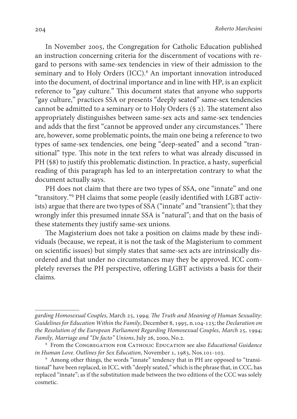In November 2005, the Congregation for Catholic Education published an instruction concerning criteria for the discernment of vocations with regard to persons with same-sex tendencies in view of their admission to the seminary and to Holy Orders (ICC).<sup>8</sup> An important innovation introduced into the document, of doctrinal importance and in line with HP, is an explicit reference to "gay culture." This document states that anyone who supports "gay culture," practices SSA or presents "deeply seated" same-sex tendencies cannot be admitted to a seminary or to Holy Orders (§ 2). The statement also appropriately distinguishes between same-sex acts and same-sex tendencies and adds that the first "cannot be approved under any circumstances." There are, however, some problematic points, the main one being a reference to two types of same-sex tendencies, one being "deep-seated" and a second "transitional" type. This note in the text refers to what was already discussed in PH (§8) to justify this problematic distinction. In practice, a hasty, superficial reading of this paragraph has led to an interpretation contrary to what the document actually says.

PH does not claim that there are two types of SSA, one "innate" and one "transitory."<sup>9</sup> PH claims that some people (easily identified with LGBT activists) argue that there are two types of SSA ("innate" and "transient"); that they wrongly infer this presumed innate SSA is "natural"; and that on the basis of these statements they justify same-sex unions.

The Magisterium does not take a position on claims made by these individuals (because, we repeat, it is not the task of the Magisterium to comment on scientific issues) but simply states that same-sex acts are intrinsically disordered and that under no circumstances may they be approved. ICC completely reverses the PH perspective, offering LGBT activists a basis for their claims.

garding Homosexual Couples, March 25, 1994; The Truth and Meaning of Human Sexuality: Guidelines for Education Within the Family, December 8, 1995, n.104-125; the Declaration on the Resolution of the European Parliament Regarding Homosexual Couples, March 25, 1994; Family, Marriage and "De facto" Unions, July 26, 2000, No.2.

<sup>&</sup>lt;sup>8</sup> From the CONGREGATION FOR CATHOLIC EDUCATION see also Educational Guidance in Human Love. Outlines for Sex Education, November 1, 1983, Nos.101-103.

<sup>&</sup>lt;sup>9</sup> Among other things, the words "innate" tendency that in PH are opposed to "transitional" have been replaced, in ICC, with "deeply seated," which is the phrase that, in CCC, has replaced "innate"; as if the substitution made between the two editions of the CCC was solely cosmetic.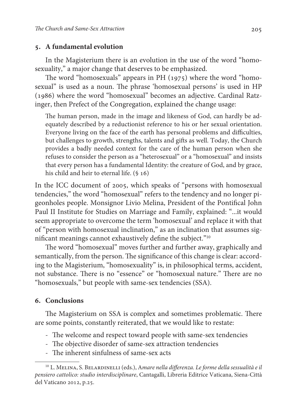#### **. A fundamental evolution**

In the Magisterium there is an evolution in the use of the word "homosexuality," a major change that deserves to be emphasized.

The word "homosexuals" appears in PH (1975) where the word "homosexual" is used as a noun. The phrase 'homosexual persons' is used in HP (1986) where the word "homosexual" becomes an adjective. Cardinal Ratzinger, then Prefect of the Congregation, explained the change usage:

The human person, made in the image and likeness of God, can hardly be adequately described by a reductionist reference to his or her sexual orientation. Everyone living on the face of the earth has personal problems and difficulties, but challenges to growth, strengths, talents and gifts as well. Today, the Church provides a badly needed context for the care of the human person when she refuses to consider the person as a "heterosexual" or a "homosexual" and insists that every person has a fundamental Identity: the creature of God, and by grace, his child and heir to eternal life. (§ 16)

In the ICC document of 2005, which speaks of "persons with homosexual tendencies," the word "homosexual" refers to the tendency and no longer pigeonholes people. Monsignor Livio Melina, President of the Pontifical John Paul II Institute for Studies on Marriage and Family, explained: "...it would seem appropriate to overcome the term 'homosexual' and replace it with that of "person with homosexual inclination," as an inclination that assumes significant meanings cannot exhaustively define the subject."<sup>10</sup>

The word "homosexual" moves further and further away, graphically and semantically, from the person. The significance of this change is clear: according to the Magisterium, "homosexuality" is, in philosophical terms, accident, not substance. There is no "essence" or "homosexual nature." There are no "homosexuals," but people with same-sex tendencies (SSA).

#### **. Conclusions**

The Magisterium on SSA is complex and sometimes problematic. There are some points, constantly reiterated, that we would like to restate:

- The welcome and respect toward people with same-sex tendencies
- The objective disorder of same-sex attraction tendencies
- The inherent sinfulness of same-sex acts

<sup>&</sup>lt;sup>10</sup> L. MELINA, S. BELARDINELLI (eds.), Amare nella differenza. Le forme della sessualità e il pensiero cattolico: studio interdisciplinare, Cantagalli, Libreria Editrice Vaticana, Siena-Città del Vaticano 2012, p.25.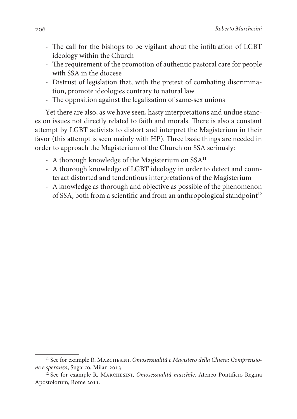- The call for the bishops to be vigilant about the infiltration of LGBT ideology within the Church
- The requirement of the promotion of authentic pastoral care for people with SSA in the diocese
- Distrust of legislation that, with the pretext of combating discrimination, promote ideologies contrary to natural law
- The opposition against the legalization of same-sex unions

Yet there are also, as we have seen, hasty interpretations and undue stances on issues not directly related to faith and morals. There is also a constant attempt by LGBT activists to distort and interpret the Magisterium in their favor (this attempt is seen mainly with HP). Three basic things are needed in order to approach the Magisterium of the Church on SSA seriously:

- A thorough knowledge of the Magisterium on SSA<sup>11</sup>
- A thorough knowledge of LGBT ideology in order to detect and counteract distorted and tendentious interpretations of the Magisterium
- A knowledge as thorough and objective as possible of the phenomenon of SSA, both from a scientific and from an anthropological standpoint<sup>12</sup>

<sup>&</sup>lt;sup>11</sup> See for example R. MARCHESINI, Omosessualità e Magistero della Chiesa: Comprensione e speranza, Sugarco, Milan 2013.

 $12$  See for example R. MARCHESINI, Omosessualità maschile, Ateneo Pontificio Regina Apostolorum, Rome 2011.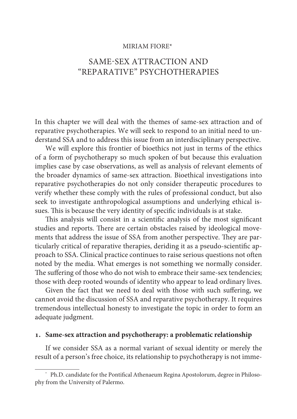#### MIRIAM FIORE\*

# SAME-SEX ATTRACTION AND "REPARATIVE" PSYCHOTHERAPIES

In this chapter we will deal with the themes of same-sex attraction and of reparative psychotherapies. We will seek to respond to an initial need to understand SSA and to address this issue from an interdisciplinary perspective.

We will explore this frontier of bioethics not just in terms of the ethics of a form of psychotherapy so much spoken of but because this evaluation implies case by case observations, as well as analysis of relevant elements of the broader dynamics of same-sex attraction. Bioethical investigations into reparative psychotherapies do not only consider therapeutic procedures to verify whether these comply with the rules of professional conduct, but also seek to investigate anthropological assumptions and underlying ethical issues. This is because the very identity of specific individuals is at stake.

This analysis will consist in a scientific analysis of the most significant studies and reports. There are certain obstacles raised by ideological movements that address the issue of SSA from another perspective. They are particularly critical of reparative therapies, deriding it as a pseudo-scientific approach to SSA. Clinical practice continues to raise serious questions not often noted by the media. What emerges is not something we normally consider. The suffering of those who do not wish to embrace their same-sex tendencies; those with deep rooted wounds of identity who appear to lead ordinary lives.

Given the fact that we need to deal with those with such suffering, we cannot avoid the discussion of SSA and reparative psychotherapy. It requires tremendous intellectual honesty to investigate the topic in order to form an adequate judgment.

## **. Same-sex attraction and psychotherapy: a problematic relationship**

If we consider SSA as a normal variant of sexual identity or merely the result of a person's free choice, its relationship to psychotherapy is not imme-

<sup>\*</sup> Ph.D. candidate for the Pontifical Athenaeum Regina Apostolorum, degree in Philosophy from the University of Palermo.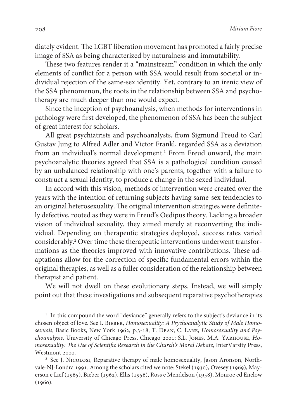diately evident. The LGBT liberation movement has promoted a fairly precise image of SSA as being characterized by naturalness and immutability.

These two features render it a "mainstream" condition in which the only elements of conflict for a person with SSA would result from societal or individual rejection of the same-sex identity. Yet, contrary to an irenic view of the SSA phenomenon, the roots in the relationship between SSA and psychotherapy are much deeper than one would expect.

Since the inception of psychoanalysis, when methods for interventions in pathology were first developed, the phenomenon of SSA has been the subject of great interest for scholars.

All great psychiatrists and psychoanalysts, from Sigmund Freud to Carl Gustav Jung to Alfred Adler and Victor Frankl, regarded SSA as a deviation from an individual's normal development.<sup>1</sup> From Freud onward, the main psychoanalytic theories agreed that SSA is a pathological condition caused by an unbalanced relationship with one's parents, together with a failure to construct a sexual identity, to produce a change in the sexed individual.

In accord with this vision, methods of intervention were created over the years with the intention of returning subjects having same-sex tendencies to an original heterosexuality. The original intervention strategies were definitely defective, rooted as they were in Freud's Oedipus theory. Lacking a broader vision of individual sexuality, they aimed merely at reconverting the individual. Depending on therapeutic strategies deployed, success rates varied considerably.<sup>2</sup> Over time these therapeutic interventions underwent transformations as the theories improved with innovative contributions. These adaptations allow for the correction of specific fundamental errors within the original therapies, as well as a fuller consideration of the relationship between therapist and patient.

We will not dwell on these evolutionary steps. Instead, we will simply point out that these investigations and subsequent reparative psychotherapies

<sup>&</sup>lt;sup>1</sup> In this compound the word "deviance" generally refers to the subject's deviance in its chosen object of love. See I. BIEBER, Homosexuality: A Psychoanalytic Study of Male Homosexuals, Basic Books, New York 1962, p.3-18; T. Dean, C. Lane, Homosexuality and Psychoanalysis, University of Chicago Press, Chicago 2001; S.L. Jones, M.A. Yarhouse, Homosexuality: The Use of Scientific Research in the Church's Moral Debate, InterVarsity Press, Westmont 2000.

<sup>&</sup>lt;sup>2</sup> See J. NICOLOSI, Reparative therapy of male homosexuality, Jason Aronson, Northvale-NJ-Londra 1991. Among the scholars cited we note: Stekel (1930), Ovesey (1969), Mayerson e Lief (1965), Bieber (1962), Ellis (1956), Ross e Mendelson (1958), Monroe ed Enelow (1960).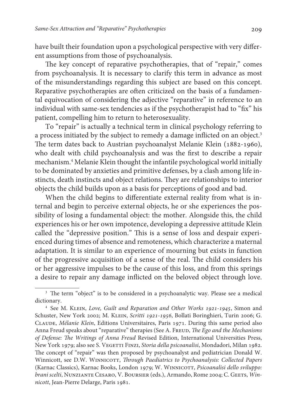have built their foundation upon a psychological perspective with very different assumptions from those of psychoanalysis.

The key concept of reparative psychotherapies, that of "repair," comes from psychoanalysis. It is necessary to clarify this term in advance as most of the misunderstandings regarding this subject are based on this concept. Reparative psychotherapies are often criticized on the basis of a fundamental equivocation of considering the adjective "reparative" in reference to an individual with same-sex tendencies as if the psychotherapist had to "fix" his patient, compelling him to return to heterosexuality.

To "repair" is actually a technical term in clinical psychology referring to a process initiated by the subject to remedy a damage inflicted on an object.<sup>3</sup> The term dates back to Austrian psychoanalyst Melanie Klein (1882-1960), who dealt with child psychoanalysis and was the first to describe a repair mechanism.<sup>4</sup> Melanie Klein thought the infantile psychological world initially to be dominated by anxieties and primitive defenses, by a clash among life instincts, death instincts and object relations. They are relationships to interior objects the child builds upon as a basis for perceptions of good and bad.

When the child begins to differentiate external reality from what is internal and begin to perceive external objects, he or she experiences the possibility of losing a fundamental object: the mother. Alongside this, the child experiences his or her own impotence, developing a depressive attitude Klein called the "depressive position." This is a sense of loss and despair experienced during times of absence and remoteness, which characterize a maternal adaptation. It is similar to an experience of mourning but exists in function of the progressive acquisition of a sense of the real. The child considers his or her aggressive impulses to be the cause of this loss, and from this springs a desire to repair any damage inflicted on the beloved object through love.

<sup>&</sup>lt;sup>3</sup> The term "object" is to be considered in a psychoanalytic way. Please see a medical dictionary.

<sup>&</sup>lt;sup>4</sup> See M. KLEIN, Love, Guilt and Reparation and Other Works 1921-1945, Simon and Schuster, New York 2002; M. KLEIN, Scritti 1921-1956, Bollati Boringhieri, Turin 2006; G. Claude, Mélanie Klein, Editions Universitaires, Paris 1971. During this same period also Anna Freud speaks about "reparative" therapies (See A. FREUD, The Ego and the Mechanisms of Defense: The Writings of Anna Freud Revised Edition, International Universities Press, New York 1979; also see S. VEGETTI FINZI, Storia della psicoanalisi, Mondadori, Milan 1982. The concept of "repair" was then proposed by psychoanalyst and pediatrician Donald W. Winnicott, see D.W. Winnicott, Through Paediatrics to Psychoanalysis: Collected Papers (Karnac Classics), Karnac Books, London 1979; W. WINNICOTT, Psicoanalisi dello sviluppo: brani scelti, NUNZIANTE CESARO, V. BOURSIER (eds.), Armando, Rome 2004; C. GEETS, Winnicott, Jean-Pierre Delarge, Paris 1981.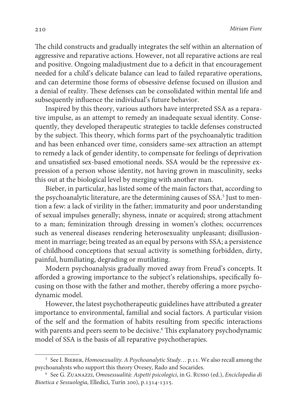The child constructs and gradually integrates the self within an alternation of aggressive and reparative actions. However, not all reparative actions are real and positive. Ongoing maladjustment due to a deficit in that encouragement needed for a child's delicate balance can lead to failed reparative operations, and can determine those forms of obsessive defense focused on illusion and a denial of reality. These defenses can be consolidated within mental life and subsequently influence the individual's future behavior.

Inspired by this theory, various authors have interpreted SSA as a reparative impulse, as an attempt to remedy an inadequate sexual identity. Consequently, they developed therapeutic strategies to tackle defenses constructed by the subject. This theory, which forms part of the psychoanalytic tradition and has been enhanced over time, considers same-sex attraction an attempt to remedy a lack of gender identity, to compensate for feelings of deprivation and unsatisfied sex-based emotional needs. SSA would be the repressive expression of a person whose identity, not having grown in masculinity, seeks this out at the biological level by merging with another man.

Bieber, in particular, has listed some of the main factors that, according to the psychoanalytic literature, are the determining causes of SSA.<sup>5</sup> Just to mention a few: a lack of virility in the father; immaturity and poor understanding of sexual impulses generally; shyness, innate or acquired; strong attachment to a man; feminization through dressing in women's clothes; occurrences such as venereal diseases rendering heterosexuality unpleasant; disillusionment in marriage; being treated as an equal by persons with SSA; a persistence of childhood conceptions that sexual activity is something forbidden, dirty, painful, humiliating, degrading or mutilating.

Modern psychoanalysis gradually moved away from Freud's concepts. It afforded a growing importance to the subject's relationships, specifically focusing on those with the father and mother, thereby offering a more psychodynamic model.

However, the latest psychotherapeutic guidelines have attributed a greater importance to environmental, familial and social factors. A particular vision of the self and the formation of habits resulting from specific interactions with parents and peers seem to be decisive.<sup>6</sup> This explanatory psychodynamic model of SSA is the basis of all reparative psychotherapies.

<sup>&</sup>lt;sup>5</sup> See I. BIEBER, Homosexuality. A Psychoanalytic Study... p.11. We also recall among the psychoanalysts who support this theory Ovesey, Rado and Socarides.

<sup>6</sup> See G. Zuanazzi, Omosessualità: Aspetti psicologici, in G. Russo (ed.), Enciclopedia di Bioetica e Sessuologia, Elledici, Turin 200), p.1314-1315.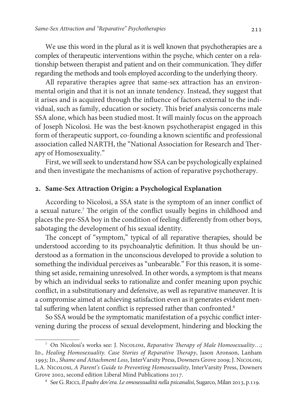We use this word in the plural as it is well known that psychotherapies are a complex of therapeutic interventions within the psyche, which center on a relationship between therapist and patient and on their communication. They differ regarding the methods and tools employed according to the underlying theory.

All reparative therapies agree that same-sex attraction has an environmental origin and that it is not an innate tendency. Instead, they suggest that it arises and is acquired through the influence of factors external to the individual, such as family, education or society. This brief analysis concerns male SSA alone, which has been studied most. It will mainly focus on the approach of Joseph Nicolosi. He was the best-known psychotherapist engaged in this form of therapeutic support, co-founding a known scientific and professional association called NARTH, the "National Association for Research and Therapy of Homosexuality."

First, we will seek to understand how SSA can be psychologically explained and then investigate the mechanisms of action of reparative psychotherapy.

### **. Same-Sex Attraction Origin: a Psychological Explanation**

According to Nicolosi, a SSA state is the symptom of an inner conflict of a sexual nature.<sup>7</sup> The origin of the conflict usually begins in childhood and places the pre-SSA boy in the condition of feeling differently from other boys, sabotaging the development of his sexual identity.

The concept of "symptom," typical of all reparative therapies, should be understood according to its psychoanalytic definition. It thus should be understood as a formation in the unconscious developed to provide a solution to something the individual perceives as "unbearable." For this reason, it is something set aside, remaining unresolved. In other words, a symptom is that means by which an individual seeks to rationalize and confer meaning upon psychic conflict, in a substitutionary and defensive, as well as reparative maneuver. It is a compromise aimed at achieving satisfaction even as it generates evident mental suffering when latent conflict is repressed rather than confronted.<sup>8</sup>

So SSA would be the symptomatic manifestation of a psychic conflict intervening during the process of sexual development, hindering and blocking the

<sup>&</sup>lt;sup>7</sup> On Nicolosi's works see: J. Nicolosi, Reparative Therapy of Male Homosexuality...; ID., Healing Homosexuality. Case Stories of Reparative Therapy, Jason Aronson, Lanham 1993; Id., Shame and Attachment Loss, InterVarsity Press, Downers Grove 2009; J. Nicolosi, L.A. Nicolosi, A Parent's Guide to Preventing Homosexuality, InterVarsity Press, Downers Grove 2002, second edition Liberal Mind Publications 2017.

<sup>&</sup>lt;sup>8</sup> See G. Ricci, *Il padre dov'era. Le omosessualità nella psicanalisi*, Sugarco, Milan 2013, p.119.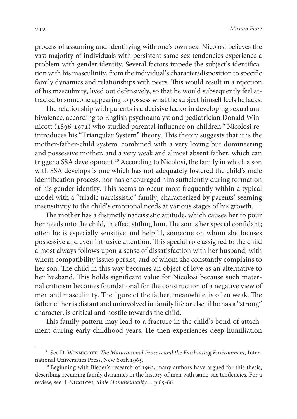process of assuming and identifying with one's own sex. Nicolosi believes the vast majority of individuals with persistent same-sex tendencies experience a problem with gender identity. Several factors impede the subject's identification with his masculinity, from the individual's character/disposition to specific family dynamics and relationships with peers. This would result in a rejection of his masculinity, lived out defensively, so that he would subsequently feel attracted to someone appearing to possess what the subject himself feels he lacks.

The relationship with parents is a decisive factor in developing sexual ambivalence, according to English psychoanalyst and pediatrician Donald Winnicott (1896-1971) who studied parental influence on children.<sup>9</sup> Nicolosi reintroduces his "Triangular System" theory. This theory suggests that it is the mother-father-child system, combined with a very loving but domineering and possessive mother, and a very weak and almost absent father, which can trigger a SSA development.<sup>10</sup> According to Nicolosi, the family in which a son with SSA develops is one which has not adequately fostered the child's male identification process, nor has encouraged him sufficiently during formation of his gender identity. This seems to occur most frequently within a typical model with a "triadic narcissistic" family, characterized by parents' seeming insensitivity to the child's emotional needs at various stages of his growth.

The mother has a distinctly narcissistic attitude, which causes her to pour her needs into the child, in effect stifling him. The son is her special confidant; often he is especially sensitive and helpful, someone on whom she focuses possessive and even intrusive attention. This special role assigned to the child almost always follows upon a sense of dissatisfaction with her husband, with whom compatibility issues persist, and of whom she constantly complains to her son. The child in this way becomes an object of love as an alternative to her husband. This holds significant value for Nicolosi because such maternal criticism becomes foundational for the construction of a negative view of men and masculinity. The figure of the father, meanwhile, is often weak. The father either is distant and uninvolved in family life or else, if he has a "strong" character, is critical and hostile towards the child.

This family pattern may lead to a fracture in the child's bond of attachment during early childhood years. He then experiences deep humiliation

 $^9\,$  See D. Winni $\rm corr$ , The Maturational Process and the Facilitating Environment, International Universities Press, New York 1965.

<sup>&</sup>lt;sup>10</sup> Beginning with Bieber's research of 1962, many authors have argued for this thesis, describing recurring family dynamics in the history of men with same-sex tendencies. For a review, see. J. Nicolosi, Male Homosexuality… p.65-66.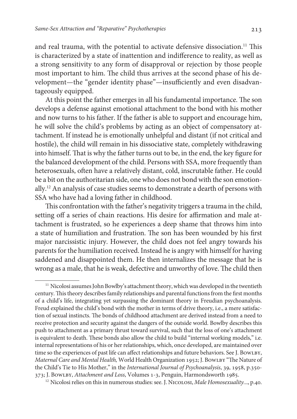and real trauma, with the potential to activate defensive dissociation.<sup>11</sup> This is characterized by a state of inattention and indifference to reality, as well as a strong sensitivity to any form of disapproval or rejection by those people most important to him. The child thus arrives at the second phase of his development—the "gender identity phase"—insufficiently and even disadvantageously equipped.

At this point the father emerges in all his fundamental importance. The son develops a defense against emotional attachment to the bond with his mother and now turns to his father. If the father is able to support and encourage him, he will solve the child's problems by acting as an object of compensatory attachment. If instead he is emotionally unhelpful and distant (if not critical and hostile), the child will remain in his dissociative state, completely withdrawing into himself. That is why the father turns out to be, in the end, the key figure for the balanced development of the child. Persons with SSA, more frequently than heterosexuals, often have a relatively distant, cold, inscrutable father. He could be a bit on the authoritarian side, one who does not bond with the son emotionally.<sup>12</sup> An analysis of case studies seems to demonstrate a dearth of persons with SSA who have had a loving father in childhood.

This confrontation with the father's negativity triggers a trauma in the child, setting off a series of chain reactions. His desire for affirmation and male attachment is frustrated, so he experiences a deep shame that throws him into a state of humiliation and frustration. The son has been wounded by his first major narcissistic injury. However, the child does not feel angry towards his parents for the humiliation received. Instead he is angry with himself for having saddened and disappointed them. He then internalizes the message that he is wrong as a male, that he is weak, defective and unworthy of love. The child then

<sup>&</sup>lt;sup>11</sup> Nicolosi assumes John Bowlby's attachment theory, which was developed in the twentieth century. This theory describes family relationships and parental functions from the first months of a child's life, integrating yet surpassing the dominant theory in Freudian psychoanalysis. Freud explained the child's bond with the mother in terms of drive theory, i.e., a mere satisfaction of sexual instincts. The bonds of childhood attachment are derived instead from a need to receive protection and security against the dangers of the outside world. Bowlby describes this push to attachment as a primary thrust toward survival, such that the loss of one's attachment is equivalent to death. These bonds also allow the child to build "internal working models," i.e. internal representations of his or her relationships, which, once developed, are maintained over time so the experiences of past life can affect relationships and future behaviors. See J. BowLBY, Maternal Care and Mental Health, World Health Organization 1952; J. BowLBY "The Nature of the Child's Tie to His Mother," in the International Journal of Psychoanalysis, 39, 1958, p.350- 373; J. Bowlby, Attachment and Loss, Volumes 1-3, Penguin, Harmondsworth 1985.

<sup>&</sup>lt;sup>12</sup> Nicolosi relies on this in numerous studies: see. J. NICOLOSI, Male Homosexuality..., p.40.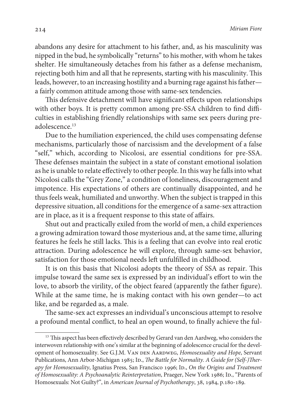abandons any desire for attachment to his father, and, as his masculinity was nipped in the bud, he symbolically "returns" to his mother, with whom he takes shelter. He simultaneously detaches from his father as a defense mechanism, rejecting both him and all that he represents, starting with his masculinity. This leads, however, to an increasing hostility and a burning rage against his father a fairly common attitude among those with same-sex tendencies.

This defensive detachment will have significant effects upon relationships with other boys. It is pretty common among pre-SSA children to find difficulties in establishing friendly relationships with same sex peers during preadolescence.<sup>13</sup>

Due to the humiliation experienced, the child uses compensating defense mechanisms, particularly those of narcissism and the development of a false "self," which, according to Nicolosi, are essential conditions for pre-SSA. These defenses maintain the subject in a state of constant emotional isolation as he is unable to relate effectively to other people. In this way he falls into what Nicolosi calls the "Grey Zone," a condition of loneliness, discouragement and impotence. His expectations of others are continually disappointed, and he thus feels weak, humiliated and unworthy. When the subject is trapped in this depressive situation, all conditions for the emergence of a same-sex attraction are in place, as it is a frequent response to this state of affairs.

Shut out and practically exiled from the world of men, a child experiences a growing admiration toward those mysterious and, at the same time, alluring features he feels he still lacks. This is a feeling that can evolve into real erotic attraction. During adolescence he will explore, through same-sex behavior, satisfaction for those emotional needs left unfulfilled in childhood.

It is on this basis that Nicolosi adopts the theory of SSA as repair. This impulse toward the same sex is expressed by an individual's effort to win the love, to absorb the virility, of the object feared (apparently the father figure). While at the same time, he is making contact with his own gender—to act like, and be regarded as, a male.

The same-sex act expresses an individual's unconscious attempt to resolve a profound mental conflict, to heal an open wound, to finally achieve the ful-

<sup>&</sup>lt;sup>13</sup> This aspect has been effectively described by Gerard van den Aardweg, who considers the interwoven relationship with one's similar at the beginning of adolescence crucial for the development of homosexuality. See G.J.M. VAN DEN AARDWEG, Homosexuality and Hope, Servant Publications, Ann Arbor-Michigan 1985; Ip., The Battle for Normality. A Guide for (Self-)Therapy for Homosexuality, Ignatius Press, San Francisco 1996; Id., On the Origins and Treatment of Homosexuality: A Psychoanalytic Reinterpretation, Praeger, New York 1986; ID., "Parents of Homosexuals: Not Guilty?", in American Journal of Psychotherapy, 38, 1984, p.180-189.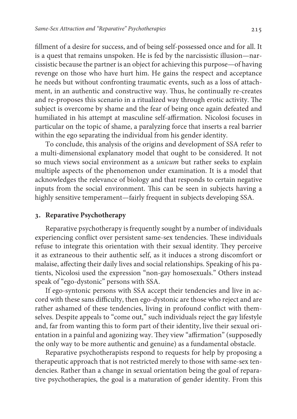fillment of a desire for success, and of being self-possessed once and for all. It is a quest that remains unspoken. He is fed by the narcissistic illusion—narcissistic because the partner is an object for achieving this purpose—of having revenge on those who have hurt him. He gains the respect and acceptance he needs but without confronting traumatic events, such as a loss of attachment, in an authentic and constructive way. Thus, he continually re-creates and re-proposes this scenario in a ritualized way through erotic activity. The subject is overcome by shame and the fear of being once again defeated and humiliated in his attempt at masculine self-affirmation. Nicolosi focuses in particular on the topic of shame, a paralyzing force that inserts a real barrier within the ego separating the individual from his gender identity.

To conclude, this analysis of the origins and development of SSA refer to a multi-dimensional explanatory model that ought to be considered. It not so much views social environment as a unicum but rather seeks to explain multiple aspects of the phenomenon under examination. It is a model that acknowledges the relevance of biology and that responds to certain negative inputs from the social environment. This can be seen in subjects having a highly sensitive temperament—fairly frequent in subjects developing SSA.

## **. Reparative Psychotherapy**

Reparative psychotherapy is frequently sought by a number of individuals experiencing conflict over persistent same-sex tendencies. These individuals refuse to integrate this orientation with their sexual identity. They perceive it as extraneous to their authentic self, as it induces a strong discomfort or malaise, affecting their daily lives and social relationships. Speaking of his patients, Nicolosi used the expression "non-gay homosexuals." Others instead speak of "ego-dystonic" persons with SSA.

If ego-syntonic persons with SSA accept their tendencies and live in accord with these sans difficulty, then ego-dystonic are those who reject and are rather ashamed of these tendencies, living in profound conflict with themselves. Despite appeals to "come out," such individuals reject the gay lifestyle and, far from wanting this to form part of their identity, live their sexual orientation in a painful and agonizing way. They view "affirmation" (supposedly the only way to be more authentic and genuine) as a fundamental obstacle.

Reparative psychotherapists respond to requests for help by proposing a therapeutic approach that is not restricted merely to those with same-sex tendencies. Rather than a change in sexual orientation being the goal of reparative psychotherapies, the goal is a maturation of gender identity. From this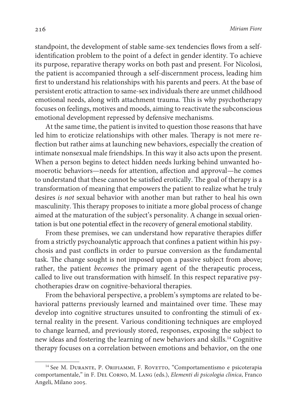standpoint, the development of stable same-sex tendencies flows from a selfidentification problem to the point of a defect in gender identity. To achieve its purpose, reparative therapy works on both past and present. For Nicolosi, the patient is accompanied through a self-discernment process, leading him first to understand his relationships with his parents and peers. At the base of persistent erotic attraction to same-sex individuals there are unmet childhood emotional needs, along with attachment trauma. This is why psychotherapy focuses on feelings, motives and moods, aiming to reactivate the subconscious emotional development repressed by defensive mechanisms.

At the same time, the patient is invited to question those reasons that have led him to eroticize relationships with other males. Therapy is not mere reflection but rather aims at launching new behaviors, especially the creation of intimate nonsexual male friendships. In this way it also acts upon the present. When a person begins to detect hidden needs lurking behind unwanted homoerotic behaviors—needs for attention, affection and approval—he comes to understand that these cannot be satisfied erotically. The goal of therapy is a transformation of meaning that empowers the patient to realize what he truly desires is not sexual behavior with another man but rather to heal his own masculinity. This therapy proposes to initiate a more global process of change aimed at the maturation of the subject's personality. A change in sexual orientation is but one potential effect in the recovery of general emotional stability.

From these premises, we can understand how reparative therapies differ from a strictly psychoanalytic approach that confines a patient within his psychosis and past conflicts in order to pursue conversion as the fundamental task. The change sought is not imposed upon a passive subject from above; rather, the patient becomes the primary agent of the therapeutic process, called to live out transformation with himself. In this respect reparative psychotherapies draw on cognitive-behavioral therapies.

From the behavioral perspective, a problem's symptoms are related to behavioral patterns previously learned and maintained over time. These may develop into cognitive structures unsuited to confronting the stimuli of external reality in the present. Various conditioning techniques are employed to change learned, and previously stored, responses, exposing the subject to new ideas and fostering the learning of new behaviors and skills.<sup>14</sup> Cognitive therapy focuses on a correlation between emotions and behavior, on the one

<sup>&</sup>lt;sup>14</sup> See M. DURANTE, P. ORIFIAMMI, F. ROVETTO, "Comportamentismo e psicoterapia comportamentale," in F. Del Corno, M. Lang (eds.), Elementi di psicologia clinica, Franco Angeli, Milano 2005.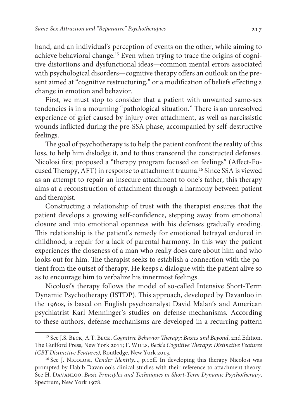hand, and an individual's perception of events on the other, while aiming to achieve behavioral change.15 Even when trying to trace the origins of cognitive distortions and dysfunctional ideas—common mental errors associated with psychological disorders—cognitive therapy offers an outlook on the present aimed at "cognitive restructuring," or a modification of beliefs effecting a change in emotion and behavior.

First, we must stop to consider that a patient with unwanted same-sex tendencies is in a mourning "pathological situation." There is an unresolved experience of grief caused by injury over attachment, as well as narcissistic wounds inflicted during the pre-SSA phase, accompanied by self-destructive feelings.

The goal of psychotherapy is to help the patient confront the reality of this loss, to help him dislodge it, and to thus transcend the constructed defenses. Nicolosi first proposed a "therapy program focused on feelings" (Affect-Focused Therapy, AFT) in response to attachment trauma.<sup>16</sup> Since SSA is viewed as an attempt to repair an insecure attachment to one's father, this therapy aims at a reconstruction of attachment through a harmony between patient and therapist.

Constructing a relationship of trust with the therapist ensures that the patient develops a growing self-confidence, stepping away from emotional closure and into emotional openness with his defenses gradually eroding. This relationship is the patient's remedy for emotional betrayal endured in childhood, a repair for a lack of parental harmony. In this way the patient experiences the closeness of a man who really does care about him and who looks out for him. The therapist seeks to establish a connection with the patient from the outset of therapy. He keeps a dialogue with the patient alive so as to encourage him to verbalize his innermost feelings.

Nicolosi's therapy follows the model of so-called Intensive Short-Term Dynamic Psychotherapy (ISTDP). This approach, developed by Davanloo in the 1960s, is based on English psychoanalyst David Malan's and American psychiatrist Karl Menninger's studies on defense mechanisms. According to these authors, defense mechanisms are developed in a recurring pattern

<sup>&</sup>lt;sup>15</sup> See J.S. BECK, A.T. BECK, Cognitive Behavior Therapy: Basics and Beyond, 2nd Edition, The Guilford Press, New York 2011; F. Wills, Beck's Cognitive Therapy: Distinctive Features (CBT Distinctive Features), Routledge, New York 2013.

<sup>&</sup>lt;sup>16</sup> See J. Nicolosi, *Gender Identity...*, p.10ff. In developing this therapy Nicolosi was prompted by Habib Davanloo's clinical studies with their reference to attachment theory. See H. Davanloo, Basic Principles and Techniques in Short-Term Dynamic Psychotherapy, Spectrum, New York 1978.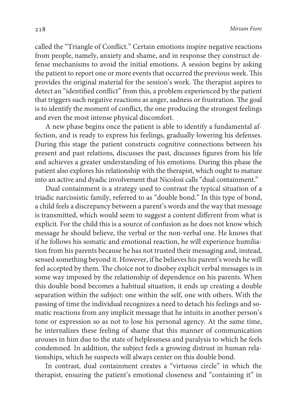called the "Triangle of Conflict." Certain emotions inspire negative reactions from people, namely, anxiety and shame, and in response they construct defense mechanisms to avoid the initial emotions. A session begins by asking the patient to report one or more events that occurred the previous week. This provides the original material for the session's work. The therapist aspires to detect an "identified conflict" from this, a problem experienced by the patient that triggers such negative reactions as anger, sadness or frustration. The goal is to identify the moment of conflict, the one producing the strongest feelings and even the most intense physical discomfort.

A new phase begins once the patient is able to identify a fundamental affection, and is ready to express his feelings, gradually lowering his defenses. During this stage the patient constructs cognitive connections between his present and past relations, discusses the past, discusses figures from his life and achieves a greater understanding of his emotions. During this phase the patient also explores his relationship with the therapist, which ought to mature into an active and dyadic involvement that Nicolosi calls "dual containment."

Dual containment is a strategy used to contrast the typical situation of a triadic narcissistic family, referred to as "double bond." In this type of bond, a child feels a discrepancy between a parent's words and the way that message is transmitted, which would seem to suggest a content different from what is explicit. For the child this is a source of confusion as he does not know which message he should believe, the verbal or the non-verbal one. He knows that if he follows his somatic and emotional reaction, he will experience humiliation from his parents because he has not trusted their messaging and, instead, sensed something beyond it. However, if he believes his parent's words he will feel accepted by them. The choice not to disobey explicit verbal messages is in some way imposed by the relationship of dependence on his parents. When this double bond becomes a habitual situation, it ends up creating a double separation within the subject: one within the self, one with others. With the passing of time the individual recognizes a need to detach his feelings and somatic reactions from any implicit message that he intuits in another person's tone or expression so as not to lose his personal agency. At the same time, he internalizes these feeling of shame that this manner of communication arouses in him due to the state of helplessness and paralysis to which he feels condemned. In addition, the subject feels a growing distrust in human relationships, which he suspects will always center on this double bond.

In contrast, dual containment creates a "virtuous circle" in which the therapist, ensuring the patient's emotional closeness and "containing it" in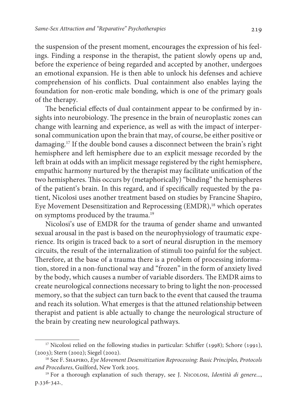the suspension of the present moment, encourages the expression of his feelings. Finding a response in the therapist, the patient slowly opens up and, before the experience of being regarded and accepted by another, undergoes an emotional expansion. He is then able to unlock his defenses and achieve comprehension of his conflicts. Dual containment also enables laying the foundation for non-erotic male bonding, which is one of the primary goals of the therapy.

The beneficial effects of dual containment appear to be confirmed by insights into neurobiology. The presence in the brain of neuroplastic zones can change with learning and experience, as well as with the impact of interpersonal communication upon the brain that may, of course, be either positive or damaging.<sup>17</sup> If the double bond causes a disconnect between the brain's right hemisphere and left hemisphere due to an explicit message recorded by the left brain at odds with an implicit message registered by the right hemisphere, empathic harmony nurtured by the therapist may facilitate unification of the two hemispheres. This occurs by (metaphorically) "binding" the hemispheres of the patient's brain. In this regard, and if specifically requested by the patient, Nicolosi uses another treatment based on studies by Francine Shapiro, Eye Movement Desensitization and Reprocessing (EMDR),<sup>18</sup> which operates on symptoms produced by the trauma.<sup>19</sup>

Nicolosi's use of EMDR for the trauma of gender shame and unwanted sexual arousal in the past is based on the neurophysiology of traumatic experience. Its origin is traced back to a sort of neural disruption in the memory circuits, the result of the internalization of stimuli too painful for the subject. Therefore, at the base of a trauma there is a problem of processing information, stored in a non-functional way and "frozen" in the form of anxiety lived by the body, which causes a number of variable disorders. The EMDR aims to create neurological connections necessary to bring to light the non-processed memory, so that the subject can turn back to the event that caused the trauma and reach its solution. What emerges is that the attuned relationship between therapist and patient is able actually to change the neurological structure of the brain by creating new neurological pathways.

<sup>&</sup>lt;sup>17</sup> Nicolosi relied on the following studies in particular: Schiffer (1998); Schore (1991), (2003); Stern (2002); Siegel (2002).

<sup>&</sup>lt;sup>18</sup> See F. SHAPIRO, Eye Movement Desensitization Reprocessing: Basic Principles, Protocols and Procedures, Guilford, New York 2005.

<sup>&</sup>lt;sup>19</sup> For a thorough explanation of such therapy, see J. NICOLOSI, Identità di genere..., p.336-342.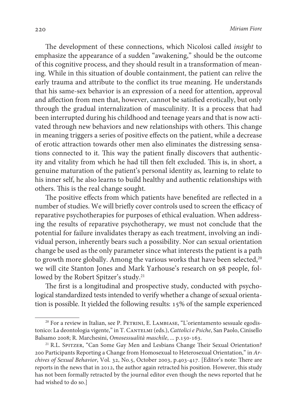The development of these connections, which Nicolosi called insight to emphasize the appearance of a sudden "awakening," should be the outcome of this cognitive process, and they should result in a transformation of meaning. While in this situation of double containment, the patient can relive the early trauma and attribute to the conflict its true meaning. He understands that his same-sex behavior is an expression of a need for attention, approval and affection from men that, however, cannot be satisfied erotically, but only through the gradual internalization of masculinity. It is a process that had been interrupted during his childhood and teenage years and that is now activated through new behaviors and new relationships with others. This change in meaning triggers a series of positive effects on the patient, while a decrease of erotic attraction towards other men also eliminates the distressing sensations connected to it. This way the patient finally discovers that authenticity and vitality from which he had till then felt excluded. This is, in short, a genuine maturation of the patient's personal identity as, learning to relate to his inner self, he also learns to build healthy and authentic relationships with others. This is the real change sought.

The positive effects from which patients have benefited are reflected in a number of studies. We will briefly cover controls used to screen the efficacy of reparative psychotherapies for purposes of ethical evaluation. When addressing the results of reparative psychotherapy, we must not conclude that the potential for failure invalidates therapy as each treatment, involving an individual person, inherently bears such a possibility. Nor can sexual orientation change be used as the only parameter since what interests the patient is a path to growth more globally. Among the various works that have been selected,<sup>20</sup> we will cite Stanton Jones and Mark Yarhouse's research on 98 people, followed by the Robert Spitzer's study.<sup>21</sup>

The first is a longitudinal and prospective study, conducted with psychological standardized tests intended to verify whether a change of sexual orientation is possible. It yielded the following results: 15% of the sample experienced

 $20$  For a review in Italian, see P. PETRINI, E. LAMBIASE, "L'orientamento sessuale egodistonico: La deontologia vigente," in T. CANTELMI (eds.), Cattolici e Psiche, San Paolo, Cinisello Balsamo 2008; R. Marchesini, Omosessualità maschile, ... p.150-163.

<sup>&</sup>lt;sup>21</sup> R.L. SPITZER, "Can Some Gay Men and Lesbians Change Their Sexual Orientation? 200 Participants Reporting a Change from Homosexual to Heterosexual Orientation," in Archives of Sexual Behavior, Vol. 32, No.5, October 2003, p.403-417. [Editor's note: There are reports in the news that in 2012, the author again retracted his position. However, this study has not been formally retracted by the journal editor even though the news reported that he had wished to do so.]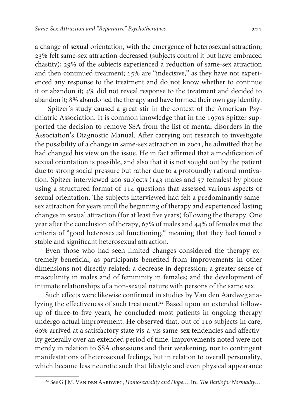a change of sexual orientation, with the emergence of heterosexual attraction; 23% felt same-sex attraction decreased (subjects control it but have embraced chastity); 29% of the subjects experienced a reduction of same-sex attraction and then continued treatment; 15% are "indecisive," as they have not experienced any response to the treatment and do not know whether to continue it or abandon it; 4% did not reveal response to the treatment and decided to abandon it; 8% abandoned the therapy and have formed their own gay identity.

 Spitzer's study caused a great stir in the context of the American Psychiatric Association. It is common knowledge that in the 1970s Spitzer supported the decision to remove SSA from the list of mental disorders in the Association's Diagnostic Manual. After carrying out research to investigate the possibility of a change in same-sex attraction in 2001, he admitted that he had changed his view on the issue. He in fact affirmed that a modification of sexual orientation is possible, and also that it is not sought out by the patient due to strong social pressure but rather due to a profoundly rational motivation. Spitzer interviewed 200 subjects (143 males and 57 females) by phone using a structured format of 114 questions that assessed various aspects of sexual orientation. The subjects interviewed had felt a predominantly samesex attraction for years until the beginning of therapy and experienced lasting changes in sexual attraction (for at least five years) following the therapy. One year after the conclusion of therapy, 67% of males and 44% of females met the criteria of "good heterosexual functioning," meaning that they had found a stable and significant heterosexual attraction.

Even those who had seen limited changes considered the therapy extremely beneficial, as participants benefited from improvements in other dimensions not directly related: a decrease in depression; a greater sense of masculinity in males and of femininity in females; and the development of intimate relationships of a non-sexual nature with persons of the same sex.

Such effects were likewise confirmed in studies by Van den Aardweg analyzing the effectiveness of such treatment.<sup>22</sup> Based upon an extended followup of three-to-five years, he concluded most patients in ongoing therapy undergo actual improvement. He observed that, out of 110 subjects in care, 60% arrived at a satisfactory state vis-à-vis same-sex tendencies and affectivity generally over an extended period of time. Improvements noted were not merely in relation to SSA obsessions and their weakening, nor to contingent manifestations of heterosexual feelings, but in relation to overall personality, which became less neurotic such that lifestyle and even physical appearance

<sup>&</sup>lt;sup>22</sup> See G.J.M. VAN DEN AARDWEG, Homosexuality and Hope..., ID., The Battle for Normality...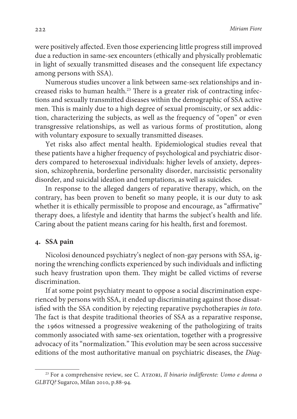were positively affected. Even those experiencing little progress still improved due a reduction in same-sex encounters (ethically and physically problematic in light of sexually transmitted diseases and the consequent life expectancy among persons with SSA).

Numerous studies uncover a link between same-sex relationships and increased risks to human health.<sup>23</sup> There is a greater risk of contracting infections and sexually transmitted diseases within the demographic of SSA active men. This is mainly due to a high degree of sexual promiscuity, or sex addiction, characterizing the subjects, as well as the frequency of "open" or even transgressive relationships, as well as various forms of prostitution, along with voluntary exposure to sexually transmitted diseases.

Yet risks also affect mental health. Epidemiological studies reveal that these patients have a higher frequency of psychological and psychiatric disorders compared to heterosexual individuals: higher levels of anxiety, depression, schizophrenia, borderline personality disorder, narcissistic personality disorder, and suicidal ideation and temptations, as well as suicides.

In response to the alleged dangers of reparative therapy, which, on the contrary, has been proven to benefit so many people, it is our duty to ask whether it is ethically permissible to propose and encourage, as "affirmative" therapy does, a lifestyle and identity that harms the subject's health and life. Caring about the patient means caring for his health, first and foremost.

#### **. SSA pain**

Nicolosi denounced psychiatry's neglect of non-gay persons with SSA, ignoring the wrenching conflicts experienced by such individuals and inflicting such heavy frustration upon them. They might be called victims of reverse discrimination.

If at some point psychiatry meant to oppose a social discrimination experienced by persons with SSA, it ended up discriminating against those dissatisfied with the SSA condition by rejecting reparative psychotherapies in toto. The fact is that despite traditional theories of SSA as a reparative response, the 1960s witnessed a progressive weakening of the pathologizing of traits commonly associated with same-sex orientation, together with a progressive advocacy of its "normalization." This evolution may be seen across successive editions of the most authoritative manual on psychiatric diseases, the Diag-

<sup>&</sup>lt;sup>23</sup> For a comprehensive review, see C. ATZORI, Il binario indifferente: Uomo e donna o GLBTQ? Sugarco, Milan 2010, p.88-94.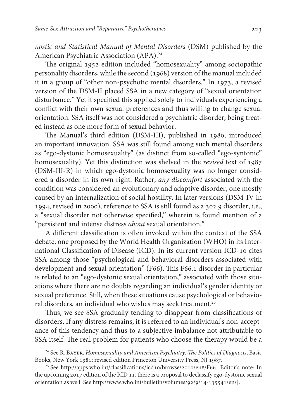nostic and Statistical Manual of Mental Disorders (DSM) published by the American Psychiatric Association (APA).<sup>24</sup>

The original 1952 edition included "homosexuality" among sociopathic personality disorders, while the second (1968) version of the manual included it in a group of "other non-psychotic mental disorders." In 1973, a revised version of the DSM-II placed SSA in a new category of "sexual orientation disturbance." Yet it specified this applied solely to individuals experiencing a conflict with their own sexual preferences and thus willing to change sexual orientation. SSA itself was not considered a psychiatric disorder, being treated instead as one more form of sexual behavior.

The Manual's third edition (DSM-III), published in 1980, introduced an important innovation. SSA was still found among such mental disorders as "ego-dystonic homosexuality" (as distinct from so-called "ego-syntonic" homosexuality). Yet this distinction was shelved in the revised text of 1987 (DSM-III-R) in which ego-dystonic homosexuality was no longer considered a disorder in its own right. Rather, any discomfort associated with the condition was considered an evolutionary and adaptive disorder, one mostly caused by an internalization of social hostility. In later versions (DSM-IV in 1994, revised in 2000), reference to SSA is still found as a 302.9 disorder, i.e., a "sexual disorder not otherwise specified," wherein is found mention of a "persistent and intense distress about sexual orientation."

A different classification is often invoked within the context of the SSA debate, one proposed by the World Health Organization (WHO) in its International Classification of Disease (ICD). In its current version ICD-10 cites SSA among those "psychological and behavioral disorders associated with development and sexual orientation" (F66). This F66.1 disorder in particular is related to an "ego-dystonic sexual orientation," associated with those situations where there are no doubts regarding an individual's gender identity or sexual preference. Still, when these situations cause psychological or behavioral disorders, an individual who wishes may seek treatment.<sup>25</sup>

Thus, we see SSA gradually tending to disappear from classifications of disorders. If any distress remains, it is referred to an individual's non-acceptance of this tendency and thus to a subjective imbalance not attributable to SSA itself. The real problem for patients who choose the therapy would be a

 $24$  See R. BAYER, Homosexuality and American Psychiatry. The Politics of Diagnosis, Basic Books, New York 1981; revised edition Princeton University Press, NJ 1987.

<sup>25</sup> See http://apps.who.int/classifications/icd10/browse/2010/en#/F66 [Editor's note: In the upcoming 2017 edition of the ICD 11, there is a proposal to declassify ego-dystonic sexual orientation as well. See http://www.who.int/bulletin/volumes/92/9/14-135541/en/].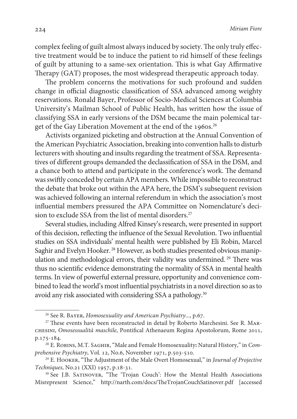complex feeling of guilt almost always induced by society. The only truly effective treatment would be to induce the patient to rid himself of these feelings of guilt by attuning to a same-sex orientation. This is what Gay Affirmative Therapy (GAT) proposes, the most widespread therapeutic approach today.

The problem concerns the motivations for such profound and sudden change in official diagnostic classification of SSA advanced among weighty reservations. Ronald Bayer, Professor of Socio-Medical Sciences at Columbia University's Mailman School of Public Health, has written how the issue of classifying SSA in early versions of the DSM became the main polemical target of the Gay Liberation Movement at the end of the 1960s.<sup>26</sup>

Activists organized picketing and obstruction at the Annual Convention of the American Psychiatric Association, breaking into convention halls to disturb lecturers with shouting and insults regarding the treatment of SSA. Representatives of different groups demanded the declassification of SSA in the DSM, and a chance both to attend and participate in the conference's work. The demand was swiftly conceded by certain APA members. While impossible to reconstruct the debate that broke out within the APA here, the DSM's subsequent revision was achieved following an internal referendum in which the association's most influential members pressured the APA Committee on Nomenclature's decision to exclude SSA from the list of mental disorders.<sup>27</sup>

Several studies, including Alfred Kinsey's research, were presented in support of this decision, reflecting the influence of the Sexual Revolution. Two influential studies on SSA individuals' mental health were published by Eli Robin, Marcel Saghir and Evelyn Hooker. 28 However, as both studies presented obvious manipulation and methodological errors, their validity was undermined.<sup>29</sup> There was thus no scientific evidence demonstrating the normality of SSA in mental health terms. In view of powerful external pressure, opportunity and convenience combined to lead the world's most influential psychiatrists in a novel direction so as to avoid any risk associated with considering SSA a pathology.<sup>30</sup>

<sup>&</sup>lt;sup>26</sup> See R. BAYER, Homosexuality and American Psychiatry..., p.67.

<sup>&</sup>lt;sup>27</sup> These events have been reconstructed in detail by Roberto Marchesini. See R. MARchesini, Omosessualità maschile, Pontifical Athenaeum Regina Apostolorum, Rome 2011, p.175-184.

<sup>28</sup> E. Robins, M.T. Saghir, "Male and Female Homosexuality**:** Natural History," in Comprehensive Psychiatry, Vol. 12, No.6, November 1971, p.503-510.

 $29$  E. HOOKER, "The Adjustment of the Male Overt Homosexual," in Journal of Projective Techniques, No.21 (XXI) 1957, p.18-31.

<sup>30</sup> See J.B. Satinover, "The 'Trojan Couch': How the Mental Health Associations Misrepresent Science," http://narth.com/docs/TheTrojanCouchSatinover.pdf [ accessed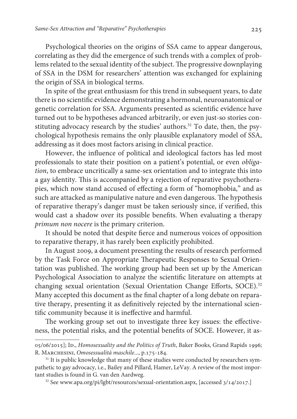Psychological theories on the origins of SSA came to appear dangerous, correlating as they did the emergence of such trends with a complex of problems related to the sexual identity of the subject. The progressive downplaying of SSA in the DSM for researchers' attention was exchanged for explaining the origin of SSA in biological terms.

In spite of the great enthusiasm for this trend in subsequent years, to date there is no scientific evidence demonstrating a hormonal, neuroanatomical or genetic correlation for SSA. Arguments presented as scientific evidence have turned out to be hypotheses advanced arbitrarily, or even just-so stories constituting advocacy research by the studies' authors.<sup>31</sup> To date, then, the psychological hypothesis remains the only plausible explanatory model of SSA, addressing as it does most factors arising in clinical practice.

However, the influence of political and ideological factors has led most professionals to state their position on a patient's potential, or even obligation, to embrace uncritically a same-sex orientation and to integrate this into a gay identity. This is accompanied by a rejection of reparative psychotherapies, which now stand accused of effecting a form of "homophobia," and as such are attacked as manipulative nature and even dangerous. The hypothesis of reparative therapy's danger must be taken seriously since, if verified, this would cast a shadow over its possible benefits. When evaluating a therapy primum non nocere is the primary criterion.

It should be noted that despite fierce and numerous voices of opposition to reparative therapy, it has rarely been explicitly prohibited.

In August 2009, a document presenting the results of research performed by the Task Force on Appropriate Therapeutic Responses to Sexual Orientation was published. The working group had been set up by the American Psychological Association to analyze the scientific literature on attempts at changing sexual orientation (Sexual Orientation Change Efforts, SOCE).<sup>32</sup> Many accepted this document as the final chapter of a long debate on reparative therapy, presenting it as definitively rejected by the international scientific community because it is ineffective and harmful.

The working group set out to investigate three key issues: the effectiveness, the potential risks, and the potential benefits of SOCE. However, it as-

<sup>05/06/2015];</sup> Id., Homosexuality and the Politics of Truth, Baker Books, Grand Rapids 1996; R. Marchesini, Omosessualità maschile..., p.175-184.

<sup>&</sup>lt;sup>31</sup> It is public knowledge that many of these studies were conducted by researchers sympathetic to gay advocacy, i.e., Bailey and Pillard, Hamer, LeVay. A review of the most important studies is found in G. van den Aardweg.

<sup>&</sup>lt;sup>32</sup> See www.apa.org/pi/lgbt/resources/sexual-orientation.aspx, [accessed 3/14/2017.]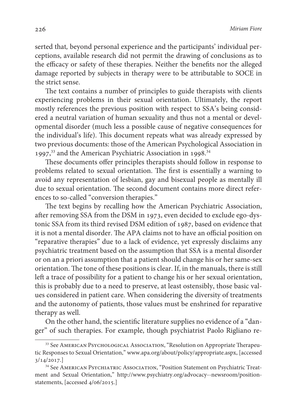serted that, beyond personal experience and the participants' individual perceptions, available research did not permit the drawing of conclusions as to the efficacy or safety of these therapies. Neither the benefits nor the alleged damage reported by subjects in therapy were to be attributable to SOCE in the strict sense.

The text contains a number of principles to guide therapists with clients experiencing problems in their sexual orientation. Ultimately, the report mostly references the previous position with respect to SSA's being considered a neutral variation of human sexuality and thus not a mental or developmental disorder (much less a possible cause of negative consequences for the individual's life). This document repeats what was already expressed by two previous documents: those of the American Psychological Association in 1997,<sup>33</sup> and the American Psychiatric Association in 1998.<sup>34</sup>

These documents offer principles therapists should follow in response to problems related to sexual orientation. The first is essentially a warning to avoid any representation of lesbian, gay and bisexual people as mentally ill due to sexual orientation. The second document contains more direct references to so-called "conversion therapies."

The text begins by recalling how the American Psychiatric Association, after removing SSA from the DSM in 1973, even decided to exclude ego-dystonic SSA from its third revised DSM edition of 1987, based on evidence that it is not a mental disorder. The APA claims not to have an official position on "reparative therapies" due to a lack of evidence, yet expressly disclaims any psychiatric treatment based on the assumption that SSA is a mental disorder or on an a priori assumption that a patient should change his or her same-sex orientation. The tone of these positions is clear. If, in the manuals, there is still left a trace of possibility for a patient to change his or her sexual orientation, this is probably due to a need to preserve, at least ostensibly, those basic values considered in patient care. When considering the diversity of treatments and the autonomy of patients, those values must be enshrined for reparative therapy as well.

On the other hand, the scientific literature supplies no evidence of a "danger" of such therapies. For example, though psychiatrist Paolo Rigliano re-

<sup>&</sup>lt;sup>33</sup> See AMERICAN PSYCHOLOGICAL ASSOCIATION, "Resolution on Appropriate Therapeutic Responses to Sexual Orientation," www.apa.org/about/policy/appropriate.aspx, [accessed 3/14/2017.]

<sup>&</sup>lt;sup>34</sup> See AMERICAN PSYCHIATRIC ASSOCIATION, "Position Statement on Psychiatric Treatment and Sexual Orientation," http://www.psychiatry.org/advocacy--newsroom/positionstatements, [accessed 4/06/2015.]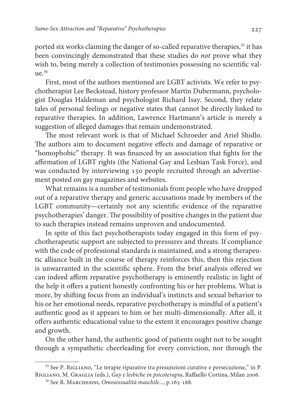ported six works claiming the danger of so-called reparative therapies,<sup>35</sup> it has been convincingly demonstrated that these studies do not prove what they wish to, being merely a collection of testimonies possessing no scientific value.<sup>36</sup>

First, most of the authors mentioned are LGBT activists. We refer to psychotherapist Lee Beckstead, history professor Martin Dubermann, psychologist Douglas Haldeman and psychologist Richard Isay. Second, they relate tales of personal feelings or negative states that cannot be directly linked to reparative therapies. In addition, Lawrence Hartmann's article is merely a suggestion of alleged damages that remain undemonstrated.

The most relevant work is that of Michael Schroeder and Ariel Shidlo. The authors aim to document negative effects and damage of reparative or "homophobic" therapy. It was financed by an association that fights for the affirmation of LGBT rights (the National Gay and Lesbian Task Force), and was conducted by interviewing 150 people recruited through an advertisement posted on gay magazines and websites.

What remains is a number of testimonials from people who have dropped out of a reparative therapy and generic accusations made by members of the LGBT community—certainly not any scientific evidence of the reparative psychotherapies' danger. The possibility of positive changes in the patient due to such therapies instead remains unproven and undocumented.

In spite of this fact psychotherapists today engaged in this form of psychotherapeutic support are subjected to pressures and threats. If compliance with the code of professional standards is maintained, and a strong therapeutic alliance built in the course of therapy reinforces this, then this rejection is unwarranted in the scientific sphere. From the brief analysis offered we can indeed affirm reparative psychotherapy is eminently realistic in light of the help it offers a patient honestly confronting his or her problems. What is more, by shifting focus from an individual's instincts and sexual behavior to his or her emotional needs, reparative psychotherapy is mindful of a patient's authentic good as it appears to him or her multi-dimensionally. After all, it offers authentic educational value to the extent it encourages positive change and growth.

On the other hand, the authentic good of patients ought not to be sought through a sympathetic cheerleading for every conviction, nor through the

<sup>35</sup> See P. Rigliano, "Le terapie riparative tra presunzioni curative e persecuzione," in P. Rigliano, M. Graglia (eds.), Gay e lesbiche in psicoterapia, Raffaello Cortina, Milan 2006.

<sup>&</sup>lt;sup>36</sup> See R. MARCHESINI, Omosessualità maschile..., p.165-168.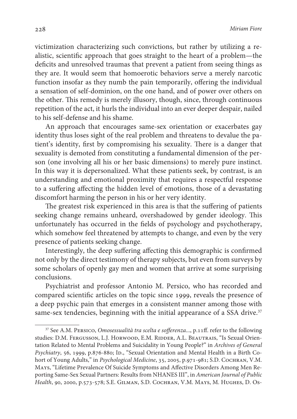victimization characterizing such convictions, but rather by utilizing a realistic, scientific approach that goes straight to the heart of a problem—the deficits and unresolved traumas that prevent a patient from seeing things as they are. It would seem that homoerotic behaviors serve a merely narcotic function insofar as they numb the pain temporarily, offering the individual a sensation of self-dominion, on the one hand, and of power over others on the other. This remedy is merely illusory, though, since, through continuous repetition of the act, it hurls the individual into an ever deeper despair, nailed to his self-defense and his shame.

An approach that encourages same-sex orientation or exacerbates gay identity thus loses sight of the real problem and threatens to devalue the patient's identity, first by compromising his sexuality. There is a danger that sexuality is demoted from constituting a fundamental dimension of the person (one involving all his or her basic dimensions) to merely pure instinct. In this way it is depersonalized. What these patients seek, by contrast, is an understanding and emotional proximity that requires a respectful response to a suffering affecting the hidden level of emotions, those of a devastating discomfort harming the person in his or her very identity.

The greatest risk experienced in this area is that the suffering of patients seeking change remains unheard, overshadowed by gender ideology. This unfortunately has occurred in the fields of psychology and psychotherapy, which somehow feel threatened by attempts to change, and even by the very presence of patients seeking change.

Interestingly, the deep suffering affecting this demographic is confirmed not only by the direct testimony of therapy subjects, but even from surveys by some scholars of openly gay men and women that arrive at some surprising conclusions.

Psychiatrist and professor Antonio M. Persico, who has recorded and compared scientific articles on the topic since 1999, reveals the presence of a deep psychic pain that emerges in a consistent manner among those with same-sex tendencies, beginning with the initial appearance of a SSA drive.<sup>37</sup>

 $37$  See A.M. PERSICO, Omosessualità tra scelta e sofferenza..., p.11ff. refer to the following studies: D.M. Fergusson, L.J. Horwood, E.M. RIDDER, A.L. BEAUTRAIS, "Is Sexual Orientation Related to Mental Problems and Suicidality in Young People?" in Archives of General Psychiatry, 56, 1999, p.876-880; Ip., "Sexual Orientation and Mental Health in a Birth Cohort of Young Adults," in Psychological Medicine, 35, 2005, p.971-981; S.D. COCHRAN, V.M. Mays, "Lifetime Prevalence Of Suicide Symptoms and Affective Disorders Among Men Reporting Same-Sex Sexual Partners: Results from NHANES III", in American Journal of Public Health, 90, 2000, p.573-578; S.E. Gilman, S.D. Cochran, V.M. Mays, M. Hughes, D. Os-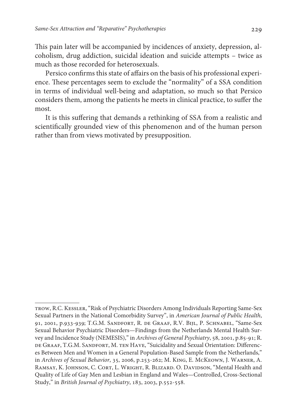This pain later will be accompanied by incidences of anxiety, depression, alcoholism, drug addiction, suicidal ideation and suicide attempts – twice as much as those recorded for heterosexuals.

Persico confirms this state of affairs on the basis of his professional experience. These percentages seem to exclude the "normality" of a SSA condition in terms of individual well-being and adaptation, so much so that Persico considers them, among the patients he meets in clinical practice, to suffer the most.

It is this suffering that demands a rethinking of SSA from a realistic and scientifically grounded view of this phenomenon and of the human person rather than from views motivated by presupposition.

trow, R.C. Kessler, "Risk of Psychiatric Disorders Among Individuals Reporting Same-Sex Sexual Partners in the National Comorbidity Survey", in American Journal of Public Health, 91, 2001, p.933-939; T.G.M. Sandfort, R. de Graaf, R.V. Bijl, P. Schnabel, "Same-Sex Sexual Behavior Psychiatric Disorders—Findings from the Netherlands Mental Health Survey and Incidence Study (NEMESIS)," in Archives of General Psychiatry, 58, 2001, p.85-91; R. de Graaf, T.G.M. Sandfort, M. ten Have, "Suicidality and Sexual Orientation: Differences Between Men and Women in a General Population-Based Sample from the Netherlands," in Archives of Sexual Behavior, 35, 2006, p.253-262; M. King, E. McKeown, J. Warner, A. RAMSAY, K. JOHNSON, C. CORT, L. WRIGHT, R. BLIZARD. O. DAVIDSON, "Mental Health and Quality of Life of Gay Men and Lesbian in England and Wales—Controlled, Cross-Sectional Study," in British Journal of Psychiatry, 183, 2003, p.552-558.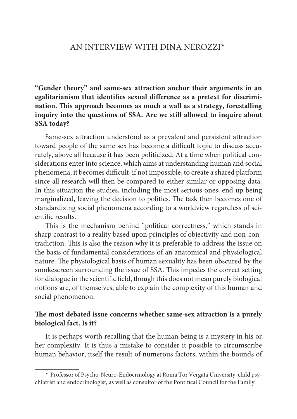## AN INTERVIEW WITH DINA NEROZZI\*

**"Gender theory" and same-sex attraction anchor their arguments in an egalitarianism that identifies sexual difference as a pretext for discrimination. This approach becomes as much a wall as a strategy, forestalling inquiry into the questions of SSA. Are we still allowed to inquire about SSA today?**

Same-sex attraction understood as a prevalent and persistent attraction toward people of the same sex has become a difficult topic to discuss accurately, above all because it has been politicized. At a time when political considerations enter into science, which aims at understanding human and social phenomena, it becomes difficult, if not impossible, to create a shared platform since all research will then be compared to either similar or opposing data. In this situation the studies, including the most serious ones, end up being marginalized, leaving the decision to politics. The task then becomes one of standardizing social phenomena according to a worldview regardless of scientific results.

This is the mechanism behind "political correctness," which stands in sharp contrast to a reality based upon principles of objectivity and non-contradiction. This is also the reason why it is preferable to address the issue on the basis of fundamental considerations of an anatomical and physiological nature. The physiological basis of human sexuality has been obscured by the smokescreen surrounding the issue of SSA. This impedes the correct setting for dialogue in the scientific field, though this does not mean purely biological notions are, of themselves, able to explain the complexity of this human and social phenomenon.

## **The most debated issue concerns whether same-sex attraction is a purely biological fact. Is it?**

It is perhaps worth recalling that the human being is a mystery in his or her complexity. It is thus a mistake to consider it possible to circumscribe human behavior, itself the result of numerous factors, within the bounds of

<sup>\*</sup> Professor of Psycho-Neuro-Endocrinology at Roma Tor Vergata University, child psychiatrist and endocrinologist, as well as consultor of the Pontifical Council for the Family.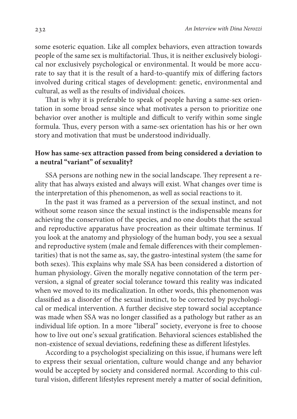some esoteric equation. Like all complex behaviors, even attraction towards people of the same sex is multifactorial. Thus, it is neither exclusively biological nor exclusively psychological or environmental. It would be more accurate to say that it is the result of a hard-to-quantify mix of differing factors involved during critical stages of development: genetic, environmental and cultural, as well as the results of individual choices.

That is why it is preferable to speak of people having a same-sex orientation in some broad sense since what motivates a person to prioritize one behavior over another is multiple and difficult to verify within some single formula. Thus, every person with a same-sex orientation has his or her own story and motivation that must be understood individually.

## **How has same-sex attraction passed from being considered a deviation to a neutral "variant" of sexuality?**

SSA persons are nothing new in the social landscape. They represent a reality that has always existed and always will exist. What changes over time is the interpretation of this phenomenon, as well as social reactions to it.

In the past it was framed as a perversion of the sexual instinct, and not without some reason since the sexual instinct is the indispensable means for achieving the conservation of the species, and no one doubts that the sexual and reproductive apparatus have procreation as their ultimate terminus. If you look at the anatomy and physiology of the human body, you see a sexual and reproductive system (male and female differences with their complementarities) that is not the same as, say, the gastro-intestinal system (the same for both sexes). This explains why male SSA has been considered a distortion of human physiology. Given the morally negative connotation of the term perversion, a signal of greater social tolerance toward this reality was indicated when we moved to its medicalization. In other words, this phenomenon was classified as a disorder of the sexual instinct, to be corrected by psychological or medical intervention. A further decisive step toward social acceptance was made when SSA was no longer classified as a pathology but rather as an individual life option. In a more "liberal" society, everyone is free to choose how to live out one's sexual gratification. Behavioral sciences established the non-existence of sexual deviations, redefining these as different lifestyles.

According to a psychologist specializing on this issue, if humans were left to express their sexual orientation, culture would change and any behavior would be accepted by society and considered normal. According to this cultural vision, different lifestyles represent merely a matter of social definition,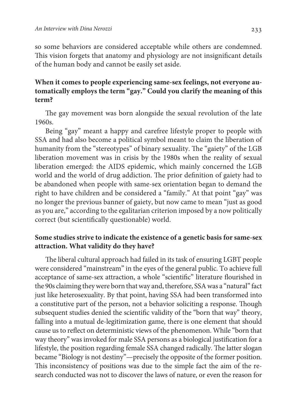so some behaviors are considered acceptable while others are condemned. This vision forgets that anatomy and physiology are not insignificant details of the human body and cannot be easily set aside.

## **When it comes to people experiencing same-sex feelings, not everyone automatically employs the term "gay." Could you clarify the meaning of this term?**

The gay movement was born alongside the sexual revolution of the late 1960s.

Being "gay" meant a happy and carefree lifestyle proper to people with SSA and had also become a political symbol meant to claim the liberation of humanity from the "stereotypes" of binary sexuality. The "gaiety" of the LGB liberation movement was in crisis by the 1980s when the reality of sexual liberation emerged: the AIDS epidemic, which mainly concerned the LGB world and the world of drug addiction. The prior definition of gaiety had to be abandoned when people with same-sex orientation began to demand the right to have children and be considered a "family." At that point "gay" was no longer the previous banner of gaiety, but now came to mean "just as good as you are," according to the egalitarian criterion imposed by a now politically correct (but scientifically questionable) world.

## **Some studies strive to indicate the existence of a genetic basis for same-sex attraction. What validity do they have?**

The liberal cultural approach had failed in its task of ensuring LGBT people were considered "mainstream" in the eyes of the general public. To achieve full acceptance of same-sex attraction, a whole "scientific" literature flourished in the 90s claiming they were born that way and, therefore, SSA was a "natural" fact just like heterosexuality. By that point, having SSA had been transformed into a constitutive part of the person, not a behavior soliciting a response. Though subsequent studies denied the scientific validity of the "born that way" theory, falling into a mutual de-legitimization game, there is one element that should cause us to reflect on deterministic views of the phenomenon. While "born that way theory" was invoked for male SSA persons as a biological justification for a lifestyle, the position regarding female SSA changed radically. The latter slogan became "Biology is not destiny"—precisely the opposite of the former position. This inconsistency of positions was due to the simple fact the aim of the research conducted was not to discover the laws of nature, or even the reason for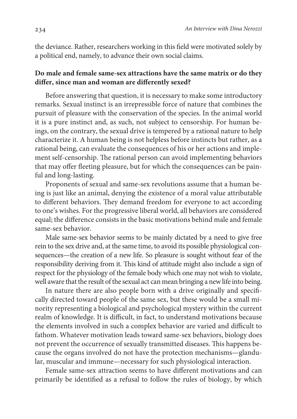the deviance. Rather, researchers working in this field were motivated solely by a political end, namely, to advance their own social claims.

## **Do male and female same-sex attractions have the same matrix or do they differ, since man and woman are differently sexed?**

Before answering that question, it is necessary to make some introductory remarks. Sexual instinct is an irrepressible force of nature that combines the pursuit of pleasure with the conservation of the species. In the animal world it is a pure instinct and, as such, not subject to censorship. For human beings, on the contrary, the sexual drive is tempered by a rational nature to help characterize it. A human being is not helpless before instincts but rather, as a rational being, can evaluate the consequences of his or her actions and implement self-censorship. The rational person can avoid implementing behaviors that may offer fleeting pleasure, but for which the consequences can be painful and long-lasting.

Proponents of sexual and same-sex revolutions assume that a human being is just like an animal, denying the existence of a moral value attributable to different behaviors. They demand freedom for everyone to act according to one's wishes. For the progressive liberal world, all behaviors are considered equal; the difference consists in the basic motivations behind male and female same-sex behavior.

Male same-sex behavior seems to be mainly dictated by a need to give free rein to the sex drive and, at the same time, to avoid its possible physiological consequences—the creation of a new life. So pleasure is sought without fear of the responsibility deriving from it. This kind of attitude might also include a sign of respect for the physiology of the female body which one may not wish to violate, well aware that the result of the sexual act can mean bringing a new life into being.

In nature there are also people born with a drive originally and specifically directed toward people of the same sex, but these would be a small minority representing a biological and psychological mystery within the current realm of knowledge. It is difficult, in fact, to understand motivations because the elements involved in such a complex behavior are varied and difficult to fathom. Whatever motivation leads toward same-sex behaviors, biology does not prevent the occurrence of sexually transmitted diseases. This happens because the organs involved do not have the protection mechanisms—glandular, muscular and immune—necessary for such physiological interaction.

Female same-sex attraction seems to have different motivations and can primarily be identified as a refusal to follow the rules of biology, by which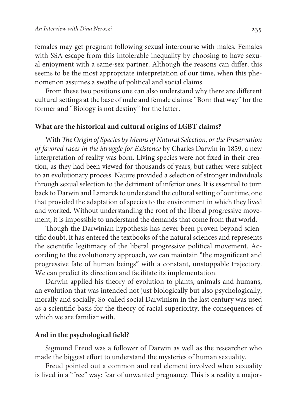females may get pregnant following sexual intercourse with males. Females with SSA escape from this intolerable inequality by choosing to have sexual enjoyment with a same-sex partner. Although the reasons can differ, this seems to be the most appropriate interpretation of our time, when this phenomenon assumes a swathe of political and social claims.

From these two positions one can also understand why there are different cultural settings at the base of male and female claims: "Born that way" for the former and "Biology is not destiny" for the latter.

#### **What are the historical and cultural origins of LGBT claims?**

With The Origin of Species by Means of Natural Selection, or the Preservation of favored races in the Struggle for Existence by Charles Darwin in 1859, a new interpretation of reality was born. Living species were not fixed in their creation, as they had been viewed for thousands of years, but rather were subject to an evolutionary process. Nature provided a selection of stronger individuals through sexual selection to the detriment of inferior ones. It is essential to turn back to Darwin and Lamarck to understand the cultural setting of our time, one that provided the adaptation of species to the environment in which they lived and worked. Without understanding the root of the liberal progressive movement, it is impossible to understand the demands that come from that world.

Though the Darwinian hypothesis has never been proven beyond scientific doubt, it has entered the textbooks of the natural sciences and represents the scientific legitimacy of the liberal progressive political movement. According to the evolutionary approach, we can maintain "the magnificent and progressive fate of human beings" with a constant, unstoppable trajectory. We can predict its direction and facilitate its implementation.

Darwin applied his theory of evolution to plants, animals and humans, an evolution that was intended not just biologically but also psychologically, morally and socially. So-called social Darwinism in the last century was used as a scientific basis for the theory of racial superiority, the consequences of which we are familiar with.

### **And in the psychological field?**

Sigmund Freud was a follower of Darwin as well as the researcher who made the biggest effort to understand the mysteries of human sexuality.

Freud pointed out a common and real element involved when sexuality is lived in a "free" way: fear of unwanted pregnancy. This is a reality a major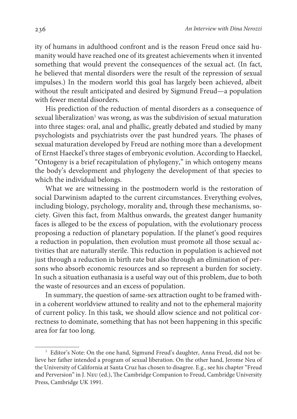ity of humans in adulthood confront and is the reason Freud once said humanity would have reached one of its greatest achievements when it invented something that would prevent the consequences of the sexual act. (In fact, he believed that mental disorders were the result of the repression of sexual impulses.) In the modern world this goal has largely been achieved, albeit without the result anticipated and desired by Sigmund Freud—a population with fewer mental disorders.

His prediction of the reduction of mental disorders as a consequence of sexual liberalization $^{\rm l}$  was wrong, as was the subdivision of sexual maturation into three stages: oral, anal and phallic, greatly debated and studied by many psychologists and psychiatrists over the past hundred years. The phases of sexual maturation developed by Freud are nothing more than a development of Ernst Haeckel's three stages of embryonic evolution. According to Haeckel, "Ontogeny is a brief recapitulation of phylogeny," in which ontogeny means the body's development and phylogeny the development of that species to which the individual belongs.

What we are witnessing in the postmodern world is the restoration of social Darwinism adapted to the current circumstances. Everything evolves, including biology, psychology, morality and, through these mechanisms, society. Given this fact, from Malthus onwards, the greatest danger humanity faces is alleged to be the excess of population, with the evolutionary process proposing a reduction of planetary population. If the planet's good requires a reduction in population, then evolution must promote all those sexual activities that are naturally sterile. This reduction in population is achieved not just through a reduction in birth rate but also through an elimination of persons who absorb economic resources and so represent a burden for society. In such a situation euthanasia is a useful way out of this problem, due to both the waste of resources and an excess of population.

In summary, the question of same-sex attraction ought to be framed within a coherent worldview attuned to reality and not to the ephemeral majority of current policy. In this task, we should allow science and not political correctness to dominate, something that has not been happening in this specific area for far too long.

<sup>&</sup>lt;sup>1</sup> Editor's Note: On the one hand, Sigmund Freud's daughter, Anna Freud, did not believe her father intended a program of sexual liberation. On the other hand, Jerome Neu of the University of California at Santa Cruz has chosen to disagree. E.g., see his chapter "Freud and Perversion" in J. Neu (ed.), The Cambridge Companion to Freud, Cambridge University Press, Cambridge UK 1991.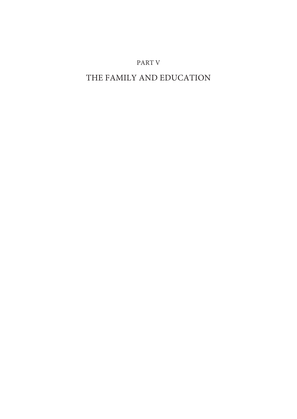## PART V

# THE FAMILY AND EDUCATION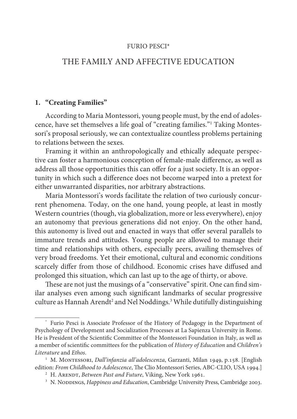#### FURIO PESCI\*

## THE FAMILY AND AFFECTIVE EDUCATION

## **1. "Creating Families"**

According to Maria Montessori, young people must, by the end of adolescence, have set themselves a life goal of "creating families."<sup>1</sup> Taking Montessori's proposal seriously, we can contextualize countless problems pertaining to relations between the sexes.

Framing it within an anthropologically and ethically adequate perspective can foster a harmonious conception of female-male difference, as well as address all those opportunities this can offer for a just society. It is an opportunity in which such a difference does not become warped into a pretext for either unwarranted disparities, nor arbitrary abstractions.

Maria Montessori's words facilitate the relation of two curiously concurrent phenomena. Today, on the one hand, young people, at least in mostly Western countries (though, via globalization, more or less everywhere), enjoy an autonomy that previous generations did not enjoy. On the other hand, this autonomy is lived out and enacted in ways that offer several parallels to immature trends and attitudes. Young people are allowed to manage their time and relationships with others, especially peers, availing themselves of very broad freedoms. Yet their emotional, cultural and economic conditions scarcely differ from those of childhood. Economic crises have diffused and prolonged this situation, which can last up to the age of thirty, or above.

These are not just the musings of a "conservative" spirit. One can find similar analyses even among such significant landmarks of secular progressive culture as Hannah Arendt<sup>2</sup> and Nel Noddings.<sup>3</sup> While dutifully distinguishing

<sup>\*</sup> Furio Pesci is Associate Professor of the History of Pedagogy in the Department of Psychology of Development and Socialization Processes at La Sapienza University in Rome. He is President of the Scientific Committee of the Montessori Foundation in Italy, as well as a member of scientific committees for the publication of History of Education and Children's Literature and Ethos.

<sup>&</sup>lt;sup>1</sup> M. Montessori, *Dall'infanzia all'adolescenza*, Garzanti, Milan 1949, p.158. [English edition: From Childhood to Adolescence, The Clio Montessori Series, ABC-CLIO, USA 1994.]

<sup>&</sup>lt;sup>2</sup> H. ARENDT, *Between Past and Future*, Viking, New York 1961.

<sup>&</sup>lt;sup>3</sup> N. Noddings, Happiness and Education, Cambridge University Press, Cambridge 2003.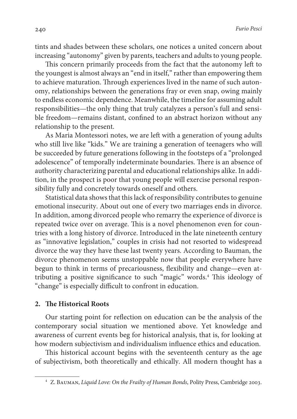tints and shades between these scholars, one notices a united concern about increasing "autonomy" given by parents, teachers and adults to young people.

This concern primarily proceeds from the fact that the autonomy left to the youngest is almost always an "end in itself," rather than empowering them to achieve maturation. Through experiences lived in the name of such autonomy, relationships between the generations fray or even snap, owing mainly to endless economic dependence. Meanwhile, the timeline for assuming adult responsibilities—the only thing that truly catalyzes a person's full and sensible freedom—remains distant, confined to an abstract horizon without any relationship to the present.

As Maria Montessori notes, we are left with a generation of young adults who still live like "kids." We are training a generation of teenagers who will be succeeded by future generations following in the footsteps of a "prolonged adolescence" of temporally indeterminate boundaries. There is an absence of authority characterizing parental and educational relationships alike. In addition, in the prospect is poor that young people will exercise personal responsibility fully and concretely towards oneself and others.

Statistical data shows that this lack of responsibility contributes to genuine emotional insecurity. About out one of every two marriages ends in divorce. In addition, among divorced people who remarry the experience of divorce is repeated twice over on average. This is a novel phenomenon even for countries with a long history of divorce. Introduced in the late nineteenth century as "innovative legislation," couples in crisis had not resorted to widespread divorce the way they have these last twenty years. According to Bauman, the divorce phenomenon seems unstoppable now that people everywhere have begun to think in terms of precariousness, flexibility and change—even attributing a positive significance to such "magic" words.<sup>4</sup> This ideology of "change" is especially difficult to confront in education.

#### **2. The Historical Roots**

Our starting point for reflection on education can be the analysis of the contemporary social situation we mentioned above. Yet knowledge and awareness of current events beg for historical analysis, that is, for looking at how modern subjectivism and individualism influence ethics and education.

This historical account begins with the seventeenth century as the age of subjectivism, both theoretically and ethically. All modern thought has a

<sup>&</sup>lt;sup>4</sup> Z. BAUMAN, Liquid Love: On the Frailty of Human Bonds, Polity Press, Cambridge 2003.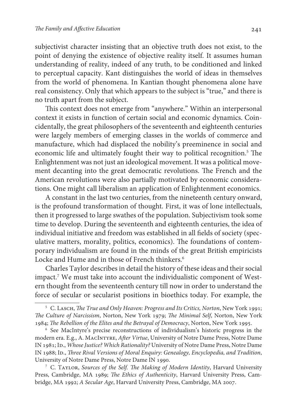subjectivist character insisting that an objective truth does not exist, to the point of denying the existence of objective reality itself. It assumes human understanding of reality, indeed of any truth, to be conditioned and linked to perceptual capacity. Kant distinguishes the world of ideas in themselves from the world of phenomena. In Kantian thought phenomena alone have real consistency. Only that which appears to the subject is "true," and there is no truth apart from the subject.

This context does not emerge from "anywhere." Within an interpersonal context it exists in function of certain social and economic dynamics. Coincidentally, the great philosophers of the seventeenth and eighteenth centuries were largely members of emerging classes in the worlds of commerce and manufacture, which had displaced the nobility's preeminence in social and economic life and ultimately fought their way to political recognition.<sup>5</sup> The Enlightenment was not just an ideological movement. It was a political movement decanting into the great democratic revolutions. The French and the American revolutions were also partially motivated by economic considerations. One might call liberalism an application of Enlightenment economics.

A constant in the last two centuries, from the nineteenth century onward, is the profound transformation of thought. First, it was of lone intellectuals, then it progressed to large swathes of the population. Subjectivism took some time to develop. During the seventeenth and eighteenth centuries, the idea of individual initiative and freedom was established in all fields of society (speculative matters, morality, politics, economics). The foundations of contemporary individualism are found in the minds of the great British empiricists Locke and Hume and in those of French thinkers.<sup>6</sup>

Charles Taylor describes in detail the history of these ideas and their social impact.<sup>7</sup> We must take into account the individualistic component of Western thought from the seventeenth century till now in order to understand the force of secular or secularist positions in bioethics today. For example, the

<sup>&</sup>lt;sup>5</sup> C. Lasch, *The True and Only Heaven: Progress and Its Critics, Norton, New York 1991;* The Culture of Narcissism, Norton, New York 1979; The Minimal Self, Norton, New York 1984; The Rebellion of the Elites and the Betrayal of Democracy, Norton, New York 1995.

<sup>6</sup> See MacIntyre's precise reconstructions of individualism's historic progress in the modern era. E.g., A. MACINTYRE, After Virtue, University of Notre Dame Press, Notre Dame IN 1981; ID., Whose Justice? Which Rationality? University of Notre Dame Press, Notre Dame IN 1988; Id., Three Rival Versions of Moral Enquiry: Genealogy, Encyclopedia, and Tradition, University of Notre Dame Press, Notre Dame IN 1990.

<sup>&</sup>lt;sup>7</sup> C. TAYLOR, Sources of the Self. The Making of Modern Identity, Harvard University Press, Cambridge, MA 1989; The Ethics of Authenticity, Harvard University Press, Cambridge, MA 1992; A Secular Age, Harvard University Press, Cambridge, MA 2007.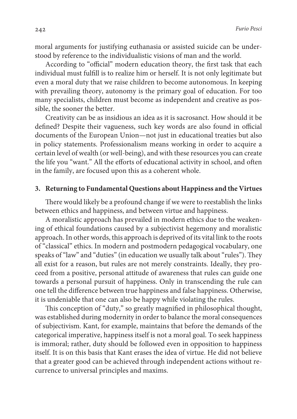moral arguments for justifying euthanasia or assisted suicide can be understood by reference to the individualistic visions of man and the world.

According to "official" modern education theory, the first task that each individual must fulfill is to realize him or herself. It is not only legitimate but even a moral duty that we raise children to become autonomous. In keeping with prevailing theory, autonomy is the primary goal of education. For too many specialists, children must become as independent and creative as possible, the sooner the better.

Creativity can be as insidious an idea as it is sacrosanct. How should it be defined? Despite their vagueness, such key words are also found in official documents of the European Union—not just in educational treaties but also in policy statements. Professionalism means working in order to acquire a certain level of wealth (or well-being), and with these resources you can create the life you "want." All the efforts of educational activity in school, and often in the family, are focused upon this as a coherent whole.

#### **3. Returning to Fundamental Questions about Happiness and the Virtues**

There would likely be a profound change if we were to reestablish the links between ethics and happiness, and between virtue and happiness.

A moralistic approach has prevailed in modern ethics due to the weakening of ethical foundations caused by a subjectivist hegemony and moralistic approach. In other words, this approach is deprived of its vital link to the roots of "classical" ethics. In modern and postmodern pedagogical vocabulary, one speaks of "law" and "duties" (in education we usually talk about "rules"). They all exist for a reason, but rules are not merely constraints. Ideally, they proceed from a positive, personal attitude of awareness that rules can guide one towards a personal pursuit of happiness. Only in transcending the rule can one tell the difference between true happiness and false happiness. Otherwise, it is undeniable that one can also be happy while violating the rules.

This conception of "duty," so greatly magnified in philosophical thought, was established during modernity in order to balance the moral consequences of subjectivism. Kant, for example, maintains that before the demands of the categorical imperative, happiness itself is not a moral goal. To seek happiness is immoral; rather, duty should be followed even in opposition to happiness itself. It is on this basis that Kant erases the idea of virtue. He did not believe that a greater good can be achieved through independent actions without recurrence to universal principles and maxims.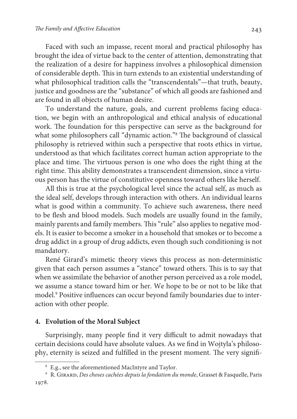Faced with such an impasse, recent moral and practical philosophy has brought the idea of virtue back to the center of attention, demonstrating that the realization of a desire for happiness involves a philosophical dimension of considerable depth. This in turn extends to an existential understanding of what philosophical tradition calls the "transcendentals"—that truth, beauty, justice and goodness are the "substance" of which all goods are fashioned and are found in all objects of human desire.

To understand the nature, goals, and current problems facing education, we begin with an anthropological and ethical analysis of educational work. The foundation for this perspective can serve as the background for what some philosophers call "dynamic action."<sup>8</sup> The background of classical philosophy is retrieved within such a perspective that roots ethics in virtue, understood as that which facilitates correct human action appropriate to the place and time. The virtuous person is one who does the right thing at the right time. This ability demonstrates a transcendent dimension, since a virtuous person has the virtue of constitutive openness toward others like herself.

All this is true at the psychological level since the actual self, as much as the ideal self, develops through interaction with others. An individual learns what is good within a community. To achieve such awareness, there need to be flesh and blood models. Such models are usually found in the family, mainly parents and family members. This "rule" also applies to negative models. It is easier to become a smoker in a household that smokes or to become a drug addict in a group of drug addicts, even though such conditioning is not mandatory.

René Girard's mimetic theory views this process as non-deterministic given that each person assumes a "stance" toward others. This is to say that when we assimilate the behavior of another person perceived as a role model, we assume a stance toward him or her. We hope to be or not to be like that model.<sup>9</sup> Positive influences can occur beyond family boundaries due to interaction with other people.

## **4. Evolution of the Moral Subject**

Surprisingly, many people find it very difficult to admit nowadays that certain decisions could have absolute values. As we find in Wojtyla's philosophy, eternity is seized and fulfilled in the present moment. The very signifi-

<sup>8</sup> E.g., see the aforementioned MacIntyre and Taylor.

<sup>9</sup> R. Girard, Des choses cachées depuis la fondation du monde, Grasset & Fasquelle, Paris 1978.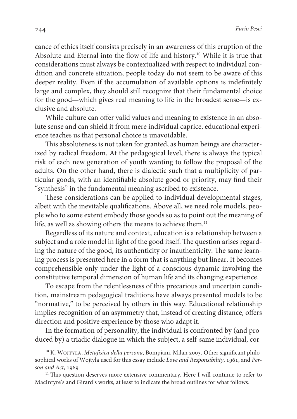cance of ethics itself consists precisely in an awareness of this eruption of the Absolute and Eternal into the flow of life and history.<sup>10</sup> While it is true that considerations must always be contextualized with respect to individual condition and concrete situation, people today do not seem to be aware of this deeper reality. Even if the accumulation of available options is indefinitely large and complex, they should still recognize that their fundamental choice for the good—which gives real meaning to life in the broadest sense—is exclusive and absolute.

While culture can offer valid values and meaning to existence in an absolute sense and can shield it from mere individual caprice, educational experience teaches us that personal choice is unavoidable.

This absoluteness is not taken for granted, as human beings are characterized by radical freedom. At the pedagogical level, there is always the typical risk of each new generation of youth wanting to follow the proposal of the adults. On the other hand, there is dialectic such that a multiplicity of particular goods, with an identifiable absolute good or priority, may find their "synthesis" in the fundamental meaning ascribed to existence.

These considerations can be applied to individual developmental stages, albeit with the inevitable qualifications. Above all, we need role models, people who to some extent embody those goods so as to point out the meaning of life, as well as showing others the means to achieve them.<sup>11</sup>

Regardless of its nature and context, education is a relationship between a subject and a role model in light of the good itself. The question arises regarding the nature of the good, its authenticity or inauthenticity. The same learning process is presented here in a form that is anything but linear. It becomes comprehensible only under the light of a conscious dynamic involving the constitutive temporal dimension of human life and its changing experience.

To escape from the relentlessness of this precarious and uncertain condition, mainstream pedagogical traditions have always presented models to be "normative," to be perceived by others in this way. Educational relationship implies recognition of an asymmetry that, instead of creating distance, offers direction and positive experience by those who adapt it.

In the formation of personality, the individual is confronted by (and produced by) a triadic dialogue in which the subject, a self-same individual, cor-

 $10$  K. WOJTYLA, Metafisica della persona, Bompiani, Milan 2003. Other significant philosophical works of Wojtyla used for this essay include Love and Responsibility, 1961, and Person and Act, 1969.

 $11$  This question deserves more extensive commentary. Here I will continue to refer to MacIntyre's and Girard's works, at least to indicate the broad outlines for what follows.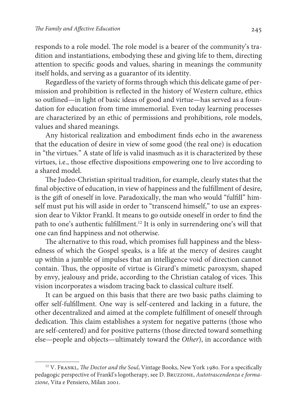responds to a role model. The role model is a bearer of the community's tradition and instantiations, embodying these and giving life to them, directing attention to specific goods and values, sharing in meanings the community itself holds, and serving as a guarantor of its identity.

Regardless of the variety of forms through which this delicate game of permission and prohibition is reflected in the history of Western culture, ethics so outlined—in light of basic ideas of good and virtue—has served as a foundation for education from time immemorial. Even today learning processes are characterized by an ethic of permissions and prohibitions, role models, values and shared meanings.

Any historical realization and embodiment finds echo in the awareness that the education of desire in view of some good (the real one) is education in "the virtues." A state of life is valid inasmuch as it is characterized by these virtues, i.e., those effective dispositions empowering one to live according to a shared model.

The Judeo-Christian spiritual tradition, for example, clearly states that the final objective of education, in view of happiness and the fulfillment of desire, is the gift of oneself in love. Paradoxically, the man who would "fulfill" himself must put his will aside in order to "transcend himself," to use an expression dear to Viktor Frankl. It means to go outside oneself in order to find the path to one's authentic fulfillment.<sup>12</sup> It is only in surrendering one's will that one can find happiness and not otherwise.

The alternative to this road, which promises full happiness and the blessedness of which the Gospel speaks, is a life at the mercy of desires caught up within a jumble of impulses that an intelligence void of direction cannot contain. Thus, the opposite of virtue is Girard's mimetic paroxysm, shaped by envy, jealousy and pride, according to the Christian catalog of vices. This vision incorporates a wisdom tracing back to classical culture itself.

It can be argued on this basis that there are two basic paths claiming to offer self-fulfillment. One way is self-centered and lacking in a future, the other decentralized and aimed at the complete fulfillment of oneself through dedication. This claim establishes a system for negative patterns (those who are self-centered) and for positive patterns (those directed toward something else—people and objects—ultimately toward the Other), in accordance with

<sup>&</sup>lt;sup>12</sup> V. FRANKL, *The Doctor and the Soul*, Vintage Books, New York 1980. For a specifically pedagogic perspective of Frankl's logotherapy, see D. Bruzzone, Autotrascendenza e formazione, Vita e Pensiero, Milan 2001.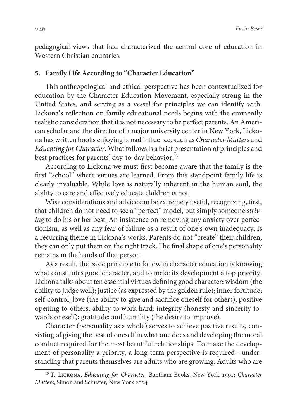pedagogical views that had characterized the central core of education in Western Christian countries.

## **5. Family Life According to "Character Education"**

This anthropological and ethical perspective has been contextualized for education by the Character Education Movement, especially strong in the United States, and serving as a vessel for principles we can identify with. Lickona's reflection on family educational needs begins with the eminently realistic consideration that it is not necessary to be perfect parents. An American scholar and the director of a major university center in New York, Lickona has written books enjoying broad influence, such as Character Matters and Educating for Character. What follows is a brief presentation of principles and best practices for parents' day-to-day behavior.<sup>13</sup>

According to Lickona we must first become aware that the family is the first "school" where virtues are learned. From this standpoint family life is clearly invaluable. While love is naturally inherent in the human soul, the ability to care and effectively educate children is not.

Wise considerations and advice can be extremely useful, recognizing, first, that children do not need to see a "perfect" model, but simply someone striving to do his or her best. An insistence on removing any anxiety over perfectionism, as well as any fear of failure as a result of one's own inadequacy, is a recurring theme in Lickona's works. Parents do not "create" their children, they can only put them on the right track. The final shape of one's personality remains in the hands of that person.

As a result, the basic principle to follow in character education is knowing what constitutes good character, and to make its development a top priority. Lickona talks about ten essential virtues defining good character**:** wisdom (the ability to judge well); justice (as expressed by the golden rule); inner fortitude; self-control; love (the ability to give and sacrifice oneself for others); positive opening to others; ability to work hard; integrity (honesty and sincerity towards oneself); gratitude; and humility (the desire to improve).

Character (personality as a whole) serves to achieve positive results, consisting of giving the best of oneself in what one does and developing the moral conduct required for the most beautiful relationships. To make the development of personality a priority, a long-term perspective is required—understanding that parents themselves are adults who are growing. Adults who are

<sup>&</sup>lt;sup>13</sup> T. LICKONA, Educating for Character, Bantham Books, New York 1991; Character Matters, Simon and Schuster, New York 2004.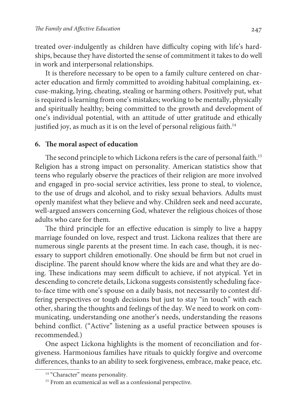treated over-indulgently as children have difficulty coping with life's hardships, because they have distorted the sense of commitment it takes to do well in work and interpersonal relationships.

It is therefore necessary to be open to a family culture centered on character education and firmly committed to avoiding habitual complaining, excuse-making, lying, cheating, stealing or harming others. Positively put, what is required is learning from one's mistakes; working to be mentally, physically and spiritually healthy; being committed to the growth and development of one's individual potential, with an attitude of utter gratitude and ethically justified joy, as much as it is on the level of personal religious faith.<sup>14</sup>

#### **6. The moral aspect of education**

The second principle to which Lickona refers is the care of personal faith.<sup>15</sup> Religion has a strong impact on personality. American statistics show that teens who regularly observe the practices of their religion are more involved and engaged in pro-social service activities, less prone to steal, to violence, to the use of drugs and alcohol, and to risky sexual behaviors. Adults must openly manifest what they believe and why. Children seek and need accurate, well-argued answers concerning God, whatever the religious choices of those adults who care for them.

The third principle for an effective education is simply to live a happy marriage founded on love, respect and trust. Lickona realizes that there are numerous single parents at the present time. In each case, though, it is necessary to support children emotionally. One should be firm but not cruel in discipline. The parent should know where the kids are and what they are doing. These indications may seem difficult to achieve, if not atypical. Yet in descending to concrete details, Lickona suggests consistently scheduling faceto-face time with one's spouse on a daily basis, not necessarily to contest differing perspectives or tough decisions but just to stay "in touch" with each other, sharing the thoughts and feelings of the day. We need to work on communicating, understanding one another's needs, understanding the reasons behind conflict. ("Active" listening as a useful practice between spouses is recommended.)

One aspect Lickona highlights is the moment of reconciliation and forgiveness. Harmonious families have rituals to quickly forgive and overcome differences, thanks to an ability to seek forgiveness, embrace, make peace, etc.

<sup>&</sup>lt;sup>14</sup> "Character" means personality.

<sup>&</sup>lt;sup>15</sup> From an ecumenical as well as a confessional perspective.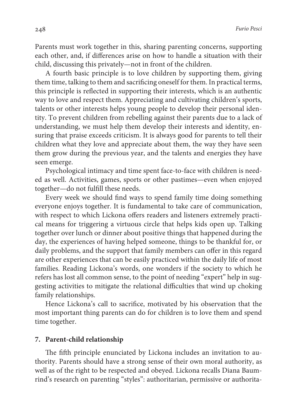Parents must work together in this, sharing parenting concerns, supporting each other, and, if differences arise on how to handle a situation with their child, discussing this privately—not in front of the children.

A fourth basic principle is to love children by supporting them, giving them time, talking to them and sacrificing oneself for them. In practical terms, this principle is reflected in supporting their interests, which is an authentic way to love and respect them. Appreciating and cultivating children's sports, talents or other interests helps young people to develop their personal identity. To prevent children from rebelling against their parents due to a lack of understanding, we must help them develop their interests and identity, ensuring that praise exceeds criticism. It is always good for parents to tell their children what they love and appreciate about them, the way they have seen them grow during the previous year, and the talents and energies they have seen emerge.

Psychological intimacy and time spent face-to-face with children is needed as well. Activities, games, sports or other pastimes—even when enjoyed together—do not fulfill these needs.

Every week we should find ways to spend family time doing something everyone enjoys together. It is fundamental to take care of communication, with respect to which Lickona offers readers and listeners extremely practical means for triggering a virtuous circle that helps kids open up. Talking together over lunch or dinner about positive things that happened during the day, the experiences of having helped someone, things to be thankful for, or daily problems, and the support that family members can offer in this regard are other experiences that can be easily practiced within the daily life of most families. Reading Lickona's words, one wonders if the society to which he refers has lost all common sense, to the point of needing "expert" help in suggesting activities to mitigate the relational difficulties that wind up choking family relationships.

Hence Lickona's call to sacrifice, motivated by his observation that the most important thing parents can do for children is to love them and spend time together.

#### **7. Parent-child relationship**

The fifth principle enunciated by Lickona includes an invitation to authority. Parents should have a strong sense of their own moral authority, as well as of the right to be respected and obeyed. Lickona recalls Diana Baumrind's research on parenting "styles": authoritarian, permissive or authorita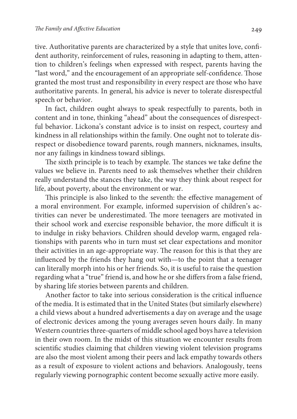tive. Authoritative parents are characterized by a style that unites love, confident authority, reinforcement of rules, reasoning in adapting to them, attention to children's feelings when expressed with respect, parents having the "last word," and the encouragement of an appropriate self-confidence. Those granted the most trust and responsibility in every respect are those who have authoritative parents. In general, his advice is never to tolerate disrespectful speech or behavior.

In fact, children ought always to speak respectfully to parents, both in content and in tone, thinking "ahead" about the consequences of disrespectful behavior. Lickona's constant advice is to insist on respect, courtesy and kindness in all relationships within the family. One ought not to tolerate disrespect or disobedience toward parents, rough manners, nicknames, insults, nor any failings in kindness toward siblings.

The sixth principle is to teach by example. The stances we take define the values we believe in. Parents need to ask themselves whether their children really understand the stances they take, the way they think about respect for life, about poverty, about the environment or war.

This principle is also linked to the seventh: the effective management of a moral environment. For example, informed supervision of children's activities can never be underestimated. The more teenagers are motivated in their school work and exercise responsible behavior, the more difficult it is to indulge in risky behaviors. Children should develop warm, engaged relationships with parents who in turn must set clear expectations and monitor their activities in an age-appropriate way. The reason for this is that they are influenced by the friends they hang out with—to the point that a teenager can literally morph into his or her friends. So, it is useful to raise the question regarding what a "true" friend is, and how he or she differs from a false friend, by sharing life stories between parents and children.

Another factor to take into serious consideration is the critical influence of the media. It is estimated that in the United States (but similarly elsewhere) a child views about a hundred advertisements a day on average and the usage of electronic devices among the young averages seven hours daily. In many Western countries three-quarters of middle school aged boys have a television in their own room. In the midst of this situation we encounter results from scientific studies claiming that children viewing violent television programs are also the most violent among their peers and lack empathy towards others as a result of exposure to violent actions and behaviors. Analogously, teens regularly viewing pornographic content become sexually active more easily.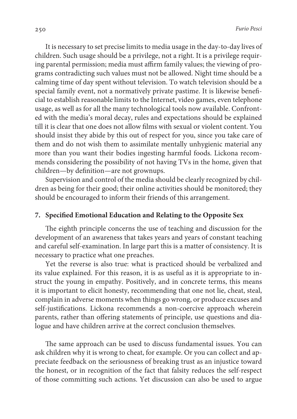It is necessary to set precise limits to media usage in the day-to-day lives of children. Such usage should be a privilege, not a right. It is a privilege requiring parental permission; media must affirm family values; the viewing of programs contradicting such values must not be allowed. Night time should be a calming time of day spent without television. To watch television should be a special family event, not a normatively private pastime. It is likewise beneficial to establish reasonable limits to the Internet, video games, even telephone usage, as well as for all the many technological tools now available. Confronted with the media's moral decay, rules and expectations should be explained till it is clear that one does not allow films with sexual or violent content. You should insist they abide by this out of respect for you, since you take care of them and do not wish them to assimilate mentally unhygienic material any more than you want their bodies ingesting harmful foods. Lickona recommends considering the possibility of not having TVs in the home, given that children—by definition—are not grownups.

Supervision and control of the media should be clearly recognized by children as being for their good; their online activities should be monitored; they should be encouraged to inform their friends of this arrangement.

#### **7. Specified Emotional Education and Relating to the Opposite Sex**

The eighth principle concerns the use of teaching and discussion for the development of an awareness that takes years and years of constant teaching and careful self-examination. In large part this is a matter of consistency. It is necessary to practice what one preaches.

Yet the reverse is also true: what is practiced should be verbalized and its value explained. For this reason, it is as useful as it is appropriate to instruct the young in empathy. Positively, and in concrete terms, this means it is important to elicit honesty, recommending that one not lie, cheat, steal, complain in adverse moments when things go wrong, or produce excuses and self-justifications. Lickona recommends a non-coercive approach wherein parents, rather than offering statements of principle, use questions and dialogue and have children arrive at the correct conclusion themselves.

The same approach can be used to discuss fundamental issues. You can ask children why it is wrong to cheat, for example. Or you can collect and appreciate feedback on the seriousness of breaking trust as an injustice toward the honest, or in recognition of the fact that falsity reduces the self-respect of those committing such actions. Yet discussion can also be used to argue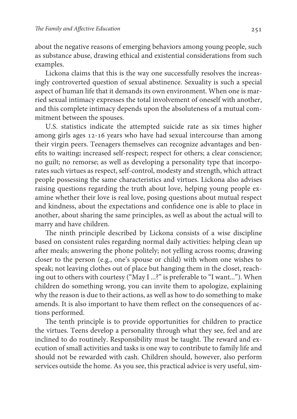about the negative reasons of emerging behaviors among young people, such as substance abuse, drawing ethical and existential considerations from such examples.

Lickona claims that this is the way one successfully resolves the increasingly controverted question of sexual abstinence. Sexuality is such a special aspect of human life that it demands its own environment. When one is married sexual intimacy expresses the total involvement of oneself with another, and this complete intimacy depends upon the absoluteness of a mutual commitment between the spouses.

U.S. statistics indicate the attempted suicide rate as six times higher among girls ages 12-16 years who have had sexual intercourse than among their virgin peers. Teenagers themselves can recognize advantages and benefits to waiting**:** increased self-respect; respect for others; a clear conscience; no guilt; no remorse; as well as developing a personality type that incorporates such virtues as respect, self-control, modesty and strength, which attract people possessing the same characteristics and virtues. Lickona also advises raising questions regarding the truth about love, helping young people examine whether their love is real love, posing questions about mutual respect and kindness, about the expectations and confidence one is able to place in another, about sharing the same principles, as well as about the actual will to marry and have children.

The ninth principle described by Lickona consists of a wise discipline based on consistent rules regarding normal daily activities: helping clean up after meals; answering the phone politely; not yelling across rooms; drawing closer to the person (e.g., one's spouse or child) with whom one wishes to speak; not leaving clothes out of place but hanging them in the closet, reaching out to others with courtesy ("May I ...?" is preferable to "I want..."). When children do something wrong, you can invite them to apologize, explaining why the reason is due to their actions, as well as how to do something to make amends. It is also important to have them reflect on the consequences of actions performed.

The tenth principle is to provide opportunities for children to practice the virtues. Teens develop a personality through what they see, feel and are inclined to do routinely. Responsibility must be taught. The reward and execution of small activities and tasks is one way to contribute to family life and should not be rewarded with cash. Children should, however, also perform services outside the home. As you see, this practical advice is very useful, sim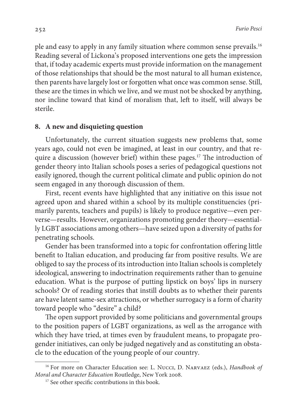ple and easy to apply in any family situation where common sense prevails.<sup>16</sup> Reading several of Lickona's proposed interventions one gets the impression that, if today academic experts must provide information on the management of those relationships that should be the most natural to all human existence, then parents have largely lost or forgotten what once was common sense. Still, these are the times in which we live, and we must not be shocked by anything, nor incline toward that kind of moralism that, left to itself, will always be sterile.

#### **8. A new and disquieting question**

Unfortunately, the current situation suggests new problems that, some years ago, could not even be imagined, at least in our country, and that require a discussion (however brief) within these pages.<sup>17</sup> The introduction of gender theory into Italian schools poses a series of pedagogical questions not easily ignored, though the current political climate and public opinion do not seem engaged in any thorough discussion of them.

First, recent events have highlighted that any initiative on this issue not agreed upon and shared within a school by its multiple constituencies (primarily parents, teachers and pupils) is likely to produce negative—even perverse—results. However, organizations promoting gender theory—essentially LGBT associations among others—have seized upon a diversity of paths for penetrating schools.

Gender has been transformed into a topic for confrontation offering little benefit to Italian education, and producing far from positive results. We are obliged to say the process of its introduction into Italian schools is completely ideological, answering to indoctrination requirements rather than to genuine education. What is the purpose of putting lipstick on boys' lips in nursery schools? Or of reading stories that instill doubts as to whether their parents are have latent same-sex attractions, or whether surrogacy is a form of charity toward people who "desire" a child?

The open support provided by some politicians and governmental groups to the position papers of LGBT organizations, as well as the arrogance with which they have tried, at times even by fraudulent means, to propagate progender initiatives, can only be judged negatively and as constituting an obstacle to the education of the young people of our country.

<sup>&</sup>lt;sup>16</sup> For more on Character Education see: L. Nucci, D. NARVAEZ (eds.), Handbook of Moral and Character Education Routledge, New York 2008.

<sup>&</sup>lt;sup>17</sup> See other specific contributions in this book.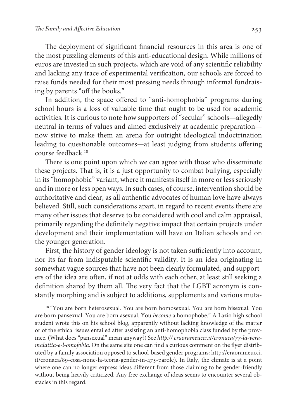The deployment of significant financial resources in this area is one of the most puzzling elements of this anti-educational design. While millions of euros are invested in such projects, which are void of any scientific reliability and lacking any trace of experimental verification, our schools are forced to raise funds needed for their most pressing needs through informal fundraising by parents "off the books."

In addition, the space offered to "anti-homophobia" programs during school hours is a loss of valuable time that ought to be used for academic activities. It is curious to note how supporters of "secular" schools—allegedly neutral in terms of values and aimed exclusively at academic preparation now strive to make them an arena for outright ideological indoctrination leading to questionable outcomes—at least judging from students offering course feedback.<sup>18</sup>

There is one point upon which we can agree with those who disseminate these projects. That is, it is a just opportunity to combat bullying, especially in its "homophobic" variant, where it manifests itself in more or less seriously and in more or less open ways. In such cases, of course, intervention should be authoritative and clear, as all authentic advocates of human love have always believed. Still, such considerations apart, in regard to recent events there are many other issues that deserve to be considered with cool and calm appraisal, primarily regarding the definitely negative impact that certain projects under development and their implementation will have on Italian schools and on the younger generation.

First, the history of gender ideology is not taken sufficiently into account, nor its far from indisputable scientific validity. It is an idea originating in somewhat vague sources that have not been clearly formulated, and supporters of the idea are often, if not at odds with each other, at least still seeking a definition shared by them all. The very fact that the LGBT acronym is constantly morphing and is subject to additions, supplements and various muta-

<sup>&</sup>lt;sup>18</sup> "You are born heterosexual. You are born homosexual. You are born bisexual. You are born pansexual. You are born asexual. You become a homophobe." A Lazio high school student wrote this on his school blog, apparently without lacking knowledge of the matter or of the ethical issues entailed after assisting an anti-homophobia class funded by the province. (What does "pansexual" mean anyway?) See http:// eraorameucci.it/cronaca/77-la-veramalattia-e-l-omofobia. On the same site one can find a curious comment on the flyer distributed by a family association opposed to school-based gender programs: http://eraorameucci. it/cronaca/89-cosa-none-la-teoria-gender-in-475-parole). In Italy, the climate is at a point where one can no longer express ideas different from those claiming to be gender-friendly without being heavily criticized. Any free exchange of ideas seems to encounter several obstacles in this regard.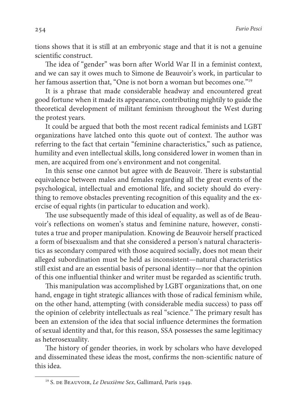tions shows that it is still at an embryonic stage and that it is not a genuine scientific construct.

The idea of "gender" was born after World War II in a feminist context, and we can say it owes much to Simone de Beauvoir's work, in particular to her famous assertion that, "One is not born a woman but becomes one."<sup>19</sup>

It is a phrase that made considerable headway and encountered great good fortune when it made its appearance, contributing mightily to guide the theoretical development of militant feminism throughout the West during the protest years.

It could be argued that both the most recent radical feminists and LGBT organizations have latched onto this quote out of context. The author was referring to the fact that certain "feminine characteristics," such as patience, humility and even intellectual skills, long considered lower in women than in men, are acquired from one's environment and not congenital.

In this sense one cannot but agree with de Beauvoir. There is substantial equivalence between males and females regarding all the great events of the psychological, intellectual and emotional life, and society should do everything to remove obstacles preventing recognition of this equality and the exercise of equal rights (in particular to education and work).

The use subsequently made of this ideal of equality, as well as of de Beauvoir's reflections on women's status and feminine nature, however, constitutes a true and proper manipulation. Knowing de Beauvoir herself practiced a form of bisexualism and that she considered a person's natural characteristics as secondary compared with those acquired socially, does not mean their alleged subordination must be held as inconsistent—natural characteristics still exist and are an essential basis of personal identity—nor that the opinion of this one influential thinker and writer must be regarded as scientific truth.

This manipulation was accomplished by LGBT organizations that, on one hand, engage in tight strategic alliances with those of radical feminism while, on the other hand, attempting (with considerable media success) to pass off the opinion of celebrity intellectuals as real "science." The primary result has been an extension of the idea that social influence determines the formation of sexual identity and that, for this reason, SSA possesses the same legitimacy as heterosexuality.

The history of gender theories, in work by scholars who have developed and disseminated these ideas the most, confirms the non-scientific nature of this idea.

<sup>&</sup>lt;sup>19</sup> S. DE BEAUVOIR, Le Deuxième Sex, Gallimard, Paris 1949.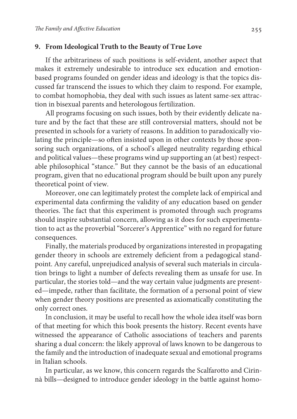## **9. From Ideological Truth to the Beauty of True Love**

If the arbitrariness of such positions is self-evident, another aspect that makes it extremely undesirable to introduce sex education and emotionbased programs founded on gender ideas and ideology is that the topics discussed far transcend the issues to which they claim to respond. For example, to combat homophobia, they deal with such issues as latent same-sex attraction in bisexual parents and heterologous fertilization.

All programs focusing on such issues, both by their evidently delicate nature and by the fact that these are still controversial matters, should not be presented in schools for a variety of reasons. In addition to paradoxically violating the principle—so often insisted upon in other contexts by those sponsoring such organizations, of a school's alleged neutrality regarding ethical and political values—these programs wind up supporting an (at best) respectable philosophical "stance." But they cannot be the basis of an educational program, given that no educational program should be built upon any purely theoretical point of view.

Moreover, one can legitimately protest the complete lack of empirical and experimental data confirming the validity of any education based on gender theories. The fact that this experiment is promoted through such programs should inspire substantial concern, allowing as it does for such experimentation to act as the proverbial "Sorcerer's Apprentice" with no regard for future consequences.

Finally, the materials produced by organizations interested in propagating gender theory in schools are extremely deficient from a pedagogical standpoint. Any careful, unprejudiced analysis of several such materials in circulation brings to light a number of defects revealing them as unsafe for use. In particular, the stories told—and the way certain value judgments are presented—impede, rather than facilitate, the formation of a personal point of view when gender theory positions are presented as axiomatically constituting the only correct ones.

In conclusion, it may be useful to recall how the whole idea itself was born of that meeting for which this book presents the history. Recent events have witnessed the appearance of Catholic associations of teachers and parents sharing a dual concern: the likely approval of laws known to be dangerous to the family and the introduction of inadequate sexual and emotional programs in Italian schools.

In particular, as we know, this concern regards the Scalfarotto and Cirinnà bills—designed to introduce gender ideology in the battle against homo-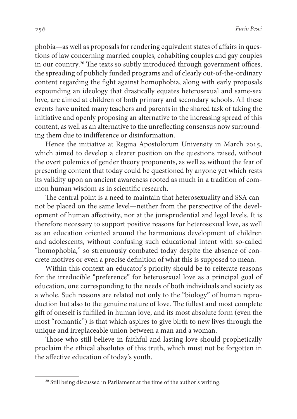phobia—as well as proposals for rendering equivalent states of affairs in questions of law concerning married couples, cohabiting couples and gay couples in our country.<sup>20</sup> The texts so subtly introduced through government offices, the spreading of publicly funded programs and of clearly out-of-the-ordinary content regarding the fight against homophobia, along with early proposals expounding an ideology that drastically equates heterosexual and same-sex love, are aimed at children of both primary and secondary schools. All these events have united many teachers and parents in the shared task of taking the initiative and openly proposing an alternative to the increasing spread of this content, as well as an alternative to the unreflecting consensus now surrounding them due to indifference or disinformation.

Hence the initiative at Regina Apostolorum University in March 2015, which aimed to develop a clearer position on the questions raised, without the overt polemics of gender theory proponents, as well as without the fear of presenting content that today could be questioned by anyone yet which rests its validity upon an ancient awareness rooted as much in a tradition of common human wisdom as in scientific research.

The central point is a need to maintain that heterosexuality and SSA cannot be placed on the same level—neither from the perspective of the development of human affectivity, nor at the jurisprudential and legal levels. It is therefore necessary to support positive reasons for heterosexual love, as well as an education oriented around the harmonious development of children and adolescents, without confusing such educational intent with so-called "homophobia," so strenuously combated today despite the absence of concrete motives or even a precise definition of what this is supposed to mean.

Within this context an educator's priority should be to reiterate reasons for the irreducible "preference" for heterosexual love as a principal goal of education, one corresponding to the needs of both individuals and society as a whole. Such reasons are related not only to the "biology" of human reproduction but also to the genuine nature of love. The fullest and most complete gift of oneself is fulfilled in human love, and its most absolute form (even the most "romantic") is that which aspires to give birth to new lives through the unique and irreplaceable union between a man and a woman.

Those who still believe in faithful and lasting love should prophetically proclaim the ethical absolutes of this truth, which must not be forgotten in the affective education of today's youth.

<sup>&</sup>lt;sup>20</sup> Still being discussed in Parliament at the time of the author's writing.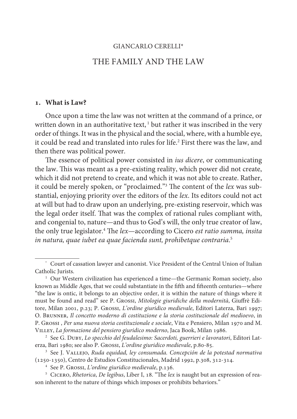# GIANCARLO CERELLI\* THE FAMILY AND THE LAW

#### **. What is Law?**

Once upon a time the law was not written at the command of a prince, or written down in an authoritative text, $<sup>1</sup>$  but rather it was inscribed in the very</sup> order of things. It was in the physical and the social, where, with a humble eye, it could be read and translated into rules for life.<sup>2</sup> First there was the law, and then there was political power.

The essence of political power consisted in *ius dicere*, or communicating the law. This was meant as a pre-existing reality, which power did not create, which it did not pretend to create, and which it was not able to create. Rather, it could be merely spoken, or "proclaimed."<sup>3</sup> The content of the *lex* was substantial, enjoying priority over the editors of the lex. Its editors could not act at will but had to draw upon an underlying, pre-existing reservoir, which was the legal order itself. That was the complex of rational rules compliant with, and congenial to, nature—and thus to God's will, the only true creator of law, the only true legislator.<sup>4</sup> The *lex*—according to Cicero *est ratio summa, insita* in natura, quae iubet ea quae facienda sunt, prohibetque contraria. 5

<sup>\*</sup> Court of cassation lawyer and canonist. Vice President of the Central Union of Italian Catholic Jurists.

<sup>&</sup>lt;sup>1</sup> Our Western civilization has experienced a time—the Germanic Roman society, also known as Middle Ages, that we could substantiate in the fifth and fifteenth centuries—where "the law is ontic, it belongs to an objective order, it is within the nature of things where it must be found and read" see P. Grossi, Mitologie giuridiche della modernità, Giuffrè Editore, Milan 2001, p.23; P. Grossi, L'ordine giuridico medievale, Editori Laterza, Bari 1997; O. Brunner, Il concetto moderno di costituzione e la storia costituzionale del medioevo, in P. Grossi , Per una nuova storia costituzionale e sociale, Vita e Pensiero, Milan 1970 and M. Villey, La formazione del pensiero giuridico moderno, Jaca Book, Milan 1986.

 $^{\rm 2} \,$  See G. Duby, Lo specchio del feudalesimo: Sacerdoti, guerrieri e lavoratori, Editori Laterza, Bari 1980; see also P. Grossi, L'ordine giuridico medievale, p.80-85.

 $^{\rm 3}$  See J. Vallejo, Ruda equidad, ley consumada. Concepción de la potestad normativa (1250-1350), Centro de Estudios Constitucionales, Madrid 1992, p.308, 312-314.

<sup>4</sup> See P. Grossi, L'ordine giuridico medievale, p.136.

<sup>&</sup>lt;sup>5</sup> CICERO, *Rhetorica*, *De legibus*, Liber I, 18. "The lex is naught but an expression of reason inherent to the nature of things which imposes or prohibits behaviors."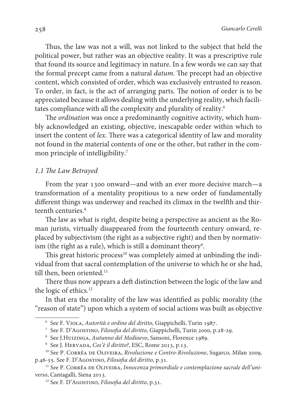Thus, the law was not a will, was not linked to the subject that held the political power, but rather was an objective reality. It was a prescriptive rule that found its source and legitimacy in nature. In a few words we can say that the formal precept came from a natural datum. The precept had an objective content, which consisted of order, which was exclusively entrusted to reason. To order, in fact, is the act of arranging parts. The notion of order is to be appreciated because it allows dealing with the underlying reality, which facilitates compliance with all the complexity and plurality of reality.<sup>6</sup>

The ordination was once a predominantly cognitive activity, which humbly acknowledged an existing, objective, inescapable order within which to insert the content of lex. There was a categorical identity of law and morality not found in the material contents of one or the other, but rather in the common principle of intelligibility.<sup>7</sup>

#### 1.1 The Law Betrayed

From the year 1300 onward—and with an ever more decisive march—a transformation of a mentality propitious to a new order of fundamentally different things was underway and reached its climax in the twelfth and thirteenth centuries.<sup>8</sup>

The law as what is right, despite being a perspective as ancient as the Roman jurists, virtually disappeared from the fourteenth century onward, replaced by subjectivism (the right as a subjective right) and then by normativism (the right as a rule), which is still a dominant theory<sup>9</sup>.

This great historic process<sup>10</sup> was completely aimed at unbinding the individual from that sacral contemplation of the universe to which he or she had, till then, been oriented.<sup>11</sup>

There thus now appears a deft distinction between the logic of the law and the logic of ethics.<sup>12</sup>

In that era the morality of the law was identified as public morality (the "reason of state") upon which a system of social actions was built as objective

<sup>&</sup>lt;sup>6</sup> See F. VIOLA, Autorità e ordine del diritto, Giappichelli, Turin 1987.

<sup>&</sup>lt;sup>7</sup> See F. D'AGOSTINO, *Filosofia del diritto*, Giappichelli, Turin 2000, p.28-29.

<sup>8</sup> See J.Huizinga, Autunno del Medioevo, Sansoni, Florence 1989.

<sup>&</sup>lt;sup>9</sup> See J. HERVADA, Cos'è il diritto?, ESC, Rome 2013, p.13.

<sup>&</sup>lt;sup>10</sup> See P. CORRÊA DE OLIVEIRA, Rivoluzione e Contro-Rivoluzione, Sugarco, Milan 2009, p.46-55. See F. D'Agostino, Filosofia del diritto, p.31.

 $11$  See P. CORRÊA DE OLIVEIRA, Innocenza primordiale e contemplazione sacrale dell'universo, Cantagalli, Siena 2013.

<sup>&</sup>lt;sup>12</sup> See F. D'AGOSTINO, Filosofia del diritto, p.31.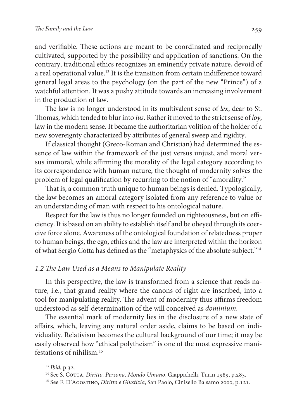and verifiable. These actions are meant to be coordinated and reciprocally cultivated, supported by the possibility and application of sanctions. On the contrary, traditional ethics recognizes an eminently private nature, devoid of a real operational value.<sup>13</sup> It is the transition from certain indifference toward general legal areas to the psychology (on the part of the new "Prince") of a watchful attention. It was a pushy attitude towards an increasing involvement in the production of law.

The law is no longer understood in its multivalent sense of lex, dear to St. Thomas, which tended to blur into *ius*. Rather it moved to the strict sense of loy, law in the modern sense. It became the authoritarian volition of the holder of a new sovereignty characterized by attributes of general sweep and rigidity.

If classical thought (Greco-Roman and Christian) had determined the essence of law within the framework of the just versus unjust, and moral versus immoral, while affirming the morality of the legal category according to its correspondence with human nature, the thought of modernity solves the problem of legal qualification by recurring to the notion of "amorality."

That is, a common truth unique to human beings is denied. Typologically, the law becomes an amoral category isolated from any reference to value or an understanding of man with respect to his ontological nature.

Respect for the law is thus no longer founded on righteousness, but on efficiency. It is based on an ability to establish itself and be obeyed through its coercive force alone. Awareness of the ontological foundation of relatedness proper to human beings, the ego, ethics and the law are interpreted within the horizon of what Sergio Cotta has defined as the "metaphysics of the absolute subject."<sup>14</sup>

#### 1.2 The Law Used as a Means to Manipulate Reality

In this perspective, the law is transformed from a science that reads nature, i.e., that grand reality where the canons of right are inscribed, into a tool for manipulating reality. The advent of modernity thus affirms freedom understood as self-determination of the will conceived as dominium.

The essential mark of modernity lies in the disclosure of a new state of affairs, which, leaving any natural order aside, claims to be based on individuality. Relativism becomes the cultural background of our time; it may be easily observed how "ethical polytheism" is one of the most expressive manifestations of nihilism.<sup>15</sup>

<sup>13</sup> Ibid, p.32.

<sup>&</sup>lt;sup>14</sup> See S. COTTA, Diritto, Persona, Mondo Umano, Giappichelli, Turin 1989, p.283.

<sup>&</sup>lt;sup>15</sup> See F. D'AGOSTINO, Diritto e Giustizia, San Paolo, Cinisello Balsamo 2000, p.121.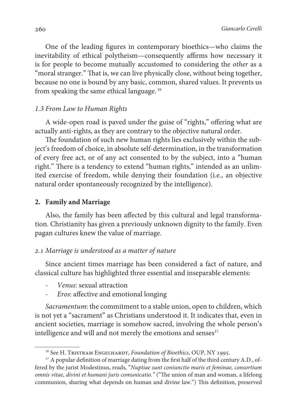One of the leading figures in contemporary bioethics—who claims the inevitability of ethical polytheism—consequently affirms how necessary it is for people to become mutually accustomed to considering the other as a "moral stranger." That is, we can live physically close, without being together, because no one is bound by any basic, common, shared values. It prevents us from speaking the same ethical language.<sup>16</sup>

## 1.3 From Law to Human Rights

A wide-open road is paved under the guise of "rights," offering what are actually anti-rights, as they are contrary to the objective natural order.

The foundation of such new human rights lies exclusively within the subject's freedom of choice, in absolute self-determination, in the transformation of every free act, or of any act consented to by the subject, into a "human right." There is a tendency to extend "human rights," intended as an unlimited exercise of freedom, while denying their foundation (i.e., an objective natural order spontaneously recognized by the intelligence).

#### **2. Family and Marriage**

Also, the family has been affected by this cultural and legal transformation. Christianity has given a previously unknown dignity to the family. Even pagan cultures knew the value of marriage.

#### 2.1 Marriage is understood as a matter of nature

Since ancient times marriage has been considered a fact of nature, and classical culture has highlighted three essential and inseparable elements:

- Venus: sexual attraction
- Eros: affective and emotional longing

Sacramentum: the commitment to a stable union, open to children, which is not yet a "sacrament" as Christians understood it. It indicates that, even in ancient societies, marriage is somehow sacred, involving the whole person's intelligence and will and not merely the emotions and senses<sup>17</sup>

<sup>&</sup>lt;sup>16</sup> See H. TRISTRAM ENGELHARDT, Foundation of Bioethics, OUP, NY 1995.

 $17$  A popular definition of marriage dating from the first half of the third century A.D., offered by the jurist Modestinus, reads, "Nuptiae sunt coniunctio maris et feminae, consortium omnis vitae, divini et humani juris comunicatio." ("The union of man and woman, a lifelong communion, sharing what depends on human and divine law.") This definition, preserved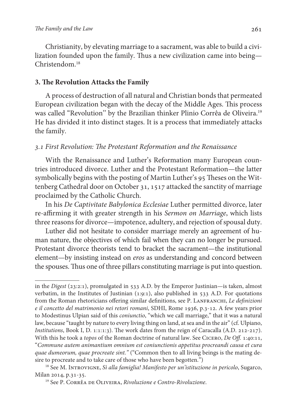Christianity, by elevating marriage to a sacrament, was able to build a civilization founded upon the family. Thus a new civilization came into being— Christendom.<sup>18</sup>

#### **3. The Revolution Attacks the Family**

A process of destruction of all natural and Christian bonds that permeated European civilization began with the decay of the Middle Ages. This process was called "Revolution'' by the Brazilian thinker Plinio Corrêa de Oliveira.<sup>19</sup> He has divided it into distinct stages. It is a process that immediately attacks the family.

## 3.1 First Revolution: The Protestant Reformation and the Renaissance

With the Renaissance and Luther's Reformation many European countries introduced divorce. Luther and the Protestant Reformation—the latter symbolically begins with the posting of Martin Luther's 95 Theses on the Wittenberg Cathedral door on October 31, 1517 attacked the sanctity of marriage proclaimed by the Catholic Church.

In his De Captivitate Babylonica Ecclesiae Luther permitted divorce, later re-affirming it with greater strength in his Sermon on Marriage, which lists three reasons for divorce—impotence, adultery, and rejection of spousal duty.

Luther did not hesitate to consider marriage merely an agreement of human nature, the objectives of which fail when they can no longer be pursued. Protestant divorce theorists tend to bracket the sacrament—the institutional element—by insisting instead on eros as understanding and concord between the spouses. Thus one of three pillars constituting marriage is put into question.

in the *Digest* ( $23:2:1$ ), promulgated in  $533$  A.D. by the Emperor Justinian—is taken, almost verbatim, in the Institutes of Justinian (1:9:1), also published in 533 A.D. For quotations from the Roman rhetoricians offering similar definitions, see P. LANFRANCHI, Le definizioni e il concetto del matrimonio nei retori romani, SDHI, Rome 1936, p.3-12. A few years prior to Modestinus Ulpian said of this *coniunctio*, "which we call marriage," that it was a natural law, because "taught by nature to every living thing on land, at sea and in the air" (cf. Ulpiano, Institutions, Book I, D. 1:1:1:3). The work dates from the reign of Caracalla (A.D. 212-217). With this he took a *topos* of the Roman doctrine of natural law. See CICERO, De Off. 1:40:11, "Commune autem animantium omnium est coniunctionis appetitus procreandi causa et cura quae dumeorum, quae procreate sint." ("Common then to all living beings is the mating desire to procreate and to take care of those who have been begotten.")

 $18$  See M. INTROVIGNE, Sì alla famiglia! Manifesto per un'istituzione in pericolo, Sugarco, Milan 2014, p.31-35.

<sup>&</sup>lt;sup>19</sup> See P. CORRÊA DE OLIVEIRA, Rivoluzione e Contro-Rivoluzione.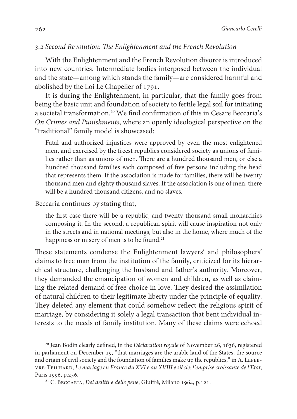## 3.2 Second Revolution: The Enlightenment and the French Revolution

With the Enlightenment and the French Revolution divorce is introduced into new countries. Intermediate bodies interposed between the individual and the state—among which stands the family—are considered harmful and abolished by the Loi Le Chapelier of 1791.

It is during the Enlightenment, in particular, that the family goes from being the basic unit and foundation of society to fertile legal soil for initiating a societal transformation.<sup>20</sup> We find confirmation of this in Cesare Beccaria's On Crimes and Punishments, where an openly ideological perspective on the "traditional" family model is showcased:

Fatal and authorized injustices were approved by even the most enlightened men, and exercised by the freest republics considered society as unions of families rather than as unions of men. There are a hundred thousand men, or else a hundred thousand families each composed of five persons including the head that represents them. If the association is made for families, there will be twenty thousand men and eighty thousand slaves. If the association is one of men, there will be a hundred thousand citizens, and no slaves.

Beccaria continues by stating that,

the first case there will be a republic, and twenty thousand small monarchies composing it. In the second, a republican spirit will cause inspiration not only in the streets and in national meetings, but also in the home, where much of the happiness or misery of men is to be found.<sup>21</sup>

These statements condense the Enlightenment lawyers' and philosophers' claims to free man from the institution of the family, criticized for its hierarchical structure, challenging the husband and father's authority. Moreover, they demanded the emancipation of women and children, as well as claiming the related demand of free choice in love. They desired the assimilation of natural children to their legitimate liberty under the principle of equality. They deleted any element that could somehow reflect the religious spirit of marriage, by considering it solely a legal transaction that bent individual interests to the needs of family institution. Many of these claims were echoed

 $20$  Jean Bodin clearly defined, in the *Déclaration royale* of November 26, 1636, registered in parliament on December 19, "that marriages are the arable land of the States, the source and origin of civil society and the foundation of families make up the republics," in A. LEFEBvre-Teilhard, Le mariage en France du XVI e au XVIII e siècle: l'emprise croissante de l'Etat, Paris 1996, p.256.

<sup>21</sup> C. Beccaria, Dei delitti e delle pene, Giuffrè, Milano 1964, p.121.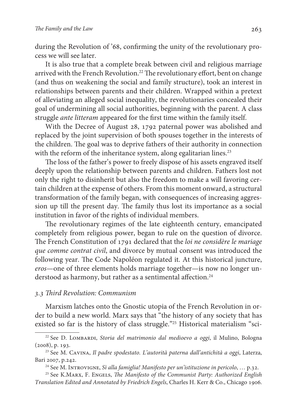during the Revolution of '68, confirming the unity of the revolutionary process we will see later.

It is also true that a complete break between civil and religious marriage arrived with the French Revolution.<sup>22</sup> The revolutionary effort, bent on change (and thus on weakening the social and family structure), took an interest in relationships between parents and their children. Wrapped within a pretext of alleviating an alleged social inequality, the revolutionaries concealed their goal of undermining all social authorities, beginning with the parent. A class struggle ante litteram appeared for the first time within the family itself.

With the Decree of August 28, 1792 paternal power was abolished and replaced by the joint supervision of both spouses together in the interests of the children. The goal was to deprive fathers of their authority in connection with the reform of the inheritance system, along egalitarian lines.<sup>23</sup>

The loss of the father's power to freely dispose of his assets engraved itself deeply upon the relationship between parents and children. Fathers lost not only the right to disinherit but also the freedom to make a will favoring certain children at the expense of others. From this moment onward, a structural transformation of the family began, with consequences of increasing aggression up till the present day. The family thus lost its importance as a social institution in favor of the rights of individual members.

The revolutionary regimes of the late eighteenth century, emancipated completely from religious power, began to rule on the question of divorce. The French Constitution of 1791 declared that the loi ne considère le mariage que comme contrat civil, and divorce by mutual consent was introduced the following year. The Code Napoléon regulated it. At this historical juncture, eros—one of three elements holds marriage together—is now no longer understood as harmony, but rather as a sentimental affection.<sup>24</sup>

#### 3.3 Third Revolution: Communism

Marxism latches onto the Gnostic utopia of the French Revolution in order to build a new world. Marx says that "the history of any society that has existed so far is the history of class struggle."25 Historical materialism "sci-

<sup>&</sup>lt;sup>22</sup> See D. LOMBARDI, Storia del matrimonio dal medioevo a oggi, il Mulino, Bologna (2008), p. 193.

<sup>&</sup>lt;sup>23</sup> See M. CAVINA, Il padre spodestato. L'autorità paterna dall'antichità a oggi, Laterza, Bari 2007, p.242.

<sup>&</sup>lt;sup>24</sup> See M. INTROVIGNE, Sì alla famiglia! Manifesto per un'istituzione in pericolo, ... p.32.

<sup>&</sup>lt;sup>25</sup> See K.MARX, F. ENGELS, *The Manifesto of the Communist Party: Authorized English* Translation Edited and Annotated by Friedrich Engels, Charles H. Kerr & Co., Chicago 1906.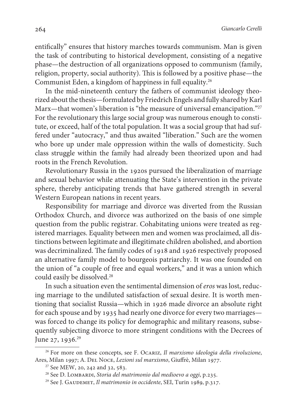entifically" ensures that history marches towards communism. Man is given the task of contributing to historical development, consisting of a negative phase—the destruction of all organizations opposed to communism (family, religion, property, social authority). This is followed by a positive phase—the Communist Eden, a kingdom of happiness in full equality.<sup>26</sup>

In the mid-nineteenth century the fathers of communist ideology theorized about the thesis—formulated by Friedrich Engels and fully shared by Karl Marx—that women's liberation is "the measure of universal emancipation."<sup>27</sup> For the revolutionary this large social group was numerous enough to constitute, or exceed, half of the total population. It was a social group that had suffered under "autocracy," and thus awaited "liberation." Such are the women who bore up under male oppression within the walls of domesticity. Such class struggle within the family had already been theorized upon and had roots in the French Revolution.

Revolutionary Russia in the 1920s pursued the liberalization of marriage and sexual behavior while attenuating the State's intervention in the private sphere, thereby anticipating trends that have gathered strength in several Western European nations in recent years.

Responsibility for marriage and divorce was diverted from the Russian Orthodox Church, and divorce was authorized on the basis of one simple question from the public registrar. Cohabitating unions were treated as registered marriages. Equality between men and women was proclaimed, all distinctions between legitimate and illegitimate children abolished, and abortion was decriminalized. The family codes of 1918 and 1926 respectively proposed an alternative family model to bourgeois patriarchy. It was one founded on the union of "a couple of free and equal workers," and it was a union which could easily be dissolved.<sup>28</sup>

In such a situation even the sentimental dimension of eros was lost, reducing marriage to the undiluted satisfaction of sexual desire. It is worth mentioning that socialist Russia—which in 1926 made divorce an absolute right for each spouse and by 1935 had nearly one divorce for every two marriages was forced to change its policy for demographic and military reasons, subsequently subjecting divorce to more stringent conditions with the Decrees of June 27, 1936. $^{29}$ 

<sup>&</sup>lt;sup>26</sup> For more on these concepts, see F. OCARIZ, Il marxismo ideologia della rivoluzione, Ares, Milan 1997; A. Del Noce, Lezioni sul marxismo, Giuffrè, Milan 1977.

<sup>27</sup> See MEW, 20, 242 and 32, 583.

 $28$  See D. LOMBARDI, Storia del matrimonio dal medioevo a oggi, p.235.

<sup>&</sup>lt;sup>29</sup> See J. GAUDEMET, Il matrimonio in occidente, SEI, Turin 1989, p.317.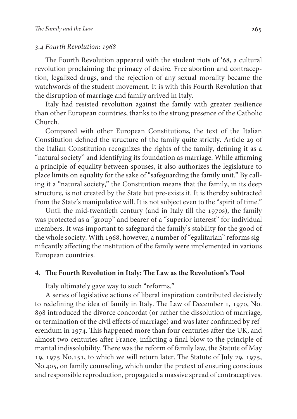#### 3.4 Fourth Revolution: 1968

The Fourth Revolution appeared with the student riots of '68, a cultural revolution proclaiming the primacy of desire. Free abortion and contraception, legalized drugs, and the rejection of any sexual morality became the watchwords of the student movement. It is with this Fourth Revolution that the disruption of marriage and family arrived in Italy.

Italy had resisted revolution against the family with greater resilience than other European countries, thanks to the strong presence of the Catholic Church.

Compared with other European Constitutions, the text of the Italian Constitution defined the structure of the family quite strictly. Article 29 of the Italian Constitution recognizes the rights of the family, defining it as a "natural society'' and identifying its foundation as marriage. While affirming a principle of equality between spouses, it also authorizes the legislature to place limits on equality for the sake of "safeguarding the family unit." By calling it a "natural society," the Constitution means that the family, in its deep structure, is not created by the State but pre-exists it. It is thereby subtracted from the State's manipulative will. It is not subject even to the "spirit of time."

Until the mid-twentieth century (and in Italy till the 1970s), the family was protected as a "group" and bearer of a "superior interest" for individual members. It was important to safeguard the family's stability for the good of the whole society. With 1968, however, a number of "egalitarian" reforms significantly affecting the institution of the family were implemented in various European countries.

#### **4. The Fourth Revolution in Italy: The Law as the Revolution's Tool**

Italy ultimately gave way to such "reforms."

A series of legislative actions of liberal inspiration contributed decisively to redefining the idea of family in Italy. The Law of December 1, 1970, No. 898 introduced the divorce concordat (or rather the dissolution of marriage, or termination of the civil effects of marriage) and was later confirmed by referendum in 1974. This happened more than four centuries after the UK, and almost two centuries after France, inflicting a final blow to the principle of marital indissolubility. There was the reform of family law, the Statute of May 19, 1975 No.151, to which we will return later. The Statute of July 29, 1975, No.405, on family counseling, which under the pretext of ensuring conscious and responsible reproduction, propagated a massive spread of contraceptives.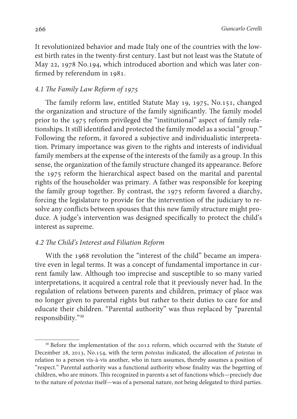It revolutionized behavior and made Italy one of the countries with the lowest birth rates in the twenty-first century. Last but not least was the Statute of May 22, 1978 No.194, which introduced abortion and which was later confirmed by referendum in 1981.

## 4.1 The Family Law Reform of 1975

The family reform law, entitled Statute May 19, 1975, No.151, changed the organization and structure of the family significantly. The family model prior to the 1975 reform privileged the "institutional" aspect of family relationships. It still identified and protected the family model as a social "group." Following the reform, it favored a subjective and individualistic interpretation. Primary importance was given to the rights and interests of individual family members at the expense of the interests of the family as a group. In this sense, the organization of the family structure changed its appearance. Before the 1975 reform the hierarchical aspect based on the marital and parental rights of the householder was primary. A father was responsible for keeping the family group together. By contrast, the 1975 reform favored a diarchy, forcing the legislature to provide for the intervention of the judiciary to resolve any conflicts between spouses that this new family structure might produce. A judge's intervention was designed specifically to protect the child's interest as supreme.

## 4.2 The Child's Interest and Filiation Reform

With the 1968 revolution the "interest of the child" became an imperative even in legal terms. It was a concept of fundamental importance in current family law. Although too imprecise and susceptible to so many varied interpretations, it acquired a central role that it previously never had. In the regulation of relations between parents and children, primacy of place was no longer given to parental rights but rather to their duties to care for and educate their children. "Parental authority" was thus replaced by "parental responsibility."<sup>30</sup>

<sup>&</sup>lt;sup>30</sup> Before the implementation of the 2012 reform, which occurred with the Statute of December 28, 2013, No.154, with the term potestas indicated, the allocation of potestas in relation to a person vis-à-vis another, who in turn assumes, thereby assumes a position of "respect." Parental authority was a functional authority whose finality was the begetting of children, who are minors. This recognized in parents a set of functions which—precisely due to the nature of potestas itself—was of a personal nature, not being delegated to third parties.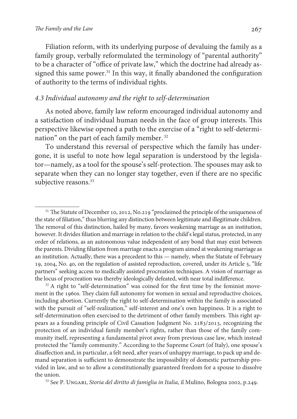Filiation reform, with its underlying purpose of devaluing the family as a family group, verbally reformulated the terminology of "parental authority" to be a character of "office of private law," which the doctrine had already assigned this same power.<sup>31</sup> In this way, it finally abandoned the configuration of authority to the terms of individual rights.

## 4.3 Individual autonomy and the right to self-determination

As noted above, family law reform encouraged individual autonomy and a satisfaction of individual human needs in the face of group interests. This perspective likewise opened a path to the exercise of a "right to self-determination" on the part of each family member.<sup>32</sup>

To understand this reversal of perspective which the family has undergone, it is useful to note how legal separation is understood by the legislator—namely, as a tool for the spouse's self-protection. The spouses may ask to separate when they can no longer stay together, even if there are no specific subjective reasons.<sup>33</sup>

<sup>&</sup>lt;sup>31</sup> The Statute of December 10, 2012, No.219 "proclaimed the principle of the uniqueness of the state of filiation," thus blurring any distinction between legitimate and illegitimate children. The removal of this distinction, hailed by many, favors weakening marriage as an institution, however. It divides filiation and marriage in relation to the child's legal status, protected, in any order of relations, as an autonomous value independent of any bond that may exist between the parents. Dividing filiation from marriage enacts a program aimed at weakening marriage as an institution. Actually, there was a precedent to this — namely, when the Statute of February 19, 2004, No. 40, on the regulation of assisted reproduction, covered, under its Article 5, "life partners" seeking access to medically assisted procreation techniques. A vision of marriage as the locus of procreation was thereby ideologically defeated, with near total indifference.

 $32$  A right to "self-determination" was coined for the first time by the feminist movement in the 1960s. They claim full autonomy for women in sexual and reproductive choices, including abortion. Currently the right to self-determination within the family is associated with the pursuit of "self-realization," self-interest and one's own happiness. It is a right to self-determination often exercised to the detriment of other family members. This right appears as a founding principle of Civil Cassation Judgment No. 2183/2013, recognizing the protection of an individual family member's rights, rather than those of the family community itself, representing a fundamental pivot away from previous case law, which instead protected the "family community." According to the Supreme Court (of Italy), one spouse's disaffection and, in particular, a felt need, after years of unhappy marriage, to pack up and demand separation is sufficient to demonstrate the impossibility of domestic partnership provided in law, and so to allow a constitutionally guaranteed freedom for a spouse to dissolve the union.

<sup>&</sup>lt;sup>33</sup> See P. UNGARI, Storia del diritto di famiglia in Italia, il Mulino, Bologna 2002, p.249.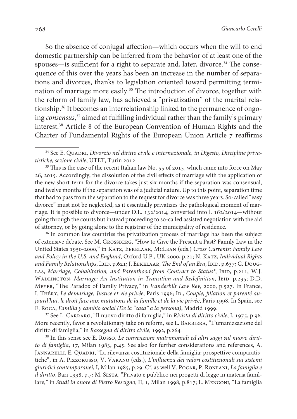So the absence of conjugal affection—which occurs when the will to end domestic partnership can be inferred from the behavior of at least one of the spouses—is sufficient for a right to separate and, later, divorce.<sup>34</sup> The consequence of this over the years has been an increase in the number of separations and divorces, thanks to legislation oriented toward permitting termination of marriage more easily.<sup>35</sup> The introduction of divorce, together with the reform of family law, has achieved a "privatization" of the marital relationship.36 It becomes an interrelationship linked to the permanence of ongoing consensus, <sup>37</sup> aimed at fulfilling individual rather than the family's primary interest.<sup>38</sup> Article 8 of the European Convention of Human Rights and the Charter of Fundamental Rights of the European Union Article 7 reaffirms

<sup>35</sup> This is the case of the recent Italian law No. 55 of 2015, which came into force on May 26, 2015. Accordingly, the dissolution of the civil effects of marriage with the application of the new short-term for the divorce takes just six months if the separation was consensual, and twelve months if the separation was of a judicial nature. Up to this point, separation time that had to pass from the separation to the request for divorce was three years. So-called "easy divorce" must not be neglected, as it essentially privatizes the pathological moment of marriage. It is possible to divorce—under D.L. 132/2014, converted into l. 162/2014—without going through the courts but instead proceeding to so-called assisted negotiation with the aid of attorney, or by going alone to the registrar of the municipality of residence.

<sup>36</sup> In common law countries the privatization process of marriage has been the subject of extensive debate. See M. Grossberg, "How to Give the Present a Past? Family Law in the United States 1950-2000," in Katz, Eekelaar, McLean (eds.) Cross Currents: Family Law and Policy in the U.S. and England, Oxford U.P., UK 2000, p.21; N. Katz, Individual Rights and Family Relationships, IBID, p.621; J. EEKELAAR, The End of an Era, IBID, p.637; G. Doug-LAS, Marriage, Cohabitation, and Parenthood from Contract to Status?, IBID, p.211; W.J. WADLINGTON, Marriage: An Institution in Transition and Redefinition, IBID, p.235; D.D. Meyer, "The Paradox of Family Privacy," in Vanderbilt Law Rev, 2000, p.527. In France, I. THÉRY, Le démariage, Justice et vie privée, Paris 1996; ID., Couple, filiation et parenté aujourd'hui, le droit face aux mutations de la famille et de la vie privée, Paris 1998. In Spain, see E. Roca, Familia y cambio social (De la "casa" a la persona), Madrid 1999.

<sup>37</sup> See L. CARRARO, "Il nuovo diritto di famiglia," in Rivista di diritto civile, I, 1975, p.96. More recently, favor a revolutionary take on reform, see L. Barbiera, "L'umanizzazione del diritto di famiglia," in Rassegna di diritto civile, 1992, p.264.

<sup>38</sup> In this sense see E. Russo, *Le convenzioni matrimoniali ed altri saggi sul nuovo dirit*to di famiglia, 17, Milan 1983, p.45. See also for further considerations and references, A. JANNARELLI, E. QUADRI, "La rilevanza costituzionale della famiglia: prospettive comparatistiche", in A. Pizzorusso, V. Varano (eds.), L'influenza dei valori costituzionali sui sistemi giuridici contemporanei, I, Milan 1985, p.29. Cf. as well V. POCAR, P. RONFANI, La famiglia e il diritto, Bari 1998, p.7; M. SESTA, "Privato e pubblico nei progetti di legge in materia familiare," in Studi in onore di Pietro Rescigno, II, 1, Milan 1998, p.817; L. MENGONI, "La famiglia

<sup>&</sup>lt;sup>34</sup> See E. QUADRI, Divorzio nel diritto civile e internazionale, in Digesto, Discipline privatistiche, sezione civile, UTET, Turin 2012.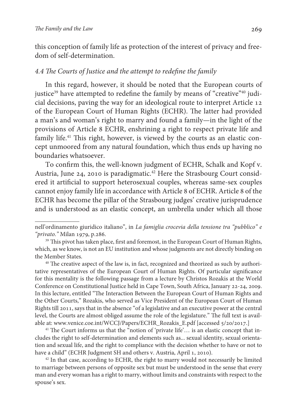this conception of family life as protection of the interest of privacy and freedom of self-determination.

## 4.4 The Courts of Justice and the attempt to redefine the family

In this regard, however, it should be noted that the European courts of justice<sup>39</sup> have attempted to redefine the family by means of "creative"<sup>40</sup> judicial decisions, paving the way for an ideological route to interpret Article 12 of the European Court of Human Rights (ECHR). The latter had provided a man's and woman's right to marry and found a family—in the light of the provisions of Article 8 ECHR, enshrining a right to respect private life and family life.<sup>41</sup> This right, however, is viewed by the courts as an elastic concept unmoored from any natural foundation, which thus ends up having no boundaries whatsoever.

To confirm this, the well-known judgment of ECHR, Schalk and Kopf v. Austria, June 24, 2010 is paradigmatic.42 Here the Strasbourg Court considered it artificial to support heterosexual couples, whereas same-sex couples cannot enjoy family life in accordance with Article 8 of ECHR. Article 8 of the ECHR has become the pillar of the Strasbourg judges' creative jurisprudence and is understood as an elastic concept, an umbrella under which all those

<sup>41</sup> The Court informs us that the "notion of 'private life'... is an elastic concept that includes the right to self-determination and elements such as... sexual identity, sexual orientation and sexual life, and the right to compliance with the decision whether to have or not to have a child" (ECHR Judgment SH and others v. Austria, April 1, 2010).

<sup>42</sup> In that case, according to ECHR, the right to marry would not necessarily be limited to marriage between persons of opposite sex but must be understood in the sense that every man and every woman has a right to marry, without limits and constraints with respect to the spouse's sex.

nell'ordinamento giuridico italiano", in La famiglia crocevia della tensione tra "pubblico" e "privato." Milan 1979, p.286.

<sup>&</sup>lt;sup>39</sup> This pivot has taken place, first and foremost, in the European Court of Human Rights, which, as we know, is not an EU institution and whose judgments are not directly binding on the Member States.

<sup>40</sup> The creative aspect of the law is, in fact, recognized and theorized as such by authoritative representatives of the European Court of Human Rights. Of particular significance for this mentality is the following passage from a lecture by Christos Rozakis at the World Conference on Constitutional Justice held in Cape Town, South Africa, January 22-24, 2009. In this lecture, entitled "The Interaction Between the European Court of Human Rights and the Other Courts," Rozakis, who served as Vice President of the European Court of Human Rights till 2011, says that in the absence "of a legislative and an executive power at the central level, the Courts are almost obliged assume the role of the legislature." The full text is available at: www.venice.coe.int/WCCJ/Papers/ECHR\_Rozakis\_E.pdf [ accessed 5/20/2017.]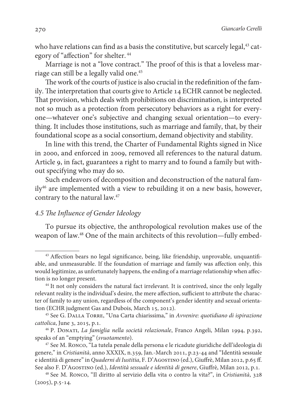who have relations can find as a basis the constitutive, but scarcely legal,<sup>43</sup> category of "affection" for shelter.<sup>44</sup>

Marriage is not a "love contract." The proof of this is that a loveless marriage can still be a legally valid one.<sup>45</sup>

The work of the courts of justice is also crucial in the redefinition of the family. The interpretation that courts give to Article 14 ECHR cannot be neglected. That provision, which deals with prohibitions on discrimination, is interpreted not so much as a protection from persecutory behaviors as a right for everyone—whatever one's subjective and changing sexual orientation—to everything. It includes those institutions, such as marriage and family, that, by their foundational scope as a social consortium, demand objectivity and stability.

In line with this trend, the Charter of Fundamental Rights signed in Nice in 2000, and enforced in 2009, removed all references to the natural datum. Article 9, in fact, guarantees a right to marry and to found a family but without specifying who may do so.

Such endeavors of decomposition and deconstruction of the natural family<sup>46</sup> are implemented with a view to rebuilding it on a new basis, however, contrary to the natural law.<sup>47</sup>

## 4.5 The Influence of Gender Ideology

To pursue its objective, the anthropological revolution makes use of the weapon of law.48 One of the main architects of this revolution—fully embed-

<sup>43</sup> Affection bears no legal significance, being, like friendship, unprovable, unquantifiable, and unmeasurable. If the foundation of marriage and family was affection only, this would legitimize, as unfortunately happens, the ending of a marriage relationship when affection is no longer present.

<sup>&</sup>lt;sup>44</sup> It not only considers the natural fact irrelevant. It is contrived, since the only legally relevant reality is the individual's desire, the mere affection, sufficient to attribute the character of family to any union, regardless of the component's gender identity and sexual orientation (ECHR judgment Gas and Dubois, March 15, 2012).

<sup>45</sup> See G. Dalla Torre, "Una Carta chiarissima," in Avvenire: quotidiano di ispirazione cattolica, June 3, 2015, p.1.

<sup>46</sup> P. Donati, La famiglia nella società relazionale, Franco Angeli, Milan 1994, p.392, speaks of an "emptying" (svuotamento).

<sup>47</sup> See M. Ronco, "La tutela penale della persona e le ricadute giuridiche dell'ideologia di genere," in Cristianità, anno XXXIX, n.359, Jan.-March 2011, p.23-44 and "Identità sessuale e identità di genere" in Quaderni di Iustitia, F. D'AGOSTINO (ed.), Giuffrè, Milan 2012, p.65 ff. See also F. D'AGOSTINO (ed.), Identità sessuale e identità di genere, Giuffrè, Milan 2012, p.1.

<sup>48</sup> See M. Ronco, "Il diritto al servizio della vita o contro la vita?", in Cristianità, 328 (2005), p.5-14.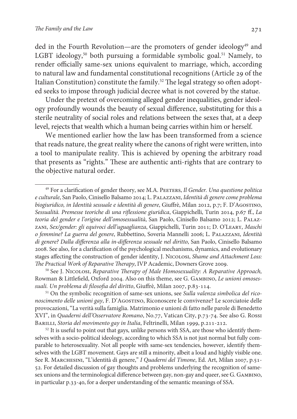ded in the Fourth Revolution—are the promoters of gender ideology<sup>49</sup> and LGBT ideology,<sup>50</sup> both pursuing a formidable symbolic goal.<sup>51</sup> Namely, to render officially same-sex unions equivalent to marriage, which, according to natural law and fundamental constitutional recognitions (Article 29 of the Italian Constitution) constitute the family.<sup>52</sup> The legal strategy so often adopted seeks to impose through judicial decree what is not covered by the statue.

Under the pretext of overcoming alleged gender inequalities, gender ideology profoundly wounds the beauty of sexual difference, substituting for this a sterile neutrality of social roles and relations between the sexes that, at a deep level, rejects that wealth which a human being carries within him or herself.

We mentioned earlier how the law has been transformed from a science that reads nature, the great reality where the canons of right were written, into a tool to manipulate reality. This is achieved by opening the arbitrary road that presents as "rights." These are authentic anti-rights that are contrary to the objective natural order.

<sup>50</sup> See J. Nicolosi, Reparative Therapy of Male Homosexuality: A Reparative Approach, Rowman & Littlefield, Oxford 2004. Also on this theme, see G. GAMBINO, Le unioni omosessuali. Un problema di filosofia del diritto, Giuffrè, Milan 2007, p.83-114.

<sup>51</sup> On the symbolic recognition of same-sex unions, see Sulla valenza simbolica del riconoscimento delle unioni gay, F. D'Agostino, Riconoscere le convivenze? Le scorciatoie delle provocazioni, "La verità sulla famiglia. Matrimonio e unioni di fatto nelle parole di Benedetto XVI", in Quaderni dell'Osservatore Romano, No.77, Vatican City, p.73-74. See also G. Rossi BARILLI, Storia del movimento gay in Italia, Feltrinelli, Milan 1999, p.211-212.

 $52$  It is useful to point out that gays, unlike persons with SSA, are those who identify themselves with a socio-political ideology, according to which SSA is not just normal but fully comparable to heterosexuality. Not all people with same-sex tendencies, however, identify themselves with the LGBT movement. Gays are still a minority, albeit a loud and highly visible one. See R. MARCHESINI, "L'identità di genere," I Quaderni del Timone, Ed. Art, Milan 2007, p.51-52. For detailed discussion of gay thoughts and problems underlying the recognition of samesex unions and the terminological difference between gay, non-gay and queer, see G. Gambino, in particular p.33-40, for a deeper understanding of the semantic meanings of SSA.

<sup>&</sup>lt;sup>49</sup> For a clarification of gender theory, see M.A. PEETERS, Il Gender. Una questione politica e culturale, San Paolo, Cinisello Balsamo 2014; L. Palazzani, Identità di genere come problema biogiuridico, in Identità sessuale e identità di genere, Giuffrè, Milan 2012, p.7; F. D'Agostino, Sessualità. Premesse teoriche di una riflessione giuridica, Giappichelli, Turin 2014, p.67 ff., La teoria del gender e l'origine dell'omosessualità, San Paolo, Cinisello Balsamo 2012; L. PALAZzani, Sex/gender: gli equivoci dell'uguaglianza, Giappichelli, Turin 2011; D. O'Leary, Maschi o femmine? La guerra del genere, Rubbettino, Soveria Mannelli 2006; L. Palazzani, Identità di genere? Dalla differenza alla in-differenza sessuale nel diritto, San Paolo, Cinisello Balsamo 2008. See also, for a clarification of the psychological mechanisms, dynamics, and evolutionary stages affecting the construction of gender identity, J. Nicolosi, Shame and Attachment Loss: The Practical Work of Reparative Therapy, IVP Academic, Downers Grove 2009.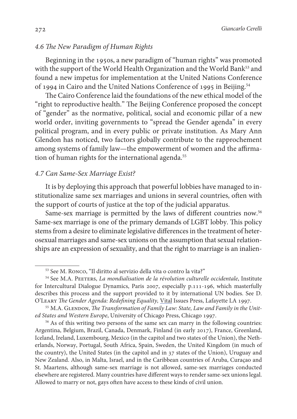## 4.6 The New Paradigm of Human Rights

Beginning in the 1950s, a new paradigm of "human rights" was promoted with the support of the World Health Organization and the World Bank<sup>53</sup> and found a new impetus for implementation at the United Nations Conference of 1994 in Cairo and the United Nations Conference of 1995 in Beijing.<sup>54</sup>

The Cairo Conference laid the foundations of the new ethical model of the "right to reproductive health." The Beijing Conference proposed the concept of "gender" as the normative, political, social and economic pillar of a new world order, inviting governments to "spread the Gender agenda" in every political program, and in every public or private institution. As Mary Ann Glendon has noticed, two factors globally contribute to the rapprochement among systems of family law—the empowerment of women and the affirmation of human rights for the international agenda.<sup>55</sup>

#### 4.7 Can Same-Sex Marriage Exist?

It is by deploying this approach that powerful lobbies have managed to institutionalize same sex marriages and unions in several countries, often with the support of courts of justice at the top of the judicial apparatus.

Same-sex marriage is permitted by the laws of different countries now.<sup>56</sup> Same-sex marriage is one of the primary demands of LGBT lobby. This policy stems from a desire to eliminate legislative differences in the treatment of heterosexual marriages and same-sex unions on the assumption that sexual relationships are an expression of sexuality, and that the right to marriage is an inalien-

<sup>53</sup> See M. Ronco, "Il diritto al servizio della vita o contro la vita?"

<sup>&</sup>lt;sup>54</sup> See M.A. PEETERS, La mondialisation de la révolution culturelle occidentale, Institute for Intercultural Dialogue Dynamics, Paris 2007, especially p.111-196, which masterfully describes this process and the support provided to it by international UN bodies. See D. O'Leary The Gender Agenda: Redefining Equality, Vital Issues Press, Lafayette LA 1997.

<sup>&</sup>lt;sup>55</sup> M.A. GLENDON, The Transformation of Family Law: State, Law and Family in the United States and Western Europe, University of Chicago Press, Chicago 1997.

<sup>&</sup>lt;sup>56</sup> As of this writing two persons of the same sex can marry in the following countries: Argentina, Belgium, Brazil, Canada, Denmark, Finland (in early 2017), France, Greenland, Iceland, Ireland, Luxembourg, Mexico (in the capitol and two states of the Union), the Netherlands, Norway, Portugal, South Africa, Spain, Sweden, the United Kingdom (in much of the country), the United States (in the capitol and in 37 states of the Union), Uruguay and New Zealand. Also, in Malta, Israel, and in the Caribbean countries of Aruba, Curaçao and St. Maartens, although same-sex marriage is not allowed, same-sex marriages conducted elsewhere are registered. Many countries have different ways to render same-sex unions legal. Allowed to marry or not, gays often have access to these kinds of civil union.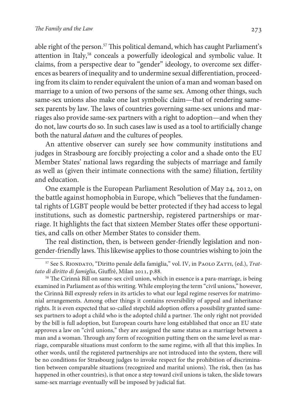able right of the person.<sup>57</sup> This political demand, which has caught Parliament's attention in Italy,<sup>58</sup> conceals a powerfully ideological and symbolic value. It claims, from a perspective dear to "gender" ideology, to overcome sex differences as bearers of inequality and to undermine sexual differentiation, proceeding from its claim to render equivalent the union of a man and woman based on marriage to a union of two persons of the same sex. Among other things, such same-sex unions also make one last symbolic claim—that of rendering samesex parents by law. The laws of countries governing same-sex unions and marriages also provide same-sex partners with a right to adoption—and when they do not, law courts do so. In such cases law is used as a tool to artificially change both the natural datum and the cultures of peoples.

An attentive observer can surely see how community institutions and judges in Strasbourg are forcibly projecting a color and a shade onto the EU Member States' national laws regarding the subjects of marriage and family as well as (given their intimate connections with the same) filiation, fertility and education.

One example is the European Parliament Resolution of May 24, 2012, on the battle against homophobia in Europe, which "believes that the fundamental rights of LGBT people would be better protected if they had access to legal institutions, such as domestic partnership, registered partnerships or marriage. It highlights the fact that sixteen Member States offer these opportunities, and calls on other Member States to consider them.

The real distinction, then, is between gender-friendly legislation and nongender-friendly laws. This likewise applies to those countries wishing to join the

<sup>58</sup> The Cirinnà Bill on same-sex civil union, which in essence is a para-marriage, is being examined in Parliament as of this writing. While employing the term "civil unions," however, the Cirinnà Bill expressly refers in its articles to what our legal regime reserves for matrimonial arrangements. Among other things it contains reversibility of appeal and inheritance rights. It is even expected that so-called stepchild adoption offers a possibility granted samesex partners to adopt a child who is the adopted child a partner. The only right not provided by the bill is full adoption, but European courts have long established that once an EU state approves a law on "civil unions," they are assigned the same status as a marriage between a man and a woman. Through any form of recognition putting them on the same level as marriage, comparable situations must conform to the same regime, with all that this implies. In other words, until the registered partnerships are not introduced into the system, there will be no conditions for Strasbourg judges to invoke respect for the prohibition of discrimination between comparable situations (recognized and marital unions). The risk, then (as has happened in other countries), is that once a step toward civil unions is taken, the slide towars same-sex marriage eventually will be imposed by judicial fiat.

<sup>&</sup>lt;sup>57</sup> See S. RIONDATO, "Diritto penale della famiglia," vol. IV, in PAOLO ZATTI, (ed.), Trattato di diritto di famiglia, Giuffrè, Milan 2011, p.88.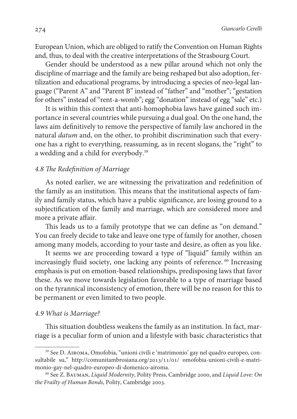European Union, which are obliged to ratify the Convention on Human Rights and, thus, to deal with the creative interpretations of the Strasbourg Court.

Gender should be understood as a new pillar around which not only the discipline of marriage and the family are being reshaped but also adoption, fertilization and educational programs, by introducing a species of neo-legal language ("Parent A" and "Parent B" instead of "father" and "mother"; "gestation for others" instead of "rent-a-womb"; egg "donation" instead of egg "sale" etc.)

It is within this context that anti-homophobia laws have gained such importance in several countries while pursuing a dual goal. On the one hand, the laws aim definitively to remove the perspective of family law anchored in the natural datum and, on the other, to prohibit discrimination such that everyone has a right to everything, reassuming, as in recent slogans, the "right" to a wedding and a child for everybody.<sup>59</sup>

### 4.8 The Redefinition of Marriage

As noted earlier, we are witnessing the privatization and redefinition of the family as an institution. This means that the institutional aspects of family and family status, which have a public significance, are losing ground to a subjectification of the family and marriage, which are considered more and more a private affair.

This leads us to a family prototype that we can define as "on demand." You can freely decide to take and leave one type of family for another, chosen among many models, according to your taste and desire, as often as you like.

It seems we are proceeding toward a type of "liquid" family within an increasingly fluid society, one lacking any points of reference.<sup>60</sup> Increasing emphasis is put on emotion-based relationships, predisposing laws that favor these. As we move towards legislation favorable to a type of marriage based on the tyrannical inconsistency of emotion, there will be no reason for this to be permanent or even limited to two people.

#### 4.9 What is Marriage?

This situation doubtless weakens the family as an institution. In fact, marriage is a peculiar form of union and a lifestyle with basic characteristics that

<sup>59</sup> See D. Airoma, Omofobia, "unioni civili e 'matrimonio' gay nel quadro europeo, consultabile su," http://comunitambrosiana.org/2013/11/01/ omofobia-unioni-civili-e-matrimonio-gay-nel-quadro-europeo-di-domenico-airoma.

<sup>60</sup> See Z. Bauman, Liquid Modernity, Polity Press, Cambridge 2000, and Liquid Love: On the Frailty of Human Bonds, Polity, Cambridge 2003.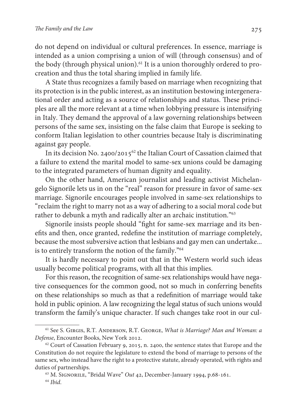do not depend on individual or cultural preferences. In essence, marriage is intended as a union comprising a union of will (through consensus) and of the body (through physical union).<sup>61</sup> It is a union thoroughly ordered to procreation and thus the total sharing implied in family life.

A State thus recognizes a family based on marriage when recognizing that its protection is in the public interest, as an institution bestowing intergenerational order and acting as a source of relationships and status. These principles are all the more relevant at a time when lobbying pressure is intensifying in Italy. They demand the approval of a law governing relationships between persons of the same sex, insisting on the false claim that Europe is seeking to conform Italian legislation to other countries because Italy is discriminating against gay people.

In its decision No. 2400/2015<sup>62</sup> the Italian Court of Cassation claimed that a failure to extend the marital model to same-sex unions could be damaging to the integrated parameters of human dignity and equality.

On the other hand, American journalist and leading activist Michelangelo Signorile lets us in on the "real" reason for pressure in favor of same-sex marriage. Signorile encourages people involved in same-sex relationships to "reclaim the right to marry not as a way of adhering to a social moral code but rather to debunk a myth and radically alter an archaic institution."<sup>63</sup>

Signorile insists people should "fight for same-sex marriage and its benefits and then, once granted, redefine the institution of marriage completely, because the most subversive action that lesbians and gay men can undertake... is to entirely transform the notion of the family."<sup>64</sup>

It is hardly necessary to point out that in the Western world such ideas usually become political programs, with all that this implies.

For this reason, the recognition of same-sex relationships would have negative consequences for the common good, not so much in conferring benefits on these relationships so much as that a redefinition of marriage would take hold in public opinion. A law recognizing the legal status of such unions would transform the family's unique character. If such changes take root in our cul-

<sup>&</sup>lt;sup>61</sup> See S. GIRGIS, R.T. ANDERSON, R.T. GEORGE, What is Marriage? Man and Woman: a Defense, Encounter Books, New York 2012.

 $62$  Court of Cassation February 9, 2015, n. 2400, the sentence states that Europe and the Constitution do not require the legislature to extend the bond of marriage to persons of the same sex, who instead have the right to a protective statute, already operated, with rights and duties of partnerships.

<sup>&</sup>lt;sup>63</sup> M. SIGNORILE, "Bridal Wave" Out 42, December-January 1994, p.68-161.

 $64$  Ihid.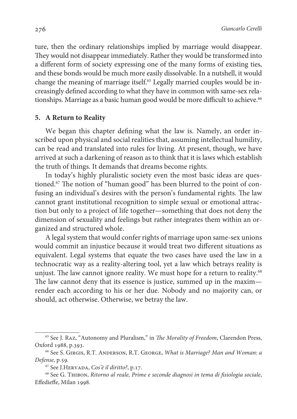ture, then the ordinary relationships implied by marriage would disappear. They would not disappear immediately. Rather they would be transformed into a different form of society expressing one of the many forms of existing ties, and these bonds would be much more easily dissolvable. In a nutshell, it would change the meaning of marriage itself.<sup>65</sup> Legally married couples would be increasingly defined according to what they have in common with same-sex relationships. Marriage as a basic human good would be more difficult to achieve.<sup>66</sup>

#### **5. A Return to Reality**

We began this chapter defining what the law is. Namely, an order inscribed upon physical and social realities that, assuming intellectual humility, can be read and translated into rules for living. At present, though, we have arrived at such a darkening of reason as to think that it is laws which establish the truth of things. It demands that dreams become rights.

In today's highly pluralistic society even the most basic ideas are questioned.<sup>67</sup> The notion of "human good" has been blurred to the point of confusing an individual's desires with the person's fundamental rights. The law cannot grant institutional recognition to simple sexual or emotional attraction but only to a project of life together—something that does not deny the dimension of sexuality and feelings but rather integrates them within an organized and structured whole.

A legal system that would confer rights of marriage upon same-sex unions would commit an injustice because it would treat two different situations as equivalent. Legal systems that equate the two cases have used the law in a technocratic way as a reality-altering tool, yet a law which betrays reality is unjust. The law cannot ignore reality. We must hope for a return to reality.<sup>68</sup> The law cannot deny that its essence is justice, summed up in the maxim render each according to his or her due. Nobody and no majority can, or should, act otherwise. Otherwise, we betray the law.

<sup>&</sup>lt;sup>65</sup> See J. RAZ, "Autonomy and Pluralism," in *The Morality of Freedom*, Clarendon Press, Oxford 1988, p.393.

<sup>&</sup>lt;sup>66</sup> See S. GIRGIS, R.T. ANDERSON, R.T. GEORGE, What is Marriage? Man and Woman: a Defense, p.59.

<sup>67</sup> See J.Hervada, Cos'è il diritto?, p.17.

<sup>68</sup> See G. Thibon, Ritorno al reale, Prime e seconde diagnosi in tema di fisiologia sociale, Effedieffe, Milan 1998.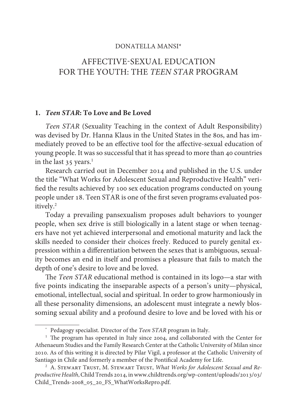#### DONATELLA MANSI\*

# AFFECTIVE-SEXUAL EDUCATION FOR THE YOUTH: THE TEEN STAR PROGRAM

#### **1. Teen STAR: To Love and Be Loved**

Teen STAR (Sexuality Teaching in the context of Adult Responsibility) was devised by Dr. Hanna Klaus in the United States in the 80s, and has immediately proved to be an effective tool for the affective-sexual education of young people. It was so successful that it has spread to more than 40 countries in the last  $35$  years.<sup>1</sup>

Research carried out in December 2014 and published in the U.S. under the title "What Works for Adolescent Sexual and Reproductive Health" verified the results achieved by 100 sex education programs conducted on young people under 18. Teen STAR is one of the first seven programs evaluated positively.<sup>2</sup>

Today a prevailing pansexualism proposes adult behaviors to younger people, when sex drive is still biologically in a latent stage or when teenagers have not yet achieved interpersonal and emotional maturity and lack the skills needed to consider their choices freely. Reduced to purely genital expression within a differentiation between the sexes that is ambiguous, sexuality becomes an end in itself and promises a pleasure that fails to match the depth of one's desire to love and be loved.

The Teen STAR educational method is contained in its logo—a star with five points indicating the inseparable aspects of a person's unity—physical, emotional, intellectual, social and spiritual. In order to grow harmoniously in all these personality dimensions, an adolescent must integrate a newly blossoming sexual ability and a profound desire to love and be loved with his or

<sup>\*</sup> Pedagogy specialist. Director of the Teen STAR program in Italy.

<sup>&</sup>lt;sup>1</sup> The program has operated in Italy since 2004, and collaborated with the Center for Athenaeum Studies and the Family Research Center at the Catholic University of Milan since 2010. As of this writing it is directed by Pilar Vigil, a professor at the Catholic University of Santiago in Chile and formerly a member of the Pontifical Academy for Life.

<sup>&</sup>lt;sup>2</sup> A. STEWART TRUST, M. STEWART TRUST, What Works for Adolescent Sexual and Reproductive Health, Child Trends 2014, in www.childtrends.org/wp-content/uploads/2013/03/ Child Trends-2008 05 20 FS WhatWorksRepro.pdf.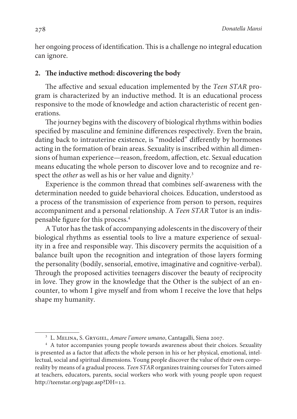her ongoing process of identification. This is a challenge no integral education can ignore.

#### **2. The inductive method: discovering the body**

The affective and sexual education implemented by the Teen STAR program is characterized by an inductive method. It is an educational process responsive to the mode of knowledge and action characteristic of recent generations.

The journey begins with the discovery of biological rhythms within bodies specified by masculine and feminine differences respectively. Even the brain, dating back to intrauterine existence, is "modeled" differently by hormones acting in the formation of brain areas. Sexuality is inscribed within all dimensions of human experience—reason, freedom, affection, etc. Sexual education means educating the whole person to discover love and to recognize and respect the *other* as well as his or her value and dignity.<sup>3</sup>

Experience is the common thread that combines self-awareness with the determination needed to guide behavioral choices. Education, understood as a process of the transmission of experience from person to person, requires accompaniment and a personal relationship. A Teen STAR Tutor is an indispensable figure for this process.<sup>4</sup>

A Tutor has the task of accompanying adolescents in the discovery of their biological rhythms as essential tools to live a mature experience of sexuality in a free and responsible way. This discovery permits the acquisition of a balance built upon the recognition and integration of those layers forming the personality (bodily, sensorial, emotive, imaginative and cognitive-verbal). Through the proposed activities teenagers discover the beauty of reciprocity in love. They grow in the knowledge that the Other is the subject of an encounter, to whom I give myself and from whom I receive the love that helps shape my humanity.

<sup>&</sup>lt;sup>3</sup> L. MELINA, S. GRYGIEL, *Amare l'amore umano*, Cantagalli, Siena 2007.

<sup>4</sup> A tutor accompanies young people towards awareness about their choices. Sexuality is presented as a factor that affects the whole person in his or her physical, emotional, intellectual, social and spiritual dimensions. Young people discover the value of their own corporeality by means of a gradual process. Teen STAR organizes training courses for Tutors aimed at teachers, educators, parents, social workers who work with young people upon request http://teenstar.org/page.asp?DH=12.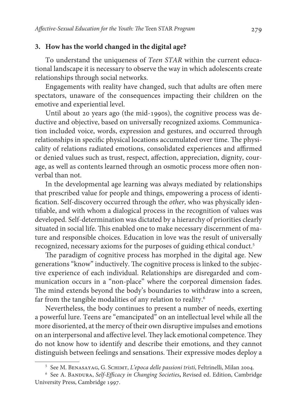### **3. How has the world changed in the digital age?**

To understand the uniqueness of Teen STAR within the current educational landscape it is necessary to observe the way in which adolescents create relationships through social networks.

Engagements with reality have changed, such that adults are often mere spectators, unaware of the consequences impacting their children on the emotive and experiential level.

Until about 20 years ago (the mid-1990s), the cognitive process was deductive and objective, based on universally recognized axioms. Communication included voice, words, expression and gestures, and occurred through relationships in specific physical locations accumulated over time. The physicality of relations radiated emotions, consolidated experiences and affirmed or denied values such as trust, respect, affection, appreciation, dignity, courage, as well as contents learned through an osmotic process more often nonverbal than not.

In the developmental age learning was always mediated by relationships that prescribed value for people and things, empowering a process of identification. Self-discovery occurred through the other, who was physically identifiable, and with whom a dialogical process in the recognition of values was developed. Self-determination was dictated by a hierarchy of priorities clearly situated in social life. This enabled one to make necessary discernment of mature and responsible choices. Education in love was the result of universally recognized, necessary axioms for the purposes of guiding ethical conduct.<sup>5</sup>

The paradigm of cognitive process has morphed in the digital age. New generations "know" inductively. The cognitive process is linked to the subjective experience of each individual. Relationships are disregarded and communication occurs in a "non-place" where the corporeal dimension fades. The mind extends beyond the body's boundaries to withdraw into a screen, far from the tangible modalities of any relation to reality.<sup>6</sup>

Nevertheless, the body continues to present a number of needs, exerting a powerful lure. Teens are "emancipated" on an intellectual level while all the more disoriented, at the mercy of their own disruptive impulses and emotions on an interpersonal and affective level. They lack emotional competence. They do not know how to identify and describe their emotions, and they cannot distinguish between feelings and sensations. Their expressive modes deploy a

<sup>&</sup>lt;sup>5</sup> See M. BENASAYAG, G. SСНІМТ, *L'epoca delle passioni tristi*, Feltrinelli, Milan 2004.

<sup>&</sup>lt;sup>6</sup> See A. Bandura, Self-Efficacy in Changing Societies, Revised ed. Edition, Cambridge University Press, Cambridge 1997.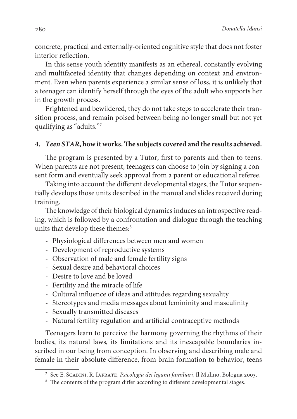concrete, practical and externally-oriented cognitive style that does not foster interior reflection.

In this sense youth identity manifests as an ethereal, constantly evolving and multifaceted identity that changes depending on context and environment. Even when parents experience a similar sense of loss, it is unlikely that a teenager can identify herself through the eyes of the adult who supports her in the growth process.

Frightened and bewildered, they do not take steps to accelerate their transition process, and remain poised between being no longer small but not yet qualifying as "adults."<sup>7</sup>

### **4. Teen STAR, how it works. The subjects covered and the results achieved.**

The program is presented by a Tutor, first to parents and then to teens. When parents are not present, teenagers can choose to join by signing a consent form and eventually seek approval from a parent or educational referee.

Taking into account the different developmental stages, the Tutor sequentially develops those units described in the manual and slides received during training.

The knowledge of their biological dynamics induces an introspective reading, which is followed by a confrontation and dialogue through the teaching units that develop these themes:<sup>8</sup>

- Physiological differences between men and women
- Development of reproductive systems
- Observation of male and female fertility signs
- Sexual desire and behavioral choices
- Desire to love and be loved
- Fertility and the miracle of life
- Cultural influence of ideas and attitudes regarding sexuality
- Stereotypes and media messages about femininity and masculinity
- Sexually transmitted diseases
- Natural fertility regulation and artificial contraceptive methods

Teenagers learn to perceive the harmony governing the rhythms of their bodies, its natural laws, its limitations and its inescapable boundaries inscribed in our being from conception. In observing and describing male and female in their absolute difference, from brain formation to behavior, teens

<sup>&</sup>lt;sup>7</sup> See E. Scabini, R. Iafrate, *Psicologia dei legami familiari*, Il Mulino, Bologna 2003.

<sup>&</sup>lt;sup>8</sup> The contents of the program differ according to different developmental stages.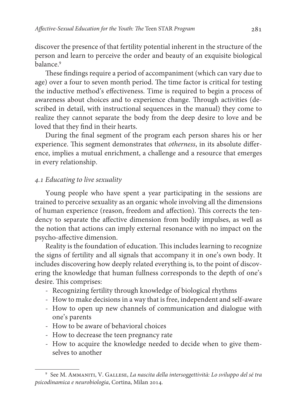discover the presence of that fertility potential inherent in the structure of the person and learn to perceive the order and beauty of an exquisite biological balance.<sup>9</sup>

These findings require a period of accompaniment (which can vary due to age) over a four to seven month period. The time factor is critical for testing the inductive method's effectiveness. Time is required to begin a process of awareness about choices and to experience change. Through activities (described in detail, with instructional sequences in the manual) they come to realize they cannot separate the body from the deep desire to love and be loved that they find in their hearts.

During the final segment of the program each person shares his or her experience. This segment demonstrates that otherness, in its absolute difference, implies a mutual enrichment, a challenge and a resource that emerges in every relationship.

### 4.1 Educating to live sexuality

Young people who have spent a year participating in the sessions are trained to perceive sexuality as an organic whole involving all the dimensions of human experience (reason, freedom and affection). This corrects the tendency to separate the affective dimension from bodily impulses, as well as the notion that actions can imply external resonance with no impact on the psycho-affective dimension.

Reality is the foundation of education. This includes learning to recognize the signs of fertility and all signals that accompany it in one's own body. It includes discovering how deeply related everything is, to the point of discovering the knowledge that human fullness corresponds to the depth of one's desire. This comprises:

- Recognizing fertility through knowledge of biological rhythms
- How to make decisions in a way that is free, independent and self-aware
- How to open up new channels of communication and dialogue with one's parents
- How to be aware of behavioral choices
- How to decrease the teen pregnancy rate
- How to acquire the knowledge needed to decide when to give themselves to another

<sup>9</sup> See M. Ammaniti, V. Gallese, La nascita della intersoggettività: Lo sviluppo del sé tra psicodinamica e neurobiologia, Cortina, Milan 2014.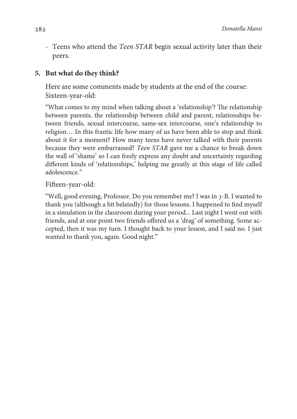- Teens who attend the Teen STAR begin sexual activity later than their peers.

# **5. But what do they think?**

Here are some comments made by students at the end of the course: Sixteen-year-old:

"What comes to my mind when talking about a 'relationship'? The relationship between parents, the relationship between child and parent, relationships between friends, sexual intercourse, same-sex intercourse, one's relationship to religion… In this frantic life how many of us have been able to stop and think about it for a moment? How many teens have never talked with their parents because they were embarrassed? Teen STAR gave me a chance to break down the wall of 'shame' so I can freely express any doubt and uncertainty regarding different kinds of 'relationships,' helping me greatly at this stage of life called adolescence."

Fifteen-year-old:

 "Well, good evening, Professor. Do you remember me? I was in 3-B. I wanted to thank you (although a bit belatedly) for those lessons. I happened to find myself in a simulation in the classroom during your period... Last night I went out with friends, and at one point two friends offered us a 'drag' of something. Some accepted, then it was my turn. I thought back to your lesson, and I said no. I just wanted to thank you, again. Good night."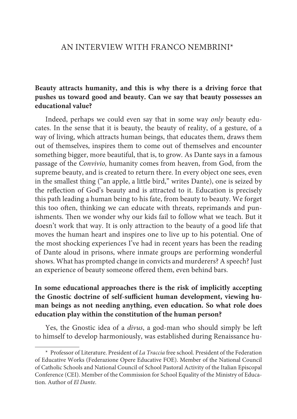### AN INTERVIEW WITH FRANCO NEMBRINI\*

# **Beauty attracts humanity, and this is why there is a driving force that pushes us toward good and beauty. Can we say that beauty possesses an educational value?**

Indeed, perhaps we could even say that in some way only beauty educates. In the sense that it is beauty, the beauty of reality, of a gesture, of a way of living, which attracts human beings, that educates them, draws them out of themselves, inspires them to come out of themselves and encounter something bigger, more beautiful, that is, to grow. As Dante says in a famous passage of the Convivio, humanity comes from heaven, from God, from the supreme beauty, and is created to return there. In every object one sees, even in the smallest thing ("an apple, a little bird," writes Dante), one is seized by the reflection of God's beauty and is attracted to it. Education is precisely this path leading a human being to his fate, from beauty to beauty. We forget this too often, thinking we can educate with threats, reprimands and punishments. Then we wonder why our kids fail to follow what we teach. But it doesn't work that way. It is only attraction to the beauty of a good life that moves the human heart and inspires one to live up to his potential. One of the most shocking experiences I've had in recent years has been the reading of Dante aloud in prisons, where inmate groups are performing wonderful shows. What has prompted change in convicts and murderers? A speech? Just an experience of beauty someone offered them, even behind bars.

# **In some educational approaches there is the risk of implicitly accepting the Gnostic doctrine of self-sufficient human development, viewing human beings as not needing anything, even education. So what role does education play within the constitution of the human person?**

Yes, the Gnostic idea of a divus, a god-man who should simply be left to himself to develop harmoniously, was established during Renaissance hu-

<sup>\*</sup> Professor of Literature. President of La Traccia free school. President of the Federation of Educative Works (Federazione Opere Educative FOE). Member of the National Council of Catholic Schools and National Council of School Pastoral Activity of the Italian Episcopal Conference (CEI). Member of the Commission for School Equality of the Ministry of Education. Author of El Dante.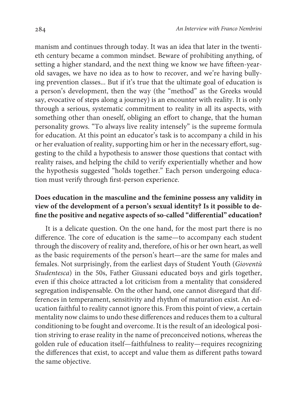manism and continues through today. It was an idea that later in the twentieth century became a common mindset. Beware of prohibiting anything, of setting a higher standard, and the next thing we know we have fifteen-yearold savages, we have no idea as to how to recover, and we're having bullying prevention classes... But if it's true that the ultimate goal of education is a person's development, then the way (the "method" as the Greeks would say, evocative of steps along a journey) is an encounter with reality. It is only through a serious, systematic commitment to reality in all its aspects, with something other than oneself, obliging an effort to change, that the human personality grows. "To always live reality intensely" is the supreme formula for education. At this point an educator's task is to accompany a child in his or her evaluation of reality, supporting him or her in the necessary effort, suggesting to the child a hypothesis to answer those questions that contact with reality raises, and helping the child to verify experientially whether and how the hypothesis suggested "holds together." Each person undergoing education must verify through first-person experience.

# **Does education in the masculine and the feminine possess any validity in view of the development of a person's sexual identity? Is it possible to define the positive and negative aspects of so-called "differential" education?**

 It is a delicate question. On the one hand, for the most part there is no difference. The core of education is the same—to accompany each student through the discovery of reality and, therefore, of his or her own heart, as well as the basic requirements of the person's heart—are the same for males and females. Not surprisingly, from the earliest days of Student Youth (Gioventù Studentesca) in the 50s, Father Giussani educated boys and girls together, even if this choice attracted a lot criticism from a mentality that considered segregation indispensable. On the other hand, one cannot disregard that differences in temperament, sensitivity and rhythm of maturation exist. An education faithful to reality cannot ignore this. From this point of view, a certain mentality now claims to undo these differences and reduces them to a cultural conditioning to be fought and overcome. It is the result of an ideological position striving to erase reality in the name of preconceived notions, whereas the golden rule of education itself—faithfulness to reality—requires recognizing the differences that exist, to accept and value them as different paths toward the same objective.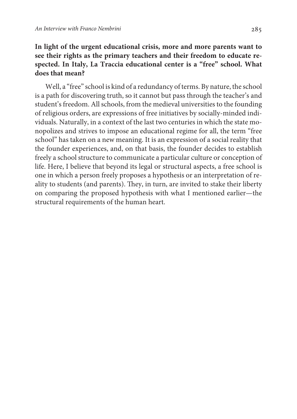# **In light of the urgent educational crisis, more and more parents want to see their rights as the primary teachers and their freedom to educate respected. In Italy, La Traccia educational center is a "free" school. What does that mean?**

Well, a "free" school is kind of a redundancy of terms. By nature, the school is a path for discovering truth, so it cannot but pass through the teacher's and student's freedom. All schools, from the medieval universities to the founding of religious orders, are expressions of free initiatives by socially-minded individuals. Naturally, in a context of the last two centuries in which the state monopolizes and strives to impose an educational regime for all, the term "free school" has taken on a new meaning. It is an expression of a social reality that the founder experiences, and, on that basis, the founder decides to establish freely a school structure to communicate a particular culture or conception of life. Here, I believe that beyond its legal or structural aspects, a free school is one in which a person freely proposes a hypothesis or an interpretation of reality to students (and parents). They, in turn, are invited to stake their liberty on comparing the proposed hypothesis with what I mentioned earlier—the structural requirements of the human heart.